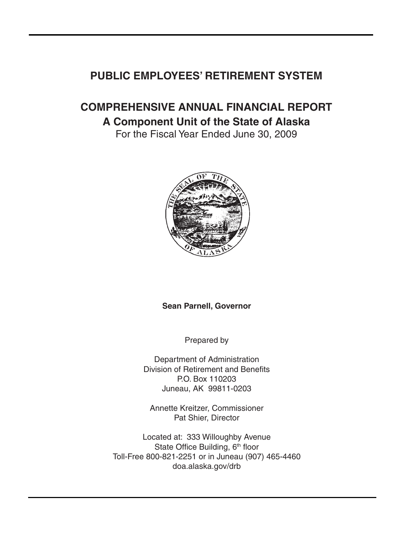# **PUBLIC EMPLOYEES' RETIREMENT SYSTEM**

# **COMPREHENSIVE ANNUAL FINANCIAL REPORT A Component Unit of the State of Alaska**

For the Fiscal Year Ended June 30, 2009



**Sean Parnell, Governor**

Prepared by

Department of Administration Division of Retirement and Benefits P.O. Box 110203 Juneau, AK 99811-0203

Annette Kreitzer, Commissioner Pat Shier, Director

Located at: 333 Willoughby Avenue State Office Building, 6<sup>th</sup> floor Toll-Free 800-821-2251 or in Juneau (907) 465-4460 doa.alaska.gov/drb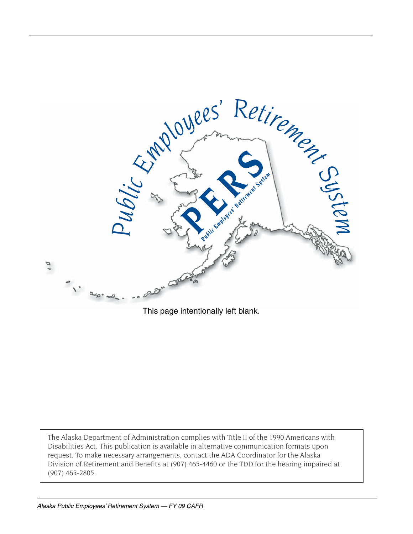

This page intentionally left blank.

The Alaska Department of Administration complies with Title II of the 1990 Americans with Disabilities Act. This publication is available in alternative communication formats upon request. To make necessary arrangements, contact the ADA Coordinator for the Alaska Division of Retirement and Benefits at (907) 465-4460 or the TDD for the hearing impaired at (907) 465-2805.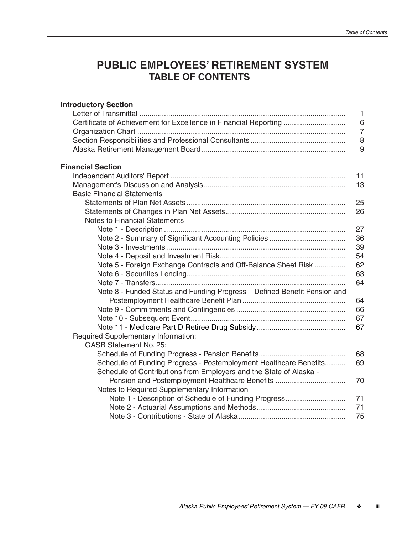# **PUBLIC EMPLOYEES' RETIREMENT SYSTEM TABLE OF CONTENTS**

| <b>Introductory Section</b>                                               |                |
|---------------------------------------------------------------------------|----------------|
|                                                                           | $\mathbf{1}$   |
| Certificate of Achievement for Excellence in Financial Reporting          | 6              |
|                                                                           | $\overline{7}$ |
|                                                                           | 8              |
|                                                                           | 9              |
| <b>Financial Section</b>                                                  |                |
|                                                                           | 11             |
|                                                                           | 13             |
| <b>Basic Financial Statements</b>                                         |                |
|                                                                           | 25             |
|                                                                           | 26             |
| <b>Notes to Financial Statements</b>                                      |                |
|                                                                           | 27             |
|                                                                           | 36             |
|                                                                           | 39             |
|                                                                           | 54             |
| Note 5 - Foreign Exchange Contracts and Off-Balance Sheet Risk            | 62             |
|                                                                           | 63             |
|                                                                           | 64             |
| Note 8 - Funded Status and Funding Progress - Defined Benefit Pension and |                |
|                                                                           | 64             |
|                                                                           | 66             |
|                                                                           | 67             |
|                                                                           | 67             |
| <b>Required Supplementary Information:</b>                                |                |
| <b>GASB Statement No. 25:</b>                                             |                |
|                                                                           | 68             |
| Schedule of Funding Progress - Postemployment Healthcare Benefits         | 69             |
| Schedule of Contributions from Employers and the State of Alaska -        |                |
| Pension and Postemployment Healthcare Benefits                            | 70             |
| Notes to Required Supplementary Information                               |                |
| Note 1 - Description of Schedule of Funding Progress                      | 71             |
|                                                                           | 71             |
|                                                                           | 75             |
|                                                                           |                |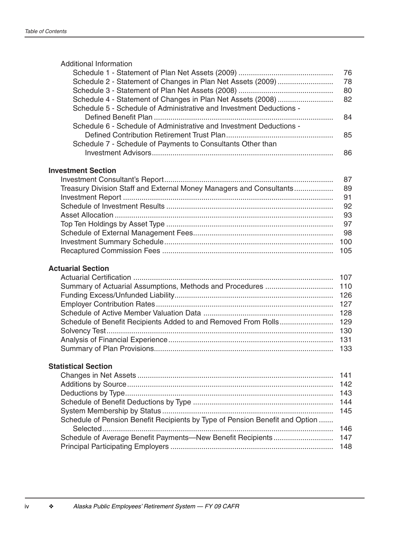| <b>Additional Information</b>                                       |    |
|---------------------------------------------------------------------|----|
|                                                                     | 76 |
| Schedule 2 - Statement of Changes in Plan Net Assets (2009)         | 78 |
|                                                                     | 80 |
|                                                                     |    |
| Schedule 5 - Schedule of Administrative and Investment Deductions - | 84 |
| Schedule 6 - Schedule of Administrative and Investment Deductions - |    |
|                                                                     | 85 |
| Schedule 7 - Schedule of Payments to Consultants Other than         |    |
|                                                                     | 86 |

## **Investment Section**

|  | 91  |
|--|-----|
|  |     |
|  | -93 |
|  |     |
|  |     |
|  | 100 |
|  |     |
|  |     |

# **Actuarial Section**

## **Statistical Section**

|                                                                              | 141 |
|------------------------------------------------------------------------------|-----|
|                                                                              |     |
|                                                                              |     |
|                                                                              |     |
|                                                                              |     |
| Schedule of Pension Benefit Recipients by Type of Pension Benefit and Option |     |
|                                                                              | 146 |
|                                                                              |     |
|                                                                              |     |
|                                                                              |     |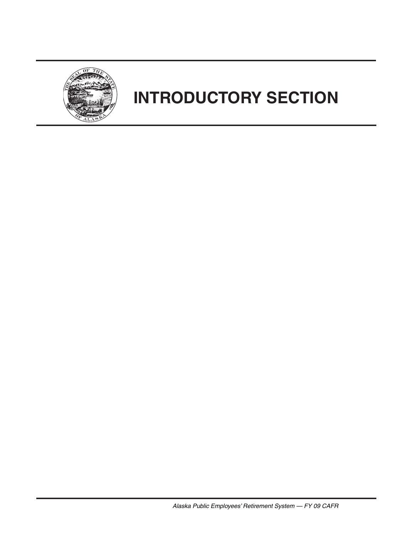

# **INTRODUCTORY SECTION**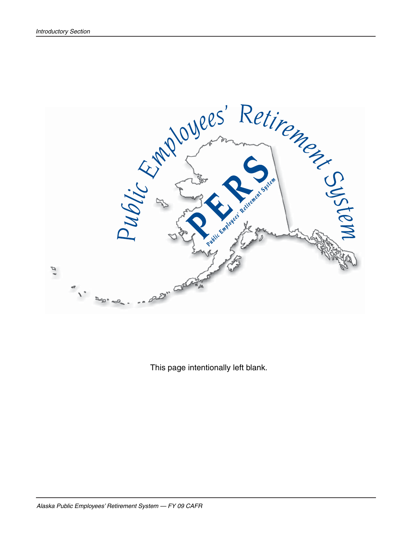

This page intentionally left blank.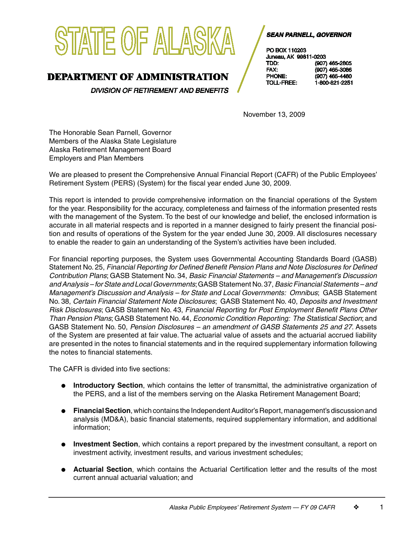

# **DEPARTMENT OF ADMINISTRATION**

**DIVISION OF RETIREMENT AND BENEFITS** 

## **SEAN PARNELL, GOVERNOR**

PO BOX 110203 Juneau, AK 99811-0203 TDD: (907) 465-2805 FAX: (907) 465-3086 **PHONE:** (907) 465-4460 TOLL-FREE: 1-800-821-2251

November 13, 2009

The Honorable Sean Parnell, Governor Members of the Alaska State Legislature Alaska Retirement Management Board Employers and Plan Members

We are pleased to present the Comprehensive Annual Financial Report (CAFR) of the Public Employees' Retirement System (PERS) (System) for the fiscal year ended June 30, 2009.

This report is intended to provide comprehensive information on the financial operations of the System for the year. Responsibility for the accuracy, completeness and fairness of the information presented rests with the management of the System. To the best of our knowledge and belief, the enclosed information is accurate in all material respects and is reported in a manner designed to fairly present the financial position and results of operations of the System for the year ended June 30, 2009. All disclosures necessary to enable the reader to gain an understanding of the System's activities have been included.

For financial reporting purposes, the System uses Governmental Accounting Standards Board (GASB) Statement No. 25, *Financial Reporting for Defined Benefit Pension Plans and Note Disclosures for Defined Contribution Plans*; GASB Statement No. 34, *Basic Financial Statements – and Management's Discussion and Analysis – for State and Local Governments*; GASB Statement No. 37, *Basic Financial Statements – and Management's Discussion and Analysis – for State and Local Governments: Omnibus*; GASB Statement No. 38, *Certain Financial Statement Note Disclosures*; GASB Statement No. 40, *Deposits and Investment Risk Disclosures*; GASB Statement No. 43, *Financial Reporting for Post Employment Benefit Plans Other Than Pension Plans*; GASB Statement No. 44, *Economic Condition Reporting: The Statistical Section*; and GASB Statement No. 50, *Pension Disclosures – an amendment of GASB Statements 25 and 27*. Assets of the System are presented at fair value. The actuarial value of assets and the actuarial accrued liability are presented in the notes to financial statements and in the required supplementary information following the notes to financial statements.

The CAFR is divided into five sections:

- **Introductory Section**, which contains the letter of transmittal, the administrative organization of the PERS, and a list of the members serving on the Alaska Retirement Management Board;
- **Financial Section**, which contains the Independent Auditor's Report, management's discussion and analysis (MD&A), basic financial statements, required supplementary information, and additional information;
- **Investment Section**, which contains a report prepared by the investment consultant, a report on investment activity, investment results, and various investment schedules;
- **Actuarial Section**, which contains the Actuarial Certification letter and the results of the most current annual actuarial valuation; and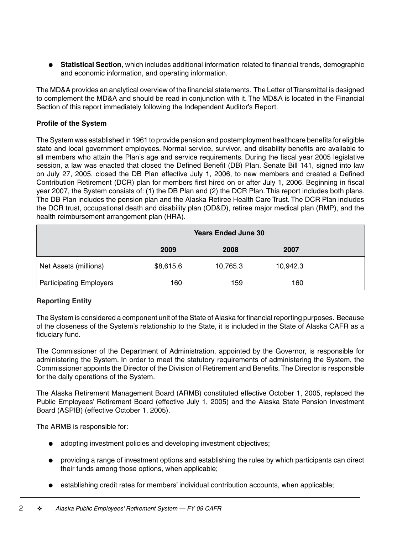● **Statistical Section**, which includes additional information related to financial trends, demographic and economic information, and operating information.

The MD&A provides an analytical overview of the financial statements. The Letter of Transmittal is designed to complement the MD&A and should be read in conjunction with it. The MD&A is located in the Financial Section of this report immediately following the Independent Auditor's Report.

#### **Profile of the System**

The System was established in 1961 to provide pension and postemployment healthcare benefits for eligible state and local government employees. Normal service, survivor, and disability benefits are available to all members who attain the Plan's age and service requirements. During the fiscal year 2005 legislative session, a law was enacted that closed the Defined Benefit (DB) Plan. Senate Bill 141, signed into law on July 27, 2005, closed the DB Plan effective July 1, 2006, to new members and created a Defined Contribution Retirement (DCR) plan for members first hired on or after July 1, 2006. Beginning in fiscal year 2007, the System consists of: (1) the DB Plan and (2) the DCR Plan. This report includes both plans. The DB Plan includes the pension plan and the Alaska Retiree Health Care Trust. The DCR Plan includes the DCR trust, occupational death and disability plan (OD&D), retiree major medical plan (RMP), and the health reimbursement arrangement plan (HRA).

|                                |           | <b>Years Ended June 30</b> |          |  |  |  |
|--------------------------------|-----------|----------------------------|----------|--|--|--|
|                                | 2009      | 2008                       | 2007     |  |  |  |
| Net Assets (millions)          | \$8,615.6 | 10,765.3                   | 10,942.3 |  |  |  |
| <b>Participating Employers</b> | 160       | 159                        | 160      |  |  |  |

## **Reporting Entity**

The System is considered a component unit of the State of Alaska for financial reporting purposes. Because of the closeness of the System's relationship to the State, it is included in the State of Alaska CAFR as a fiduciary fund.

The Commissioner of the Department of Administration, appointed by the Governor, is responsible for administering the System. In order to meet the statutory requirements of administering the System, the Commissioner appoints the Director of the Division of Retirement and Benefits. The Director is responsible for the daily operations of the System.

The Alaska Retirement Management Board (ARMB) constituted effective October 1, 2005, replaced the Public Employees' Retirement Board (effective July 1, 2005) and the Alaska State Pension Investment Board (ASPIB) (effective October 1, 2005).

The ARMB is responsible for:

- adopting investment policies and developing investment objectives;
- providing a range of investment options and establishing the rules by which participants can direct their funds among those options, when applicable;
- establishing credit rates for members' individual contribution accounts, when applicable;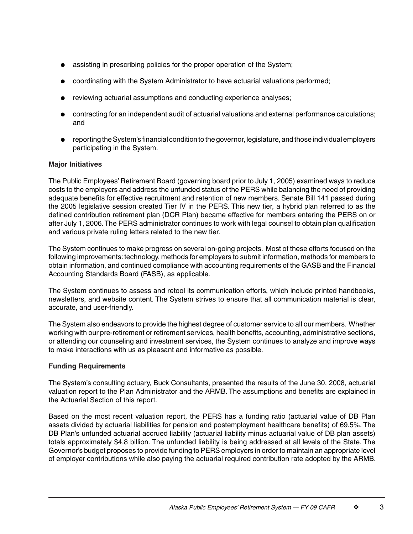- assisting in prescribing policies for the proper operation of the System;
- coordinating with the System Administrator to have actuarial valuations performed;
- reviewing actuarial assumptions and conducting experience analyses;
- contracting for an independent audit of actuarial valuations and external performance calculations; and
- reporting the System's financial condition to the governor, legislature, and those individual employers participating in the System.

## **Major Initiatives**

The Public Employees' Retirement Board (governing board prior to July 1, 2005) examined ways to reduce costs to the employers and address the unfunded status of the PERS while balancing the need of providing adequate benefits for effective recruitment and retention of new members. Senate Bill 141 passed during the 2005 legislative session created Tier IV in the PERS. This new tier, a hybrid plan referred to as the defined contribution retirement plan (DCR Plan) became effective for members entering the PERS on or after July 1, 2006. The PERS administrator continues to work with legal counsel to obtain plan qualification and various private ruling letters related to the new tier.

The System continues to make progress on several on-going projects. Most of these efforts focused on the following improvements: technology, methods for employers to submit information, methods for members to obtain information, and continued compliance with accounting requirements of the GASB and the Financial Accounting Standards Board (FASB), as applicable.

The System continues to assess and retool its communication efforts, which include printed handbooks, newsletters, and website content. The System strives to ensure that all communication material is clear, accurate, and user-friendly.

The System also endeavors to provide the highest degree of customer service to all our members. Whether working with our pre-retirement or retirement services, health benefits, accounting, administrative sections, or attending our counseling and investment services, the System continues to analyze and improve ways to make interactions with us as pleasant and informative as possible.

## **Funding Requirements**

The System's consulting actuary, Buck Consultants, presented the results of the June 30, 2008, actuarial valuation report to the Plan Administrator and the ARMB. The assumptions and benefits are explained in the Actuarial Section of this report.

Based on the most recent valuation report, the PERS has a funding ratio (actuarial value of DB Plan assets divided by actuarial liabilities for pension and postemployment healthcare benefits) of 69.5%. The DB Plan's unfunded actuarial accrued liability (actuarial liability minus actuarial value of DB plan assets) totals approximately \$4.8 billion. The unfunded liability is being addressed at all levels of the State. The Governor's budget proposes to provide funding to PERS employers in order to maintain an appropriate level of employer contributions while also paying the actuarial required contribution rate adopted by the ARMB.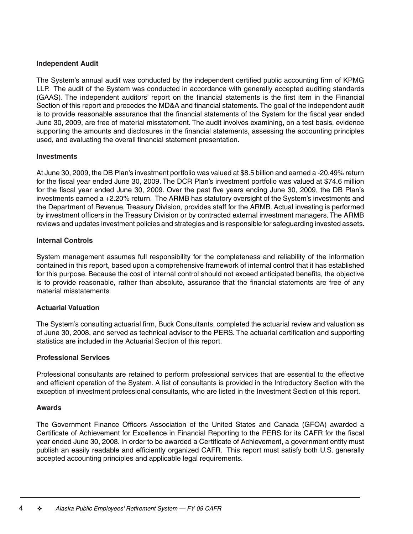#### **Independent Audit**

The System's annual audit was conducted by the independent certified public accounting firm of KPMG LLP. The audit of the System was conducted in accordance with generally accepted auditing standards (GAAS). The independent auditors' report on the financial statements is the first item in the Financial Section of this report and precedes the MD&A and financial statements. The goal of the independent audit is to provide reasonable assurance that the financial statements of the System for the fiscal year ended June 30, 2009, are free of material misstatement. The audit involves examining, on a test basis, evidence supporting the amounts and disclosures in the financial statements, assessing the accounting principles used, and evaluating the overall financial statement presentation.

#### **Investments**

At June 30, 2009, the DB Plan's investment portfolio was valued at \$8.5 billion and earned a -20.49% return for the fiscal year ended June 30, 2009. The DCR Plan's investment portfolio was valued at \$74.6 million for the fiscal year ended June 30, 2009. Over the past five years ending June 30, 2009, the DB Plan's investments earned a +2.20% return. The ARMB has statutory oversight of the System's investments and the Department of Revenue, Treasury Division, provides staff for the ARMB. Actual investing is performed by investment officers in the Treasury Division or by contracted external investment managers. The ARMB reviews and updates investment policies and strategies and is responsible for safeguarding invested assets.

#### **Internal Controls**

System management assumes full responsibility for the completeness and reliability of the information contained in this report, based upon a comprehensive framework of internal control that it has established for this purpose. Because the cost of internal control should not exceed anticipated benefits, the objective is to provide reasonable, rather than absolute, assurance that the financial statements are free of any material misstatements.

#### **Actuarial Valuation**

The System's consulting actuarial firm, Buck Consultants, completed the actuarial review and valuation as of June 30, 2008, and served as technical advisor to the PERS. The actuarial certification and supporting statistics are included in the Actuarial Section of this report.

#### **Professional Services**

Professional consultants are retained to perform professional services that are essential to the effective and efficient operation of the System. A list of consultants is provided in the Introductory Section with the exception of investment professional consultants, who are listed in the Investment Section of this report.

#### **Awards**

The Government Finance Officers Association of the United States and Canada (GFOA) awarded a Certificate of Achievement for Excellence in Financial Reporting to the PERS for its CAFR for the fiscal year ended June 30, 2008. In order to be awarded a Certificate of Achievement, a government entity must publish an easily readable and efficiently organized CAFR. This report must satisfy both U.S. generally accepted accounting principles and applicable legal requirements.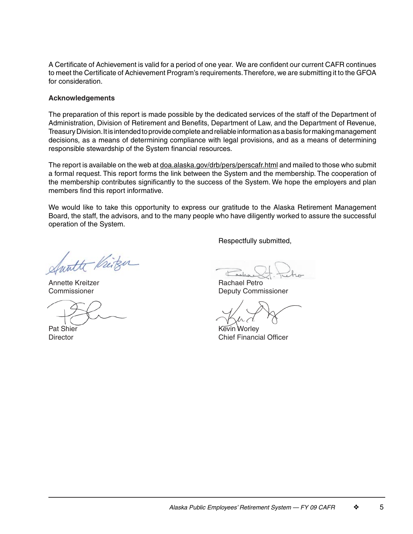A Certificate of Achievement is valid for a period of one year. We are confident our current CAFR continues to meet the Certificate of Achievement Program's requirements. Therefore, we are submitting it to the GFOA for consideration.

#### **Acknowledgements**

The preparation of this report is made possible by the dedicated services of the staff of the Department of Administration, Division of Retirement and Benefits, Department of Law, and the Department of Revenue, Treasury Division. It is intended to provide complete and reliable information as a basis for making management decisions, as a means of determining compliance with legal provisions, and as a means of determining responsible stewardship of the System financial resources.

The report is available on the web at doa.alaska.gov/drb/pers/perscafr.html and mailed to those who submit a formal request. This report forms the link between the System and the membership. The cooperation of the membership contributes significantly to the success of the System. We hope the employers and plan members find this report informative.

We would like to take this opportunity to express our gratitude to the Alaska Retirement Management Board, the staff, the advisors, and to the many people who have diligently worked to assure the successful operation of the System.

Respectfully submitted,

untte Krifen

Annette Kreitzer **Rachael Petro** Rachael Petro

ď

Commissioner Deputy Commissioner

Pat Shier Kevin Worley Director **Chief Financial Officer** Chief Financial Officer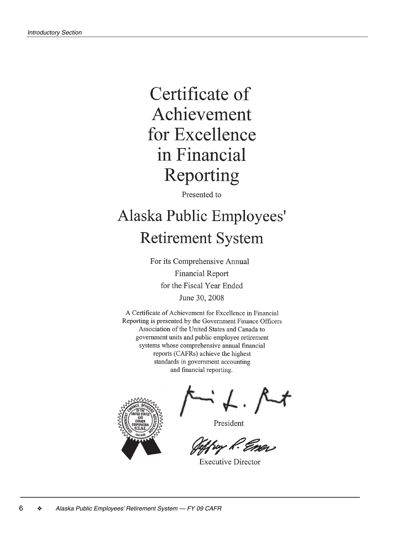# Certificate of Achievement for Excellence in Financial Reporting

Presented to

# Alaska Public Employees' **Retirement System**

For its Comprehensive Annual **Financial Report** for the Fiscal Year Ended June 30, 2008

A Certificate of Achievement for Excellence in Financial Reporting is presented by the Government Finance Officers Association of the United States and Canada to government units and public employee retirement systems whose comprehensive annual financial reports (CAFRs) achieve the highest standards in government accounting and financial reporting.



President

Sur R. Engr

**Executive Director**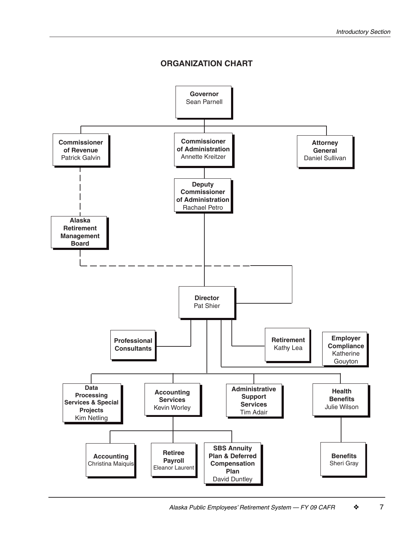## **ORGANIZATION CHART**

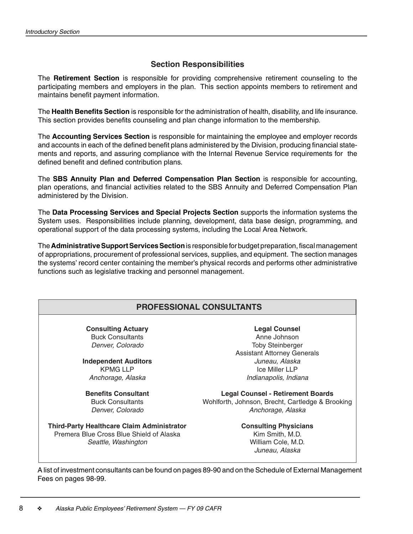## **Section Responsibilities**

The **Retirement Section** is responsible for providing comprehensive retirement counseling to the participating members and employers in the plan. This section appoints members to retirement and maintains benefit payment information.

The **Health Benefits Section** is responsible for the administration of health, disability, and life insurance. This section provides benefits counseling and plan change information to the membership.

The **Accounting Services Section** is responsible for maintaining the employee and employer records and accounts in each of the defined benefit plans administered by the Division, producing financial statements and reports, and assuring compliance with the Internal Revenue Service requirements for the defined benefit and defined contribution plans.

The **SBS Annuity Plan and Deferred Compensation Plan Section** is responsible for accounting, plan operations, and financial activities related to the SBS Annuity and Deferred Compensation Plan administered by the Division.

The **Data Processing Services and Special Projects Section** supports the information systems the System uses. Responsibilities include planning, development, data base design, programming, and operational support of the data processing systems, including the Local Area Network.

The **Administrative Support Services Section** is responsible for budget preparation, fiscal management of appropriations, procurement of professional services, supplies, and equipment. The section manages the systems' record center containing the member's physical records and performs other administrative functions such as legislative tracking and personnel management.

## **PROFESSIONAL CONSULTANTS**

**Consulting Actuary** Buck Consultants *Denver, Colorado*

**Independent Auditors** KPMG LLP *Anchorage, Alaska*

**Benefits Consultant** Buck Consultants *Denver, Colorado*

**Third-Party Healthcare Claim Administrator** Premera Blue Cross Blue Shield of Alaska *Seattle, Washington*

**Legal Counsel** Anne Johnson Toby Steinberger Assistant Attorney Generals *Juneau, Alaska* Ice Miller LLP *Indianapolis, Indiana*

**Legal Counsel - Retirement Boards** Wohlforth, Johnson, Brecht, Cartledge & Brooking *Anchorage, Alaska*

> **Consulting Physicians** Kim Smith, M.D. William Cole, M.D. *Juneau, Alaska*

A list of investment consultants can be found on pages 89-90 and on the Schedule of External Management Fees on pages 98-99.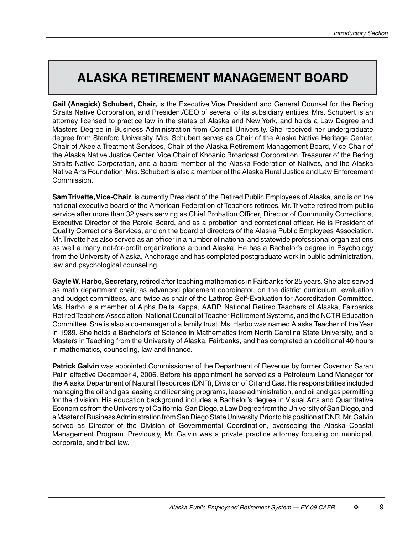# **ALASKA RETIREMENT MANAGEMENT BOARD**

**Gail (Anagick) Schubert, Chair,** is the Executive Vice President and General Counsel for the Bering Straits Native Corporation, and President/CEO of several of its subsidiary entities. Mrs. Schubert is an attorney licensed to practice law in the states of Alaska and New York, and holds a Law Degree and Masters Degree in Business Administration from Cornell University. She received her undergraduate degree from Stanford University. Mrs. Schubert serves as Chair of the Alaska Native Heritage Center, Chair of Akeela Treatment Services, Chair of the Alaska Retirement Management Board, Vice Chair of the Alaska Native Justice Center, Vice Chair of Khoanic Broadcast Corporation, Treasurer of the Bering Straits Native Corporation, and a board member of the Alaska Federation of Natives, and the Alaska Native Arts Foundation. Mrs. Schubert is also a member of the Alaska Rural Justice and Law Enforcement Commission.

**Sam Trivette, Vice-Chair**, is currently President of the Retired Public Employees of Alaska, and is on the national executive board of the American Federation of Teachers retirees. Mr. Trivette retired from public service after more than 32 years serving as Chief Probation Officer, Director of Community Corrections, Executive Director of the Parole Board, and as a probation and correctional officer. He is President of Quality Corrections Services, and on the board of directors of the Alaska Public Employees Association. Mr. Trivette has also served as an officer in a number of national and statewide professional organizations as well a many not-for-profit organizations around Alaska. He has a Bachelor's degree in Psychology from the University of Alaska, Anchorage and has completed postgraduate work in public administration, law and psychological counseling.

**Gayle W. Harbo, Secretary,** retired after teaching mathematics in Fairbanks for 25 years. She also served as math department chair, as advanced placement coordinator, on the district curriculum, evaluation and budget committees, and twice as chair of the Lathrop Self-Evaluation for Accreditation Committee. Ms. Harbo is a member of Alpha Delta Kappa, AARP, National Retired Teachers of Alaska, Fairbanks Retired Teachers Association, National Council of Teacher Retirement Systems, and the NCTR Education Committee. She is also a co-manager of a family trust. Ms. Harbo was named Alaska Teacher of the Year in 1989. She holds a Bachelor's of Science in Mathematics from North Carolina State University, and a Masters in Teaching from the University of Alaska, Fairbanks, and has completed an additional 40 hours in mathematics, counseling, law and finance.

**Patrick Galvin** was appointed Commissioner of the Department of Revenue by former Governor Sarah Palin effective December 4, 2006. Before his appointment he served as a Petroleum Land Manager for the Alaska Department of Natural Resources (DNR), Division of Oil and Gas. His responsibilities included managing the oil and gas leasing and licensing programs, lease administration, and oil and gas permitting for the division. His education background includes a Bachelor's degree in Visual Arts and Quantitative Economics from the University of California, San Diego, a Law Degree from the University of San Diego, and a Master of Business Administration from San Diego State University. Prior to his position at DNR, Mr. Galvin served as Director of the Division of Governmental Coordination, overseeing the Alaska Coastal Management Program. Previously, Mr. Galvin was a private practice attorney focusing on municipal, corporate, and tribal law.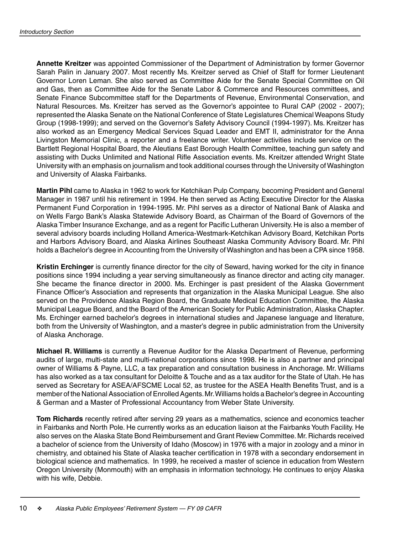**Annette Kreitzer** was appointed Commissioner of the Department of Administration by former Governor Sarah Palin in January 2007. Most recently Ms. Kreitzer served as Chief of Staff for former Lieutenant Governor Loren Leman. She also served as Committee Aide for the Senate Special Committee on Oil and Gas, then as Committee Aide for the Senate Labor & Commerce and Resources committees, and Senate Finance Subcommittee staff for the Departments of Revenue, Environmental Conservation, and Natural Resources. Ms. Kreitzer has served as the Governor's appointee to Rural CAP (2002 - 2007); represented the Alaska Senate on the National Conference of State Legislatures Chemical Weapons Study Group (1998-1999); and served on the Governor's Safety Advisory Council (1994-1997). Ms. Kreitzer has also worked as an Emergency Medical Services Squad Leader and EMT II, administrator for the Anna Livingston Memorial Clinic, a reporter and a freelance writer. Volunteer activities include service on the Bartlett Regional Hospital Board, the Aleutians East Borough Health Committee, teaching gun safety and assisting with Ducks Unlimited and National Rifle Association events. Ms. Kreitzer attended Wright State University with an emphasis on journalism and took additional courses through the University of Washington and University of Alaska Fairbanks.

**Martin Pihl** came to Alaska in 1962 to work for Ketchikan Pulp Company, becoming President and General Manager in 1987 until his retirement in 1994. He then served as Acting Executive Director for the Alaska Permanent Fund Corporation in 1994-1995. Mr. Pihl serves as a director of National Bank of Alaska and on Wells Fargo Bank's Alaska Statewide Advisory Board, as Chairman of the Board of Governors of the Alaska Timber Insurance Exchange, and as a regent for Pacific Lutheran University. He is also a member of several advisory boards including Holland America-Westmark-Ketchikan Advisory Board, Ketchikan Ports and Harbors Advisory Board, and Alaska Airlines Southeast Alaska Community Advisory Board. Mr. Pihl holds a Bachelor's degree in Accounting from the University of Washington and has been a CPA since 1958.

**Kristin Erchinger** is currently finance director for the city of Seward, having worked for the city in finance positions since 1994 including a year serving simultaneously as finance director and acting city manager. She became the finance director in 2000. Ms. Erchinger is past president of the Alaska Government Finance Officer's Association and represents that organization in the Alaska Municipal League. She also served on the Providence Alaska Region Board, the Graduate Medical Education Committee, the Alaska Municipal League Board, and the Board of the American Society for Public Administration, Alaska Chapter. Ms. Erchinger earned bachelor's degrees in international studies and Japanese language and literature, both from the University of Washington, and a master's degree in public administration from the University of Alaska Anchorage.

**Michael R. Williams** is currently a Revenue Auditor for the Alaska Department of Revenue, performing audits of large, multi-state and multi-national corporations since 1998. He is also a partner and principal owner of Williams & Payne, LLC, a tax preparation and consultation business in Anchorage. Mr. Williams has also worked as a tax consultant for Deloitte & Touche and as a tax auditor for the State of Utah. He has served as Secretary for ASEA/AFSCME Local 52, as trustee for the ASEA Health Benefits Trust, and is a member of the National Association of Enrolled Agents. Mr. Williams holds a Bachelor's degree in Accounting & German and a Master of Professional Accountancy from Weber State University.

**Tom Richards** recently retired after serving 29 years as a mathematics, science and economics teacher in Fairbanks and North Pole. He currently works as an education liaison at the Fairbanks Youth Facility. He also serves on the Alaska State Bond Reimbursement and Grant Review Committee. Mr. Richards received a bachelor of science from the University of Idaho (Moscow) in 1976 with a major in zoology and a minor in chemistry, and obtained his State of Alaska teacher certification in 1978 with a secondary endorsement in biological science and mathematics. In 1999, he received a master of science in education from Western Oregon University (Monmouth) with an emphasis in information technology. He continues to enjoy Alaska with his wife, Debbie.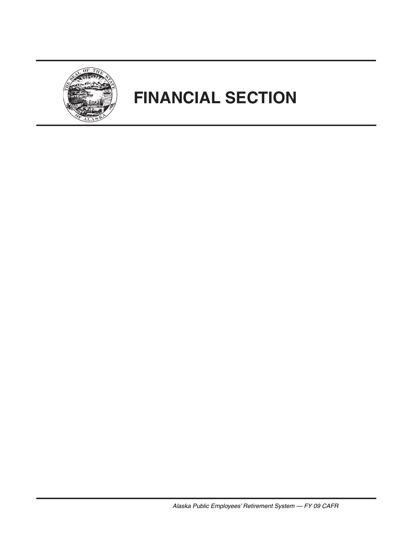

# **FINANCIAL SECTION**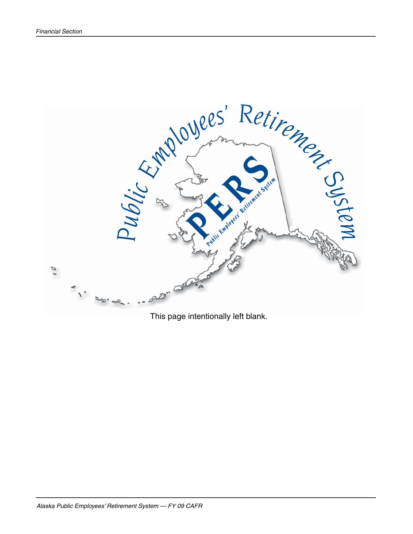

This page intentionally left blank.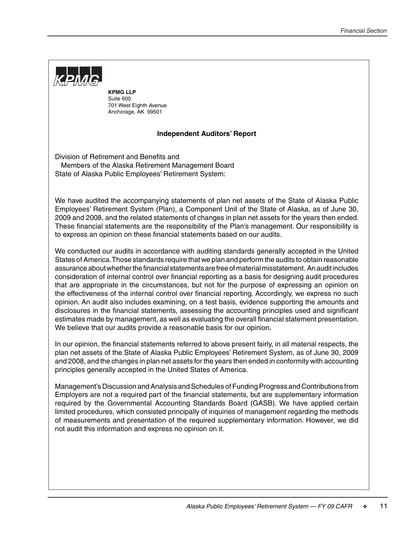

 **KPMG LLP** Suite 600 701 West Eighth Avenue Anchorage, AK 99501

## **Independent Auditors' Report**

Division of Retirement and Benefits and Members of the Alaska Retirement Management Board State of Alaska Public Employees' Retirement System:

We have audited the accompanying statements of plan net assets of the State of Alaska Public Employees' Retirement System (Plan), a Component Unit of the State of Alaska, as of June 30, 2009 and 2008, and the related statements of changes in plan net assets for the years then ended. These financial statements are the responsibility of the Plan's management. Our responsibility is to express an opinion on these financial statements based on our audits.

We conducted our audits in accordance with auditing standards generally accepted in the United States of America. Those standards require that we plan and perform the audits to obtain reasonable assurance about whether the financial statements are free of material misstatement. An audit includes consideration of internal control over financial reporting as a basis for designing audit procedures that are appropriate in the circumstances, but not for the purpose of expressing an opinion on the effectiveness of the internal control over financial reporting. Accordingly, we express no such opinion. An audit also includes examining, on a test basis, evidence supporting the amounts and disclosures in the financial statements, assessing the accounting principles used and significant estimates made by management, as well as evaluating the overall financial statement presentation. We believe that our audits provide a reasonable basis for our opinion.

In our opinion, the financial statements referred to above present fairly, in all material respects, the plan net assets of the State of Alaska Public Employees' Retirement System, as of June 30, 2009 and 2008, and the changes in plan net assets for the years then ended in conformity with accounting principles generally accepted in the United States of America.

Management's Discussion and Analysis and Schedules of Funding Progress and Contributions from Employers are not a required part of the financial statements, but are supplementary information required by the Governmental Accounting Standards Board (GASB). We have applied certain limited procedures, which consisted principally of inquiries of management regarding the methods of measurements and presentation of the required supplementary information. However, we did not audit this information and express no opinion on it.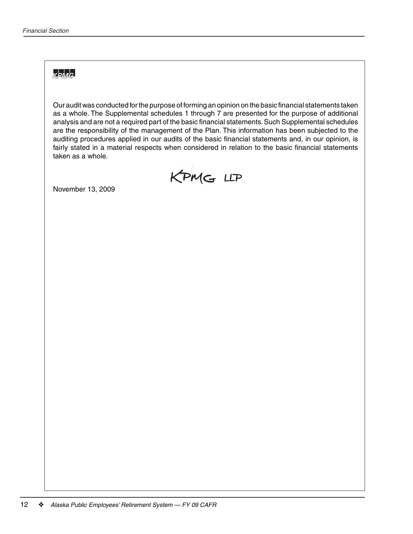## $K$ *PN<sub>1G</sub>*

Our audit was conducted for the purpose of forming an opinion on the basic financial statements taken as a whole. The Supplemental schedules 1 through 7 are presented for the purpose of additional analysis and are not a required part of the basic financial statements. Such Supplemental schedules are the responsibility of the management of the Plan. This information has been subjected to the auditing procedures applied in our audits of the basic financial statements and, in our opinion, is fairly stated in a material respects when considered in relation to the basic financial statements taken as a whole.

KPMG LLP

November 13, 2009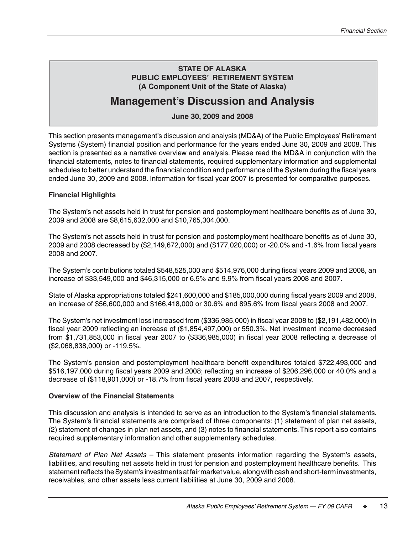# **Management's Discussion and Analysis**

**June 30, 2009 and 2008**

This section presents management's discussion and analysis (MD&A) of the Public Employees' Retirement Systems (System) financial position and performance for the years ended June 30, 2009 and 2008. This section is presented as a narrative overview and analysis. Please read the MD&A in conjunction with the financial statements, notes to financial statements, required supplementary information and supplemental schedules to better understand the financial condition and performance of the System during the fiscal years ended June 30, 2009 and 2008. Information for fiscal year 2007 is presented for comparative purposes.

## **Financial Highlights**

The System's net assets held in trust for pension and postemployment healthcare benefits as of June 30, 2009 and 2008 are \$8,615,632,000 and \$10,765,304,000.

The System's net assets held in trust for pension and postemployment healthcare benefits as of June 30, 2009 and 2008 decreased by (\$2,149,672,000) and (\$177,020,000) or -20.0% and -1.6% from fiscal years 2008 and 2007.

The System's contributions totaled \$548,525,000 and \$514,976,000 during fiscal years 2009 and 2008, an increase of \$33,549,000 and \$46,315,000 or 6.5% and 9.9% from fiscal years 2008 and 2007.

State of Alaska appropriations totaled \$241,600,000 and \$185,000,000 during fiscal years 2009 and 2008, an increase of \$56,600,000 and \$166,418,000 or 30.6% and 895.6% from fiscal years 2008 and 2007.

The System's net investment loss increased from (\$336,985,000) in fiscal year 2008 to (\$2,191,482,000) in fiscal year 2009 reflecting an increase of (\$1,854,497,000) or 550.3%. Net investment income decreased from \$1,731,853,000 in fiscal year 2007 to (\$336,985,000) in fiscal year 2008 reflecting a decrease of (\$2,068,838,000) or -119.5%.

The System's pension and postemployment healthcare benefit expenditures totaled \$722,493,000 and \$516,197,000 during fiscal years 2009 and 2008; reflecting an increase of \$206,296,000 or 40.0% and a decrease of (\$118,901,000) or -18.7% from fiscal years 2008 and 2007, respectively.

## **Overview of the Financial Statements**

This discussion and analysis is intended to serve as an introduction to the System's financial statements. The System's financial statements are comprised of three components: (1) statement of plan net assets, (2) statement of changes in plan net assets, and (3) notes to financial statements. This report also contains required supplementary information and other supplementary schedules.

*Statement of Plan Net Assets* – This statement presents information regarding the System's assets, liabilities, and resulting net assets held in trust for pension and postemployment healthcare benefits. This statement reflects the System's investments at fair market value, along with cash and short-term investments, receivables, and other assets less current liabilities at June 30, 2009 and 2008.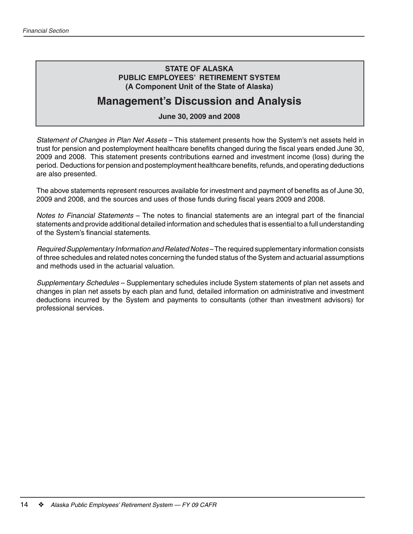# **Management's Discussion and Analysis**

**June 30, 2009 and 2008**

*Statement of Changes in Plan Net Assets* – This statement presents how the System's net assets held in trust for pension and postemployment healthcare benefits changed during the fiscal years ended June 30, 2009 and 2008. This statement presents contributions earned and investment income (loss) during the period. Deductions for pension and postemployment healthcare benefits, refunds, and operating deductions are also presented.

The above statements represent resources available for investment and payment of benefits as of June 30, 2009 and 2008, and the sources and uses of those funds during fiscal years 2009 and 2008.

*Notes to Financial Statements* – The notes to financial statements are an integral part of the financial statements and provide additional detailed information and schedules that is essential to a full understanding of the System's financial statements.

*Required Supplementary Information and Related Notes* – The required supplementary information consists of three schedules and related notes concerning the funded status of the System and actuarial assumptions and methods used in the actuarial valuation.

*Supplementary Schedules* – Supplementary schedules include System statements of plan net assets and changes in plan net assets by each plan and fund, detailed information on administrative and investment deductions incurred by the System and payments to consultants (other than investment advisors) for professional services.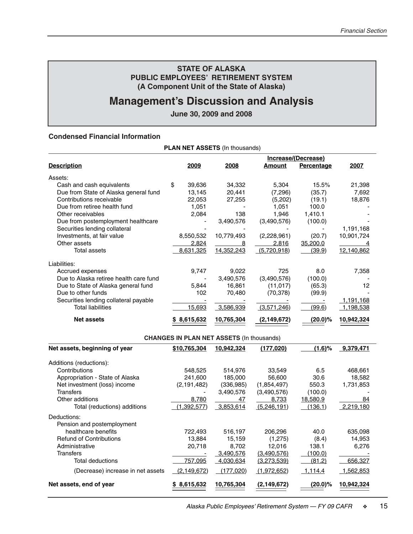# **Management's Discussion and Analysis**

**June 30, 2009 and 2008**

#### **Condensed Financial Information**

| <b>PLAN NET ASSETS (In thousands)</b>            |                     |             |            |               |                   |            |
|--------------------------------------------------|---------------------|-------------|------------|---------------|-------------------|------------|
|                                                  | Increase/(Decrease) |             |            |               |                   |            |
| <b>Description</b>                               |                     | 2009        | 2008       | <b>Amount</b> | <b>Percentage</b> | 2007       |
| Assets:                                          |                     |             |            |               |                   |            |
| Cash and cash equivalents                        | \$                  | 39,636      | 34,332     | 5,304         | 15.5%             | 21,398     |
| Due from State of Alaska general fund            |                     | 13,145      | 20,441     | (7,296)       | (35.7)            | 7,692      |
| Contributions receivable                         |                     | 22,053      | 27,255     | (5,202)       | (19.1)            | 18,876     |
| Due from retiree health fund                     |                     | 1,051       |            | 1,051         | 100.0             |            |
| Other receivables                                |                     | 2,084       | 138        | 1,946         | 1,410.1           |            |
| Due from postemployment healthcare               |                     |             | 3,490,576  | (3,490,576)   | (100.0)           |            |
| Securities lending collateral                    |                     |             |            |               |                   | 1,191,168  |
| Investments, at fair value                       |                     | 8,550,532   | 10,779,493 | (2,228,961)   | (20.7)            | 10,901,724 |
| Other assets                                     |                     | 2,824       | 8          | 2,816         | 35,200.0          |            |
| <b>Total assets</b>                              |                     | 8,631,325   | 14,352,243 | (5,720,918)   | (39.9)            | 12,140,862 |
| Liabilities:                                     |                     |             |            |               |                   |            |
| Accrued expenses                                 |                     | 9,747       | 9,022      | 725           | 8.0               | 7,358      |
| Due to Alaska retiree health care fund           |                     |             | 3,490,576  | (3,490,576)   | (100.0)           |            |
| Due to State of Alaska general fund              |                     | 5,844       | 16,861     | (11, 017)     | (65.3)            | 12         |
| Due to other funds                               |                     | 102         | 70,480     | (70, 378)     | (99.9)            |            |
| Securities lending collateral payable            |                     |             |            |               |                   | 1,191,168  |
| <b>Total liabilities</b>                         |                     | 15,693      | 3,586,939  | (3,571,246)   | <u>(99.6)</u>     | 1,198,538  |
| <b>Net assets</b>                                |                     | \$8,615,632 | 10,765,304 | (2, 149, 672) | <u>(20.0)</u> %   | 10,942,324 |
| <b>CHANGES IN PLAN NET ASSETS (In thousands)</b> |                     |             |            |               |                   |            |

| Net assets, beginning of year     | \$10,765,304       | 10,942,324 | (177, 020)    | $(1.6)$ % | 9,379,471  |
|-----------------------------------|--------------------|------------|---------------|-----------|------------|
| Additions (reductions):           |                    |            |               |           |            |
| Contributions                     | 548,525            | 514,976    | 33,549        | 6.5       | 468,661    |
| Appropriation - State of Alaska   | 241.600            | 185.000    | 56,600        | 30.6      | 18,582     |
| Net investment (loss) income      | (2,191,482)        | (336,985)  | (1.854, 497)  | 550.3     | 1,731,853  |
| Transfers                         |                    | 3,490,576  | (3,490,576)   | (100.0)   |            |
| Other additions                   | 8,780              | 47         | 8,733         | 18,580.9  | 84         |
| Total (reductions) additions      | <u>(1,392,577)</u> | 3,853,614  | (5,246,191)   | (136.1)   | 2,219,180  |
| Deductions:                       |                    |            |               |           |            |
| Pension and postemployment        |                    |            |               |           |            |
| healthcare benefits               | 722,493            | 516,197    | 206,296       | 40.0      | 635,098    |
| <b>Refund of Contributions</b>    | 13.884             | 15.159     | (1,275)       | (8.4)     | 14,953     |
| Administrative                    | 20,718             | 8,702      | 12,016        | 138.1     | 6,276      |
| Transfers                         |                    | 3,490,576  | (3,490,576)   | (100.0)   |            |
| Total deductions                  | 757,095            | 4,030,634  | (3,273,539)   | (81.2)    | 656,327    |
| (Decrease) increase in net assets | (2, 149, 672)      | (177,020)  | (1,972,652)   | 1,114.4   | 1,562,853  |
| Net assets, end of year           | \$8,615,632        | 10,765,304 | (2, 149, 672) | (20.0)%   | 10,942,324 |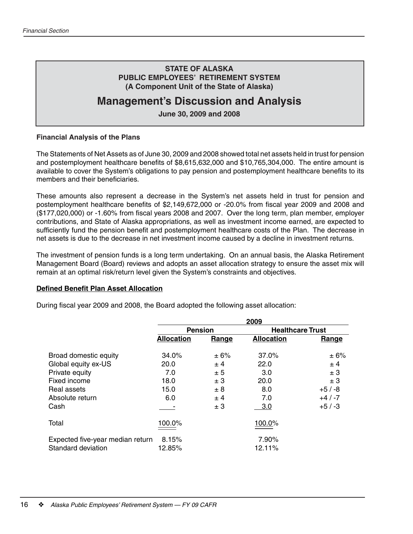# **Management's Discussion and Analysis**

**June 30, 2009 and 2008**

#### **Financial Analysis of the Plans**

The Statements of Net Assets as of June 30, 2009 and 2008 showed total net assets held in trust for pension and postemployment healthcare benefits of \$8,615,632,000 and \$10,765,304,000. The entire amount is available to cover the System's obligations to pay pension and postemployment healthcare benefits to its members and their beneficiaries.

These amounts also represent a decrease in the System's net assets held in trust for pension and postemployment healthcare benefits of \$2,149,672,000 or -20.0% from fiscal year 2009 and 2008 and  $(\$177,020,000)$  or  $-1.60%$  from fiscal years 2008 and 2007. Over the long term, plan member, employer contributions, and State of Alaska appropriations, as well as investment income earned, are expected to sufficiently fund the pension benefit and postemployment healthcare costs of the Plan. The decrease in net assets is due to the decrease in net investment income caused by a decline in investment returns.

The investment of pension funds is a long term undertaking. On an annual basis, the Alaska Retirement Management Board (Board) reviews and adopts an asset allocation strategy to ensure the asset mix will remain at an optimal risk/return level given the System's constraints and objectives.

#### **Defined Benefit Plan Asset Allocation**

During fiscal year 2009 and 2008, the Board adopted the following asset allocation:

|                                  | 2009              |                |                         |          |  |
|----------------------------------|-------------------|----------------|-------------------------|----------|--|
|                                  |                   | <b>Pension</b> | <b>Healthcare Trust</b> |          |  |
|                                  | <b>Allocation</b> | Range          | <b>Allocation</b>       | Range    |  |
| Broad domestic equity            | 34.0%             | ± 6%           | 37.0%                   | ± 6%     |  |
| Global equity ex-US              | 20.0              | ± 4            | 22.0                    | ± 4      |  |
| Private equity                   | 7.0               | ± 5            | 3.0                     | ± 3      |  |
| Fixed income                     | 18.0              | ± 3            | 20.0                    | ± 3      |  |
| Real assets                      | 15.0              | ± 8            | 8.0                     | $+5/ -8$ |  |
| Absolute return                  | 6.0               | ± 4            | 7.0                     | $+4/ -7$ |  |
| Cash                             |                   | ± 3            | 3.0                     | $+5/ -3$ |  |
| Total                            | 100.0%            |                | 100.0%                  |          |  |
| Expected five-year median return | 8.15%             |                | 7.90%                   |          |  |
| Standard deviation               | 12.85%            |                | 12.11%                  |          |  |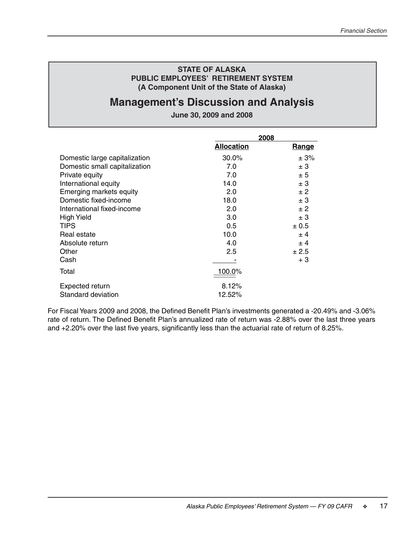# **Management's Discussion and Analysis**

**June 30, 2009 and 2008**

|                               | 2008              |              |
|-------------------------------|-------------------|--------------|
|                               | <b>Allocation</b> | <u>Range</u> |
| Domestic large capitalization | $30.0\%$          | $\pm$ 3%     |
| Domestic small capitalization | 7.0               | $\pm$ 3      |
| Private equity                | 7.0               | $+5$         |
| International equity          | 14.0              | ± 3          |
| Emerging markets equity       | 2.0               | $+2$         |
| Domestic fixed-income         | 18.0              | ± 3          |
| International fixed-income    | 2.0               | $+2$         |
| <b>High Yield</b>             | 3.0               | $+3$         |
| <b>TIPS</b>                   | 0.5               | ± 0.5        |
| Real estate                   | 10.0              | $+4$         |
| Absolute return               | 4.0               | $+4$         |
| Other                         | 2.5               | ± 2.5        |
| Cash                          |                   | $+3$         |
| Total                         | 100.0%            |              |
| Expected return               | 8.12%             |              |
| Standard deviation            | 12.52%            |              |

For Fiscal Years 2009 and 2008, the Defined Benefit Plan's investments generated a -20.49% and -3.06% rate of return. The Defined Benefit Plan's annualized rate of return was -2.88% over the last three years and +2.20% over the last five years, significantly less than the actuarial rate of return of 8.25%.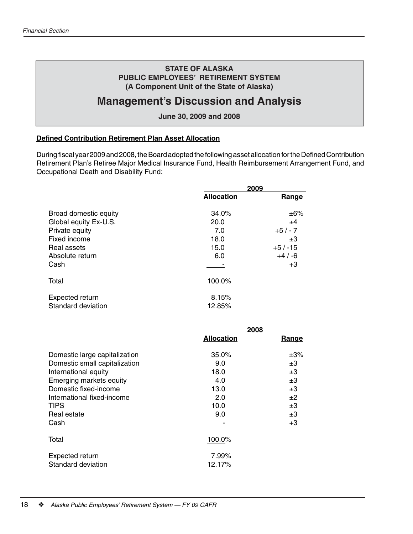# **Management's Discussion and Analysis**

**June 30, 2009 and 2008**

#### **Defined Contribution Retirement Plan Asset Allocation**

During fiscal year 2009 and 2008, the Board adopted the following asset allocation for the Defined Contribution Retirement Plan's Retiree Major Medical Insurance Fund, Health Reimbursement Arrangement Fund, and Occupational Death and Disability Fund:

|                       | 2009              |              |
|-----------------------|-------------------|--------------|
|                       | <b>Allocation</b> | <b>Range</b> |
| Broad domestic equity | 34.0%             | ±6%          |
| Global equity Ex-U.S. | 20.0              | $+4$         |
| Private equity        | 7.0               | $+5/ -7$     |
| Fixed income          | 18.0              | $\pm 3$      |
| Real assets           | 15.0              | $+5/ -15$    |
| Absolute return       | 6.0               | $+4/ -6$     |
| Cash                  |                   | $+3$         |
| Total                 | 100.0%            |              |
| Expected return       | 8.15%             |              |
| Standard deviation    | 12.85%            |              |

|                               | 2008              |           |  |
|-------------------------------|-------------------|-----------|--|
|                               | <b>Allocation</b> | Range     |  |
| Domestic large capitalization | $35.0\%$          | $\pm 3\%$ |  |
| Domestic small capitalization | 9.0               | ±З        |  |
| International equity          | 18.0              | $\pm 3$   |  |
| Emerging markets equity       | 4.0               | ±З        |  |
| Domestic fixed-income         | 13.0              | $\pm 3$   |  |
| International fixed-income    | 2.0               | ±2        |  |
| <b>TIPS</b>                   | 10.0              | ±3        |  |
| Real estate                   | 9.0               | ±3        |  |
| Cash                          |                   | $+3$      |  |
| Total                         | 100.0%            |           |  |
| Expected return               | 7.99%             |           |  |
| Standard deviation            | 12.17%            |           |  |
|                               |                   |           |  |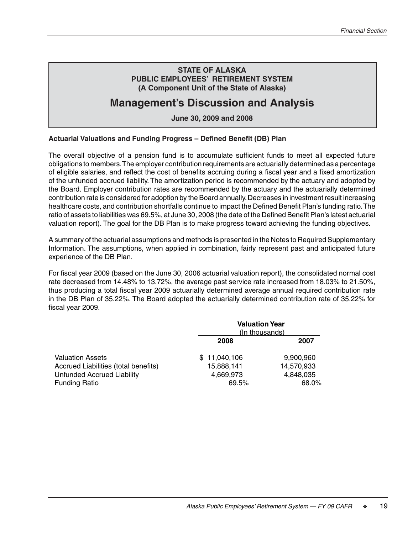# **Management's Discussion and Analysis**

**June 30, 2009 and 2008**

## **Actuarial Valuations and Funding Progress - Defined Benefit (DB) Plan**

The overall objective of a pension fund is to accumulate sufficient funds to meet all expected future obligations to members. The employer contribution requirements are actuarially determined as a percentage of eligible salaries, and reflect the cost of benefits accruing during a fiscal year and a fixed amortization of the unfunded accrued liability. The amortization period is recommended by the actuary and adopted by the Board. Employer contribution rates are recommended by the actuary and the actuarially determined contribution rate is considered for adoption by the Board annually. Decreases in investment result increasing healthcare costs, and contribution shortfalls continue to impact the Defined Benefit Plan's funding ratio. The ratio of assets to liabilities was 69.5%, at June 30, 2008 (the date of the Defined Benefit Plan's latest actuarial valuation report). The goal for the DB Plan is to make progress toward achieving the funding objectives.

A summary of the actuarial assumptions and methods is presented in the Notes to Required Supplementary Information. The assumptions, when applied in combination, fairly represent past and anticipated future experience of the DB Plan.

For fiscal year 2009 (based on the June 30, 2006 actuarial valuation report), the consolidated normal cost rate decreased from 14.48% to 13.72%, the average past service rate increased from 18.03% to 21.50%, thus producing a total fiscal year 2009 actuarially determined average annual required contribution rate in the DB Plan of 35.22%. The Board adopted the actuarially determined contribution rate of 35.22% for fiscal year 2009.

|                                      | <b>Valuation Year</b><br>(In thousands) |            |  |  |
|--------------------------------------|-----------------------------------------|------------|--|--|
|                                      |                                         |            |  |  |
|                                      | 2008                                    | 2007       |  |  |
| <b>Valuation Assets</b>              | \$11,040,106                            | 9,900,960  |  |  |
| Accrued Liabilities (total benefits) | 15,888,141                              | 14,570,933 |  |  |
| <b>Unfunded Accrued Liability</b>    | 4,669,973                               | 4,848,035  |  |  |
| <b>Funding Ratio</b>                 | 69.5%                                   | 68.0%      |  |  |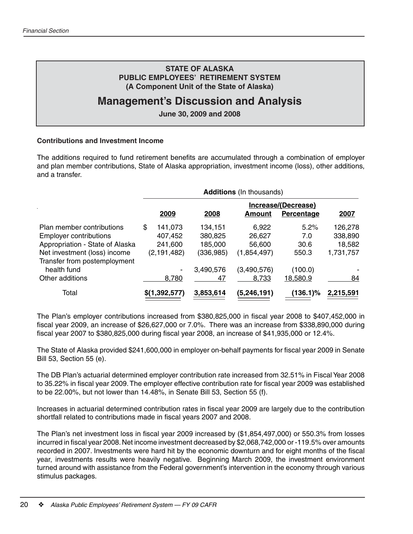# **Management's Discussion and Analysis**

**June 30, 2009 and 2008**

#### **Contributions and Investment Income**

The additions required to fund retirement benefits are accumulated through a combination of employer and plan member contributions, State of Alaska appropriation, investment income (loss), other additions, and a transfer.

|                                 | <b>Additions</b> (In thousands) |                |            |             |            |           |
|---------------------------------|---------------------------------|----------------|------------|-------------|------------|-----------|
|                                 | Increase/(Decrease)             |                |            |             |            |           |
|                                 |                                 | 2009           | 2008       | Amount      | Percentage | 2007      |
| Plan member contributions       | \$                              | 141,073        | 134,151    | 6,922       | 5.2%       | 126,278   |
| <b>Employer contributions</b>   |                                 | 407,452        | 380,825    | 26,627      | 7.0        | 338,890   |
| Appropriation - State of Alaska |                                 | 241,600        | 185,000    | 56,600      | 30.6       | 18,582    |
| Net investment (loss) income    |                                 | (2, 191, 482)  | (336, 985) | (1,854,497) | 550.3      | 1,731,757 |
| Transfer from postemployment    |                                 |                |            |             |            |           |
| health fund                     |                                 | $\blacksquare$ | 3,490,576  | (3,490,576) | (100.0)    |           |
| Other additions                 |                                 | 8,780          | 47         | 8,733       | 18,580.9   | 84        |
| Total                           |                                 | \$(1,392,577)  | 3,853,614  | (5,246,191) | (136.1)%   | 2,215,591 |

The Plan's employer contributions increased from \$380,825,000 in fiscal year 2008 to \$407,452,000 in fiscal year 2009, an increase of \$26,627,000 or 7.0%. There was an increase from \$338,890,000 during fiscal year 2007 to \$380,825,000 during fiscal year 2008, an increase of \$41,935,000 or 12.4%.

The State of Alaska provided \$241,600,000 in employer on-behalf payments for fiscal year 2009 in Senate Bill 53, Section 55 (e).

The DB Plan's actuarial determined employer contribution rate increased from 32.51% in Fiscal Year 2008 to 35.22% in fiscal year 2009. The employer effective contribution rate for fiscal year 2009 was established to be 22.00%, but not lower than 14.48%, in Senate Bill 53, Section 55 (f).

Increases in actuarial determined contribution rates in fiscal year 2009 are largely due to the contribution shortfall related to contributions made in fiscal years 2007 and 2008.

The Plan's net investment loss in fiscal year 2009 increased by (\$1,854,497,000) or 550.3% from losses incurred in fiscal year 2008. Net income investment decreased by \$2,068,742,000 or -119.5% over amounts recorded in 2007. Investments were hard hit by the economic downturn and for eight months of the fiscal year, investments results were heavily negative. Beginning March 2009, the investment environment turned around with assistance from the Federal government's intervention in the economy through various stimulus packages.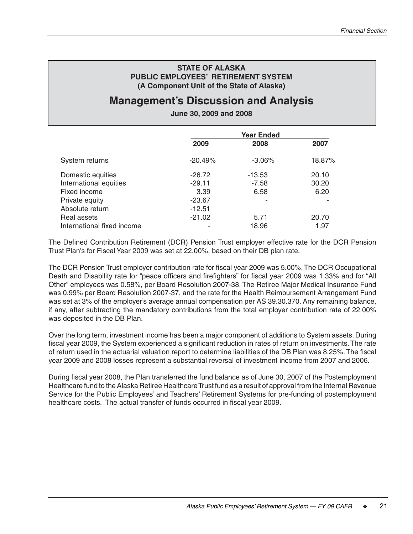# **Management's Discussion and Analysis**

**June 30, 2009 and 2008**

|                            |           | <b>Year Ended</b> |        |
|----------------------------|-----------|-------------------|--------|
|                            | 2009      | 2008              | 2007   |
| System returns             | $-20.49%$ | $-3.06%$          | 18.87% |
| Domestic equities          | $-26.72$  | $-13.53$          | 20.10  |
| International equities     | $-29.11$  | $-7.58$           | 30.20  |
| Fixed income               | 3.39      | 6.58              | 6.20   |
| Private equity             | $-23.67$  |                   |        |
| Absolute return            | $-12.51$  |                   |        |
| Real assets                | $-21.02$  | 5.71              | 20.70  |
| International fixed income |           | 18.96             | 1.97   |

The Defined Contribution Retirement (DCR) Pension Trust employer effective rate for the DCR Pension Trust Plan's for Fiscal Year 2009 was set at 22.00%, based on their DB plan rate.

The DCR Pension Trust employer contribution rate for fiscal year 2009 was 5.00%. The DCR Occupational Death and Disability rate for "peace officers and firefighters" for fiscal year 2009 was 1.33% and for "All Other" employees was 0.58%, per Board Resolution 2007-38. The Retiree Major Medical Insurance Fund was 0.99% per Board Resolution 2007-37, and the rate for the Health Reimbursement Arrangement Fund was set at 3% of the employer's average annual compensation per AS 39.30.370. Any remaining balance, if any, after subtracting the mandatory contributions from the total employer contribution rate of 22.00% was deposited in the DB Plan.

Over the long term, investment income has been a major component of additions to System assets. During fiscal year 2009, the System experienced a significant reduction in rates of return on investments. The rate of return used in the actuarial valuation report to determine liabilities of the DB Plan was 8.25%. The fiscal year 2009 and 2008 losses represent a substantial reversal of investment income from 2007 and 2006.

During fiscal year 2008, the Plan transferred the fund balance as of June 30, 2007 of the Postemployment Healthcare fund to the Alaska Retiree Healthcare Trust fund as a result of approval from the Internal Revenue Service for the Public Employees' and Teachers' Retirement Systems for pre-funding of postemployment healthcare costs. The actual transfer of funds occurred in fiscal year 2009.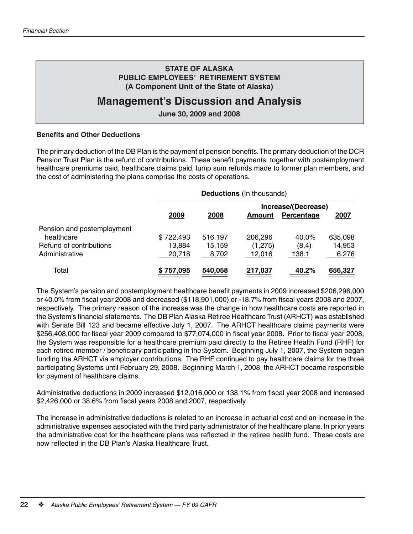# **Management's Discussion and Analysis**

**June 30, 2009 and 2008**

#### **Benefits and Other Deductions**

The primary deduction of the DB Plan is the payment of pension benefits. The primary deduction of the DCR Pension Trust Plan is the refund of contributions. These benefit payments, together with postemployment healthcare premiums paid, healthcare claims paid, lump sum refunds made to former plan members, and the cost of administering the plans comprise the costs of operations.

|                            | <b>Deductions</b> (In thousands) |         |         |            |         |
|----------------------------|----------------------------------|---------|---------|------------|---------|
|                            | Increase/(Decrease)              |         |         |            |         |
|                            | 2009                             | 2008    | Amount  | Percentage | 2007    |
| Pension and postemployment |                                  |         |         |            |         |
| healthcare                 | \$722,493                        | 516,197 | 206,296 | 40.0%      | 635,098 |
| Refund of contributions    | 13,884                           | 15,159  | (1,275) | (8.4)      | 14,953  |
| Administrative             | 20,718                           | 8,702   | 12,016  | 138.1      | 6,276   |
| Total                      | \$757,095                        | 540,058 | 217,037 | 40.2%      | 656,327 |

The System's pension and postemployment healthcare benefit payments in 2009 increased \$206,296,000 or 40.0% from fiscal year 2008 and decreased (\$118,901,000) or -18.7% from fiscal years 2008 and 2007, respectively. The primary reason of the increase was the change in how healthcare costs are reported in the System's financial statements. The DB Plan Alaska Retiree Healthcare Trust (ARHCT) was established with Senate Bill 123 and became effective July 1, 2007. The ARHCT healthcare claims payments were \$256,408,000 for fiscal year 2009 compared to \$77,074,000 in fiscal year 2008. Prior to fiscal year 2008, the System was responsible for a healthcare premium paid directly to the Retiree Health Fund (RHF) for each retired member / beneficiary participating in the System. Beginning July 1, 2007, the System began funding the ARHCT via employer contributions. The RHF continued to pay healthcare claims for the three participating Systems until February 29, 2008. Beginning March 1, 2008, the ARHCT became responsible for payment of healthcare claims.

Administrative deductions in 2009 increased \$12,016,000 or 138.1% from fiscal year 2008 and increased \$2,426,000 or 38.6% from fiscal years 2008 and 2007, respectively.

The increase in administrative deductions is related to an increase in actuarial cost and an increase in the administrative expenses associated with the third party administrator of the healthcare plans. In prior years the administrative cost for the healthcare plans was reflected in the retiree health fund. These costs are now reflected in the DB Plan's Alaska Healthcare Trust.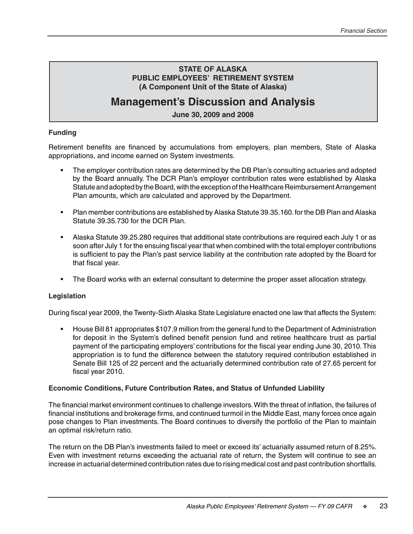# **Management's Discussion and Analysis**

**June 30, 2009 and 2008**

#### **Funding**

Retirement benefits are financed by accumulations from employers, plan members, State of Alaska appropriations, and income earned on System investments.

- The employer contribution rates are determined by the DB Plan's consulting actuaries and adopted by the Board annually. The DCR Plan's employer contribution rates were established by Alaska Statute and adopted by the Board, with the exception of the Healthcare Reimbursement Arrangement Plan amounts, which are calculated and approved by the Department.
- Plan member contributions are established by Alaska Statute 39.35.160. for the DB Plan and Alaska Statute 39.35.730 for the DCR Plan.
- Alaska Statute 39.25.280 requires that additional state contributions are required each July 1 or as soon after July 1 for the ensuing fiscal year that when combined with the total employer contributions is sufficient to pay the Plan's past service liability at the contribution rate adopted by the Board for that fiscal year.
- The Board works with an external consultant to determine the proper asset allocation strategy.

#### **Legislation**

During fiscal year 2009, the Twenty-Sixth Alaska State Legislature enacted one law that affects the System:

• House Bill 81 appropriates \$107.9 million from the general fund to the Department of Administration for deposit in the System's defined benefit pension fund and retiree healthcare trust as partial payment of the participating employers' contributions for the fiscal year ending June 30, 2010. This appropriation is to fund the difference between the statutory required contribution established in Senate Bill 125 of 22 percent and the actuarially determined contribution rate of 27.65 percent for fiscal year 2010.

#### **Economic Conditions, Future Contribution Rates, and Status of Unfunded Liability**

The financial market environment continues to challenge investors. With the threat of inflation, the failures of financial institutions and brokerage firms, and continued turmoil in the Middle East, many forces once again pose changes to Plan investments. The Board continues to diversify the portfolio of the Plan to maintain an optimal risk/return ratio.

The return on the DB Plan's investments failed to meet or exceed its' actuarially assumed return of 8.25%. Even with investment returns exceeding the actuarial rate of return, the System will continue to see an increase in actuarial determined contribution rates due to rising medical cost and past contribution shortfalls.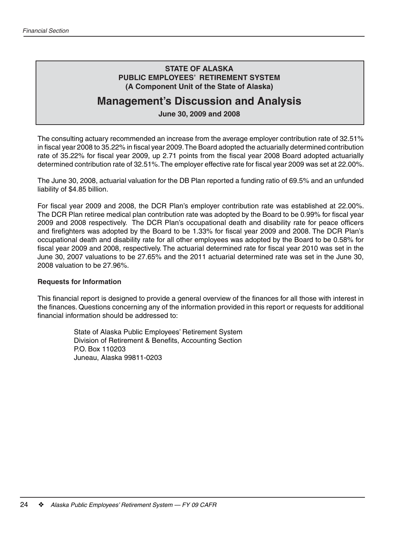# **Management's Discussion and Analysis**

**June 30, 2009 and 2008**

The consulting actuary recommended an increase from the average employer contribution rate of 32.51% in fiscal year 2008 to 35.22% in fiscal year 2009. The Board adopted the actuarially determined contribution rate of 35.22% for fiscal year 2009, up 2.71 points from the fiscal year 2008 Board adopted actuarially determined contribution rate of 32.51%. The employer effective rate for fiscal year 2009 was set at 22.00%.

The June 30, 2008, actuarial valuation for the DB Plan reported a funding ratio of 69.5% and an unfunded liability of \$4.85 billion.

For fiscal year 2009 and 2008, the DCR Plan's employer contribution rate was established at 22.00%. The DCR Plan retiree medical plan contribution rate was adopted by the Board to be 0.99% for fiscal year 2009 and 2008 respectively. The DCR Plan's occupational death and disability rate for peace officers and firefighters was adopted by the Board to be 1.33% for fiscal year 2009 and 2008. The DCR Plan's occupational death and disability rate for all other employees was adopted by the Board to be 0.58% for fiscal year 2009 and 2008, respectively. The actuarial determined rate for fiscal year 2010 was set in the June 30, 2007 valuations to be 27.65% and the 2011 actuarial determined rate was set in the June 30, 2008 valuation to be 27.96%.

#### **Requests for Information**

This financial report is designed to provide a general overview of the finances for all those with interest in the finances. Questions concerning any of the information provided in this report or requests for additional financial information should be addressed to:

> State of Alaska Public Employees' Retirement System Division of Retirement & Benefits, Accounting Section P.O. Box 110203 Juneau, Alaska 99811-0203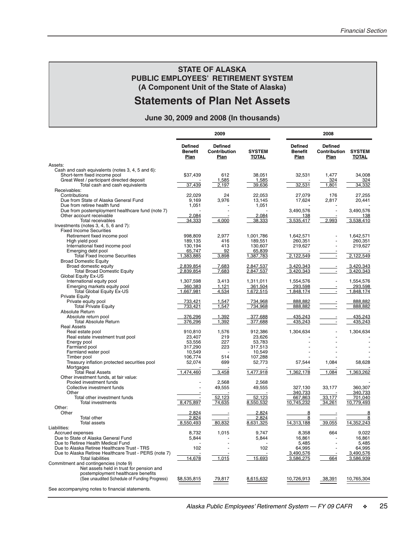# **Statements of Plan Net Assets**

**June 30, 2009 and 2008 (In thousands)**

|                                                                                    | 2009                                     |                                               |                               |                                          | 2008                                                 |                      |  |
|------------------------------------------------------------------------------------|------------------------------------------|-----------------------------------------------|-------------------------------|------------------------------------------|------------------------------------------------------|----------------------|--|
|                                                                                    | <b>Defined</b><br><b>Benefit</b><br>Plan | <b>Defined</b><br><b>Contribution</b><br>Plan | <b>SYSTEM</b><br><b>TOTAL</b> | <b>Defined</b><br><b>Benefit</b><br>Plan | <b>Defined</b><br><b>Contribution SYSTEM</b><br>Plan | <b>TOTAL</b>         |  |
| Assets:                                                                            |                                          |                                               |                               |                                          |                                                      |                      |  |
| Cash and cash equivalents (notes 3, 4, 5 and 6):<br>Short-term fixed income pool   | \$37,439                                 | 612                                           | 38,051                        | 32,531                                   | 1,477                                                | 34,008               |  |
| Great West / participant directed deposit                                          |                                          | 1,585                                         | 1,585                         |                                          | 324                                                  | 324                  |  |
| Total cash and cash equivalents                                                    | 37,439                                   | 2,197                                         | 39,636                        | 32,531                                   | 1,801                                                | 34,332               |  |
| Receivables:                                                                       |                                          |                                               |                               |                                          |                                                      |                      |  |
| Contributions                                                                      | 22,029                                   | 24                                            | 22,053                        | 27,079                                   | 176                                                  | 27,255               |  |
| Due from State of Alaska General Fund<br>Due from retiree health fund              | 9,169<br>1,051                           | 3,976                                         | 13,145<br>1,051               | 17,624                                   | 2,817                                                | 20,441               |  |
| Due from postemployment healthcare fund (note 7)                                   |                                          |                                               |                               | 3,490,576                                |                                                      | 3,490,576            |  |
| Other account receivable                                                           | 2,084                                    |                                               | 2,084                         | 138                                      |                                                      | 138                  |  |
| Total receivables                                                                  | 34,333                                   | 4,000                                         | 38,333                        | 3,535,417                                | 2,993                                                | 3,538,410            |  |
| Investments (notes 3, 4, 5, 6 and 7):<br><b>Fixed Income Securities</b>            |                                          |                                               |                               |                                          |                                                      |                      |  |
| Retirement fixed income pool                                                       | 998,809                                  | 2,977                                         | 1,001,786                     | 1,642,571                                |                                                      | 1,642,571            |  |
| High yield pool                                                                    | 189,135                                  | 416                                           | 189,551                       | 260,351                                  |                                                      | 260,351              |  |
| International fixed income pool                                                    | 130,194                                  | 413                                           | 130,607                       | 219,627                                  | $\blacksquare$                                       | 219,627              |  |
| Emerging debt pool                                                                 | 65,747                                   | 92                                            | 65,839                        |                                          |                                                      |                      |  |
| <b>Total Fixed Income Securities</b><br><b>Broad Domestic Equity</b>               | 1,383,885                                | 3,898                                         | 1,387,783                     | 2,122,549                                | $\overline{\phantom{a}}$                             | 2,122,549            |  |
| Broad domestic equity                                                              | 2,839,854                                | 7.683                                         | 2,847,537                     | 3,420,343                                |                                                      | 3,420,343            |  |
| <b>Total Broad Domestic Equity</b>                                                 | 2,839,854                                | 7,683                                         | 2,847,537                     | 3,420,343                                | $\overline{\phantom{a}}$                             | 3,420,343            |  |
| Global Equity Ex-US                                                                |                                          |                                               |                               |                                          |                                                      |                      |  |
| International equity pool<br>Emerging markets equity pool                          | 1,307,598<br>360,383                     | 3,413<br>1,121                                | 1,311,011<br>361,504          | 1,554,576<br>293,598                     | $\overline{a}$                                       | 1,554,576<br>293,598 |  |
| <b>Total Global Equity Ex-US</b>                                                   | 1,667,981                                | 4,534                                         | 1,672,515                     | 1,848,174                                | $\overline{\phantom{a}}$                             | 1,848,174            |  |
| <b>Private Equity</b>                                                              |                                          |                                               |                               |                                          |                                                      |                      |  |
| Private equity pool                                                                | 733,421                                  | 1,547                                         | 734,968                       | 888,882                                  |                                                      | 888,882              |  |
| <b>Total Private Equity</b>                                                        | 733,421                                  | 1,547                                         | 734,968                       | 888,882                                  | $\overline{\phantom{a}}$                             | 888,882              |  |
| Absolute Return<br>Absolute return pool                                            | 376,296                                  | 1,392                                         | 377,688                       | 435.243                                  |                                                      | 435,243              |  |
| <b>Total Absolute Return</b>                                                       | 376,296                                  | 1,392                                         | 377,688                       | 435.243                                  | $\overline{\phantom{a}}$                             | 435,243              |  |
| <b>Real Assets</b>                                                                 |                                          |                                               |                               |                                          |                                                      |                      |  |
| Real estate pool                                                                   | 910,810                                  | 1,576                                         | 912,386                       | 1,304,634                                |                                                      | 1,304,634            |  |
| Real estate investment trust pool<br>Energy pool                                   | 23,407<br>53,556                         | 219<br>227                                    | 23,626<br>53,783              |                                          |                                                      |                      |  |
| Farmland pool                                                                      | 317,290                                  | 223                                           | 317,513                       |                                          |                                                      |                      |  |
| Farmland water pool                                                                | 10,549                                   |                                               | 10,549                        |                                          |                                                      |                      |  |
| Timber pool                                                                        | 106,774                                  | 514                                           | 107,288                       |                                          |                                                      |                      |  |
| Treasury inflation protected securities pool<br>Mortgages                          | 52,074                                   | 699                                           | 52,773                        | 57,544                                   | 1,084                                                | 58,628               |  |
| <b>Total Real Assets</b>                                                           | 1,474,460                                | 3,458                                         | 1,477,918                     | 1,362,178                                | 1,084                                                | 1,363,262            |  |
| Other investment funds, at fair value:                                             |                                          |                                               |                               |                                          |                                                      |                      |  |
| Pooled investment funds                                                            |                                          | 2,568                                         | 2,568                         |                                          |                                                      |                      |  |
| Collective investment funds<br>Other                                               | ÷.                                       | 49,555                                        | 49,555                        | 327,130<br>340,733                       | 33,177                                               | 360,307<br>340.733   |  |
| Total other investment funds                                                       |                                          | 52,123                                        | 52,123                        | 667,863                                  | 33,177                                               | 701.040              |  |
| <b>Total investments</b>                                                           | 8,475,897                                | 74,635                                        | 8,550,532                     | 10,745,232                               | 34,261                                               | 10,779,493           |  |
| Other:                                                                             |                                          |                                               |                               |                                          |                                                      |                      |  |
| Other<br>Total other                                                               | 2,824<br>2,824                           |                                               | 2,824<br>2,824                | 8<br>8                                   |                                                      | 8<br>8               |  |
| Total assets                                                                       | 8,550,493                                | 80,832                                        | 8,631,325                     | 14,313,188                               | 39,055                                               | 14,352,243           |  |
| Liabilities:                                                                       |                                          |                                               |                               |                                          |                                                      |                      |  |
| Accrued expenses                                                                   | 8,732                                    | 1,015                                         | 9,747                         | 8,358                                    | 664                                                  | 9,022                |  |
| Due to State of Alaska General Fund                                                | 5,844                                    |                                               | 5,844                         | 16,861                                   |                                                      | 16,861               |  |
| Due to Retiree Health Medical Fund<br>Due to Alaska Retiree Healthcare Trust - TRS | 102                                      |                                               | 102                           | 5,485<br>64,995                          |                                                      | 5,485<br>64,995      |  |
| Due to Alaska Retiree Healthcare Trust - PERS (note 7)                             |                                          |                                               |                               | 3,490,576                                |                                                      | 3,490,576            |  |
| <b>Total liabilities</b>                                                           | 14,678                                   | 1,015                                         | 15,693                        | 3,586,275                                | 664                                                  | 3,586,939            |  |
| Commitment and contingencies (note 9)                                              |                                          |                                               |                               |                                          |                                                      |                      |  |
| Net assets held in trust for pension and<br>postemployment healthcare benefits     |                                          |                                               |                               |                                          |                                                      |                      |  |
| (See unaudited Schedule of Funding Progress)                                       | \$8,535,815                              | 79,817                                        | 8,615,632                     | 10,726,913                               | 38,391                                               | 10,765,304           |  |
|                                                                                    |                                          |                                               |                               |                                          |                                                      |                      |  |
| See accompanying notes to financial statements.                                    |                                          |                                               |                               |                                          |                                                      |                      |  |

֦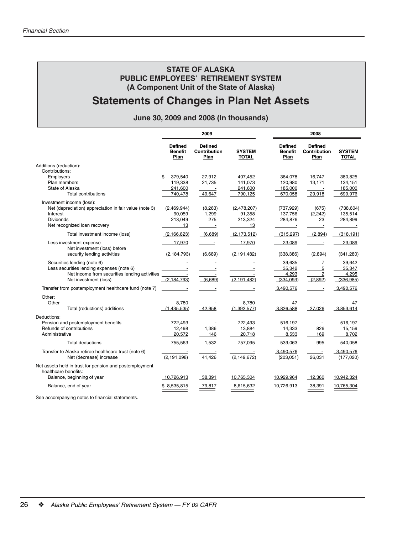# **Statements of Changes in Plan Net Assets**

**June 30, 2009 and 2008 (In thousands)**

|                                                                                 | 2009                                     |                                               |                               | 2008                                     |                                        |                               |
|---------------------------------------------------------------------------------|------------------------------------------|-----------------------------------------------|-------------------------------|------------------------------------------|----------------------------------------|-------------------------------|
|                                                                                 | <b>Defined</b><br><b>Benefit</b><br>Plan | <b>Defined</b><br><b>Contribution</b><br>Plan | <b>SYSTEM</b><br><b>TOTAL</b> | <b>Defined</b><br><b>Benefit</b><br>Plan | <b>Defined</b><br>Contribution<br>Plan | <b>SYSTEM</b><br><b>TOTAL</b> |
| Additions (reduction):                                                          |                                          |                                               |                               |                                          |                                        |                               |
| Contributions:                                                                  | \$<br>379,540                            | 27,912                                        | 407,452                       | 364,078                                  | 16,747                                 | 380,825                       |
| Employers<br>Plan members                                                       | 119,338                                  | 21,735                                        | 141,073                       | 120,980                                  | 13,171                                 | 134,151                       |
| State of Alaska                                                                 | 241,600                                  | $\overline{\phantom{a}}$                      | 241,600                       | 185,000                                  | $\sim$ $\sim$                          | 185,000                       |
| <b>Total contributions</b>                                                      | 740,478                                  | 49,647                                        | 790,125                       | 670,058                                  | 29,918                                 | 699,976                       |
| Investment income (loss):                                                       |                                          |                                               |                               |                                          |                                        |                               |
| Net (depreciation) appreciation in fair value (note 3)                          | (2,469,944)                              | (8, 263)                                      | (2,478,207)                   | (737, 929)                               | (675)                                  | (738, 604)                    |
| Interest                                                                        | 90,059                                   | 1,299                                         | 91,358                        | 137,756                                  | (2, 242)                               | 135,514                       |
| <b>Dividends</b>                                                                | 213,049                                  | 275                                           | 213,324                       | 284,876                                  | 23                                     | 284,899                       |
| Net recognized loan recovery                                                    | 13                                       | $\overline{\phantom{a}}$                      | 13                            |                                          |                                        |                               |
| Total investment income (loss)                                                  | (2, 166, 823)                            | (6,689)                                       | (2, 173, 512)                 | (315, 297)                               | (2,894)                                | (318, 191)                    |
| Less investment expense                                                         | 17,970                                   | $\sim 1000$ km s $^{-1}$                      | 17,970                        | 23,089                                   | $\overline{\phantom{a}}$               | 23,089                        |
| Net investment (loss) before<br>security lending activities                     | (2, 184, 793)                            | (6,689)                                       | (2, 191, 482)                 | (338, 386)                               | (2,894)                                | (341, 280)                    |
| Securities lending (note 6)                                                     |                                          |                                               |                               | 39,635                                   | $\overline{7}$                         | 39,642                        |
| Less securities lending expenses (note 6)                                       |                                          |                                               |                               | 35,342                                   | $\overline{5}$                         | 35,347                        |
| Net income from securities lending activities<br>Net investment (loss)          | (2, 184, 793)                            | (6,689)                                       | (2, 191, 482)                 | 4.293<br>(334,093)                       | $\overline{c}$<br>(2,892)              | 4.295<br>(336,985)            |
| Transfer from postemployment healthcare fund (note 7)                           |                                          |                                               |                               | 3,490,576                                | <b>Contract Contract</b>               | 3,490,576                     |
|                                                                                 |                                          |                                               |                               |                                          |                                        |                               |
| Other:<br>Other                                                                 | 8,780                                    |                                               | 8,780                         | 47                                       |                                        | 47                            |
| Total (reductions) additions                                                    | (1,435,535)                              | 42,958                                        | (1,392,577)                   | 3,826,588                                | 27,026                                 | 3,853,614                     |
| Deductions:                                                                     |                                          |                                               |                               |                                          |                                        |                               |
| Pension and postemployment benefits                                             | 722,493                                  |                                               | 722,493                       | 516,197                                  |                                        | 516,197                       |
| Refunds of contributions                                                        | 12,498                                   | 1,386                                         | 13,884                        | 14,333                                   | 826                                    | 15,159                        |
| Administrative                                                                  | 20,572                                   | 146                                           | 20,718                        | 8,533                                    | 169                                    | 8,702                         |
| Total deductions                                                                | 755,563                                  | 1,532                                         | 757,095                       | 539,063                                  | 995                                    | 540,058                       |
| Transfer to Alaska retiree healthcare trust (note 6)<br>Net (decrease) increase | (2, 191, 098)                            | 41,426                                        | (2, 149, 672)                 | 3.490.576<br>(203, 051)                  | $\sim$<br>26,031                       | 3.490.576<br>(177,020)        |
| Net assets held in trust for pension and postemployment<br>healthcare benefits: |                                          |                                               |                               |                                          |                                        |                               |
| Balance, beginning of year                                                      | 10,726,913                               | 38,391                                        | 10,765,304                    | 10,929,964                               | 12,360                                 | 10,942,324                    |
| Balance, end of year                                                            | \$8,535,815                              | 79,817                                        | 8,615,632                     | 10,726,913                               | 38,391                                 | 10,765,304                    |

See accompanying notes to financial statements.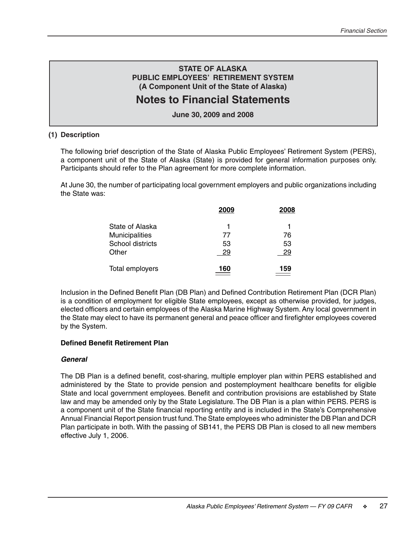# **Notes to Financial Statements**

**June 30, 2009 and 2008**

## **(1) Description**

The following brief description of the State of Alaska Public Employees' Retirement System (PERS), a component unit of the State of Alaska (State) is provided for general information purposes only. Participants should refer to the Plan agreement for more complete information.

At June 30, the number of participating local government employers and public organizations including the State was:

|                  | 2009 | 2008 |
|------------------|------|------|
| State of Alaska  |      |      |
| Municipalities   | 77   | 76   |
| School districts | 53   | 53   |
| Other            | 29   | 29   |
| Total employers  | 160  | 159  |

Inclusion in the Defined Benefit Plan (DB Plan) and Defined Contribution Retirement Plan (DCR Plan) is a condition of employment for eligible State employees, except as otherwise provided, for judges, elected officers and certain employees of the Alaska Marine Highway System. Any local government in the State may elect to have its permanent general and peace officer and firefighter employees covered by the System.

## **Defined Benefit Retirement Plan**

#### *General*

The DB Plan is a defined benefit, cost-sharing, multiple employer plan within PERS established and administered by the State to provide pension and postemployment healthcare benefits for eligible State and local government employees. Benefit and contribution provisions are established by State law and may be amended only by the State Legislature. The DB Plan is a plan within PERS. PERS is a component unit of the State financial reporting entity and is included in the State's Comprehensive Annual Financial Report pension trust fund. The State employees who administer the DB Plan and DCR Plan participate in both. With the passing of SB141, the PERS DB Plan is closed to all new members effective July 1, 2006.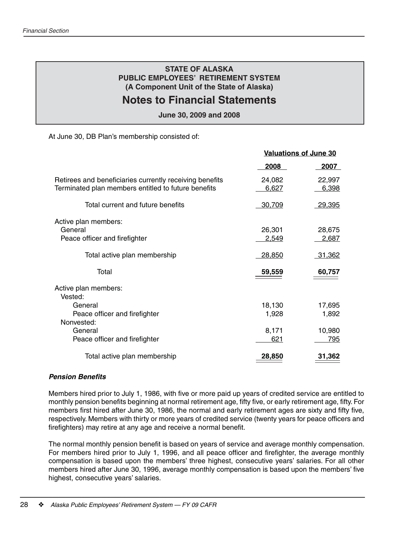# **Notes to Financial Statements**

**June 30, 2009 and 2008**

At June 30, DB Plan's membership consisted of:

|                                                         | <b>Valuations of June 30</b> |        |  |
|---------------------------------------------------------|------------------------------|--------|--|
|                                                         | 2008                         | 2007   |  |
| Retirees and beneficiaries currently receiving benefits | 24,082                       | 22,997 |  |
| Terminated plan members entitled to future benefits     | <u>6,627</u>                 | 6,398  |  |
| Total current and future benefits                       | 30,709                       | 29,395 |  |
| Active plan members:                                    |                              |        |  |
| General                                                 | 26,301                       | 28,675 |  |
| Peace officer and firefighter                           | 2,549                        | 2,687  |  |
| Total active plan membership                            | 28,850                       | 31,362 |  |
| Total                                                   | 59,559                       | 60,757 |  |
| Active plan members:                                    |                              |        |  |
| Vested:                                                 |                              |        |  |
| General                                                 | 18,130                       | 17,695 |  |
| Peace officer and firefighter                           | 1,928                        | 1,892  |  |
| Nonvested:                                              |                              |        |  |
| General                                                 | 8,171                        | 10,980 |  |
| Peace officer and firefighter                           | 621                          | 795    |  |
| Total active plan membership                            | 28,850                       | 31,362 |  |

#### **Pension Benefits**

Members hired prior to July 1, 1986, with five or more paid up years of credited service are entitled to monthly pension benefits beginning at normal retirement age, fifty five, or early retirement age, fifty. For members first hired after June 30, 1986, the normal and early retirement ages are sixty and fifty five, respectively. Members with thirty or more years of credited service (twenty years for peace officers and firefighters) may retire at any age and receive a normal benefit.

The normal monthly pension benefit is based on years of service and average monthly compensation. For members hired prior to July 1, 1996, and all peace officer and firefighter, the average monthly compensation is based upon the members' three highest, consecutive years' salaries. For all other members hired after June 30, 1996, average monthly compensation is based upon the members' five highest, consecutive years' salaries.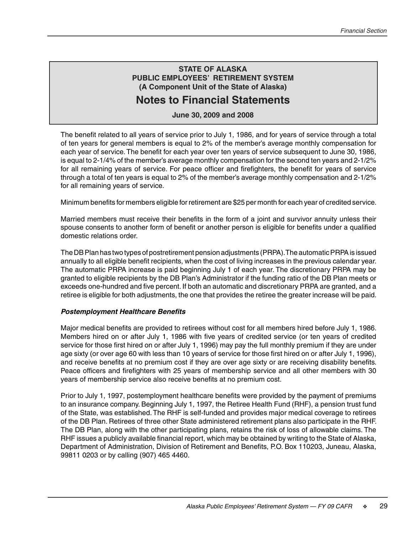# **Notes to Financial Statements**

**June 30, 2009 and 2008**

The benefit related to all years of service prior to July 1, 1986, and for years of service through a total of ten years for general members is equal to 2% of the member's average monthly compensation for each year of service. The benefit for each year over ten years of service subsequent to June 30, 1986, is equal to 2-1/4% of the member's average monthly compensation for the second ten years and 2-1/2% for all remaining years of service. For peace officer and firefighters, the benefit for years of service through a total of ten years is equal to 2% of the member's average monthly compensation and 2-1/2% for all remaining years of service.

Minimum benefi ts for members eligible for retirement are \$25 per month for each year of credited service.

Married members must receive their benefits in the form of a joint and survivor annuity unless their spouse consents to another form of benefit or another person is eligible for benefits under a qualified domestic relations order.

The DB Plan has two types of postretirement pension adjustments (PRPA). The automatic PRPA is issued annually to all eligible benefit recipients, when the cost of living increases in the previous calendar year. The automatic PRPA increase is paid beginning July 1 of each year. The discretionary PRPA may be granted to eligible recipients by the DB Plan's Administrator if the funding ratio of the DB Plan meets or exceeds one-hundred and five percent. If both an automatic and discretionary PRPA are granted, and a retiree is eligible for both adjustments, the one that provides the retiree the greater increase will be paid.

### **Postemployment Healthcare Benefits**

Major medical benefits are provided to retirees without cost for all members hired before July 1, 1986. Members hired on or after July 1, 1986 with five years of credited service (or ten years of credited service for those first hired on or after July 1, 1996) may pay the full monthly premium if they are under age sixty (or over age 60 with less than 10 years of service for those first hired on or after July 1, 1996), and receive benefits at no premium cost if they are over age sixty or are receiving disability benefits. Peace officers and firefighters with 25 years of membership service and all other members with 30 years of membership service also receive benefits at no premium cost.

Prior to July 1, 1997, postemployment healthcare benefits were provided by the payment of premiums to an insurance company. Beginning July 1, 1997, the Retiree Health Fund (RHF), a pension trust fund of the State, was established. The RHF is self-funded and provides major medical coverage to retirees of the DB Plan. Retirees of three other State administered retirement plans also participate in the RHF. The DB Plan, along with the other participating plans, retains the risk of loss of allowable claims. The RHF issues a publicly available financial report, which may be obtained by writing to the State of Alaska, Department of Administration, Division of Retirement and Benefits, P.O. Box 110203, Juneau, Alaska, 99811 0203 or by calling (907) 465 4460.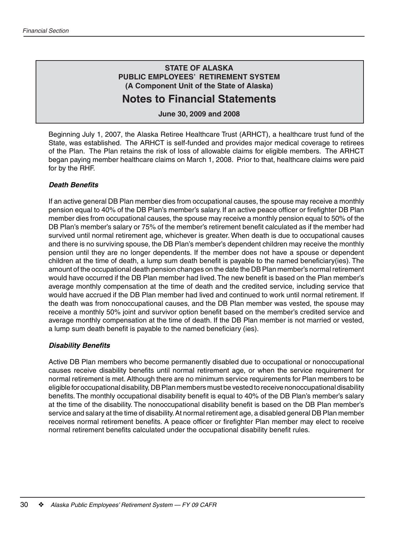# **Notes to Financial Statements**

**June 30, 2009 and 2008**

Beginning July 1, 2007, the Alaska Retiree Healthcare Trust (ARHCT), a healthcare trust fund of the State, was established. The ARHCT is self-funded and provides major medical coverage to retirees of the Plan. The Plan retains the risk of loss of allowable claims for eligible members. The ARHCT began paying member healthcare claims on March 1, 2008. Prior to that, healthcare claims were paid for by the RHF.

#### **Death Benefits**

If an active general DB Plan member dies from occupational causes, the spouse may receive a monthly pension equal to 40% of the DB Plan's member's salary. If an active peace officer or firefighter DB Plan member dies from occupational causes, the spouse may receive a monthly pension equal to 50% of the DB Plan's member's salary or 75% of the member's retirement benefit calculated as if the member had survived until normal retirement age, whichever is greater. When death is due to occupational causes and there is no surviving spouse, the DB Plan's member's dependent children may receive the monthly pension until they are no longer dependents. If the member does not have a spouse or dependent children at the time of death, a lump sum death benefit is payable to the named beneficiary(ies). The amount of the occupational death pension changes on the date the DB Plan member's normal retirement would have occurred if the DB Plan member had lived. The new benefit is based on the Plan member's average monthly compensation at the time of death and the credited service, including service that would have accrued if the DB Plan member had lived and continued to work until normal retirement. If the death was from nonoccupational causes, and the DB Plan member was vested, the spouse may receive a monthly 50% joint and survivor option benefit based on the member's credited service and average monthly compensation at the time of death. If the DB Plan member is not married or vested, a lump sum death benefit is payable to the named beneficiary (ies).

### **Disability Benefits**

Active DB Plan members who become permanently disabled due to occupational or nonoccupational causes receive disability benefits until normal retirement age, or when the service requirement for normal retirement is met. Although there are no minimum service requirements for Plan members to be eligible for occupational disability, DB Plan members must be vested to receive nonoccupational disability benefits. The monthly occupational disability benefit is equal to 40% of the DB Plan's member's salary at the time of the disability. The nonoccupational disability benefit is based on the DB Plan member's service and salary at the time of disability. At normal retirement age, a disabled general DB Plan member receives normal retirement benefits. A peace officer or firefighter Plan member may elect to receive normal retirement benefits calculated under the occupational disability benefit rules.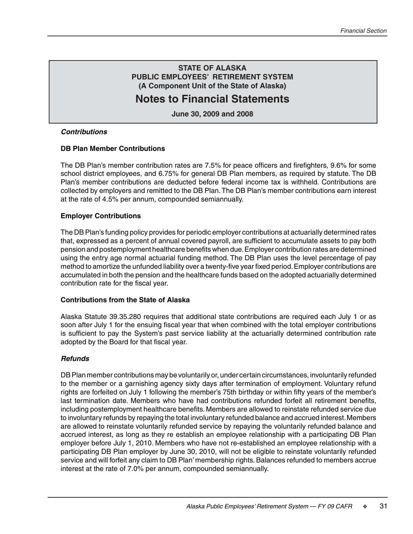# **Notes to Financial Statements**

**June 30, 2009 and 2008**

#### *Contributions*

#### **DB Plan Member Contributions**

The DB Plan's member contribution rates are 7.5% for peace officers and firefighters, 9.6% for some school district employees, and 6.75% for general DB Plan members, as required by statute. The DB Plan's member contributions are deducted before federal income tax is withheld. Contributions are collected by employers and remitted to the DB Plan. The DB Plan's member contributions earn interest at the rate of 4.5% per annum, compounded semiannually.

#### **Employer Contributions**

The DB Plan's funding policy provides for periodic employer contributions at actuarially determined rates that, expressed as a percent of annual covered payroll, are sufficient to accumulate assets to pay both pension and postemployment healthcare benefits when due. Employer contribution rates are determined using the entry age normal actuarial funding method. The DB Plan uses the level percentage of pay method to amortize the unfunded liability over a twenty-five year fixed period. Employer contributions are accumulated in both the pension and the healthcare funds based on the adopted actuarially determined contribution rate for the fiscal year.

### **Contributions from the State of Alaska**

Alaska Statute 39.35.280 requires that additional state contributions are required each July 1 or as soon after July 1 for the ensuing fiscal year that when combined with the total employer contributions is sufficient to pay the System's past service liability at the actuarially determined contribution rate adopted by the Board for that fiscal year.

#### *Refunds*

DB Plan member contributions may be voluntarily or, under certain circumstances, involuntarily refunded to the member or a garnishing agency sixty days after termination of employment. Voluntary refund rights are forfeited on July 1 following the member's 75th birthday or within fifty years of the member's last termination date. Members who have had contributions refunded forfeit all retirement benefits, including postemployment healthcare benefits. Members are allowed to reinstate refunded service due to involuntary refunds by repaying the total involuntary refunded balance and accrued interest. Members are allowed to reinstate voluntarily refunded service by repaying the voluntarily refunded balance and accrued interest, as long as they re establish an employee relationship with a participating DB Plan employer before July 1, 2010. Members who have not re-established an employee relationship with a participating DB Plan employer by June 30, 2010, will not be eligible to reinstate voluntarily refunded service and will forfeit any claim to DB Plan' membership rights. Balances refunded to members accrue interest at the rate of 7.0% per annum, compounded semiannually.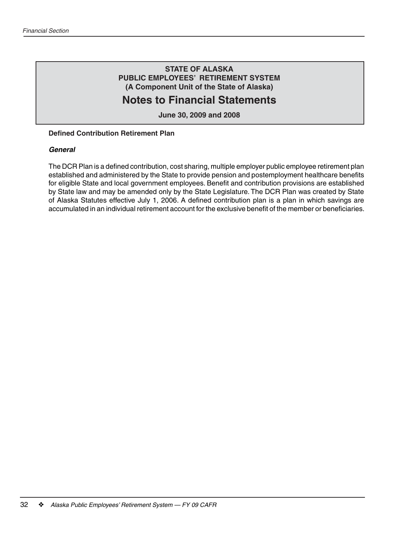# **Notes to Financial Statements**

**June 30, 2009 and 2008**

#### **Defined Contribution Retirement Plan**

#### *General*

The DCR Plan is a defined contribution, cost sharing, multiple employer public employee retirement plan established and administered by the State to provide pension and postemployment healthcare benefits for eligible State and local government employees. Benefit and contribution provisions are established by State law and may be amended only by the State Legislature. The DCR Plan was created by State of Alaska Statutes effective July 1, 2006. A defined contribution plan is a plan in which savings are accumulated in an individual retirement account for the exclusive benefit of the member or beneficiaries.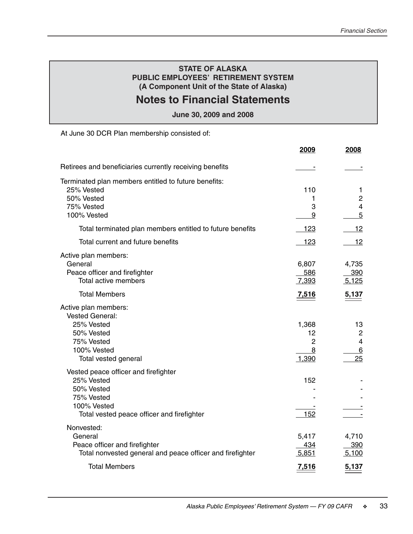# **Notes to Financial Statements**

**June 30, 2009 and 2008**

At June 30 DCR Plan membership consisted of:

|                                                           | 2009       | 2008           |
|-----------------------------------------------------------|------------|----------------|
| Retirees and beneficiaries currently receiving benefits   |            |                |
| Terminated plan members entitled to future benefits:      |            |                |
| 25% Vested                                                | 110        | 1.             |
| 50% Vested                                                | 1          | $\overline{c}$ |
| 75% Vested                                                | 3          | 4              |
| 100% Vested                                               | 9          | 5              |
| Total terminated plan members entitled to future benefits | <u>123</u> | 12             |
| Total current and future benefits                         | 123        | 12             |
| Active plan members:                                      |            |                |
| General                                                   | 6,807      | 4,735          |
| Peace officer and firefighter                             | 586        | 390            |
| Total active members                                      | 7,393      | 5,125          |
| <b>Total Members</b>                                      | 7,516      | 5,137          |
| Active plan members:                                      |            |                |
| <b>Vested General:</b>                                    |            |                |
| 25% Vested                                                | 1,368      | 13             |
| 50% Vested                                                | 12         | 2              |
| 75% Vested                                                | 2          | 4              |
| 100% Vested                                               | 8          | 6              |
| Total vested general                                      | 1,390      | 25             |
| Vested peace officer and firefighter                      |            |                |
| 25% Vested                                                | 152        |                |
| 50% Vested                                                |            |                |
| 75% Vested                                                |            |                |
| 100% Vested                                               |            |                |
| Total vested peace officer and firefighter                | 152        |                |
| Nonvested:                                                |            |                |
| General                                                   | 5,417      | 4,710          |
| Peace officer and firefighter                             | 434        | 390            |
| Total nonvested general and peace officer and firefighter | 5,851      | 5,100          |
| <b>Total Members</b>                                      | 7,516      | 5,137          |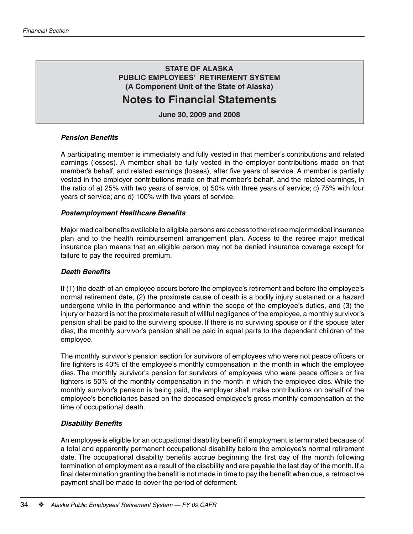# **Notes to Financial Statements**

**June 30, 2009 and 2008**

#### **Pension Benefits**

A participating member is immediately and fully vested in that member's contributions and related earnings (losses). A member shall be fully vested in the employer contributions made on that member's behalf, and related earnings (losses), after five years of service. A member is partially vested in the employer contributions made on that member's behalf, and the related earnings, in the ratio of a) 25% with two years of service, b) 50% with three years of service; c) 75% with four years of service; and d) 100% with five years of service.

#### **Postemployment Healthcare Benefits**

Major medical benefits available to eligible persons are access to the retiree major medical insurance plan and to the health reimbursement arrangement plan. Access to the retiree major medical insurance plan means that an eligible person may not be denied insurance coverage except for failure to pay the required premium.

#### **Death Benefits**

If (1) the death of an employee occurs before the employee's retirement and before the employee's normal retirement date, (2) the proximate cause of death is a bodily injury sustained or a hazard undergone while in the performance and within the scope of the employee's duties, and (3) the injury or hazard is not the proximate result of willful negligence of the employee, a monthly survivor's pension shall be paid to the surviving spouse. If there is no surviving spouse or if the spouse later dies, the monthly survivor's pension shall be paid in equal parts to the dependent children of the employee.

The monthly survivor's pension section for survivors of employees who were not peace officers or fire fighters is 40% of the employee's monthly compensation in the month in which the employee dies. The monthly survivor's pension for survivors of employees who were peace officers or fire fighters is 50% of the monthly compensation in the month in which the employee dies. While the monthly survivor's pension is being paid, the employer shall make contributions on behalf of the employee's beneficiaries based on the deceased employee's gross monthly compensation at the time of occupational death.

#### **Disability Benefits**

An employee is eligible for an occupational disability benefit if employment is terminated because of a total and apparently permanent occupational disability before the employee's normal retirement date. The occupational disability benefits accrue beginning the first day of the month following termination of employment as a result of the disability and are payable the last day of the month. If a final determination granting the benefit is not made in time to pay the benefit when due, a retroactive payment shall be made to cover the period of deferment.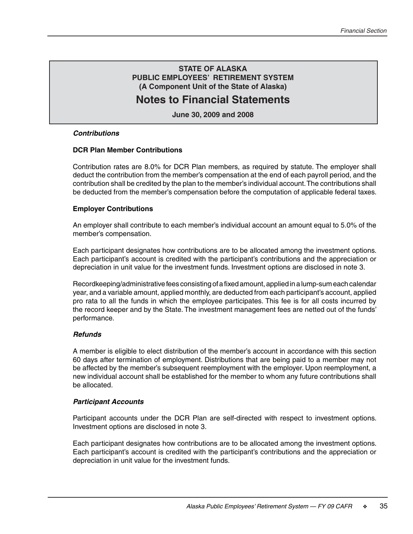# **Notes to Financial Statements**

**June 30, 2009 and 2008**

### *Contributions*

#### **DCR Plan Member Contributions**

Contribution rates are 8.0% for DCR Plan members, as required by statute. The employer shall deduct the contribution from the member's compensation at the end of each payroll period, and the contribution shall be credited by the plan to the member's individual account. The contributions shall be deducted from the member's compensation before the computation of applicable federal taxes.

#### **Employer Contributions**

An employer shall contribute to each member's individual account an amount equal to 5.0% of the member's compensation.

Each participant designates how contributions are to be allocated among the investment options. Each participant's account is credited with the participant's contributions and the appreciation or depreciation in unit value for the investment funds. Investment options are disclosed in note 3.

Recordkeeping/administrative fees consisting of a fixed amount, applied in a lump-sum each calendar year, and a variable amount, applied monthly, are deducted from each participant's account, applied pro rata to all the funds in which the employee participates. This fee is for all costs incurred by the record keeper and by the State. The investment management fees are netted out of the funds' performance.

### *Refunds*

A member is eligible to elect distribution of the member's account in accordance with this section 60 days after termination of employment. Distributions that are being paid to a member may not be affected by the member's subsequent reemployment with the employer. Upon reemployment, a new individual account shall be established for the member to whom any future contributions shall be allocated.

#### *Participant Accounts*

Participant accounts under the DCR Plan are self-directed with respect to investment options. Investment options are disclosed in note 3.

Each participant designates how contributions are to be allocated among the investment options. Each participant's account is credited with the participant's contributions and the appreciation or depreciation in unit value for the investment funds.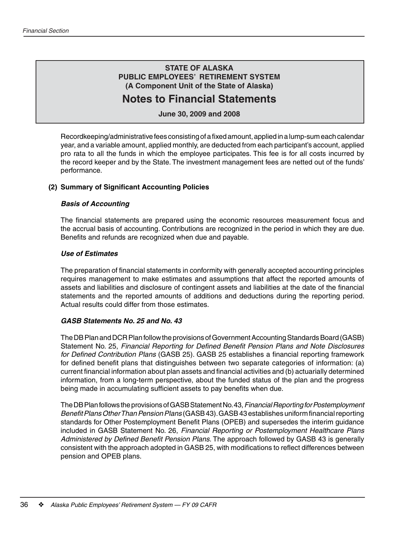# **Notes to Financial Statements**

**June 30, 2009 and 2008**

Recordkeeping/administrative fees consisting of a fixed amount, applied in a lump-sum each calendar year, and a variable amount, applied monthly, are deducted from each participant's account, applied pro rata to all the funds in which the employee participates. This fee is for all costs incurred by the record keeper and by the State. The investment management fees are netted out of the funds' performance.

### **(2) Summary of Significant Accounting Policies**

#### *Basis of Accounting*

The financial statements are prepared using the economic resources measurement focus and the accrual basis of accounting. Contributions are recognized in the period in which they are due. Benefits and refunds are recognized when due and payable.

#### *Use of Estimates*

The preparation of financial statements in conformity with generally accepted accounting principles requires management to make estimates and assumptions that affect the reported amounts of assets and liabilities and disclosure of contingent assets and liabilities at the date of the financial statements and the reported amounts of additions and deductions during the reporting period. Actual results could differ from those estimates.

### *GASB Statements No. 25 and No. 43*

The DB Plan and DCR Plan follow the provisions of Government Accounting Standards Board (GASB) Statement No. 25, *Financial Reporting for Defined Benefit Pension Plans and Note Disclosures* for Defined Contribution Plans (GASB 25). GASB 25 establishes a financial reporting framework for defined benefit plans that distinguishes between two separate categories of information: (a) current financial information about plan assets and financial activities and (b) actuarially determined information, from a long-term perspective, about the funded status of the plan and the progress being made in accumulating sufficient assets to pay benefits when due.

The DB Plan follows the provisions of GASB Statement No. 43, *Financial Reporting for Postemployment Benefit Plans Other Than Pension Plans* (GASB 43). GASB 43 establishes uniform financial reporting standards for Other Postemployment Benefit Plans (OPEB) and supersedes the interim guidance included in GASB Statement No. 26, *Financial Reporting or Postemployment Healthcare Plans*  Administered by Defined Benefit Pension Plans. The approach followed by GASB 43 is generally consistent with the approach adopted in GASB 25, with modifications to reflect differences between pension and OPEB plans.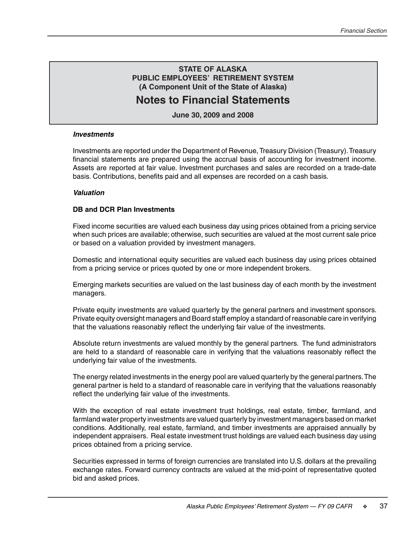# **Notes to Financial Statements**

**June 30, 2009 and 2008**

#### *Investments*

Investments are reported under the Department of Revenue, Treasury Division (Treasury). Treasury financial statements are prepared using the accrual basis of accounting for investment income. Assets are reported at fair value. Investment purchases and sales are recorded on a trade-date basis. Contributions, benefits paid and all expenses are recorded on a cash basis.

#### *Valuation*

### **DB and DCR Plan Investments**

Fixed income securities are valued each business day using prices obtained from a pricing service when such prices are available; otherwise, such securities are valued at the most current sale price or based on a valuation provided by investment managers.

Domestic and international equity securities are valued each business day using prices obtained from a pricing service or prices quoted by one or more independent brokers.

Emerging markets securities are valued on the last business day of each month by the investment managers.

Private equity investments are valued quarterly by the general partners and investment sponsors. Private equity oversight managers and Board staff employ a standard of reasonable care in verifying that the valuations reasonably reflect the underlying fair value of the investments.

Absolute return investments are valued monthly by the general partners. The fund administrators are held to a standard of reasonable care in verifying that the valuations reasonably reflect the underlying fair value of the investments.

The energy related investments in the energy pool are valued quarterly by the general partners. The general partner is held to a standard of reasonable care in verifying that the valuations reasonably reflect the underlying fair value of the investments.

With the exception of real estate investment trust holdings, real estate, timber, farmland, and farmland water property investments are valued quarterly by investment managers based on market conditions. Additionally, real estate, farmland, and timber investments are appraised annually by independent appraisers. Real estate investment trust holdings are valued each business day using prices obtained from a pricing service.

Securities expressed in terms of foreign currencies are translated into U.S. dollars at the prevailing exchange rates. Forward currency contracts are valued at the mid-point of representative quoted bid and asked prices.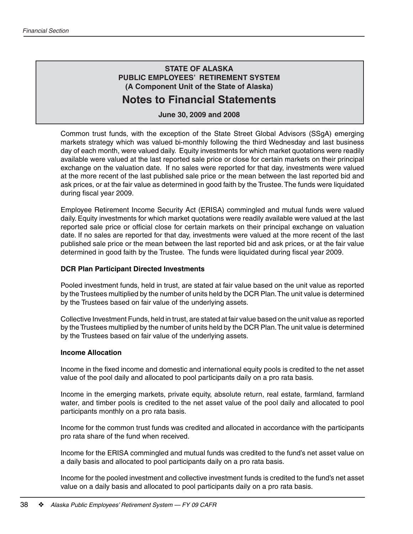# **Notes to Financial Statements**

**June 30, 2009 and 2008**

Common trust funds, with the exception of the State Street Global Advisors (SSgA) emerging markets strategy which was valued bi-monthly following the third Wednesday and last business day of each month, were valued daily. Equity investments for which market quotations were readily available were valued at the last reported sale price or close for certain markets on their principal exchange on the valuation date. If no sales were reported for that day, investments were valued at the more recent of the last published sale price or the mean between the last reported bid and ask prices, or at the fair value as determined in good faith by the Trustee. The funds were liquidated during fiscal year 2009.

Employee Retirement Income Security Act (ERISA) commingled and mutual funds were valued daily. Equity investments for which market quotations were readily available were valued at the last reported sale price or official close for certain markets on their principal exchange on valuation date. If no sales are reported for that day, investments were valued at the more recent of the last published sale price or the mean between the last reported bid and ask prices, or at the fair value determined in good faith by the Trustee. The funds were liquidated during fiscal year 2009.

#### **DCR Plan Participant Directed Investments**

Pooled investment funds, held in trust, are stated at fair value based on the unit value as reported by the Trustees multiplied by the number of units held by the DCR Plan. The unit value is determined by the Trustees based on fair value of the underlying assets.

Collective Investment Funds, held in trust, are stated at fair value based on the unit value as reported by the Trustees multiplied by the number of units held by the DCR Plan. The unit value is determined by the Trustees based on fair value of the underlying assets.

#### **Income Allocation**

Income in the fixed income and domestic and international equity pools is credited to the net asset value of the pool daily and allocated to pool participants daily on a pro rata basis.

Income in the emerging markets, private equity, absolute return, real estate, farmland, farmland water, and timber pools is credited to the net asset value of the pool daily and allocated to pool participants monthly on a pro rata basis.

Income for the common trust funds was credited and allocated in accordance with the participants pro rata share of the fund when received.

Income for the ERISA commingled and mutual funds was credited to the fund's net asset value on a daily basis and allocated to pool participants daily on a pro rata basis.

Income for the pooled investment and collective investment funds is credited to the fund's net asset value on a daily basis and allocated to pool participants daily on a pro rata basis.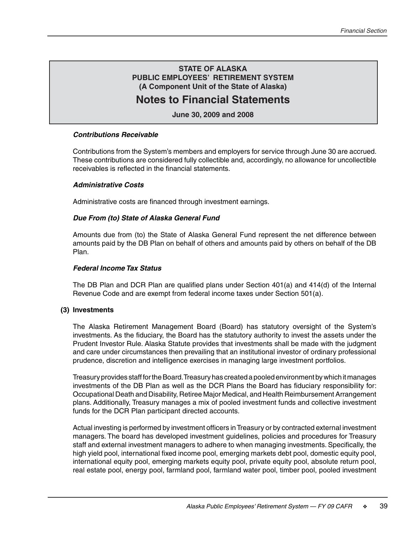# **Notes to Financial Statements**

**June 30, 2009 and 2008**

### *Contributions Receivable*

Contributions from the System's members and employers for service through June 30 are accrued. These contributions are considered fully collectible and, accordingly, no allowance for uncollectible receivables is reflected in the financial statements.

#### *Administrative Costs*

Administrative costs are financed through investment earnings.

#### *Due From (to) State of Alaska General Fund*

Amounts due from (to) the State of Alaska General Fund represent the net difference between amounts paid by the DB Plan on behalf of others and amounts paid by others on behalf of the DB Plan.

#### *Federal Income Tax Status*

The DB Plan and DCR Plan are qualified plans under Section  $401(a)$  and  $414(d)$  of the Internal Revenue Code and are exempt from federal income taxes under Section 501(a).

### **(3) Investments**

The Alaska Retirement Management Board (Board) has statutory oversight of the System's investments. As the fiduciary, the Board has the statutory authority to invest the assets under the Prudent Investor Rule. Alaska Statute provides that investments shall be made with the judgment and care under circumstances then prevailing that an institutional investor of ordinary professional prudence, discretion and intelligence exercises in managing large investment portfolios.

Treasury provides staff for the Board. Treasury has created a pooled environment by which it manages investments of the DB Plan as well as the DCR Plans the Board has fiduciary responsibility for: Occupational Death and Disability, Retiree Major Medical, and Health Reimbursement Arrangement plans. Additionally, Treasury manages a mix of pooled investment funds and collective investment funds for the DCR Plan participant directed accounts.

Actual investing is performed by investment officers in Treasury or by contracted external investment managers. The board has developed investment guidelines, policies and procedures for Treasury staff and external investment managers to adhere to when managing investments. Specifically, the high yield pool, international fixed income pool, emerging markets debt pool, domestic equity pool, international equity pool, emerging markets equity pool, private equity pool, absolute return pool, real estate pool, energy pool, farmland pool, farmland water pool, timber pool, pooled investment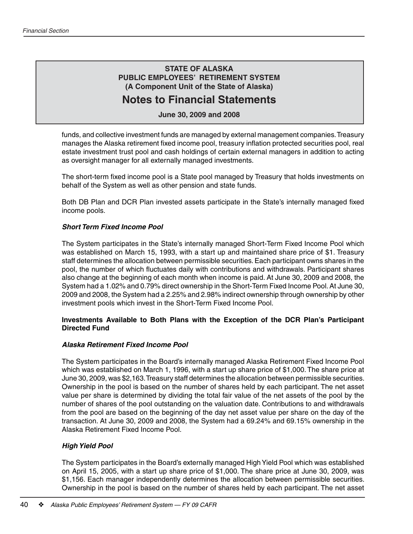# **Notes to Financial Statements**

**June 30, 2009 and 2008**

funds, and collective investment funds are managed by external management companies. Treasury manages the Alaska retirement fixed income pool, treasury inflation protected securities pool, real estate investment trust pool and cash holdings of certain external managers in addition to acting as oversight manager for all externally managed investments.

The short-term fixed income pool is a State pool managed by Treasury that holds investments on behalf of the System as well as other pension and state funds.

Both DB Plan and DCR Plan invested assets participate in the State's internally managed fixed income pools.

#### *Short Term Fixed Income Pool*

The System participates in the State's internally managed Short-Term Fixed Income Pool which was established on March 15, 1993, with a start up and maintained share price of \$1. Treasury staff determines the allocation between permissible securities. Each participant owns shares in the pool, the number of which fluctuates daily with contributions and withdrawals. Participant shares also change at the beginning of each month when income is paid. At June 30, 2009 and 2008, the System had a 1.02% and 0.79% direct ownership in the Short-Term Fixed Income Pool. At June 30, 2009 and 2008, the System had a 2.25% and 2.98% indirect ownership through ownership by other investment pools which invest in the Short-Term Fixed Income Pool.

#### **Investments Available to Both Plans with the Exception of the DCR Plan's Participant Directed Fund**

#### *Alaska Retirement Fixed Income Pool*

The System participates in the Board's internally managed Alaska Retirement Fixed Income Pool which was established on March 1, 1996, with a start up share price of \$1,000. The share price at June 30, 2009, was \$2,163. Treasury staff determines the allocation between permissible securities. Ownership in the pool is based on the number of shares held by each participant. The net asset value per share is determined by dividing the total fair value of the net assets of the pool by the number of shares of the pool outstanding on the valuation date. Contributions to and withdrawals from the pool are based on the beginning of the day net asset value per share on the day of the transaction. At June 30, 2009 and 2008, the System had a 69.24% and 69.15% ownership in the Alaska Retirement Fixed Income Pool.

#### *High Yield Pool*

The System participates in the Board's externally managed High Yield Pool which was established on April 15, 2005, with a start up share price of \$1,000. The share price at June 30, 2009, was \$1,156. Each manager independently determines the allocation between permissible securities. Ownership in the pool is based on the number of shares held by each participant. The net asset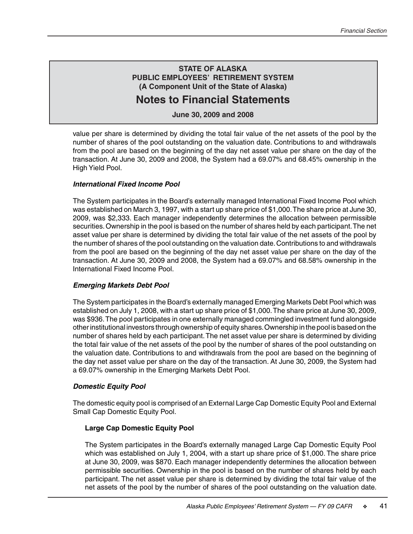# **Notes to Financial Statements**

**June 30, 2009 and 2008**

value per share is determined by dividing the total fair value of the net assets of the pool by the number of shares of the pool outstanding on the valuation date. Contributions to and withdrawals from the pool are based on the beginning of the day net asset value per share on the day of the transaction. At June 30, 2009 and 2008, the System had a 69.07% and 68.45% ownership in the High Yield Pool.

### *International Fixed Income Pool*

The System participates in the Board's externally managed International Fixed Income Pool which was established on March 3, 1997, with a start up share price of \$1,000. The share price at June 30, 2009, was \$2,333. Each manager independently determines the allocation between permissible securities. Ownership in the pool is based on the number of shares held by each participant. The net asset value per share is determined by dividing the total fair value of the net assets of the pool by the number of shares of the pool outstanding on the valuation date. Contributions to and withdrawals from the pool are based on the beginning of the day net asset value per share on the day of the transaction. At June 30, 2009 and 2008, the System had a 69.07% and 68.58% ownership in the International Fixed Income Pool.

### *Emerging Markets Debt Pool*

The System participates in the Board's externally managed Emerging Markets Debt Pool which was established on July 1, 2008, with a start up share price of \$1,000. The share price at June 30, 2009, was \$936. The pool participates in one externally managed commingled investment fund alongside other institutional investors through ownership of equity shares. Ownership in the pool is based on the number of shares held by each participant. The net asset value per share is determined by dividing the total fair value of the net assets of the pool by the number of shares of the pool outstanding on the valuation date. Contributions to and withdrawals from the pool are based on the beginning of the day net asset value per share on the day of the transaction. At June 30, 2009, the System had a 69.07% ownership in the Emerging Markets Debt Pool.

### *Domestic Equity Pool*

The domestic equity pool is comprised of an External Large Cap Domestic Equity Pool and External Small Cap Domestic Equity Pool.

### **Large Cap Domestic Equity Pool**

The System participates in the Board's externally managed Large Cap Domestic Equity Pool which was established on July 1, 2004, with a start up share price of \$1,000. The share price at June 30, 2009, was \$870. Each manager independently determines the allocation between permissible securities. Ownership in the pool is based on the number of shares held by each participant. The net asset value per share is determined by dividing the total fair value of the net assets of the pool by the number of shares of the pool outstanding on the valuation date.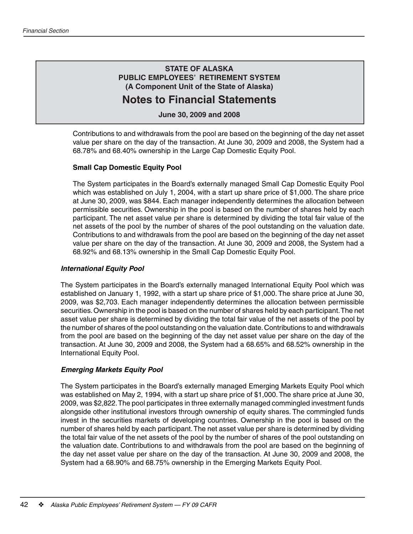# **Notes to Financial Statements**

**June 30, 2009 and 2008**

Contributions to and withdrawals from the pool are based on the beginning of the day net asset value per share on the day of the transaction. At June 30, 2009 and 2008, the System had a 68.78% and 68.40% ownership in the Large Cap Domestic Equity Pool.

### **Small Cap Domestic Equity Pool**

The System participates in the Board's externally managed Small Cap Domestic Equity Pool which was established on July 1, 2004, with a start up share price of \$1,000. The share price at June 30, 2009, was \$844. Each manager independently determines the allocation between permissible securities. Ownership in the pool is based on the number of shares held by each participant. The net asset value per share is determined by dividing the total fair value of the net assets of the pool by the number of shares of the pool outstanding on the valuation date. Contributions to and withdrawals from the pool are based on the beginning of the day net asset value per share on the day of the transaction. At June 30, 2009 and 2008, the System had a 68.92% and 68.13% ownership in the Small Cap Domestic Equity Pool.

### *International Equity Pool*

The System participates in the Board's externally managed International Equity Pool which was established on January 1, 1992, with a start up share price of \$1,000. The share price at June 30, 2009, was \$2,703. Each manager independently determines the allocation between permissible securities. Ownership in the pool is based on the number of shares held by each participant. The net asset value per share is determined by dividing the total fair value of the net assets of the pool by the number of shares of the pool outstanding on the valuation date. Contributions to and withdrawals from the pool are based on the beginning of the day net asset value per share on the day of the transaction. At June 30, 2009 and 2008, the System had a 68.65% and 68.52% ownership in the International Equity Pool.

#### *Emerging Markets Equity Pool*

The System participates in the Board's externally managed Emerging Markets Equity Pool which was established on May 2, 1994, with a start up share price of \$1,000. The share price at June 30, 2009, was \$2,822. The pool participates in three externally managed commingled investment funds alongside other institutional investors through ownership of equity shares. The commingled funds invest in the securities markets of developing countries. Ownership in the pool is based on the number of shares held by each participant. The net asset value per share is determined by dividing the total fair value of the net assets of the pool by the number of shares of the pool outstanding on the valuation date. Contributions to and withdrawals from the pool are based on the beginning of the day net asset value per share on the day of the transaction. At June 30, 2009 and 2008, the System had a 68.90% and 68.75% ownership in the Emerging Markets Equity Pool.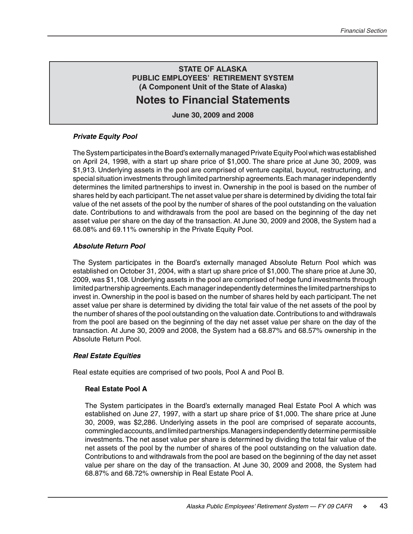# **Notes to Financial Statements**

**June 30, 2009 and 2008**

### *Private Equity Pool*

The System participates in the Board's externally managed Private Equity Pool which was established on April 24, 1998, with a start up share price of \$1,000. The share price at June 30, 2009, was \$1,913. Underlying assets in the pool are comprised of venture capital, buyout, restructuring, and special situation investments through limited partnership agreements. Each manager independently determines the limited partnerships to invest in. Ownership in the pool is based on the number of shares held by each participant. The net asset value per share is determined by dividing the total fair value of the net assets of the pool by the number of shares of the pool outstanding on the valuation date. Contributions to and withdrawals from the pool are based on the beginning of the day net asset value per share on the day of the transaction. At June 30, 2009 and 2008, the System had a 68.08% and 69.11% ownership in the Private Equity Pool.

### *Absolute Return Pool*

The System participates in the Board's externally managed Absolute Return Pool which was established on October 31, 2004, with a start up share price of \$1,000. The share price at June 30, 2009, was \$1,108. Underlying assets in the pool are comprised of hedge fund investments through limited partnership agreements. Each manager independently determines the limited partnerships to invest in. Ownership in the pool is based on the number of shares held by each participant. The net asset value per share is determined by dividing the total fair value of the net assets of the pool by the number of shares of the pool outstanding on the valuation date. Contributions to and withdrawals from the pool are based on the beginning of the day net asset value per share on the day of the transaction. At June 30, 2009 and 2008, the System had a 68.87% and 68.57% ownership in the Absolute Return Pool.

## *Real Estate Equities*

Real estate equities are comprised of two pools, Pool A and Pool B.

### **Real Estate Pool A**

The System participates in the Board's externally managed Real Estate Pool A which was established on June 27, 1997, with a start up share price of \$1,000. The share price at June 30, 2009, was \$2,286. Underlying assets in the pool are comprised of separate accounts, commingled accounts, and limited partnerships. Managers independently determine permissible investments. The net asset value per share is determined by dividing the total fair value of the net assets of the pool by the number of shares of the pool outstanding on the valuation date. Contributions to and withdrawals from the pool are based on the beginning of the day net asset value per share on the day of the transaction. At June 30, 2009 and 2008, the System had 68.87% and 68.72% ownership in Real Estate Pool A.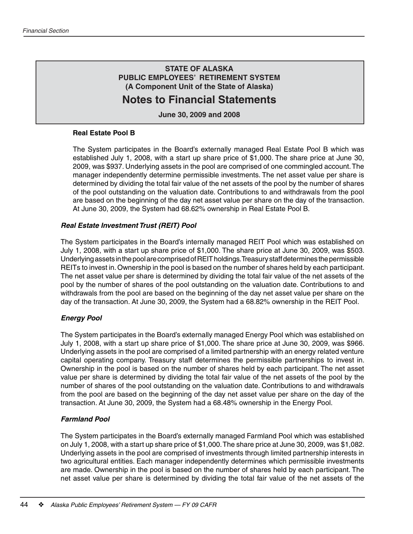# **Notes to Financial Statements**

**June 30, 2009 and 2008**

#### **Real Estate Pool B**

The System participates in the Board's externally managed Real Estate Pool B which was established July 1, 2008, with a start up share price of \$1,000. The share price at June 30, 2009, was \$937. Underlying assets in the pool are comprised of one commingled account. The manager independently determine permissible investments. The net asset value per share is determined by dividing the total fair value of the net assets of the pool by the number of shares of the pool outstanding on the valuation date. Contributions to and withdrawals from the pool are based on the beginning of the day net asset value per share on the day of the transaction. At June 30, 2009, the System had 68.62% ownership in Real Estate Pool B.

#### *Real Estate Investment Trust (REIT) Pool*

The System participates in the Board's internally managed REIT Pool which was established on July 1, 2008, with a start up share price of \$1,000. The share price at June 30, 2009, was \$503. Underlying assets in the pool are comprised of REIT holdings. Treasury staff determines the permissible REITs to invest in. Ownership in the pool is based on the number of shares held by each participant. The net asset value per share is determined by dividing the total fair value of the net assets of the pool by the number of shares of the pool outstanding on the valuation date. Contributions to and withdrawals from the pool are based on the beginning of the day net asset value per share on the day of the transaction. At June 30, 2009, the System had a 68.82% ownership in the REIT Pool.

### *Energy Pool*

The System participates in the Board's externally managed Energy Pool which was established on July 1, 2008, with a start up share price of \$1,000. The share price at June 30, 2009, was \$966. Underlying assets in the pool are comprised of a limited partnership with an energy related venture capital operating company. Treasury staff determines the permissible partnerships to invest in. Ownership in the pool is based on the number of shares held by each participant. The net asset value per share is determined by dividing the total fair value of the net assets of the pool by the number of shares of the pool outstanding on the valuation date. Contributions to and withdrawals from the pool are based on the beginning of the day net asset value per share on the day of the transaction. At June 30, 2009, the System had a 68.48% ownership in the Energy Pool.

### *Farmland Pool*

The System participates in the Board's externally managed Farmland Pool which was established on July 1, 2008, with a start up share price of \$1,000. The share price at June 30, 2009, was \$1,082. Underlying assets in the pool are comprised of investments through limited partnership interests in two agricultural entities. Each manager independently determines which permissible investments are made. Ownership in the pool is based on the number of shares held by each participant. The net asset value per share is determined by dividing the total fair value of the net assets of the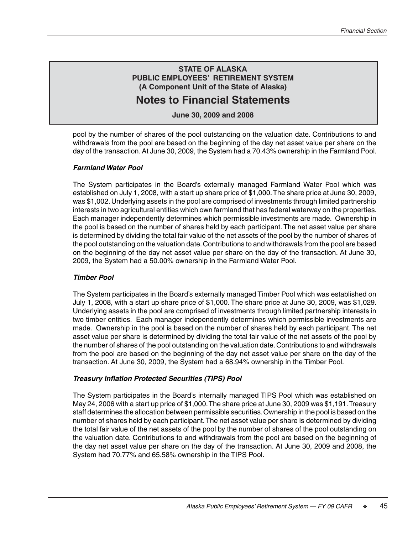# **Notes to Financial Statements**

**June 30, 2009 and 2008**

pool by the number of shares of the pool outstanding on the valuation date. Contributions to and withdrawals from the pool are based on the beginning of the day net asset value per share on the day of the transaction. At June 30, 2009, the System had a 70.43% ownership in the Farmland Pool.

#### *Farmland Water Pool*

The System participates in the Board's externally managed Farmland Water Pool which was established on July 1, 2008, with a start up share price of \$1,000. The share price at June 30, 2009, was \$1,002. Underlying assets in the pool are comprised of investments through limited partnership interests in two agricultural entities which own farmland that has federal waterway on the properties. Each manager independently determines which permissible investments are made. Ownership in the pool is based on the number of shares held by each participant. The net asset value per share is determined by dividing the total fair value of the net assets of the pool by the number of shares of the pool outstanding on the valuation date. Contributions to and withdrawals from the pool are based on the beginning of the day net asset value per share on the day of the transaction. At June 30, 2009, the System had a 50.00% ownership in the Farmland Water Pool.

### *Timber Pool*

The System participates in the Board's externally managed Timber Pool which was established on July 1, 2008, with a start up share price of \$1,000. The share price at June 30, 2009, was \$1,029. Underlying assets in the pool are comprised of investments through limited partnership interests in two timber entities. Each manager independently determines which permissible investments are made. Ownership in the pool is based on the number of shares held by each participant. The net asset value per share is determined by dividing the total fair value of the net assets of the pool by the number of shares of the pool outstanding on the valuation date. Contributions to and withdrawals from the pool are based on the beginning of the day net asset value per share on the day of the transaction. At June 30, 2009, the System had a 68.94% ownership in the Timber Pool.

### **Treasury Inflation Protected Securities (TIPS) Pool**

The System participates in the Board's internally managed TIPS Pool which was established on May 24, 2006 with a start up price of \$1,000. The share price at June 30, 2009 was \$1,191. Treasury staff determines the allocation between permissible securities. Ownership in the pool is based on the number of shares held by each participant. The net asset value per share is determined by dividing the total fair value of the net assets of the pool by the number of shares of the pool outstanding on the valuation date. Contributions to and withdrawals from the pool are based on the beginning of the day net asset value per share on the day of the transaction. At June 30, 2009 and 2008, the System had 70.77% and 65.58% ownership in the TIPS Pool.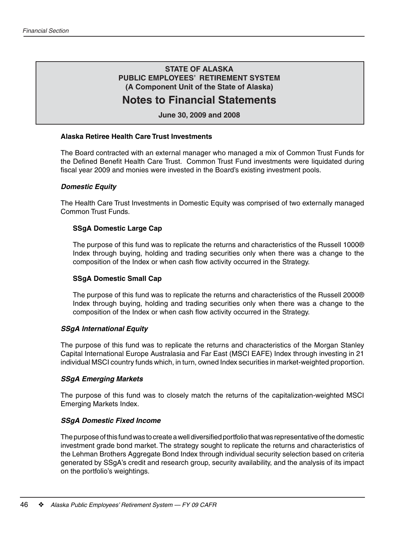# **Notes to Financial Statements**

**June 30, 2009 and 2008**

#### **Alaska Retiree Health Care Trust Investments**

The Board contracted with an external manager who managed a mix of Common Trust Funds for the Defined Benefit Health Care Trust. Common Trust Fund investments were liquidated during fiscal year 2009 and monies were invested in the Board's existing investment pools.

#### *Domestic Equity*

The Health Care Trust Investments in Domestic Equity was comprised of two externally managed Common Trust Funds.

#### **SSgA Domestic Large Cap**

The purpose of this fund was to replicate the returns and characteristics of the Russell 1000® Index through buying, holding and trading securities only when there was a change to the composition of the Index or when cash flow activity occurred in the Strategy.

#### **SSgA Domestic Small Cap**

The purpose of this fund was to replicate the returns and characteristics of the Russell 2000® Index through buying, holding and trading securities only when there was a change to the composition of the Index or when cash flow activity occurred in the Strategy.

#### *SSgA International Equity*

The purpose of this fund was to replicate the returns and characteristics of the Morgan Stanley Capital International Europe Australasia and Far East (MSCI EAFE) Index through investing in 21 individual MSCI country funds which, in turn, owned Index securities in market-weighted proportion.

#### *SSgA Emerging Markets*

The purpose of this fund was to closely match the returns of the capitalization-weighted MSCI Emerging Markets Index.

#### *SSgA Domestic Fixed Income*

The purpose of this fund was to create a well diversified portfolio that was representative of the domestic investment grade bond market. The strategy sought to replicate the returns and characteristics of the Lehman Brothers Aggregate Bond Index through individual security selection based on criteria generated by SSgA's credit and research group, security availability, and the analysis of its impact on the portfolio's weightings.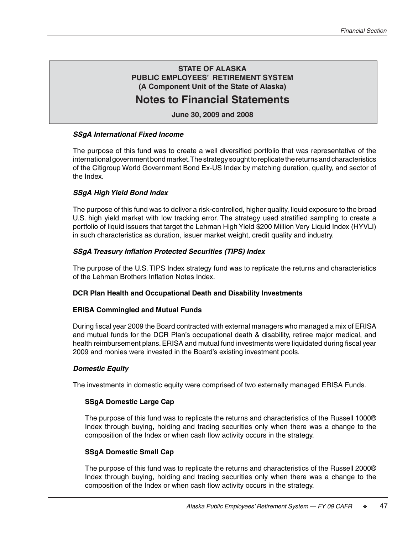# **Notes to Financial Statements**

**June 30, 2009 and 2008**

### *SSgA International Fixed Income*

The purpose of this fund was to create a well diversified portfolio that was representative of the international government bond market. The strategy sought to replicate the returns and characteristics of the Citigroup World Government Bond Ex-US Index by matching duration, quality, and sector of the Index.

### *SSgA High Yield Bond Index*

The purpose of this fund was to deliver a risk-controlled, higher quality, liquid exposure to the broad U.S. high yield market with low tracking error. The strategy used stratified sampling to create a portfolio of liquid issuers that target the Lehman High Yield \$200 Million Very Liquid Index (HYVLI) in such characteristics as duration, issuer market weight, credit quality and industry.

#### **SSgA Treasury Inflation Protected Securities (TIPS) Index**

The purpose of the U.S. TIPS Index strategy fund was to replicate the returns and characteristics of the Lehman Brothers Inflation Notes Index.

#### **DCR Plan Health and Occupational Death and Disability Investments**

#### **ERISA Commingled and Mutual Funds**

During fiscal year 2009 the Board contracted with external managers who managed a mix of ERISA and mutual funds for the DCR Plan's occupational death & disability, retiree major medical, and health reimbursement plans. ERISA and mutual fund investments were liquidated during fiscal year 2009 and monies were invested in the Board's existing investment pools.

#### *Domestic Equity*

The investments in domestic equity were comprised of two externally managed ERISA Funds.

#### **SSgA Domestic Large Cap**

The purpose of this fund was to replicate the returns and characteristics of the Russell 1000® Index through buying, holding and trading securities only when there was a change to the composition of the Index or when cash flow activity occurs in the strategy.

#### **SSgA Domestic Small Cap**

The purpose of this fund was to replicate the returns and characteristics of the Russell 2000® Index through buying, holding and trading securities only when there was a change to the composition of the Index or when cash flow activity occurs in the strategy.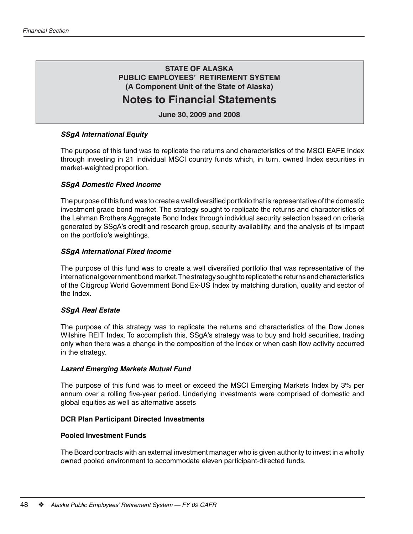# **Notes to Financial Statements**

**June 30, 2009 and 2008**

#### *SSgA International Equity*

The purpose of this fund was to replicate the returns and characteristics of the MSCI EAFE Index through investing in 21 individual MSCI country funds which, in turn, owned Index securities in market-weighted proportion.

#### *SSgA Domestic Fixed Income*

The purpose of this fund was to create a well diversified portfolio that is representative of the domestic investment grade bond market. The strategy sought to replicate the returns and characteristics of the Lehman Brothers Aggregate Bond Index through individual security selection based on criteria generated by SSgA's credit and research group, security availability, and the analysis of its impact on the portfolio's weightings.

#### *SSgA International Fixed Income*

The purpose of this fund was to create a well diversified portfolio that was representative of the international government bond market. The strategy sought to replicate the returns and characteristics of the Citigroup World Government Bond Ex-US Index by matching duration, quality and sector of the Index.

#### *SSgA Real Estate*

The purpose of this strategy was to replicate the returns and characteristics of the Dow Jones Wilshire REIT Index. To accomplish this, SSgA's strategy was to buy and hold securities, trading only when there was a change in the composition of the Index or when cash flow activity occurred in the strategy.

#### *Lazard Emerging Markets Mutual Fund*

The purpose of this fund was to meet or exceed the MSCI Emerging Markets Index by 3% per annum over a rolling five-year period. Underlying investments were comprised of domestic and global equities as well as alternative assets

#### **DCR Plan Participant Directed Investments**

#### **Pooled Investment Funds**

The Board contracts with an external investment manager who is given authority to invest in a wholly owned pooled environment to accommodate eleven participant-directed funds.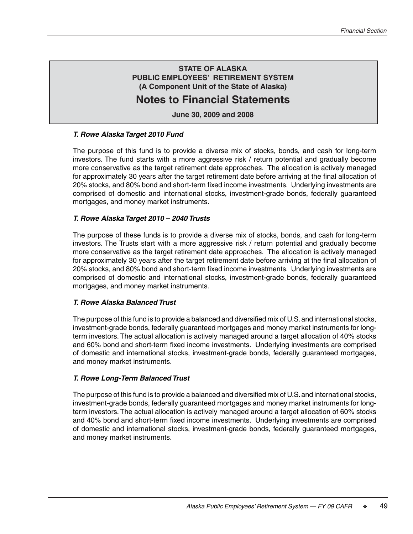# **Notes to Financial Statements**

**June 30, 2009 and 2008**

### *T. Rowe Alaska Target 2010 Fund*

The purpose of this fund is to provide a diverse mix of stocks, bonds, and cash for long-term investors. The fund starts with a more aggressive risk / return potential and gradually become more conservative as the target retirement date approaches. The allocation is actively managed for approximately 30 years after the target retirement date before arriving at the final allocation of 20% stocks, and 80% bond and short-term fixed income investments. Underlying investments are comprised of domestic and international stocks, investment-grade bonds, federally guaranteed mortgages, and money market instruments.

### *T. Rowe Alaska Target 2010 – 2040 Trusts*

The purpose of these funds is to provide a diverse mix of stocks, bonds, and cash for long-term investors. The Trusts start with a more aggressive risk / return potential and gradually become more conservative as the target retirement date approaches. The allocation is actively managed for approximately 30 years after the target retirement date before arriving at the final allocation of 20% stocks, and 80% bond and short-term fixed income investments. Underlying investments are comprised of domestic and international stocks, investment-grade bonds, federally guaranteed mortgages, and money market instruments.

### *T. Rowe Alaska Balanced Trust*

The purpose of this fund is to provide a balanced and diversified mix of U.S. and international stocks, investment-grade bonds, federally guaranteed mortgages and money market instruments for longterm investors. The actual allocation is actively managed around a target allocation of 40% stocks and 60% bond and short-term fixed income investments. Underlying investments are comprised of domestic and international stocks, investment-grade bonds, federally guaranteed mortgages, and money market instruments.

### *T. Rowe Long-Term Balanced Trust*

The purpose of this fund is to provide a balanced and diversified mix of U.S. and international stocks, investment-grade bonds, federally guaranteed mortgages and money market instruments for longterm investors. The actual allocation is actively managed around a target allocation of 60% stocks and 40% bond and short-term fixed income investments. Underlying investments are comprised of domestic and international stocks, investment-grade bonds, federally guaranteed mortgages, and money market instruments.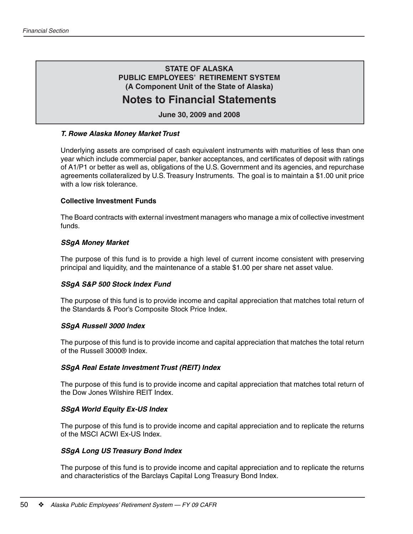# **Notes to Financial Statements**

**June 30, 2009 and 2008**

#### *T. Rowe Alaska Money Market Trust*

Underlying assets are comprised of cash equivalent instruments with maturities of less than one year which include commercial paper, banker acceptances, and certificates of deposit with ratings of A1/P1 or better as well as, obligations of the U.S. Government and its agencies, and repurchase agreements collateralized by U.S. Treasury Instruments. The goal is to maintain a \$1.00 unit price with a low risk tolerance.

#### **Collective Investment Funds**

The Board contracts with external investment managers who manage a mix of collective investment funds.

#### *SSgA Money Market*

The purpose of this fund is to provide a high level of current income consistent with preserving principal and liquidity, and the maintenance of a stable \$1.00 per share net asset value.

#### *SSgA S&P 500 Stock Index Fund*

The purpose of this fund is to provide income and capital appreciation that matches total return of the Standards & Poor's Composite Stock Price Index.

#### *SSgA Russell 3000 Index*

The purpose of this fund is to provide income and capital appreciation that matches the total return of the Russell 3000® Index.

#### *SSgA Real Estate Investment Trust (REIT) Index*

The purpose of this fund is to provide income and capital appreciation that matches total return of the Dow Jones Wilshire REIT Index.

#### *SSgA World Equity Ex-US Index*

The purpose of this fund is to provide income and capital appreciation and to replicate the returns of the MSCI ACWI Ex-US Index.

### *SSgA Long US Treasury Bond Index*

The purpose of this fund is to provide income and capital appreciation and to replicate the returns and characteristics of the Barclays Capital Long Treasury Bond Index.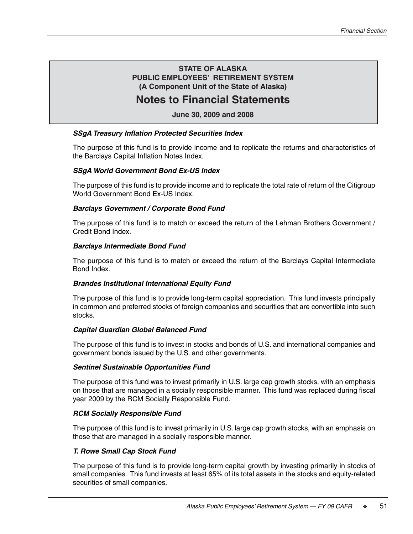# **Notes to Financial Statements**

**June 30, 2009 and 2008**

### **SSgA Treasury Inflation Protected Securities Index**

The purpose of this fund is to provide income and to replicate the returns and characteristics of the Barclays Capital Inflation Notes Index.

#### *SSgA World Government Bond Ex-US Index*

The purpose of this fund is to provide income and to replicate the total rate of return of the Citigroup World Government Bond Ex-US Index.

#### *Barclays Government / Corporate Bond Fund*

The purpose of this fund is to match or exceed the return of the Lehman Brothers Government / Credit Bond Index.

#### *Barclays Intermediate Bond Fund*

The purpose of this fund is to match or exceed the return of the Barclays Capital Intermediate Bond Index.

### *Brandes Institutional International Equity Fund*

The purpose of this fund is to provide long-term capital appreciation. This fund invests principally in common and preferred stocks of foreign companies and securities that are convertible into such stocks.

#### *Capital Guardian Global Balanced Fund*

The purpose of this fund is to invest in stocks and bonds of U.S. and international companies and government bonds issued by the U.S. and other governments.

#### *Sentinel Sustainable Opportunities Fund*

The purpose of this fund was to invest primarily in U.S. large cap growth stocks, with an emphasis on those that are managed in a socially responsible manner. This fund was replaced during fiscal year 2009 by the RCM Socially Responsible Fund.

### *RCM Socially Responsible Fund*

The purpose of this fund is to invest primarily in U.S. large cap growth stocks, with an emphasis on those that are managed in a socially responsible manner.

#### *T. Rowe Small Cap Stock Fund*

The purpose of this fund is to provide long-term capital growth by investing primarily in stocks of small companies. This fund invests at least 65% of its total assets in the stocks and equity-related securities of small companies.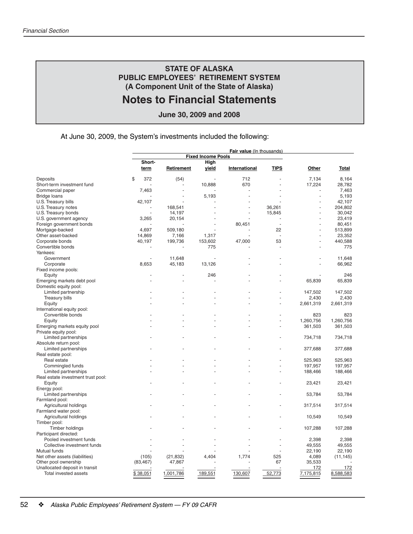# **Notes to Financial Statements**

**June 30, 2009 and 2008**

At June 30, 2009, the System's investments included the following:

|                                    |           |            |                           | Fair value (In thousands) |             |           |           |
|------------------------------------|-----------|------------|---------------------------|---------------------------|-------------|-----------|-----------|
|                                    |           |            | <b>Fixed Income Pools</b> |                           |             |           |           |
|                                    | Short-    |            | High                      |                           |             |           |           |
|                                    | term      | Retirement | yield                     | International             | <b>TIPS</b> | Other     | Total     |
| Deposits                           | \$<br>372 | (54)       |                           | 712                       |             | 7,134     | 8,164     |
| Short-term investment fund         |           |            | 10,888                    | 670                       |             | 17,224    | 28,782    |
| Commercial paper                   | 7,463     |            |                           | $\ddot{\phantom{1}}$      |             |           | 7,463     |
| <b>Bridge loans</b>                |           |            | 5,193                     |                           |             |           | 5,193     |
| U.S. Treasury bills                | 42,107    |            |                           |                           |             |           | 42,107    |
| U.S. Treasury notes                |           | 168,541    |                           |                           | 36,261      |           | 204,802   |
| U.S. Treasury bonds                |           | 14,197     |                           | L.                        | 15,845      |           | 30,042    |
| U.S. government agency             | 3,265     | 20,154     |                           |                           | ÷.          |           | 23,419    |
| Foreign government bonds           |           |            |                           | 80,451                    | $\sim$      |           | 80,451    |
| Mortgage-backed                    | 4,697     | 509,180    |                           |                           | 22          |           | 513,899   |
| Other asset-backed                 | 14,869    | 7,166      | 1,317                     |                           | ÷.          |           | 23,352    |
|                                    |           |            |                           |                           | 53          |           | 440,588   |
| Corporate bonds                    | 40,197    | 199,736    | 153,602                   | 47,000                    |             |           |           |
| Convertible bonds                  |           |            | 775                       |                           |             |           | 775       |
| Yankees:                           |           |            |                           |                           |             |           |           |
| Government                         |           | 11,648     |                           |                           |             |           | 11,648    |
| Corporate                          | 8,653     | 45,183     | 13,126                    |                           | L.          |           | 66,962    |
| Fixed income pools:                |           |            |                           |                           |             |           |           |
| Equity                             |           |            | 246                       |                           |             |           | 246       |
| Emerging markets debt pool         |           |            |                           |                           |             | 65,839    | 65,839    |
| Domestic equity pool:              |           |            |                           |                           |             |           |           |
| Limited partnership                |           |            |                           |                           |             | 147,502   | 147,502   |
| Treasury bills                     |           |            |                           |                           |             | 2,430     | 2,430     |
| Equity                             |           |            |                           |                           |             | 2,661,319 | 2,661,319 |
| International equity pool:         |           |            |                           |                           |             |           |           |
| Convertible bonds                  |           |            |                           |                           |             | 823       | 823       |
| Equity                             |           |            |                           |                           |             | 1,260,756 | 1,260,756 |
| Emerging markets equity pool       |           |            |                           |                           |             | 361,503   | 361,503   |
| Private equity pool:               |           |            |                           |                           |             |           |           |
| Limited partnerships               |           |            |                           |                           |             | 734,718   | 734,718   |
| Absolute return pool:              |           |            |                           |                           |             |           |           |
| Limited partnerships               |           |            |                           |                           |             | 377,688   | 377,688   |
| Real estate pool:                  |           |            |                           |                           |             |           |           |
| Real estate                        |           |            |                           |                           |             | 525,963   | 525,963   |
| Commingled funds                   |           |            |                           |                           |             | 197,957   | 197,957   |
| Limited partnerships               |           |            |                           |                           |             | 188,466   | 188,466   |
| Real estate investment trust pool: |           |            |                           |                           |             |           |           |
| Equity                             |           |            |                           |                           |             | 23,421    | 23,421    |
| Energy pool:                       |           |            |                           |                           |             |           |           |
| Limited partnerships               |           |            |                           |                           |             | 53,784    | 53,784    |
| Farmland pool:                     |           |            |                           |                           |             |           |           |
| Agricultural holdings              |           |            |                           |                           |             | 317,514   | 317,514   |
| Farmland water pool:               |           |            |                           |                           |             |           |           |
| Agricultural holdings              |           |            |                           |                           |             | 10,549    | 10,549    |
| Timber pool:                       |           |            |                           |                           |             |           |           |
| Timber holdings                    |           |            |                           |                           |             | 107,288   | 107,288   |
| Participant directed:              |           |            |                           |                           |             |           |           |
| Pooled investment funds            |           |            |                           |                           |             | 2,398     | 2,398     |
| Collective investment funds        |           |            |                           |                           |             | 49,555    | 49,555    |
| Mutual funds                       |           |            |                           |                           |             | 22,190    | 22,190    |
| Net other assets (liabilities)     | (105)     | (21, 832)  | 4.404                     | 1,774                     | 525         | 4,089     | (11, 145) |
| Other pool ownership               | (83, 467) | 47,867     |                           |                           | 67          | 35,533    |           |
| Unallocated deposit in transit     |           |            |                           |                           |             | 172       | 172       |
| Total invested assets              | \$38,051  | 1,001,786  | 189,551                   | 130,607                   | 52,773      | 7,175,815 | 8,588,583 |
|                                    |           |            |                           |                           |             |           |           |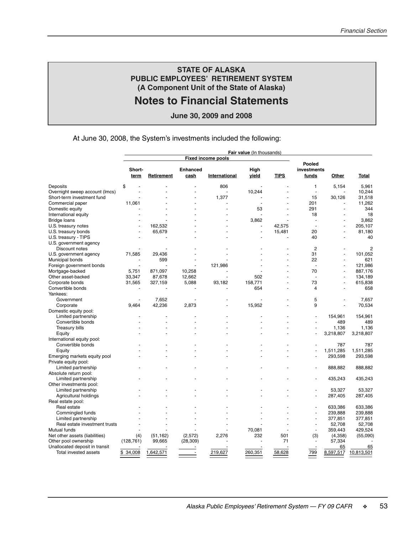# **Notes to Financial Statements**

**June 30, 2009 and 2008**

At June 30, 2008, the System's investments included the following:

|                                          |                | Fair value (In thousands) |                 |                           |                      |                |                       |                |              |
|------------------------------------------|----------------|---------------------------|-----------------|---------------------------|----------------------|----------------|-----------------------|----------------|--------------|
|                                          | Short-         |                           | <b>Enhanced</b> | <b>Fixed income pools</b> | High                 |                | Pooled<br>investments |                |              |
|                                          | term           | Retirement                | cash            | International             | yield                | <b>TIPS</b>    | funds                 | Other          | <b>Total</b> |
| Deposits                                 | \$             |                           |                 | 806                       |                      |                | 1                     | 5,154          | 5.961        |
| Overnight sweep account (Imcs)           | ä,             |                           |                 | $\blacksquare$            | 10,244               |                | $\sim$                |                | 10,244       |
| Short-term investment fund               |                |                           |                 | 1,377                     |                      |                | 15                    | 30,126         | 31,518       |
| Commercial paper                         | 11,061         |                           |                 |                           | $\ddot{\phantom{1}}$ | $\blacksquare$ | 201                   |                | 11,262       |
| Domestic equity                          |                |                           |                 |                           | 53                   | $\overline{a}$ | 291                   | ä,             | 344          |
| International equity                     |                |                           |                 |                           |                      |                | 18                    |                | 18           |
| <b>Bridge loans</b>                      |                |                           |                 |                           | 3,862                |                |                       |                | 3,862        |
| U.S. treasury notes                      |                | 162,532                   |                 |                           | ä,                   | 42,575         | L.                    | L.             | 205,107      |
| U.S. treasury bonds                      |                | 65,679                    |                 |                           | ä,                   | 15,481         | 20                    | L,             | 81,180       |
| U.S. treasury - TIPS                     |                |                           |                 |                           |                      |                | 40                    |                | 40           |
| U.S. government agency                   |                |                           |                 |                           |                      |                |                       |                |              |
| Discount notes                           |                |                           |                 |                           |                      |                | $\overline{c}$        |                | 2            |
| U.S. government agency                   | 71,585         | 29,436                    |                 |                           |                      |                | 31                    | $\blacksquare$ | 101,052      |
| Municipal bonds                          |                | 599                       |                 |                           |                      |                | 22                    |                | 621          |
| Foreign government bonds                 | $\blacksquare$ |                           |                 | 121,986                   |                      | $\blacksquare$ | $\sim$                | $\blacksquare$ | 121,986      |
| Mortgage-backed                          | 5,751          | 871,097                   | 10,258          |                           |                      |                | 70                    | ä,             | 887,176      |
| Other asset-backed                       | 33,347         | 87,678                    | 12,662          | $\ddot{\phantom{1}}$      | 502                  |                | $\overline{a}$        |                | 134,189      |
| Corporate bonds                          | 31,565         | 327,159                   | 5,088           | 93,182                    | 158,771              |                | 73                    |                | 615,838      |
| Convertible bonds                        |                |                           |                 |                           | 654                  |                | 4                     |                | 658          |
| Yankees:                                 |                |                           |                 |                           |                      |                |                       |                |              |
| Government                               |                | 7,652                     |                 |                           |                      |                | 5                     |                | 7,657        |
|                                          | 9,464          | 42,236                    | 2,873           |                           | 15,952               |                | 9                     | ä,             | 70,534       |
| Corporate<br>Domestic equity pool:       |                |                           |                 |                           |                      |                |                       |                |              |
|                                          |                |                           |                 |                           |                      |                | ä,                    |                |              |
| Limited partnership<br>Convertible bonds |                |                           |                 |                           |                      |                |                       | 154,961<br>489 | 154,961      |
|                                          |                |                           |                 |                           |                      |                | $\blacksquare$        |                | 489          |
| <b>Treasury bills</b>                    |                |                           |                 |                           |                      |                | L.                    | 1,136          | 1,136        |
| Equity                                   |                |                           |                 |                           |                      |                |                       | 3,218,807      | 3,218,807    |
| International equity pool:               |                |                           |                 |                           |                      |                |                       |                |              |
| Convertible bonds                        |                |                           |                 |                           |                      |                |                       | 787            | 787          |
| Equity                                   |                |                           |                 |                           |                      |                |                       | 1,511,285      | 1,511,285    |
| Emerging markets equity pool             |                |                           |                 |                           |                      |                |                       | 293,598        | 293,598      |
| Private equity pool:                     |                |                           |                 |                           |                      |                |                       |                |              |
| Limited partnership                      |                |                           |                 |                           |                      |                |                       | 888,882        | 888,882      |
| Absolute return pool:                    |                |                           |                 |                           |                      |                |                       |                |              |
| Limited partnership                      |                |                           |                 |                           |                      |                |                       | 435,243        | 435,243      |
| Other investments pool:                  |                |                           |                 |                           |                      |                |                       |                |              |
| Limited partnership                      |                |                           |                 |                           |                      |                |                       | 53,327         | 53,327       |
| Agricultural holdings                    |                |                           |                 |                           |                      |                |                       | 287,405        | 287,405      |
| Real estate pool:                        |                |                           |                 |                           |                      |                |                       |                |              |
| Real estate                              |                |                           |                 |                           |                      |                |                       | 633,386        | 633,386      |
| Commingled funds                         |                |                           |                 |                           |                      |                |                       | 239,888        | 239,888      |
| Limited partnership                      |                |                           |                 |                           |                      |                |                       | 377,851        | 377,851      |
| Real estate investment trusts            |                |                           |                 |                           |                      |                |                       | 52,708         | 52,708       |
| <b>Mutual funds</b>                      |                |                           |                 |                           | 70,081               |                |                       | 359,443        | 429,524      |
| Net other assets (liabilities)           | (4)            | (51, 162)                 | (2,572)         | 2,276                     | 232                  | 501            | (3)                   | (4,358)        | (55,090)     |
| Other pool ownership                     | (128, 761)     | 99,665                    | (28, 309)       |                           | $\ddot{\phantom{1}}$ | 71             | ä,                    | 57,334         |              |
| Unallocated deposit in transit           |                |                           |                 |                           |                      |                |                       | 65             | 65           |
| Total invested assets                    | \$34,008       | 1,642,571                 |                 | 219,627                   | 260,351              | 58,628         | 799                   | 8,597,517      | 10,813,501   |
|                                          |                |                           |                 |                           |                      |                |                       |                |              |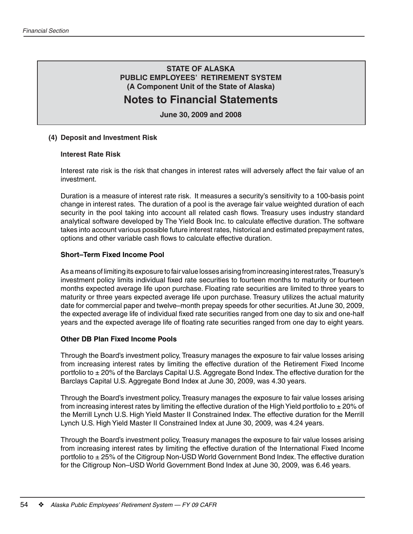# **Notes to Financial Statements**

**June 30, 2009 and 2008**

#### **(4) Deposit and Investment Risk**

#### **Interest Rate Risk**

Interest rate risk is the risk that changes in interest rates will adversely affect the fair value of an investment.

Duration is a measure of interest rate risk. It measures a security's sensitivity to a 100-basis point change in interest rates. The duration of a pool is the average fair value weighted duration of each security in the pool taking into account all related cash flows. Treasury uses industry standard analytical software developed by The Yield Book Inc. to calculate effective duration. The software takes into account various possible future interest rates, historical and estimated prepayment rates, options and other variable cash flows to calculate effective duration.

#### **Short–Term Fixed Income Pool**

As a means of limiting its exposure to fair value losses arising from increasing interest rates, Treasury's investment policy limits individual fixed rate securities to fourteen months to maturity or fourteen months expected average life upon purchase. Floating rate securities are limited to three years to maturity or three years expected average life upon purchase. Treasury utilizes the actual maturity date for commercial paper and twelve–month prepay speeds for other securities. At June 30, 2009, the expected average life of individual fixed rate securities ranged from one day to six and one-half years and the expected average life of floating rate securities ranged from one day to eight years.

#### **Other DB Plan Fixed Income Pools**

Through the Board's investment policy, Treasury manages the exposure to fair value losses arising from increasing interest rates by limiting the effective duration of the Retirement Fixed Income portfolio to  $\pm$  20% of the Barclays Capital U.S. Aggregate Bond Index. The effective duration for the Barclays Capital U.S. Aggregate Bond Index at June 30, 2009, was 4.30 years.

Through the Board's investment policy, Treasury manages the exposure to fair value losses arising from increasing interest rates by limiting the effective duration of the High Yield portfolio to  $\pm$  20% of the Merrill Lynch U.S. High Yield Master II Constrained Index. The effective duration for the Merrill Lynch U.S. High Yield Master II Constrained Index at June 30, 2009, was 4.24 years.

Through the Board's investment policy, Treasury manages the exposure to fair value losses arising from increasing interest rates by limiting the effective duration of the International Fixed Income portfolio to  $\pm$  25% of the Citigroup Non-USD World Government Bond Index. The effective duration for the Citigroup Non–USD World Government Bond Index at June 30, 2009, was 6.46 years.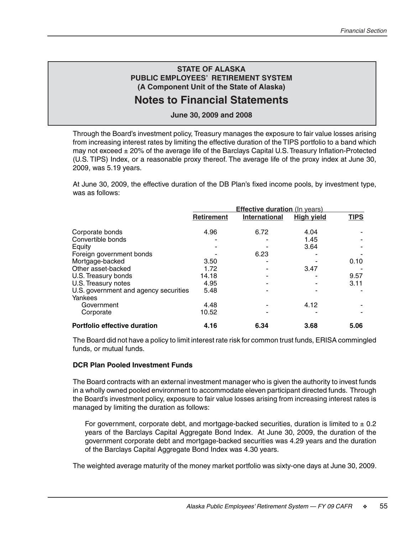# **Notes to Financial Statements**

**June 30, 2009 and 2008**

Through the Board's investment policy, Treasury manages the exposure to fair value losses arising from increasing interest rates by limiting the effective duration of the TIPS portfolio to a band which may not exceed  $\pm$  20% of the average life of the Barclays Capital U.S. Treasury Inflation-Protected (U.S. TIPS) Index, or a reasonable proxy thereof. The average life of the proxy index at June 30, 2009, was 5.19 years.

At June 30, 2009, the effective duration of the DB Plan's fixed income pools, by investment type, was as follows:

|                                                  | <b>Effective duration (In years)</b> |                      |                   |             |  |
|--------------------------------------------------|--------------------------------------|----------------------|-------------------|-------------|--|
|                                                  | <b>Retirement</b>                    | <b>International</b> | <b>High yield</b> | <b>TIPS</b> |  |
| Corporate bonds                                  | 4.96                                 | 6.72                 | 4.04              |             |  |
| Convertible bonds                                |                                      |                      | 1.45              |             |  |
| Equity                                           |                                      |                      | 3.64              |             |  |
| Foreign government bonds                         |                                      | 6.23                 |                   |             |  |
| Mortgage-backed                                  | 3.50                                 |                      |                   | 0.10        |  |
| Other asset-backed                               | 1.72                                 |                      | 3.47              |             |  |
| U.S. Treasury bonds                              | 14.18                                |                      |                   | 9.57        |  |
| U.S. Treasury notes                              | 4.95                                 |                      |                   | 3.11        |  |
| U.S. government and agency securities<br>Yankees | 5.48                                 |                      |                   |             |  |
| Government                                       | 4.48                                 |                      | 4.12              |             |  |
| Corporate                                        | 10.52                                |                      |                   |             |  |
| Portfolio effective duration                     | 4.16                                 | 6.34                 | 3.68              | 5.06        |  |

The Board did not have a policy to limit interest rate risk for common trust funds, ERISA commingled funds, or mutual funds.

### **DCR Plan Pooled Investment Funds**

The Board contracts with an external investment manager who is given the authority to invest funds in a wholly owned pooled environment to accommodate eleven participant directed funds. Through the Board's investment policy, exposure to fair value losses arising from increasing interest rates is managed by limiting the duration as follows:

For government, corporate debt, and mortgage-backed securities, duration is limited to  $\pm$  0.2 years of the Barclays Capital Aggregate Bond Index. At June 30, 2009, the duration of the government corporate debt and mortgage-backed securities was 4.29 years and the duration of the Barclays Capital Aggregate Bond Index was 4.30 years.

The weighted average maturity of the money market portfolio was sixty-one days at June 30, 2009.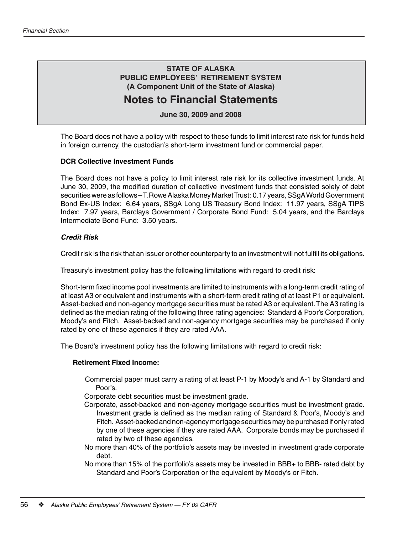# **Notes to Financial Statements**

**June 30, 2009 and 2008**

The Board does not have a policy with respect to these funds to limit interest rate risk for funds held in foreign currency, the custodian's short-term investment fund or commercial paper.

#### **DCR Collective Investment Funds**

The Board does not have a policy to limit interest rate risk for its collective investment funds. At June 30, 2009, the modified duration of collective investment funds that consisted solely of debt securities were as follows – T. Rowe Alaska Money Market Trust: 0.17 years, SSgA World Government Bond Ex-US Index: 6.64 years, SSgA Long US Treasury Bond Index: 11.97 years, SSgA TIPS Index: 7.97 years, Barclays Government / Corporate Bond Fund: 5.04 years, and the Barclays Intermediate Bond Fund: 3.50 years.

#### *Credit Risk*

Credit risk is the risk that an issuer or other counterparty to an investment will not fulfill its obligations.

Treasury's investment policy has the following limitations with regard to credit risk:

Short-term fixed income pool investments are limited to instruments with a long-term credit rating of at least A3 or equivalent and instruments with a short-term credit rating of at least P1 or equivalent. Asset-backed and non-agency mortgage securities must be rated A3 or equivalent. The A3 rating is defined as the median rating of the following three rating agencies: Standard & Poor's Corporation, Moody's and Fitch. Asset-backed and non-agency mortgage securities may be purchased if only rated by one of these agencies if they are rated AAA.

The Board's investment policy has the following limitations with regard to credit risk:

#### **Retirement Fixed Income:**

Commercial paper must carry a rating of at least P-1 by Moody's and A-1 by Standard and Poor's.

Corporate debt securities must be investment grade.

- Corporate, asset-backed and non-agency mortgage securities must be investment grade. Investment grade is defined as the median rating of Standard & Poor's, Moody's and Fitch. Asset-backed and non-agency mortgage securities may be purchased if only rated by one of these agencies if they are rated AAA. Corporate bonds may be purchased if rated by two of these agencies.
- No more than 40% of the portfolio's assets may be invested in investment grade corporate debt.
- No more than 15% of the portfolio's assets may be invested in BBB+ to BBB- rated debt by Standard and Poor's Corporation or the equivalent by Moody's or Fitch.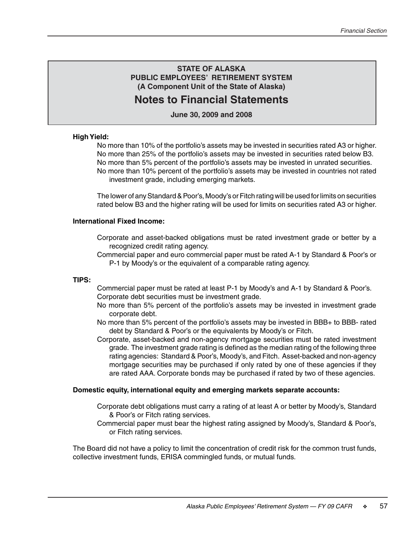# **Notes to Financial Statements**

**June 30, 2009 and 2008**

#### **High Yield:**

No more than 10% of the portfolio's assets may be invested in securities rated A3 or higher. No more than 25% of the portfolio's assets may be invested in securities rated below B3. No more than 5% percent of the portfolio's assets may be invested in unrated securities. No more than 10% percent of the portfolio's assets may be invested in countries not rated investment grade, including emerging markets.

The lower of any Standard & Poor's, Moody's or Fitch rating will be used for limits on securities rated below B3 and the higher rating will be used for limits on securities rated A3 or higher.

#### **International Fixed Income:**

- Corporate and asset-backed obligations must be rated investment grade or better by a recognized credit rating agency.
- Commercial paper and euro commercial paper must be rated A-1 by Standard & Poor's or P-1 by Moody's or the equivalent of a comparable rating agency.

#### **TIPS:**

Commercial paper must be rated at least P-1 by Moody's and A-1 by Standard & Poor's. Corporate debt securities must be investment grade.

- No more than 5% percent of the portfolio's assets may be invested in investment grade corporate debt.
- No more than 5% percent of the portfolio's assets may be invested in BBB+ to BBB- rated debt by Standard & Poor's or the equivalents by Moody's or Fitch.
- Corporate, asset-backed and non-agency mortgage securities must be rated investment grade. The investment grade rating is defined as the median rating of the following three rating agencies: Standard & Poor's, Moody's, and Fitch. Asset-backed and non-agency mortgage securities may be purchased if only rated by one of these agencies if they are rated AAA. Corporate bonds may be purchased if rated by two of these agencies.

#### **Domestic equity, international equity and emerging markets separate accounts:**

- Corporate debt obligations must carry a rating of at least A or better by Moody's, Standard & Poor's or Fitch rating services.
- Commercial paper must bear the highest rating assigned by Moody's, Standard & Poor's, or Fitch rating services.

The Board did not have a policy to limit the concentration of credit risk for the common trust funds, collective investment funds, ERISA commingled funds, or mutual funds.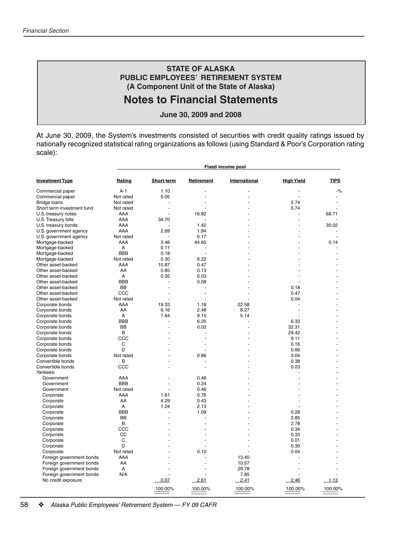# **Notes to Financial Statements**

**June 30, 2009 and 2008**

At June 30, 2009, the System's investments consisted of securities with credit quality ratings issued by nationally recognized statistical rating organizations as follows (using Standard & Poor's Corporation rating scale):

|                            |            |                   |                | <b>Fixed income pool</b> |                          |             |
|----------------------------|------------|-------------------|----------------|--------------------------|--------------------------|-------------|
| <b>Investment Type</b>     | Rating     | <b>Short-term</b> | Retirement     | International            | <b>High Yield</b>        | <b>TIPS</b> |
| Commercial paper           | $A-1$      | 1.10              |                |                          |                          | $-$ %       |
| Commercial paper           | Not rated  | 5.05              |                |                          | $\overline{\phantom{a}}$ |             |
| <b>Bridge loans</b>        | Not rated  | $\overline{a}$    |                |                          | 2.74                     |             |
| Short term investment fund | Not rated  | $\overline{a}$    |                |                          | 5.74                     | L.          |
| U.S. treasury notes        | AAA        |                   | 16.82          |                          |                          | 68.71       |
| U.S. Treasury bills        | AAA        | 34.70             |                |                          |                          |             |
| U.S. treasury bonds        | AAA        |                   | 1.42           |                          |                          | 30.02       |
| U.S. government agency     | AAA        | 2.69              | 1.84           |                          |                          |             |
| U.S. government agency     | Not rated  |                   | 0.17           |                          |                          |             |
| Mortgage-backed            | AAA        | 3.46              | 44.60          |                          |                          | 0.14        |
| Mortgage-backed            | A          | 0.11              |                |                          |                          |             |
| Mortgage-backed            | <b>BBB</b> | 0.18              | ä,             |                          |                          |             |
| Mortgage-backed            | Not rated  | 0.30              | 6.22           |                          |                          |             |
| Other asset-backed         | AAA        | 10.87             | 0.47           |                          |                          |             |
| Other asset-backed         | AA         | 0.85              | 0.13           |                          |                          |             |
| Other asset-backed         | A          | 0.35              | 0.03           |                          |                          |             |
| Other asset-backed         | <b>BBB</b> | L                 | 0.08           |                          |                          |             |
| Other asset-backed         | <b>BB</b>  |                   |                |                          | 0.18                     |             |
|                            | CCC        |                   | ٠              |                          |                          |             |
| Other asset-backed         |            |                   |                |                          | 0.47                     |             |
| Other asset-backed         | Not rated  |                   |                |                          | 0.04                     |             |
| Corporate bonds            | AAA        | 19.33             | 1.18           | 22.58                    | ÷.                       |             |
| Corporate bonds            | AA         | 6.16              | 2.48           | 8.27                     |                          |             |
| Corporate bonds            | A          | 7.64              | 9.15           | 5.14                     |                          |             |
| Corporate bonds            | <b>BBB</b> |                   | 6.25           |                          | 6.33                     |             |
| Corporate bonds            | <b>BB</b>  |                   | 0.02           |                          | 32.31                    |             |
| Corporate bonds            | B          |                   | ÷,             |                          | 29.42                    |             |
| Corporate bonds            | CCC        |                   | ä,             |                          | 9.11                     |             |
| Corporate bonds            | С          | $\overline{a}$    | ÷,             |                          | 0.16                     |             |
| Corporate bonds            | D          |                   |                |                          | 0.66                     |             |
| Corporate bonds            | Not rated  | L,                | 0.86           |                          | 3.04                     |             |
| Convertible bonds          | B          | J.                |                | ٠                        | 0.38                     |             |
| Convertible bonds          | CCC        | L.                | $\overline{a}$ |                          | 0.03                     |             |
| Yankees:                   |            |                   |                |                          |                          |             |
| Government                 | AAA        |                   | 0.46           |                          |                          |             |
| Government                 | <b>BBB</b> | L,                | 0.24           |                          |                          |             |
| Government                 | Not rated  |                   | 0.46           |                          |                          |             |
| Corporate                  | AAA        | 1.61              | 0.76           |                          |                          |             |
| Corporate                  | AA         | 4.29              | 0.43           |                          | $\overline{\phantom{a}}$ |             |
| Corporate                  | А          | 1.24              | 2.13           |                          |                          |             |
| Corporate                  | <b>BBB</b> |                   | 1.09           |                          | 0.28                     |             |
| Corporate                  | BB         | $\overline{a}$    | ÷.             |                          | 2.85                     |             |
| Corporate                  | В          | $\overline{a}$    |                | L.                       | 2.78                     |             |
| Corporate                  | CCC        |                   |                |                          | 0.34                     |             |
| Corporate                  | cc         |                   |                |                          | 0.33                     |             |
| Corporate                  | C          |                   |                |                          | 0.01                     |             |
| Corporate                  | D          |                   |                |                          | 0.30                     |             |
| Corporate                  | Not rated  |                   | 0.10           |                          | 0.04                     |             |
| Foreign government bonds   | AAA        |                   |                | 13.40                    |                          |             |
| Foreign government bonds   | AA         |                   |                | 10.57                    | ÷.                       |             |
| Foreign government bonds   | A          |                   | L.             | 29.78                    | ä,                       |             |
| Foreign government bonds   | N/A        |                   |                | 7.85                     |                          |             |
| No credit exposure         |            | 0.07              | 2.61           | 2.41                     | 2.46                     | 1.13        |
|                            |            |                   |                |                          |                          |             |
|                            |            | 100.00%           | 100.00%        | 100.00%                  | 100.00%                  | 100.00%     |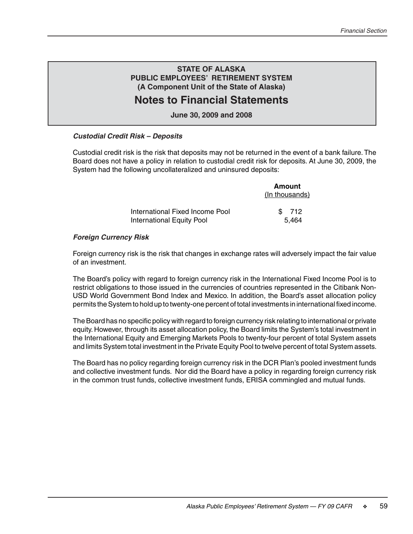# **Notes to Financial Statements**

**June 30, 2009 and 2008**

#### *Custodial Credit Risk – Deposits*

Custodial credit risk is the risk that deposits may not be returned in the event of a bank failure. The Board does not have a policy in relation to custodial credit risk for deposits. At June 30, 2009, the System had the following uncollateralized and uninsured deposits:

|                                 | Amount         |
|---------------------------------|----------------|
|                                 | (In thousands) |
| International Fixed Income Pool | \$ 712         |
| International Equity Pool       | 5.464          |

#### *Foreign Currency Risk*

Foreign currency risk is the risk that changes in exchange rates will adversely impact the fair value of an investment.

The Board's policy with regard to foreign currency risk in the International Fixed Income Pool is to restrict obligations to those issued in the currencies of countries represented in the Citibank Non-USD World Government Bond Index and Mexico. In addition, the Board's asset allocation policy permits the System to hold up to twenty-one percent of total investments in international fixed income.

The Board has no specific policy with regard to foreign currency risk relating to international or private equity. However, through its asset allocation policy, the Board limits the System's total investment in the International Equity and Emerging Markets Pools to twenty-four percent of total System assets and limits System total investment in the Private Equity Pool to twelve percent of total System assets.

The Board has no policy regarding foreign currency risk in the DCR Plan's pooled investment funds and collective investment funds. Nor did the Board have a policy in regarding foreign currency risk in the common trust funds, collective investment funds, ERISA commingled and mutual funds.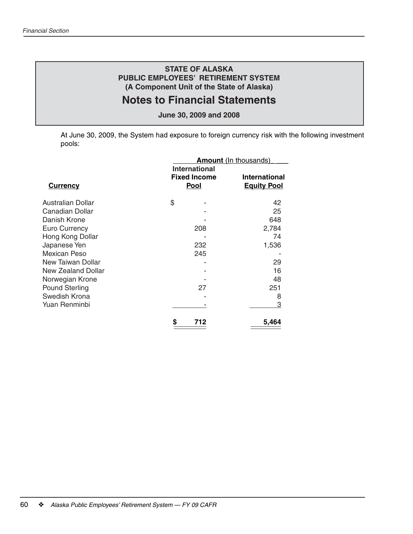# **Notes to Financial Statements**

**June 30, 2009 and 2008**

At June 30, 2009, the System had exposure to foreign currency risk with the following investment pools:

|                       | <b>Amount</b> (In thousands) |                      |  |  |  |
|-----------------------|------------------------------|----------------------|--|--|--|
|                       | <b>International</b>         |                      |  |  |  |
|                       | <b>Fixed Income</b>          | <b>International</b> |  |  |  |
| <b>Currency</b>       | Pool                         | <b>Equity Pool</b>   |  |  |  |
|                       |                              |                      |  |  |  |
| Australian Dollar     | \$                           | 42                   |  |  |  |
| Canadian Dollar       |                              | 25                   |  |  |  |
| Danish Krone          |                              | 648                  |  |  |  |
| Euro Currency         | 208                          | 2,784                |  |  |  |
| Hong Kong Dollar      |                              | 74                   |  |  |  |
| Japanese Yen          | 232                          | 1,536                |  |  |  |
| <b>Mexican Peso</b>   | 245                          |                      |  |  |  |
| New Taiwan Dollar     |                              | 29                   |  |  |  |
| New Zealand Dollar    |                              | 16                   |  |  |  |
| Norwegian Krone       |                              | 48                   |  |  |  |
| <b>Pound Sterling</b> | 27                           | 251                  |  |  |  |
| Swedish Krona         |                              | 8                    |  |  |  |
| Yuan Renminbi         |                              | 3                    |  |  |  |
|                       | 712                          | 5,464                |  |  |  |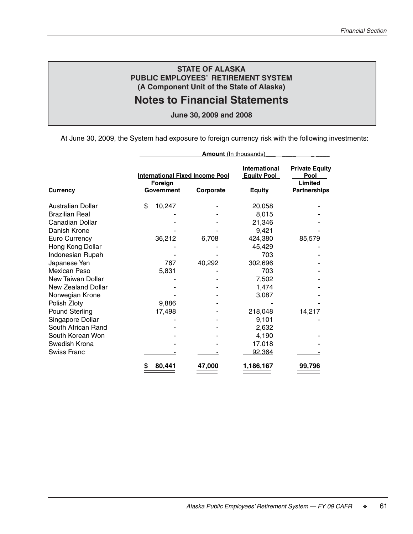# **Notes to Financial Statements**

**June 30, 2009 and 2008**

At June 30, 2009, the System had exposure to foreign currency risk with the following investments:

|                           |                   |       | <b>Amount (In thousands)</b>           |                                            |                                          |  |  |
|---------------------------|-------------------|-------|----------------------------------------|--------------------------------------------|------------------------------------------|--|--|
|                           | Foreign           |       | <b>International Fixed Income Pool</b> | <b>International</b><br><b>Equity Pool</b> | <b>Private Equity</b><br>Pool<br>Limited |  |  |
| <b>Currency</b>           | <b>Government</b> |       | Corporate                              | <b>Equity</b>                              | <b>Partnerships</b>                      |  |  |
| <b>Australian Dollar</b>  | \$<br>10,247      |       |                                        | 20,058                                     |                                          |  |  |
| <b>Brazilian Real</b>     |                   |       |                                        | 8,015                                      |                                          |  |  |
| <b>Canadian Dollar</b>    |                   |       |                                        | 21,346                                     |                                          |  |  |
| Danish Krone              |                   |       |                                        | 9,421                                      |                                          |  |  |
| Euro Currency             | 36,212            |       | 6,708                                  | 424,380                                    | 85,579                                   |  |  |
| Hong Kong Dollar          |                   |       |                                        | 45,429                                     |                                          |  |  |
| Indonesian Rupah          |                   |       |                                        | 703                                        |                                          |  |  |
| Japanese Yen              |                   | 767   | 40,292                                 | 302,696                                    |                                          |  |  |
| <b>Mexican Peso</b>       | 5,831             |       |                                        | 703                                        |                                          |  |  |
| New Taiwan Dollar         |                   |       |                                        | 7,502                                      |                                          |  |  |
| <b>New Zealand Dollar</b> |                   |       |                                        | 1,474                                      |                                          |  |  |
| Norwegian Krone           |                   |       |                                        | 3,087                                      |                                          |  |  |
| Polish Zloty              |                   | 9.886 |                                        |                                            |                                          |  |  |
| <b>Pound Sterling</b>     | 17,498            |       |                                        | 218,048                                    | 14,217                                   |  |  |
| Singapore Dollar          |                   |       |                                        | 9,101                                      |                                          |  |  |
| South African Rand        |                   |       |                                        | 2,632                                      |                                          |  |  |
| South Korean Won          |                   |       |                                        | 4,190                                      |                                          |  |  |
| Swedish Krona             |                   |       |                                        | 17.018                                     |                                          |  |  |
| <b>Swiss Franc</b>        |                   |       |                                        | 92,364                                     |                                          |  |  |
|                           | 80,441            |       | 47,000                                 | 1,186,167                                  | 99,796                                   |  |  |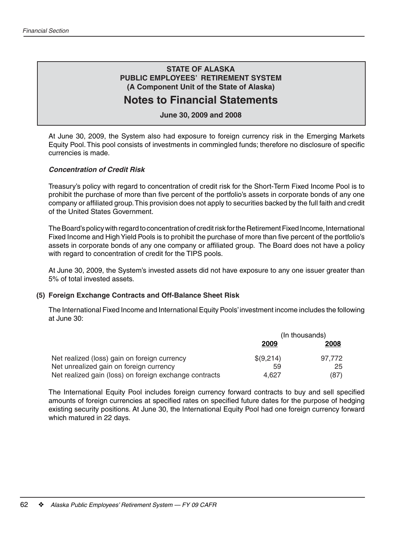# **Notes to Financial Statements**

**June 30, 2009 and 2008**

At June 30, 2009, the System also had exposure to foreign currency risk in the Emerging Markets Equity Pool. This pool consists of investments in commingled funds; therefore no disclosure of specific currencies is made.

#### *Concentration of Credit Risk*

Treasury's policy with regard to concentration of credit risk for the Short-Term Fixed Income Pool is to prohibit the purchase of more than five percent of the portfolio's assets in corporate bonds of any one company or affiliated group. This provision does not apply to securities backed by the full faith and credit of the United States Government.

The Board's policy with regard to concentration of credit risk for the Retirement Fixed Income, International Fixed Income and High Yield Pools is to prohibit the purchase of more than five percent of the portfolio's assets in corporate bonds of any one company or affiliated group. The Board does not have a policy with regard to concentration of credit for the TIPS pools.

At June 30, 2009, the System's invested assets did not have exposure to any one issuer greater than 5% of total invested assets.

#### **(5) Foreign Exchange Contracts and Off-Balance Sheet Risk**

The International Fixed Income and International Equity Pools' investment income includes the following at June 30:

|                                                        | (In thousands) |        |  |
|--------------------------------------------------------|----------------|--------|--|
|                                                        | 2009           | 2008   |  |
| Net realized (loss) gain on foreign currency           | \$(9,214)      | 97.772 |  |
| Net unrealized gain on foreign currency                | 59             | 25     |  |
| Net realized gain (loss) on foreign exchange contracts | 4.627          | (87)   |  |

The International Equity Pool includes foreign currency forward contracts to buy and sell specified amounts of foreign currencies at specified rates on specified future dates for the purpose of hedging existing security positions. At June 30, the International Equity Pool had one foreign currency forward which matured in 22 days.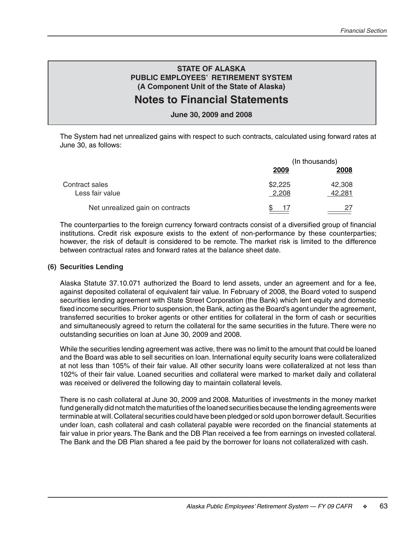# **Notes to Financial Statements**

**June 30, 2009 and 2008**

The System had net unrealized gains with respect to such contracts, calculated using forward rates at June 30, as follows:

|                                   | (In thousands)   |                  |  |
|-----------------------------------|------------------|------------------|--|
|                                   | 2009             | 2008             |  |
| Contract sales<br>Less fair value | \$2,225<br>2,208 | 42,308<br>42,281 |  |
| Net unrealized gain on contracts  |                  | 27               |  |

The counterparties to the foreign currency forward contracts consist of a diversified group of financial institutions. Credit risk exposure exists to the extent of non-performance by these counterparties; however, the risk of default is considered to be remote. The market risk is limited to the difference between contractual rates and forward rates at the balance sheet date.

#### **(6) Securities Lending**

Alaska Statute 37.10.071 authorized the Board to lend assets, under an agreement and for a fee, against deposited collateral of equivalent fair value. In February of 2008, the Board voted to suspend securities lending agreement with State Street Corporation (the Bank) which lent equity and domestic fixed income securities. Prior to suspension, the Bank, acting as the Board's agent under the agreement, transferred securities to broker agents or other entities for collateral in the form of cash or securities and simultaneously agreed to return the collateral for the same securities in the future. There were no outstanding securities on loan at June 30, 2009 and 2008.

While the securities lending agreement was active, there was no limit to the amount that could be loaned and the Board was able to sell securities on loan. International equity security loans were collateralized at not less than 105% of their fair value. All other security loans were collateralized at not less than 102% of their fair value. Loaned securities and collateral were marked to market daily and collateral was received or delivered the following day to maintain collateral levels.

There is no cash collateral at June 30, 2009 and 2008. Maturities of investments in the money market fund generally did not match the maturities of the loaned securities because the lending agreements were terminable at will. Collateral securities could have been pledged or sold upon borrower default. Securities under loan, cash collateral and cash collateral payable were recorded on the financial statements at fair value in prior years. The Bank and the DB Plan received a fee from earnings on invested collateral. The Bank and the DB Plan shared a fee paid by the borrower for loans not collateralized with cash.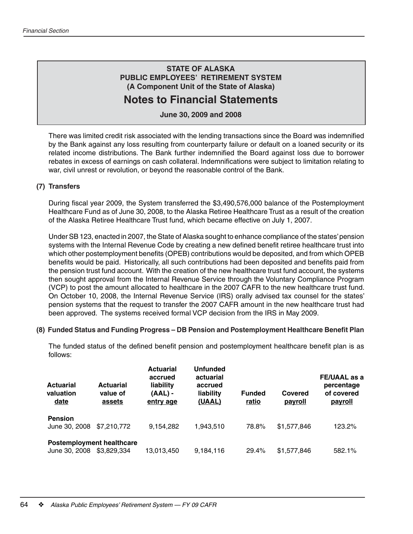# **Notes to Financial Statements**

**June 30, 2009 and 2008**

There was limited credit risk associated with the lending transactions since the Board was indemnified by the Bank against any loss resulting from counterparty failure or default on a loaned security or its related income distributions. The Bank further indemnified the Board against loss due to borrower rebates in excess of earnings on cash collateral. Indemnifications were subject to limitation relating to war, civil unrest or revolution, or beyond the reasonable control of the Bank.

#### **(7) Transfers**

During fiscal year 2009, the System transferred the \$3,490,576,000 balance of the Postemployment Healthcare Fund as of June 30, 2008, to the Alaska Retiree Healthcare Trust as a result of the creation of the Alaska Retiree Healthcare Trust fund, which became effective on July 1, 2007.

Under SB 123, enacted in 2007, the State of Alaska sought to enhance compliance of the states' pension systems with the Internal Revenue Code by creating a new defined benefit retiree healthcare trust into which other postemployment benefits (OPEB) contributions would be deposited, and from which OPEB benefits would be paid. Historically, all such contributions had been deposited and benefits paid from the pension trust fund account. With the creation of the new healthcare trust fund account, the systems then sought approval from the Internal Revenue Service through the Voluntary Compliance Program (VCP) to post the amount allocated to healthcare in the 2007 CAFR to the new healthcare trust fund. On October 10, 2008, the Internal Revenue Service (IRS) orally advised tax counsel for the states' pension systems that the request to transfer the 2007 CAFR amount in the new healthcare trust had been approved. The systems received formal VCP decision from the IRS in May 2009.

#### **(8) Funded Status and Funding Progress - DB Pension and Postemployment Healthcare Benefit Plan**

The funded status of the defined benefit pension and postemployment healthcare benefit plan is as follows:

| <b>Actuarial</b><br>valuation<br>date             | <b>Actuarial</b><br>value of<br>assets | <b>Actuarial</b><br>accrued<br>liability<br>(AAL) -<br>entry age | <b>Unfunded</b><br>actuarial<br>accrued<br>liability<br>(UAAL) | <b>Funded</b><br>ratio | Covered<br>payroll | FE/UAAL as a<br>percentage<br>of covered<br><u>payroll</u> |
|---------------------------------------------------|----------------------------------------|------------------------------------------------------------------|----------------------------------------------------------------|------------------------|--------------------|------------------------------------------------------------|
| <b>Pension</b><br>June 30, 2008                   | \$7,210,772                            | 9,154,282                                                        | 1.943.510                                                      | 78.8%                  | \$1,577,846        | 123.2%                                                     |
| <b>Postemployment healthcare</b><br>June 30, 2008 | \$3,829,334                            | 13,013,450                                                       | 9,184,116                                                      | 29.4%                  | \$1,577,846        | 582.1%                                                     |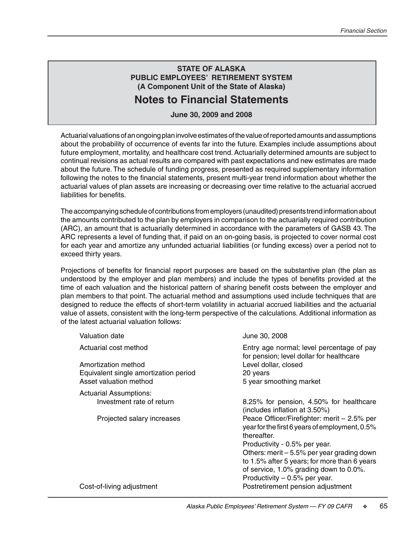### **Notes to Financial Statements**

**June 30, 2009 and 2008**

Actuarial valuations of an ongoing plan involve estimates of the value of reported amounts and assumptions about the probability of occurrence of events far into the future. Examples include assumptions about future employment, mortality, and healthcare cost trend. Actuarially determined amounts are subject to continual revisions as actual results are compared with past expectations and new estimates are made about the future. The schedule of funding progress, presented as required supplementary information following the notes to the financial statements, present multi-year trend information about whether the actuarial values of plan assets are increasing or decreasing over time relative to the actuarial accrued liabilities for benefits

The accompanying schedule of contributions from employers (unaudited) presents trend information about the amounts contributed to the plan by employers in comparison to the actuarially required contribution (ARC), an amount that is actuarially determined in accordance with the parameters of GASB 43. The ARC represents a level of funding that, if paid on an on-going basis, is projected to cover normal cost for each year and amortize any unfunded actuarial liabilities (or funding excess) over a period not to exceed thirty years.

Projections of benefits for financial report purposes are based on the substantive plan (the plan as understood by the employer and plan members) and include the types of benefits provided at the time of each valuation and the historical pattern of sharing benefit costs between the employer and plan members to that point. The actuarial method and assumptions used include techniques that are designed to reduce the effects of short-term volatility in actuarial accrued liabilities and the actuarial value of assets, consistent with the long-term perspective of the calculations. Additional information as of the latest actuarial valuation follows:

| Valuation date                        | June 30, 2008                                                                                                            |
|---------------------------------------|--------------------------------------------------------------------------------------------------------------------------|
| Actuarial cost method                 | Entry age normal; level percentage of pay<br>for pension; level dollar for healthcare                                    |
| Amortization method                   | Level dollar, closed                                                                                                     |
| Equivalent single amortization period | 20 years                                                                                                                 |
| Asset valuation method                | 5 year smoothing market                                                                                                  |
| <b>Actuarial Assumptions:</b>         |                                                                                                                          |
| Investment rate of return             | 8.25% for pension, 4.50% for healthcare<br>(includes inflation at 3.50%)                                                 |
| Projected salary increases            | Peace Officer/Firefighter: merit - 2.5% per<br>year for the first 6 years of employment, 0.5%<br>thereafter.             |
|                                       | Productivity - 0.5% per year.                                                                                            |
|                                       | Others: merit $-5.5\%$ per year grading down                                                                             |
|                                       | to 1.5% after 5 years; for more than 6 years<br>of service, 1.0% grading down to 0.0%.<br>Productivity $-0.5%$ per year. |
| Cost-of-living adjustment             | Postretirement pension adjustment                                                                                        |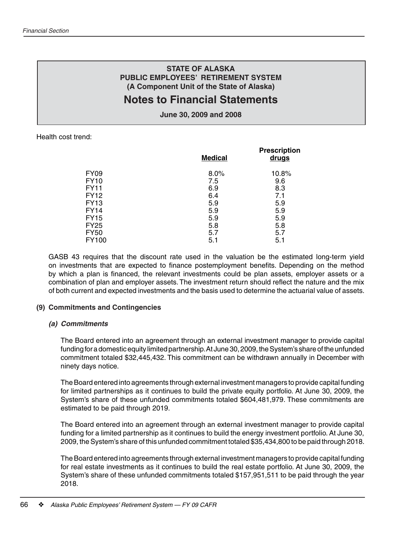### **Notes to Financial Statements**

**June 30, 2009 and 2008**

Health cost trend:

|              | <b>Medical</b> | <b>Prescription</b><br>drugs |
|--------------|----------------|------------------------------|
| <b>FY09</b>  | 8.0%           | 10.8%                        |
| <b>FY10</b>  | 7.5            | 9.6                          |
| FY11         | 6.9            | 8.3                          |
| <b>FY12</b>  | 6.4            | 7.1                          |
| <b>FY13</b>  | 5.9            | 5.9                          |
| <b>FY14</b>  | 5.9            | 5.9                          |
| <b>FY15</b>  | 5.9            | 5.9                          |
| <b>FY25</b>  | 5.8            | 5.8                          |
| <b>FY50</b>  | 5.7            | 5.7                          |
| <b>FY100</b> | 5.1            | 5.1                          |

GASB 43 requires that the discount rate used in the valuation be the estimated long-term yield on investments that are expected to finance postemployment benefits. Depending on the method by which a plan is financed, the relevant investments could be plan assets, employer assets or a combination of plan and employer assets. The investment return should reflect the nature and the mix of both current and expected investments and the basis used to determine the actuarial value of assets.

### **(9) Commitments and Contingencies**

### *(a) Commitments*

The Board entered into an agreement through an external investment manager to provide capital funding for a domestic equity limited partnership. At June 30, 2009, the System's share of the unfunded commitment totaled \$32,445,432. This commitment can be withdrawn annually in December with ninety days notice.

The Board entered into agreements through external investment managers to provide capital funding for limited partnerships as it continues to build the private equity portfolio. At June 30, 2009, the System's share of these unfunded commitments totaled \$604,481,979. These commitments are estimated to be paid through 2019.

The Board entered into an agreement through an external investment manager to provide capital funding for a limited partnership as it continues to build the energy investment portfolio. At June 30, 2009, the System's share of this unfunded commitment totaled \$35,434,800 to be paid through 2018.

The Board entered into agreements through external investment managers to provide capital funding for real estate investments as it continues to build the real estate portfolio. At June 30, 2009, the System's share of these unfunded commitments totaled \$157,951,511 to be paid through the year 2018.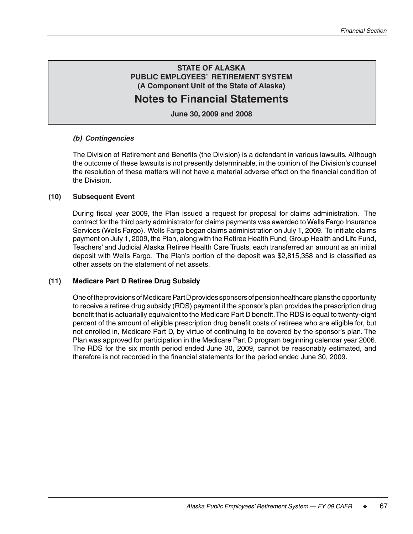### **Notes to Financial Statements**

**June 30, 2009 and 2008**

### *(b) Contingencies*

The Division of Retirement and Benefits (the Division) is a defendant in various lawsuits. Although the outcome of these lawsuits is not presently determinable, in the opinion of the Division's counsel the resolution of these matters will not have a material adverse effect on the financial condition of the Division.

### **(10) Subsequent Event**

During fiscal year 2009, the Plan issued a request for proposal for claims administration. The contract for the third party administrator for claims payments was awarded to Wells Fargo Insurance Services (Wells Fargo). Wells Fargo began claims administration on July 1, 2009. To initiate claims payment on July 1, 2009, the Plan, along with the Retiree Health Fund, Group Health and Life Fund, Teachers' and Judicial Alaska Retiree Health Care Trusts, each transferred an amount as an initial deposit with Wells Fargo. The Plan's portion of the deposit was \$2,815,358 and is classified as other assets on the statement of net assets.

### **(11) Medicare Part D Retiree Drug Subsidy**

One of the provisions of Medicare Part D provides sponsors of pension healthcare plans the opportunity to receive a retiree drug subsidy (RDS) payment if the sponsor's plan provides the prescription drug benefit that is actuarially equivalent to the Medicare Part D benefit. The RDS is equal to twenty-eight percent of the amount of eligible prescription drug benefit costs of retirees who are eligible for, but not enrolled in, Medicare Part D, by virtue of continuing to be covered by the sponsor's plan. The Plan was approved for participation in the Medicare Part D program beginning calendar year 2006. The RDS for the six month period ended June 30, 2009, cannot be reasonably estimated, and therefore is not recorded in the financial statements for the period ended June 30, 2009.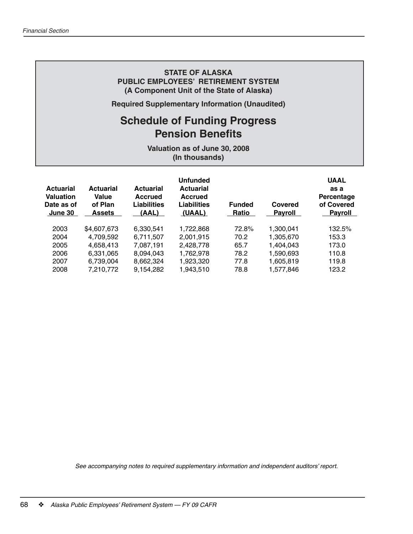**Required Supplementary Information (Unaudited)**

### **Schedule of Funding Progress Pension Benefits**

**Valuation as of June 30, 2008 (In thousands)**

| <b>Actuarial</b><br><b>Valuation</b><br>Date as of<br>June 30 | <b>Actuarial</b><br>Value<br>of Plan<br><b>Assets</b> | <b>Actuarial</b><br><b>Accrued</b><br><b>Liabilities</b><br>(AAL) | <b>Unfunded</b><br><b>Actuarial</b><br><b>Accrued</b><br><b>Liabilities</b><br>(UAAL) | <b>Funded</b><br>Ratio | Covered<br><b>Payroll</b> | <b>UAAL</b><br>as a<br>Percentage<br>of Covered<br><u>Payroll</u> |
|---------------------------------------------------------------|-------------------------------------------------------|-------------------------------------------------------------------|---------------------------------------------------------------------------------------|------------------------|---------------------------|-------------------------------------------------------------------|
| 2003                                                          | \$4,607,673                                           | 6,330,541                                                         | 1,722,868                                                                             | 72.8%                  | 1,300,041                 | 132.5%                                                            |
| 2004                                                          | 4,709,592                                             | 6,711,507                                                         | 2,001,915                                                                             | 70.2                   | 1,305,670                 | 153.3                                                             |
| 2005                                                          | 4,658,413                                             | 7,087,191                                                         | 2,428,778                                                                             | 65.7                   | 1,404,043                 | 173.0                                                             |
| 2006                                                          | 6,331,065                                             | 8,094,043                                                         | 1,762,978                                                                             | 78.2                   | 1,590,693                 | 110.8                                                             |
| 2007                                                          | 6,739,004                                             | 8,662,324                                                         | 1,923,320                                                                             | 77.8                   | 1,605,819                 | 119.8                                                             |
| 2008                                                          | 7,210,772                                             | 9,154,282                                                         | 1,943,510                                                                             | 78.8                   | 1,577,846                 | 123.2                                                             |

*See accompanying notes to required supplementary information and independent auditors' report.*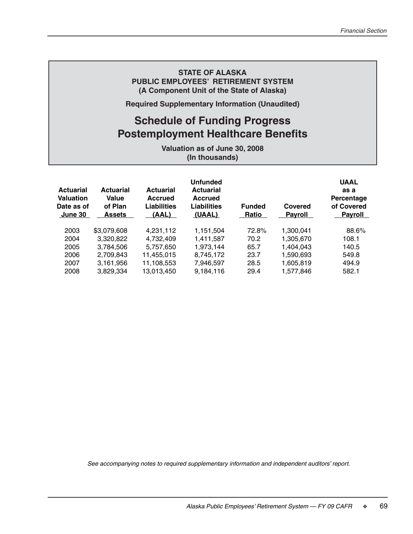**Required Supplementary Information (Unaudited)**

## **Schedule of Funding Progress Postemployment Healthcare Benefits**

**Valuation as of June 30, 2008 (In thousands)**

| <b>Actuarial</b><br><b>Valuation</b><br>Date as of<br>June 30 | <b>Actuarial</b><br>Value<br>of Plan<br><b>Assets</b> | <b>Actuarial</b><br><b>Accrued</b><br><b>Liabilities</b><br><u>(AAL)</u> | <b>Unfunded</b><br><b>Actuarial</b><br><b>Accrued</b><br><b>Liabilities</b><br>(UAAL) | <b>Funded</b><br>Ratio | Covered<br><b>Payroll</b> | <b>UAAL</b><br>as a<br>Percentage<br>of Covered<br><b>Payroll</b> |
|---------------------------------------------------------------|-------------------------------------------------------|--------------------------------------------------------------------------|---------------------------------------------------------------------------------------|------------------------|---------------------------|-------------------------------------------------------------------|
| 2003                                                          | \$3,079,608                                           | 4,231,112                                                                | 1,151,504                                                                             | 72.8%                  | 1,300,041                 | 88.6%                                                             |
| 2004                                                          | 3,320,822                                             | 4.732.409                                                                | 1,411,587                                                                             | 70.2                   | 1,305,670                 | 108.1                                                             |
| 2005                                                          | 3.784.506                                             | 5,757,650                                                                | 1,973,144                                                                             | 65.7                   | 1,404,043                 | 140.5                                                             |
| 2006                                                          | 2,709,843                                             | 11.455.015                                                               | 8,745,172                                                                             | 23.7                   | 1,590,693                 | 549.8                                                             |
| 2007                                                          | 3,161,956                                             | 11,108,553                                                               | 7,946,597                                                                             | 28.5                   | 1,605,819                 | 494.9                                                             |
| 2008                                                          | 3,829,334                                             | 13,013,450                                                               | 9,184,116                                                                             | 29.4                   | 1,577,846                 | 582.1                                                             |

*See accompanying notes to required supplementary information and independent auditors' report.*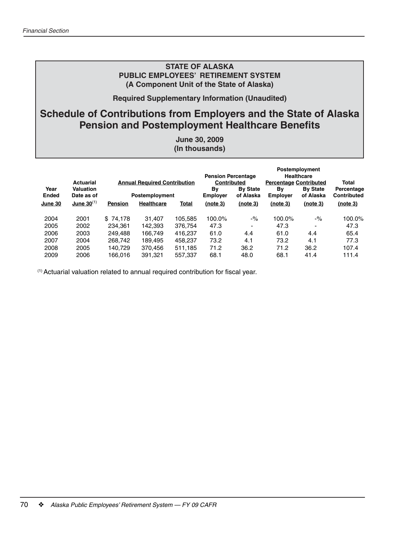**Required Supplementary Information (Unaudited)**

### **Schedule of Contributions from Employers and the State of Alaska Pension and Postemployment Healthcare Benefits**

**June 30, 2009 (In thousands)**

| Year         | Actuarial<br>Valuation |                | <b>Annual Required Contribution</b> |         | <b>Pension Percentage</b><br>Contributed | <b>By State</b> | <b>Percentage Contributed</b> | Postemployment<br><b>Healthcare</b><br><b>By State</b> | Total                            |
|--------------|------------------------|----------------|-------------------------------------|---------|------------------------------------------|-----------------|-------------------------------|--------------------------------------------------------|----------------------------------|
| <b>Ended</b> | Date as of             |                | Postemployment                      |         | Βy<br><b>Employer</b>                    | of Alaska       | Bν<br><b>Employer</b>         | of Alaska                                              | Percentage<br><b>Contributed</b> |
| June 30      | June $30^{(1)}$        | <b>Pension</b> | <b>Healthcare</b>                   | Total   | (note 3)                                 | (note 3)        | (note 3)                      | (note 3)                                               | (note 3)                         |
| 2004         | 2001                   | \$74.178       | 31.407                              | 105.585 | 100.0%                                   | $-$ %           | 100.0%                        | $-$ %                                                  | 100.0%                           |
| 2005         | 2002                   | 234.361        | 142,393                             | 376,754 | 47.3                                     |                 | 47.3                          | ٠                                                      | 47.3                             |
| 2006         | 2003                   | 249.488        | 166.749                             | 416.237 | 61.0                                     | 4.4             | 61.0                          | 4.4                                                    | 65.4                             |
| 2007         | 2004                   | 268.742        | 189.495                             | 458,237 | 73.2                                     | 4.1             | 73.2                          | 4.1                                                    | 77.3                             |
| 2008         | 2005                   | 140.729        | 370,456                             | 511,185 | 71.2                                     | 36.2            | 71.2                          | 36.2                                                   | 107.4                            |
| 2009         | 2006                   | 166.016        | 391.321                             | 557.337 | 68.1                                     | 48.0            | 68.1                          | 41.4                                                   | 111.4                            |

 $(1)$  Actuarial valuation related to annual required contribution for fiscal year.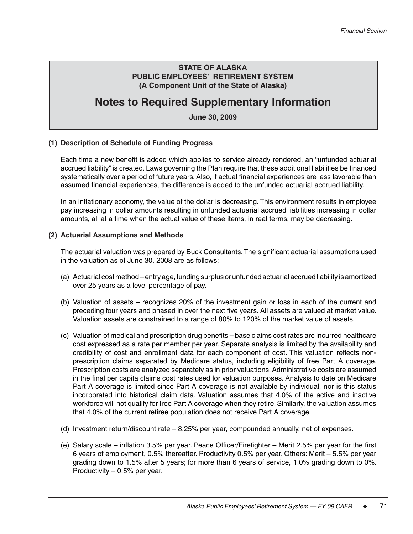### **Notes to Required Supplementary Information**

**June 30, 2009**

### **(1) Description of Schedule of Funding Progress**

Each time a new benefit is added which applies to service already rendered, an "unfunded actuarial accrued liability" is created. Laws governing the Plan require that these additional liabilities be financed systematically over a period of future years. Also, if actual financial experiences are less favorable than assumed financial experiences, the difference is added to the unfunded actuarial accrued liability.

In an inflationary economy, the value of the dollar is decreasing. This environment results in employee pay increasing in dollar amounts resulting in unfunded actuarial accrued liabilities increasing in dollar amounts, all at a time when the actual value of these items, in real terms, may be decreasing.

### **(2) Actuarial Assumptions and Methods**

The actuarial valuation was prepared by Buck Consultants. The significant actuarial assumptions used in the valuation as of June 30, 2008 are as follows:

- (a) Actuarial cost method entry age, funding surplus or unfunded actuarial accrued liability is amortized over 25 years as a level percentage of pay.
- (b) Valuation of assets recognizes 20% of the investment gain or loss in each of the current and preceding four years and phased in over the next five years. All assets are valued at market value. Valuation assets are constrained to a range of 80% to 120% of the market value of assets.
- (c) Valuation of medical and prescription drug benefits base claims cost rates are incurred healthcare cost expressed as a rate per member per year. Separate analysis is limited by the availability and credibility of cost and enrollment data for each component of cost. This valuation reflects nonprescription claims separated by Medicare status, including eligibility of free Part A coverage. Prescription costs are analyzed separately as in prior valuations. Administrative costs are assumed in the final per capita claims cost rates used for valuation purposes. Analysis to date on Medicare Part A coverage is limited since Part A coverage is not available by individual, nor is this status incorporated into historical claim data. Valuation assumes that 4.0% of the active and inactive workforce will not qualify for free Part A coverage when they retire. Similarly, the valuation assumes that 4.0% of the current retiree population does not receive Part A coverage.
- (d) Investment return/discount rate 8.25% per year, compounded annually, net of expenses.
- (e) Salary scale inflation 3.5% per year. Peace Officer/Firefighter Merit 2.5% per year for the first 6 years of employment, 0.5% thereafter. Productivity 0.5% per year. Others: Merit – 5.5% per year grading down to 1.5% after 5 years; for more than 6 years of service, 1.0% grading down to 0%. Productivity – 0.5% per year.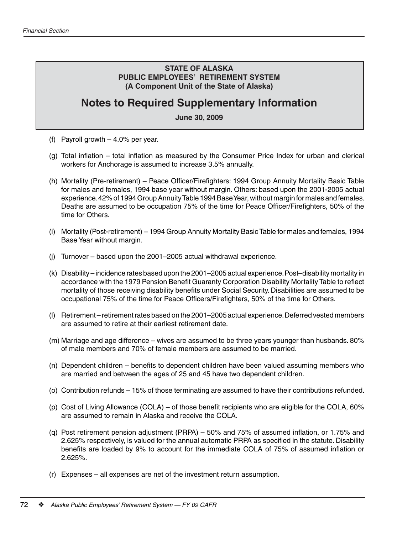### **Notes to Required Supplementary Information**

**June 30, 2009**

- (f) Payroll growth  $-4.0\%$  per year.
- (g) Total inflation  $-$  total inflation as measured by the Consumer Price Index for urban and clerical workers for Anchorage is assumed to increase 3.5% annually.
- (h) Mortality (Pre-retirement) Peace Officer/Firefighters: 1994 Group Annuity Mortality Basic Table for males and females, 1994 base year without margin. Others: based upon the 2001-2005 actual experience. 42% of 1994 Group Annuity Table 1994 Base Year, without margin for males and females. Deaths are assumed to be occupation 75% of the time for Peace Officer/Firefighters, 50% of the time for Others.
- (i) Mortality (Post-retirement) 1994 Group Annuity Mortality Basic Table for males and females, 1994 Base Year without margin.
- (j) Turnover based upon the 2001–2005 actual withdrawal experience.
- (k) Disability incidence rates based upon the 2001–2005 actual experience. Post–disability mortality in accordance with the 1979 Pension Benefit Guaranty Corporation Disability Mortality Table to reflect mortality of those receiving disability benefits under Social Security. Disabilities are assumed to be occupational 75% of the time for Peace Officers/Firefighters, 50% of the time for Others.
- (l) Retirement retirement rates based on the 2001–2005 actual experience. Deferred vested members are assumed to retire at their earliest retirement date.
- (m) Marriage and age difference wives are assumed to be three years younger than husbands. 80% of male members and 70% of female members are assumed to be married.
- (n) Dependent children benefits to dependent children have been valued assuming members who are married and between the ages of 25 and 45 have two dependent children.
- (o) Contribution refunds 15% of those terminating are assumed to have their contributions refunded.
- (p) Cost of Living Allowance (COLA) of those benefit recipients who are eligible for the COLA, 60% are assumed to remain in Alaska and receive the COLA.
- (q) Post retirement pension adjustment (PRPA) 50% and 75% of assumed inflation, or 1.75% and 2.625% respectively, is valued for the annual automatic PRPA as specified in the statute. Disability benefits are loaded by 9% to account for the immediate COLA of 75% of assumed inflation or 2.625%.
- (r) Expenses all expenses are net of the investment return assumption.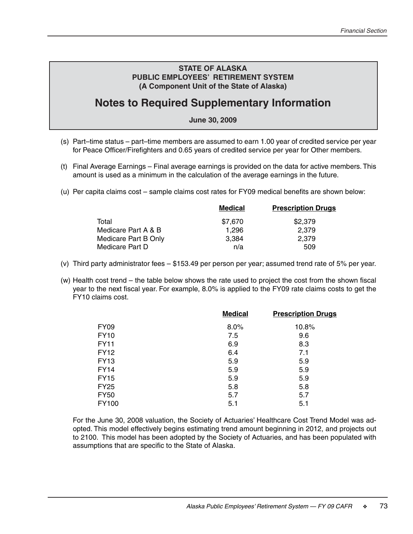### **Notes to Required Supplementary Information**

**June 30, 2009**

- (s) Part–time status part–time members are assumed to earn 1.00 year of credited service per year for Peace Officer/Firefighters and 0.65 years of credited service per year for Other members.
- (t) Final Average Earnings Final average earnings is provided on the data for active members. This amount is used as a minimum in the calculation of the average earnings in the future.
- $(u)$  Per capita claims cost sample claims cost rates for FY09 medical benefits are shown below:

|                      | <b>Medical</b> | <b>Prescription Drugs</b> |
|----------------------|----------------|---------------------------|
| Total                | \$7,670        | \$2,379                   |
| Medicare Part A & B  | 1.296          | 2.379                     |
| Medicare Part B Only | 3,384          | 2.379                     |
| Medicare Part D      | n/a            | 509                       |

- (v) Third party administrator fees \$153.49 per person per year; assumed trend rate of 5% per year.
- $(w)$  Health cost trend  $-$  the table below shows the rate used to project the cost from the shown fiscal year to the next fiscal year. For example, 8.0% is applied to the FY09 rate claims costs to get the FY10 claims cost.

|             | <b>Medical</b> | <b>Prescription Drugs</b> |
|-------------|----------------|---------------------------|
| <b>FY09</b> | 8.0%           | 10.8%                     |
| <b>FY10</b> | 7.5            | 9.6                       |
| <b>FY11</b> | 6.9            | 8.3                       |
| <b>FY12</b> | 6.4            | 7.1                       |
| <b>FY13</b> | 5.9            | 5.9                       |
| <b>FY14</b> | 5.9            | 5.9                       |
| <b>FY15</b> | 5.9            | 5.9                       |
| <b>FY25</b> | 5.8            | 5.8                       |
| <b>FY50</b> | 5.7            | 5.7                       |
| FY100       | 5.1            | 5.1                       |

For the June 30, 2008 valuation, the Society of Actuaries' Healthcare Cost Trend Model was adopted. This model effectively begins estimating trend amount beginning in 2012, and projects out to 2100. This model has been adopted by the Society of Actuaries, and has been populated with assumptions that are specific to the State of Alaska.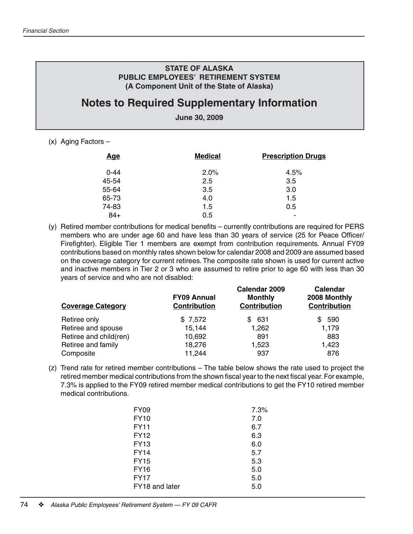### **Notes to Required Supplementary Information**

**June 30, 2009**

(x) Aging Factors –

| <u>Age</u> | <b>Medical</b> | <b>Prescription Drugs</b> |
|------------|----------------|---------------------------|
| $0 - 44$   | 2.0%           | 4.5%                      |
| 45-54      | 2.5            | 3.5                       |
| 55-64      | 3.5            | 3.0                       |
| 65-73      | 4.0            | 1.5                       |
| 74-83      | 1.5            | 0.5                       |
| $84+$      | 0.5            | ۰                         |

 $(y)$  Retired member contributions for medical benefits – currently contributions are required for PERS members who are under age 60 and have less than 30 years of service (25 for Peace Officer/ Firefighter). Eligible Tier 1 members are exempt from contribution requirements. Annual FY09 contributions based on monthly rates shown below for calendar 2008 and 2009 are assumed based on the coverage category for current retirees. The composite rate shown is used for current active and inactive members in Tier 2 or 3 who are assumed to retire prior to age 60 with less than 30 years of service and who are not disabled:

| <b>Coverage Category</b> | <b>FY09 Annual</b><br><b>Contribution</b> | Calendar 2009<br><b>Monthly</b><br><b>Contribution</b> | Calendar<br>2008 Monthly<br><b>Contribution</b> |
|--------------------------|-------------------------------------------|--------------------------------------------------------|-------------------------------------------------|
| Retiree only             | \$7,572                                   | 631<br>\$.                                             | 590<br>S                                        |
| Retiree and spouse       | 15,144                                    | 1,262                                                  | 1,179                                           |
| Retiree and child(ren)   | 10,692                                    | 891                                                    | 883                                             |
| Retiree and family       | 18,276                                    | 1,523                                                  | 1,423                                           |
| Composite                | 11,244                                    | 937                                                    | 876                                             |

(z) Trend rate for retired member contributions – The table below shows the rate used to project the retired member medical contributions from the shown fiscal year to the next fiscal year. For example, 7.3% is applied to the FY09 retired member medical contributions to get the FY10 retired member medical contributions.

| <b>FY09</b>                | 7.3% |
|----------------------------|------|
| <b>FY10</b>                | 7.0  |
| <b>FY11</b>                | 6.7  |
| <b>FY12</b>                | 6.3  |
| <b>FY13</b>                | 6.0  |
| <b>FY14</b>                | 5.7  |
| <b>FY15</b>                | 5.3  |
| <b>FY16</b>                | 5.0  |
| <b>FY17</b>                | 5.0  |
| FY <sub>18</sub> and later | 5.0  |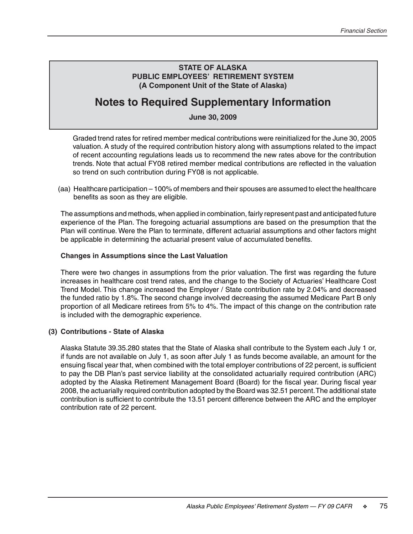### **Notes to Required Supplementary Information**

**June 30, 2009**

Graded trend rates for retired member medical contributions were reinitialized for the June 30, 2005 valuation. A study of the required contribution history along with assumptions related to the impact of recent accounting regulations leads us to recommend the new rates above for the contribution trends. Note that actual FY08 retired member medical contributions are reflected in the valuation so trend on such contribution during FY08 is not applicable.

(aa) Healthcare participation – 100% of members and their spouses are assumed to elect the healthcare benefits as soon as they are eligible.

The assumptions and methods, when applied in combination, fairly represent past and anticipated future experience of the Plan. The foregoing actuarial assumptions are based on the presumption that the Plan will continue. Were the Plan to terminate, different actuarial assumptions and other factors might be applicable in determining the actuarial present value of accumulated benefits.

### **Changes in Assumptions since the Last Valuation**

There were two changes in assumptions from the prior valuation. The first was regarding the future increases in healthcare cost trend rates, and the change to the Society of Actuaries' Healthcare Cost Trend Model. This change increased the Employer / State contribution rate by 2.04% and decreased the funded ratio by 1.8%. The second change involved decreasing the assumed Medicare Part B only proportion of all Medicare retirees from 5% to 4%. The impact of this change on the contribution rate is included with the demographic experience.

### **(3) Contributions - State of Alaska**

Alaska Statute 39.35.280 states that the State of Alaska shall contribute to the System each July 1 or, if funds are not available on July 1, as soon after July 1 as funds become available, an amount for the ensuing fiscal year that, when combined with the total employer contributions of 22 percent, is sufficient to pay the DB Plan's past service liability at the consolidated actuarially required contribution (ARC) adopted by the Alaska Retirement Management Board (Board) for the fiscal year. During fiscal year 2008, the actuarially required contribution adopted by the Board was 32.51 percent. The additional state contribution is sufficient to contribute the 13.51 percent difference between the ARC and the employer contribution rate of 22 percent.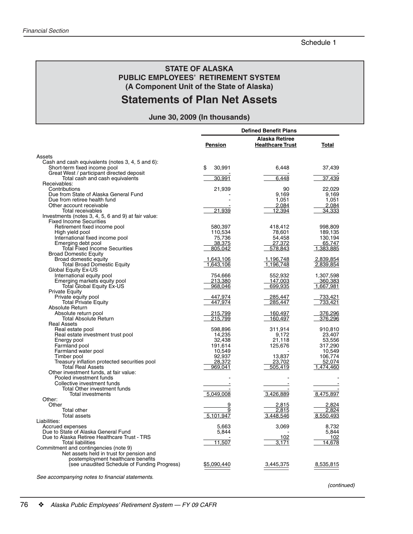### **STATE OF ALASKA PUBLIC EMPLOYEES' RETIREMENT SYSTEM (A Component Unit of the State of Alaska) Statements of Plan Net Assets**

**June 30, 2009 (In thousands)**

|                                                                                              | <b>Defined Benefit Plans</b> |                         |               |
|----------------------------------------------------------------------------------------------|------------------------------|-------------------------|---------------|
|                                                                                              |                              | Alaska Retiree          |               |
|                                                                                              | Pension                      | <b>Healthcare Trust</b> | Total         |
| Assets                                                                                       |                              |                         |               |
| Cash and cash equivalents (notes 3, 4, 5 and 6):<br>Short-term fixed income pool             | \$<br>30,991                 | 6,448                   | 37,439        |
| Great West / participant directed deposit<br>Total cash and cash equivalents<br>Receivables: | 30.991                       | 6.448                   | 37.439        |
| Contributions                                                                                | 21,939                       | 90                      | 22.029        |
| Due from State of Alaska General Fund                                                        |                              | 9,169                   | 9,169         |
| Due from retiree health fund                                                                 |                              | 1,051                   | 1,051         |
| Other account receivable                                                                     |                              | 2,084                   | 2,084         |
| <b>Total receivables</b>                                                                     | 21.939                       | 12,394                  | 34,333        |
| Investments (notes 3, 4, 5, 6 and 9) at fair value:<br><b>Fixed Income Securities</b>        |                              |                         |               |
| Retirement fixed income pool                                                                 | 580,397                      | 418,412                 | 998,809       |
| High yield pool                                                                              | 110,534                      | 78,601                  | 189,135       |
| International fixed income pool                                                              | 75,736                       | 54,458                  | 130,194       |
| Emerging debt pool                                                                           | 38,375                       | 27,372                  | 65,747        |
| <b>Total Fixed Income Securities</b>                                                         | 805,042                      | 578,843                 | 1,383,885     |
| <b>Broad Domestic Equity</b><br>Broad domestic equity                                        | 1,643,106                    | 1,196,748               | 2,839,854     |
| <b>Total Broad Domestic Equity</b>                                                           | 1,643,106                    | 1,196,748               | 2,839,854     |
| Global Equity Ex-US                                                                          |                              |                         |               |
| International equity pool                                                                    | 754,666                      | 552,932                 | 1,307,598     |
| Emerging markets equity pool                                                                 | 213,380                      | 147,003                 | 360,383       |
| Total Global Equity Ex-US                                                                    | 968,046                      | 699,935                 | 1,667,981     |
| <b>Private Equity</b>                                                                        |                              |                         |               |
| Private equity pool                                                                          | 447,974                      | 285,447                 | 733,421       |
| <b>Total Private Equity</b>                                                                  | 447,974                      | 285,447                 | 733,421       |
| Absolute Return                                                                              |                              |                         |               |
| Absolute return pool                                                                         | 215,799                      | 160,497                 | 376,296       |
| <b>Total Absolute Return</b><br><b>Real Assets</b>                                           | 215,799                      | 160,497                 | 376,296       |
| Real estate pool                                                                             | 598,896                      | 311,914                 | 910,810       |
| Real estate investment trust pool                                                            | 14,235                       | 9,172                   | 23,407        |
| Energy pool                                                                                  | 32,438                       | 21,118                  | 53,556        |
| Farmland pool                                                                                | 191,614                      | 125,676                 | 317,290       |
| Farmland water pool                                                                          | 10,549                       |                         | 10,549        |
| Timber pool                                                                                  | 92,937                       | 13,837                  | 106,774       |
| Treasury inflation protected securities pool                                                 | 28,372                       | 23,702                  | 52,074        |
| <b>Total Real Assets</b>                                                                     | 969,041                      | 505,419                 | 1,474,460     |
| Other investment funds, at fair value:<br>Pooled investment funds                            |                              |                         |               |
| Collective investment funds                                                                  |                              |                         |               |
| <b>Total Other investment funds</b>                                                          |                              |                         |               |
| Total investments                                                                            | 5,049,008                    | 3,426,889               | 8,475,897     |
| Other:                                                                                       |                              |                         |               |
| Other                                                                                        | 9                            | 2,815                   | 2,824         |
| <b>Total other</b>                                                                           | 9                            | 2,815                   | 2,824         |
| Total assets                                                                                 | 5,101,947                    | 3,448,546               | 8,550,493     |
| Liabilities:                                                                                 |                              |                         |               |
| Accrued expenses                                                                             | 5,663                        | 3,069                   | 8,732         |
| Due to State of Alaska General Fund                                                          | 5,844                        |                         | 5,844         |
| Due to Alaska Retiree Healthcare Trust - TRS<br>Total liabilities                            | 11,507                       | 102<br>3,171            | 102<br>14,678 |
| Commitment and contingencies (note 9)                                                        |                              |                         |               |
| Net assets held in trust for pension and                                                     |                              |                         |               |
| postemployment healthcare benefits                                                           |                              |                         |               |
| (see unaudited Schedule of Funding Progress)                                                 | \$5,090,440                  | 3,445,375               | 8,535,815     |
|                                                                                              |                              |                         |               |

See accompanying notes to financial statements.

 *(continued)*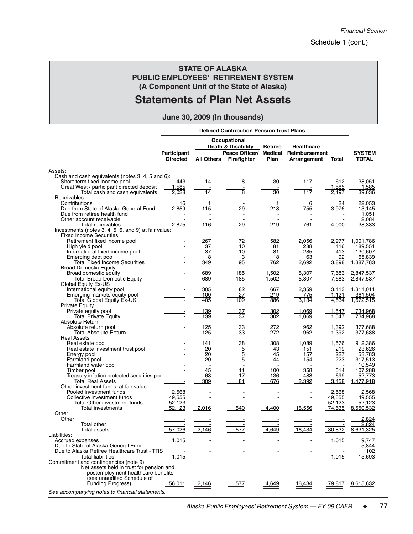### **Statements of Plan Net Assets**

**June 30, 2009 (In thousands)**

|                                                                           |                                  |                                   | <b>Defined Contribution Pension Trust Plans</b> |                          |                    |                       |                      |
|---------------------------------------------------------------------------|----------------------------------|-----------------------------------|-------------------------------------------------|--------------------------|--------------------|-----------------------|----------------------|
|                                                                           |                                  |                                   | Occupational                                    |                          |                    |                       |                      |
|                                                                           |                                  |                                   | Death & Disability                              | Retiree                  | <b>Healthcare</b>  |                       |                      |
|                                                                           | Participant                      |                                   | Peace Officer/ Medical                          |                          | Reimbursement      |                       | <b>SYSTEM</b>        |
|                                                                           | <b>Directed</b>                  | <b>All Others</b>                 | <b>Firefighter</b>                              | Plan                     | <b>Arrangement</b> | Total                 | <b>TOTAL</b>         |
| Assets:                                                                   |                                  |                                   |                                                 |                          |                    |                       |                      |
| Cash and cash equivalents (notes 3, 4, 5 and 6):                          |                                  |                                   |                                                 |                          |                    |                       |                      |
| Short-term fixed income pool                                              | 443                              | 14                                | 8                                               | 30                       | 117                | 612                   | 38,051               |
| Great West / participant directed deposit                                 | 1,585                            | $\blacksquare$<br>$\overline{14}$ | $\overline{\phantom{a}}$                        | ۰.                       |                    | 1,585                 | 1,585                |
| Total cash and cash equivalents<br>Receivables:                           | 2,028                            |                                   | 8                                               | $\overline{30}$          | $\overline{117}$   | 2,197                 | 39,636               |
| Contributions                                                             | 16                               | 1                                 | ٠                                               | 1                        | 6                  | 24                    | 22,053               |
| Due from State of Alaska General Fund                                     | 2,859                            | 115                               | 29                                              | 218                      | 755                | 3,976                 | 13,145               |
| Due from retiree health fund                                              |                                  |                                   |                                                 |                          |                    |                       | 1,051                |
| Other account receivable                                                  | 2,875                            | 116                               | $\overline{a}$<br>$\overline{29}$               | ÷<br>219                 | 761                | 4,000                 | 2,084                |
| Total receivables<br>Investments (notes 3, 4, 5, 6, and 9) at fair value: |                                  |                                   |                                                 |                          |                    |                       | 38,333               |
| <b>Fixed Income Securities</b>                                            |                                  |                                   |                                                 |                          |                    |                       |                      |
| Retirement fixed income pool                                              |                                  | 267                               | 72                                              | 582                      | 2,056              | 2,977                 | 1,001,786            |
| High yield pool                                                           |                                  | 37                                | 10                                              | 81                       | 288                | 416                   | 189,551              |
| International fixed income pool                                           |                                  | 37                                | 10                                              | 81                       | 285                | 413                   | 130,607              |
| Emerging debt pool<br><b>Total Fixed Income Securities</b>                |                                  | 8<br>349                          | 3<br>95                                         | 18<br>762                | 63<br>2,692        | 92<br>3,898           | 65,839<br>1,387,783  |
| <b>Broad Domestic Equity</b>                                              |                                  |                                   |                                                 |                          |                    |                       |                      |
| Broad domestic equity                                                     |                                  | 689                               | 185                                             | 1,502                    | 5,307              | 7,683                 | 2,847,537            |
| <b>Total Broad Domestic Equity</b>                                        |                                  | 689                               | 185                                             | $-1,502$                 | 5,307              | 7,683                 | 2,847,537            |
| Global Equity Ex-US                                                       |                                  |                                   |                                                 |                          |                    |                       |                      |
| International equity pool                                                 |                                  | 305                               | 82                                              | 667                      | 2,359              | 3,413                 | 1,311,011            |
| Emerging markets equity pool<br>Total Global Equity Ex-US                 | $\overline{a}$<br>$\blacksquare$ | 100<br>405                        | 27<br>109                                       | 219<br>886               | 775<br>3,134       | 1,121<br>4,534        | 361,504<br>1,672,515 |
| <b>Private Equity</b>                                                     |                                  |                                   |                                                 |                          |                    |                       |                      |
| Private equity pool                                                       |                                  | 139                               | 37                                              | 302                      | 1,069              | 1,547                 | 734,968              |
| <b>Total Private Equity</b>                                               | $\blacksquare$                   | 139                               | 37                                              | 302                      | 1,069              | 1,547                 | 734,968              |
| Absolute Return                                                           |                                  |                                   |                                                 |                          |                    |                       |                      |
| Absolute return pool                                                      |                                  | 125<br>125                        | 33<br>33                                        | 272<br>272               | 962<br>962         | 1,392<br>1,392        | 377,688              |
| Total Absolute Return<br><b>Real Assets</b>                               | $\overline{\phantom{a}}$         |                                   |                                                 |                          |                    |                       | 377,688              |
| Real estate pool                                                          |                                  | 141                               | 38                                              | 308                      | 1,089              | 1,576                 | 912,386              |
| Real estate investment trust pool                                         |                                  | 20                                | 5                                               | 43                       | 151                | 219                   | 23,626               |
| Energy pool                                                               |                                  | 20                                | 5                                               | 45                       | 157                | 227                   | 53,783               |
| Farmland pool                                                             |                                  | 20                                | 5                                               | 44                       | 154                | 223                   | 317,513              |
| Farmland water pool                                                       |                                  | $\overline{a}$<br>45              | Ĭ.<br>11                                        |                          | 358                | $\blacksquare$<br>514 | 10,549<br>107,288    |
| Timber pool<br>Treasury inflation protected securities pool               |                                  | 63                                | 17                                              | 100<br>136               | 483                | 699                   | 52,773               |
| <b>Total Real Assets</b>                                                  | $\blacksquare$                   | 309                               | 81                                              | 676                      | 2,392              | 3,458                 | 1,477,918            |
| Other investment funds, at fair value:                                    |                                  |                                   |                                                 |                          |                    |                       |                      |
| Pooled investment funds                                                   | 2,568                            |                                   | ٠                                               | $\blacksquare$           | $\blacksquare$     | 2,568                 | 2,568                |
| Collective investment funds                                               | 49,555                           | $\overline{\phantom{a}}$          | -                                               | $\overline{a}$           |                    | 49,555                | 49,555               |
| Total Other investment funds<br><b>Total investments</b>                  | 52,123<br>52,123                 | 2,016                             | -<br>540                                        | 4,400                    | 15,556             | 52,123<br>74,635      | 52,123<br>8,550,532  |
| Other:                                                                    |                                  |                                   |                                                 |                          |                    |                       |                      |
| Other                                                                     |                                  |                                   |                                                 |                          |                    |                       | 2,824                |
| Total other                                                               |                                  |                                   | $\sim$                                          | $\overline{\phantom{a}}$ |                    | $\blacksquare$        | 2,824                |
| Total assets                                                              | 57.026                           | 2.146                             | $\overline{577}$                                | 4.649                    | 16.434             | 80.832                | 8.631.325            |
| Liabilities:                                                              |                                  |                                   |                                                 |                          |                    |                       |                      |
| Accrued expenses<br>Due to State of Alaska General Fund                   | 1,015                            |                                   |                                                 |                          |                    | 1,015                 | 9,747<br>5,844       |
| Due to Alaska Retiree Healthcare Trust - TRS                              |                                  |                                   |                                                 |                          |                    |                       | 102                  |
| Total liabilities                                                         | 1,015                            |                                   |                                                 |                          |                    | 1,015                 | 15,693               |
| Commitment and contingencies (note 9)                                     |                                  |                                   |                                                 |                          |                    |                       |                      |
| Net assets held in trust for pension and                                  |                                  |                                   |                                                 |                          |                    |                       |                      |
| postemployment healthcare benefits                                        |                                  |                                   |                                                 |                          |                    |                       |                      |
| (see unaudited Schedule of<br>Funding Progress)                           | 56,011                           | 2,146                             | 577                                             | 4,649                    | 16,434             | 79,817                | 8,615,632            |
|                                                                           |                                  |                                   |                                                 |                          |                    |                       |                      |
| See accompanying notes to financial statements.                           |                                  |                                   |                                                 |                          |                    |                       |                      |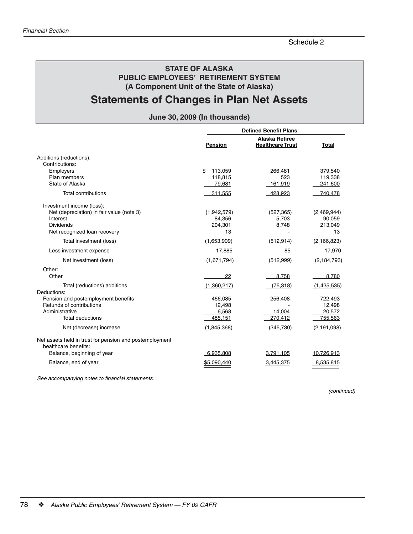### **STATE OF ALASKA PUBLIC EMPLOYEES' RETIREMENT SYSTEM (A Component Unit of the State of Alaska) Statements of Changes in Plan Net Assets**

**June 30, 2009 (In thousands)**

|                                                                                                                                        |                                        | <b>Defined Benefit Plans</b>                     |                                        |
|----------------------------------------------------------------------------------------------------------------------------------------|----------------------------------------|--------------------------------------------------|----------------------------------------|
|                                                                                                                                        | <b>Pension</b>                         | <b>Alaska Retiree</b><br><b>Healthcare Trust</b> | <b>Total</b>                           |
| Additions (reductions):<br>Contributions:                                                                                              |                                        |                                                  |                                        |
| <b>Employers</b>                                                                                                                       | 113,059<br>\$                          | 266,481                                          | 379,540                                |
| Plan members                                                                                                                           | 118.815                                | 523                                              | 119,338                                |
| State of Alaska                                                                                                                        | 79,681                                 | 161,919                                          | 241,600                                |
| <b>Total contributions</b>                                                                                                             | 311,555                                | 428,923                                          | 740,478                                |
| Investment income (loss):<br>Net (depreciation) in fair value (note 3)<br>Interest<br><b>Dividends</b><br>Net recognized loan recovery | (1,942,579)<br>84,356<br>204,301<br>13 | (527, 365)<br>5,703<br>8,748                     | (2,469,944)<br>90,059<br>213,049<br>13 |
| Total investment (loss)                                                                                                                | (1,653,909)                            | (512, 914)                                       | (2, 166, 823)                          |
| Less investment expense                                                                                                                | 17,885                                 | 85                                               | 17,970                                 |
| Net investment (loss)                                                                                                                  | (1,671,794)                            | (512,999)                                        | (2, 184, 793)                          |
| Other:                                                                                                                                 |                                        |                                                  |                                        |
| Other                                                                                                                                  | 22                                     | 8,758                                            | 8,780                                  |
| Total (reductions) additions<br>Deductions:                                                                                            | (1,360,217)                            | (75, 318)                                        | (1,435,535)                            |
| Pension and postemployment benefits                                                                                                    | 466,085                                | 256,408                                          | 722,493                                |
| Refunds of contributions                                                                                                               | 12,498                                 |                                                  | 12,498                                 |
| Administrative                                                                                                                         | 6,568                                  | 14,004                                           | 20,572                                 |
| <b>Total deductions</b>                                                                                                                | 485,151                                | 270,412                                          | 755,563                                |
| Net (decrease) increase                                                                                                                | (1,845,368)                            | (345,730)                                        | (2, 191, 098)                          |
| Net assets held in trust for pension and postemployment<br>healthcare benefits:                                                        |                                        |                                                  |                                        |
| Balance, beginning of year                                                                                                             | 6,935,808                              | 3,791,105                                        | 10,726,913                             |
| Balance, end of year                                                                                                                   | \$5,090,440                            | 3,445,375                                        | 8,535,815                              |

See accompanying notes to financial statements.

 *(continued)*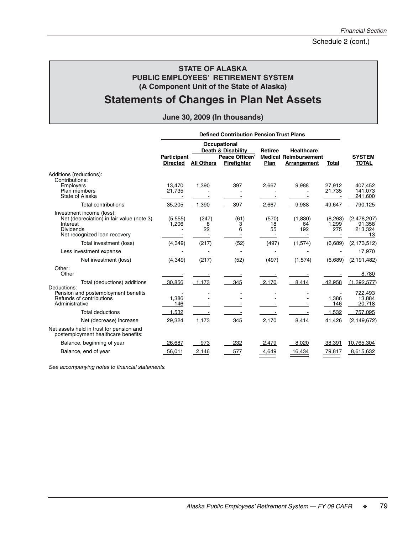### **Statements of Changes in Plan Net Assets**

**June 30, 2009 (In thousands)**

|                                                                                                  |                                                                                                        | <b>Defined Contribution Pension Trust Plans</b> |                   |                                                                                              |                                     |                                                                  |                          |                                        |
|--------------------------------------------------------------------------------------------------|--------------------------------------------------------------------------------------------------------|-------------------------------------------------|-------------------|----------------------------------------------------------------------------------------------|-------------------------------------|------------------------------------------------------------------|--------------------------|----------------------------------------|
|                                                                                                  |                                                                                                        | <b>Participant</b><br><b>Directed</b>           | <b>All Others</b> | Occupational<br><b>Death &amp; Disability</b><br><b>Peace Officer/</b><br><b>Firefighter</b> | <b>Retiree</b><br>Plan              | <b>Healthcare</b><br><b>Medical Reimbursement</b><br>Arrangement | Total                    | <b>SYSTEM</b><br><b>TOTAL</b>          |
| Additions (reductions):<br>Contributions:<br><b>Employers</b><br>Plan members<br>State of Alaska |                                                                                                        | 13,470<br>21,735                                | 1,390             | 397                                                                                          | 2,667                               | 9,988                                                            | 27,912<br>21,735         | 407,452<br>141,073<br>241,600          |
|                                                                                                  | <b>Total contributions</b>                                                                             | 35,205                                          | 1,390             | 397                                                                                          | 2,667                               | 9,988                                                            | 49,647                   | 790,125                                |
| Interest<br>Dividends                                                                            | Investment income (loss):<br>Net (depreciation) in fair value (note 3)<br>Net recognized loan recovery | (5,555)<br>1,206                                | (247)<br>8<br>22  | (61)<br>3<br>6                                                                               | (570)<br>18<br>55<br>$\blacksquare$ | (1,830)<br>64<br>192<br>$\overline{\phantom{a}}$                 | (8, 263)<br>1,299<br>275 | (2,478,207)<br>91,358<br>213,324<br>13 |
|                                                                                                  | Total investment (loss)                                                                                | (4,349)                                         | (217)             | (52)                                                                                         | (497)                               | (1,574)                                                          | (6,689)                  | (2, 173, 512)                          |
|                                                                                                  | Less investment expense                                                                                |                                                 |                   |                                                                                              |                                     |                                                                  |                          | 17,970                                 |
|                                                                                                  | Net investment (loss)                                                                                  | (4,349)                                         | (217)             | (52)                                                                                         | (497)                               | (1,574)                                                          | (6,689)                  | (2, 191, 482)                          |
| Other:<br>Other                                                                                  |                                                                                                        |                                                 |                   |                                                                                              |                                     |                                                                  |                          | 8,780                                  |
|                                                                                                  | Total (deductions) additions                                                                           | 30,856                                          | 1.173             | 345                                                                                          | 2.170                               | 8.414                                                            | 42,958                   | (1,392,577)                            |
| Deductions:<br>Administrative                                                                    | Pension and postemployment benefits<br>Refunds of contributions                                        | 1,386<br>146                                    |                   |                                                                                              |                                     |                                                                  | 1,386<br>146             | 722,493<br>13,884<br>20,718            |
|                                                                                                  | <b>Total deductions</b>                                                                                | 1,532                                           |                   |                                                                                              |                                     |                                                                  | 1,532                    | 757,095                                |
|                                                                                                  | Net (decrease) increase                                                                                | 29,324                                          | 1,173             | 345                                                                                          | 2,170                               | 8,414                                                            | 41,426                   | (2, 149, 672)                          |
|                                                                                                  | Net assets held in trust for pension and<br>postemployment healthcare benefits:                        |                                                 |                   |                                                                                              |                                     |                                                                  |                          |                                        |
|                                                                                                  | Balance, beginning of year                                                                             | 26.687                                          | 973               | 232                                                                                          | 2,479                               | 8.020                                                            | 38,391                   | 10,765,304                             |
|                                                                                                  | Balance, end of year                                                                                   | 56,011                                          | 2,146             | 577                                                                                          | 4,649                               | 16,434                                                           | 79,817                   | 8,615,632                              |

See accompanying notes to financial statements.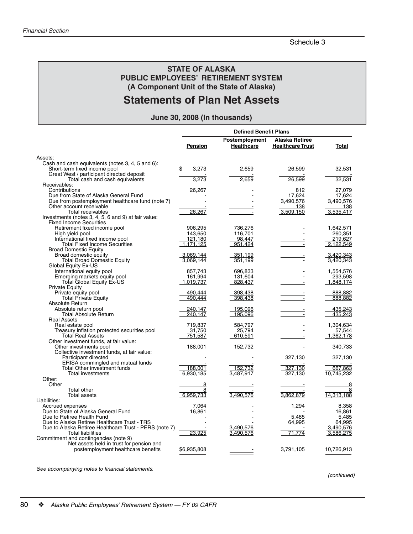### **Statements of Plan Net Assets**

**June 30, 2008 (In thousands)**

|                                                                                    |                    | <b>Defined Benefit Plans</b>        |                                                  |                        |
|------------------------------------------------------------------------------------|--------------------|-------------------------------------|--------------------------------------------------|------------------------|
|                                                                                    | Pension            | Postemployment<br><b>Healthcare</b> | <b>Alaska Retiree</b><br><b>Healthcare Trust</b> | Total                  |
| Assets:                                                                            |                    |                                     |                                                  |                        |
| Cash and cash equivalents (notes 3, 4, 5 and 6):<br>Short-term fixed income pool   | \$<br>3,273        | 2,659                               | 26,599                                           | 32,531                 |
| Great West / participant directed deposit<br>Total cash and cash equivalents       | 3,273              | 2,659                               | 26,599                                           | 32,531                 |
| Receivables:                                                                       |                    |                                     |                                                  |                        |
| Contributions                                                                      | 26,267             |                                     | 812                                              | 27,079                 |
| Due from State of Alaska General Fund                                              |                    |                                     | 17,624<br>3.490.576                              | 17,624<br>3,490,576    |
| Due from postemployment healthcare fund (note 7)<br>Other account receivable       |                    |                                     | 138                                              | 138                    |
| Total receivables                                                                  | 26,267             |                                     | 3,509,150                                        | 3,535,417              |
| Investments (notes 3, 4, 5, 6 and 9) at fair value:                                |                    |                                     |                                                  |                        |
| <b>Fixed Income Securities</b>                                                     |                    |                                     |                                                  |                        |
| Retirement fixed income pool<br>High yield pool                                    | 906,295<br>143,650 | 736,276<br>116,701                  |                                                  | 1,642,571<br>260,351   |
| International fixed income pool                                                    | 121,180            | 98,447                              |                                                  | 219,627                |
| <b>Total Fixed Income Securities</b>                                               | 1,171,125          | 951,424                             |                                                  | 2,122,549              |
| <b>Broad Domestic Equity</b>                                                       |                    |                                     |                                                  |                        |
| Broad domestic equity                                                              | 3,069,144          | 351,199                             |                                                  | 3,420,343              |
| <b>Total Broad Domestic Equity</b>                                                 | 3,069,144          | 351,199                             |                                                  | 3,420,343              |
| Global Equity Ex-US<br>International equity pool                                   | 857.743            | 696.833                             |                                                  | 1,554,576              |
| Emerging markets equity pool                                                       | 161,994            | 131,604                             |                                                  | 293,598                |
| <b>Total Global Equity Ex-US</b>                                                   | 1,019,737          | 828,437                             |                                                  | 1,848,174              |
| <b>Private Equity</b>                                                              |                    |                                     |                                                  |                        |
| Private equity pool                                                                | 490.444            | 398,438                             |                                                  | 888,882                |
| <b>Total Private Equity</b><br>Absolute Return                                     | 490,444            | 398,438                             |                                                  | 888,882                |
| Absolute return pool                                                               | 240,147            | 195.096                             |                                                  | 435,243                |
| <b>Total Absolute Return</b>                                                       | 240,147            | 195,096                             |                                                  | 435,243                |
| <b>Real Assets</b>                                                                 |                    |                                     |                                                  |                        |
| Real estate pool                                                                   | 719.837            | 584.797                             |                                                  | 1.304.634              |
| Treasury inflation protected securities pool<br><b>Total Real Assets</b>           | 31.750<br>751,587  | 25,794<br>610,591                   |                                                  | 57.544<br>1,362,178    |
| Other investment funds, at fair value:                                             |                    |                                     |                                                  |                        |
| Other investments pool                                                             | 188,001            | 152,732                             |                                                  | 340,733                |
| Collective investment funds, at fair value:                                        |                    |                                     |                                                  |                        |
| Participant directed                                                               |                    |                                     | 327,130                                          | 327,130                |
| ERISA commingled and mutual funds<br><b>Total Other investment funds</b>           | 188,001            | 152,732                             | 327.130                                          | 667,863                |
| <b>Total investments</b>                                                           | 6,930,185          | 3,487,917                           | 327,130                                          | 10,745,232             |
| Other:                                                                             |                    |                                     |                                                  |                        |
| Other                                                                              | 8                  |                                     |                                                  | 8                      |
| Total other                                                                        | 8                  |                                     |                                                  | 8                      |
| <b>Total assets</b><br>Liabilities:                                                | 6,959,733          | 3,490,576                           | 3,862,879                                        | 14,313,188             |
| Accrued expenses                                                                   | 7,064              |                                     | 1,294                                            | 8,358                  |
| Due to State of Alaska General Fund                                                | 16,861             |                                     |                                                  | 16,861                 |
| Due to Retiree Health Fund                                                         |                    |                                     | 5,485                                            | 5,485                  |
| Due to Alaska Retiree Healthcare Trust - TRS                                       |                    |                                     | 64,995                                           | 64,995                 |
| Due to Alaska Retiree Healthcare Trust - PERS (note 7)<br><b>Total liabilities</b> | 23,925             | 3,490,576<br>3,490,576              | 71,774                                           | 3,490,576<br>3,586,275 |
| Commitment and contingencies (note 9)                                              |                    |                                     |                                                  |                        |
| Net assets held in trust for pension and                                           |                    |                                     |                                                  |                        |
| postemployment healthcare benefits                                                 | \$6,935,808        |                                     | 3,791,105                                        | 10,726,913             |
|                                                                                    |                    |                                     |                                                  |                        |

See accompanying notes to financial statements.

 *(continued)*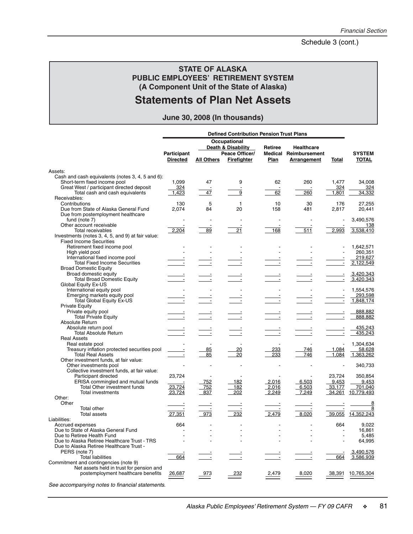### **Statements of Plan Net Assets**

**June 30, 2008 (In thousands)**

|                                                                   | <b>Defined Contribution Pension Trust Plans</b> |                   |                                      |                       |                                             |                          |                               |
|-------------------------------------------------------------------|-------------------------------------------------|-------------------|--------------------------------------|-----------------------|---------------------------------------------|--------------------------|-------------------------------|
|                                                                   |                                                 |                   | Occupational<br>Death & Disability   | Retiree               | <b>Healthcare</b>                           |                          |                               |
|                                                                   | Participant<br><b>Directed</b>                  | <b>All Others</b> | Peace Officer/<br><b>Firefighter</b> | Plan                  | <b>Medical Reimbursement</b><br>Arrangement | Total                    | <b>SYSTEM</b><br><b>TOTAL</b> |
| Assets:                                                           |                                                 |                   |                                      |                       |                                             |                          |                               |
| Cash and cash equivalents (notes 3, 4, 5 and 6):                  |                                                 |                   |                                      |                       |                                             |                          |                               |
| Short-term fixed income pool                                      | 1,099                                           | 47                | 9                                    | 62                    | 260                                         | 1,477                    | 34,008                        |
| Great West / participant directed deposit                         | 324                                             |                   |                                      |                       |                                             | 324                      | 324                           |
| Total cash and cash equivalents                                   | 1,423                                           | 47                | 9                                    | 62                    | 260                                         | 1,801                    | 34,332                        |
| Receivables:                                                      |                                                 |                   |                                      |                       |                                             |                          |                               |
| Contributions<br>Due from State of Alaska General Fund            | 130<br>2,074                                    | 5<br>84           | 1<br>20                              | 10<br>158             | 30<br>481                                   | 176<br>2,817             | 27,255<br>20,441              |
| Due from postemployment healthcare                                |                                                 |                   |                                      |                       |                                             |                          |                               |
| fund (note 7)                                                     |                                                 |                   |                                      |                       |                                             |                          | 3,490,576                     |
| Other account receivable                                          |                                                 |                   |                                      |                       |                                             |                          | 138                           |
| Total receivables                                                 | 2,204                                           | 89                | 21                                   | 168                   | 511                                         | 2,993                    | 3,538,410                     |
| Investments (notes 3, 4, 5, and 9) at fair value:                 |                                                 |                   |                                      |                       |                                             |                          |                               |
| <b>Fixed Income Securities</b><br>Retirement fixed income pool    |                                                 |                   |                                      |                       |                                             |                          | 1,642,571                     |
| High yield pool                                                   |                                                 |                   |                                      |                       |                                             |                          | 260,351                       |
| International fixed income pool                                   |                                                 |                   |                                      |                       |                                             |                          | 219,627                       |
| <b>Total Fixed Income Securities</b>                              |                                                 |                   |                                      |                       |                                             | $\overline{\phantom{m}}$ | 2,122,549                     |
| <b>Broad Domestic Equity</b>                                      |                                                 |                   |                                      |                       |                                             |                          |                               |
| Broad domestic equity                                             |                                                 |                   |                                      |                       |                                             |                          | 3,420,343                     |
| <b>Total Broad Domestic Equity</b>                                |                                                 |                   |                                      |                       |                                             | $\overline{\phantom{a}}$ | 3,420,343                     |
| Global Equity Ex-US<br>International equity pool                  |                                                 |                   |                                      |                       |                                             |                          | 1,554,576                     |
| Emerging markets equity pool                                      |                                                 |                   |                                      |                       |                                             |                          | 293,598                       |
| <b>Total Global Equity Ex-US</b>                                  |                                                 |                   |                                      |                       |                                             | $\overline{\phantom{a}}$ | 1,848,174                     |
| <b>Private Equity</b>                                             |                                                 |                   |                                      |                       |                                             |                          |                               |
| Private equity pool                                               |                                                 |                   |                                      |                       |                                             |                          | 888,882                       |
| <b>Total Private Equity</b>                                       |                                                 |                   |                                      |                       |                                             | $\overline{\phantom{a}}$ | 888,882                       |
| Absolute Return                                                   |                                                 |                   |                                      |                       |                                             |                          |                               |
| Absolute return pool                                              |                                                 |                   |                                      |                       |                                             |                          | 435,243                       |
| <b>Total Absolute Return</b><br><b>Real Assets</b>                |                                                 |                   |                                      |                       |                                             |                          | 435,243                       |
| Real estate pool                                                  |                                                 |                   |                                      |                       |                                             |                          | 1,304,634                     |
| Treasury inflation protected securities pool                      |                                                 | 85                | 20                                   | 233                   | 746                                         | 1,084                    | 58,628                        |
| <b>Total Real Assets</b>                                          |                                                 | 85                | 20                                   | <u>233</u>            | 746                                         | 1,084                    | 1,363,262                     |
| Other investment funds, at fair value:                            |                                                 |                   |                                      |                       |                                             |                          |                               |
| Other investments pool                                            |                                                 |                   |                                      |                       |                                             |                          | 340,733                       |
| Collective investment funds, at fair value:                       |                                                 |                   |                                      |                       |                                             |                          |                               |
| Participant directed                                              | 23,724                                          |                   |                                      |                       |                                             | 23,724                   | 350,854                       |
| ERISA commingled and mutual funds<br>Total Other investment funds | 23,724                                          | 752<br><u>752</u> | 182<br>182                           | <u>2,016</u><br>2,016 | 6,503<br>6,503                              | 9,453<br>33,177          | 9,453<br>701,040              |
| Total investments                                                 | 23,724                                          | 837               | 202                                  | 2,249                 | 7,249                                       | 34,261                   | 10,779,493                    |
| Other:                                                            |                                                 |                   |                                      |                       |                                             |                          |                               |
| Other                                                             |                                                 |                   |                                      |                       |                                             |                          | 8                             |
| Total other                                                       |                                                 |                   |                                      |                       |                                             |                          | 8                             |
| <b>Total assets</b>                                               | 27,351                                          | 973               | 232                                  | 2,479                 | 8,020                                       | 39,055                   | 14,352,243                    |
| Liabilities:                                                      |                                                 |                   |                                      |                       |                                             |                          |                               |
| Accrued expenses<br>Due to State of Alaska General Fund           | 664                                             |                   |                                      |                       |                                             | 664                      | 9,022<br>16,861               |
| Due to Retiree Health Fund                                        |                                                 |                   |                                      |                       |                                             |                          | 5,485                         |
| Due to Alaska Retiree Healthcare Trust - TRS                      |                                                 |                   |                                      |                       |                                             |                          | 64,995                        |
| Due to Alaska Retiree Healthcare Trust -                          |                                                 |                   |                                      |                       |                                             |                          |                               |
| PERS (note 7)                                                     |                                                 |                   |                                      |                       |                                             |                          | 3,490,576                     |
| <b>Total liabilities</b>                                          | 664                                             |                   |                                      |                       |                                             | 664                      | 3,586,939                     |
| Commitment and contingencies (note 9)                             |                                                 |                   |                                      |                       |                                             |                          |                               |
| Net assets held in trust for pension and                          |                                                 |                   |                                      |                       |                                             |                          |                               |
| postemployment healthcare benefits                                | 26,687                                          | 973               | 232                                  | 2,479                 | 8,020                                       | 38,391                   | 10,765,304                    |
|                                                                   |                                                 |                   |                                      |                       |                                             |                          |                               |

See accompanying notes to financial statements.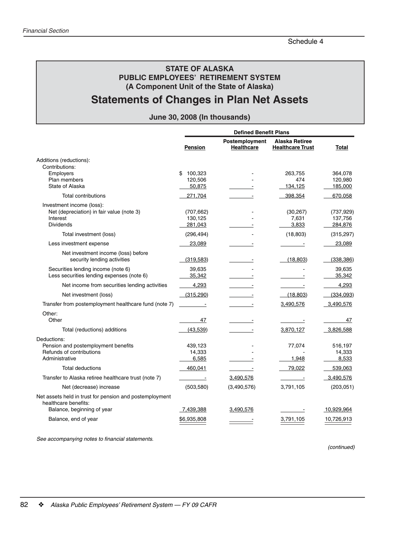### **STATE OF ALASKA PUBLIC EMPLOYEES' RETIREMENT SYSTEM (A Component Unit of the State of Alaska) Statements of Changes in Plan Net Assets**

### **June 30, 2008 (In thousands)**

|                                                                                                        | <b>Defined Benefit Plans</b>     |                                     |                                                  |                                  |  |
|--------------------------------------------------------------------------------------------------------|----------------------------------|-------------------------------------|--------------------------------------------------|----------------------------------|--|
|                                                                                                        | <b>Pension</b>                   | Postemployment<br><b>Healthcare</b> | <b>Alaska Retiree</b><br><b>Healthcare Trust</b> | Total                            |  |
| Additions (reductions):<br>Contributions:                                                              |                                  |                                     |                                                  |                                  |  |
| Employers                                                                                              | 100,323<br>\$                    |                                     | 263,755                                          | 364,078                          |  |
| Plan members<br>State of Alaska                                                                        | 120,506<br>50,875                |                                     | 474<br>134,125                                   | 120,980<br>185,000               |  |
| Total contributions                                                                                    | 271,704                          |                                     | 398.354                                          | 670.058                          |  |
| Investment income (loss):<br>Net (depreciation) in fair value (note 3)<br>Interest<br><b>Dividends</b> | (707, 662)<br>130,125<br>281,043 |                                     | (30, 267)<br>7,631<br>3,833                      | (737, 929)<br>137,756<br>284,876 |  |
| Total investment (loss)                                                                                | (296, 494)                       |                                     | (18, 803)                                        | (315, 297)                       |  |
| Less investment expense                                                                                | 23,089                           |                                     |                                                  | 23,089                           |  |
| Net investment income (loss) before                                                                    |                                  |                                     |                                                  |                                  |  |
| security lending activities                                                                            | (319,583)                        |                                     | (18, 803)                                        | (338, 386)                       |  |
| Securities lending income (note 6)<br>Less securities lending expenses (note 6)                        | 39,635<br>35,342                 |                                     |                                                  | 39,635<br>35,342                 |  |
| Net income from securities lending activities                                                          | 4,293                            | and the company                     | $\overline{\phantom{a}}$                         | 4,293                            |  |
| Net investment (loss)                                                                                  | (315, 290)                       | <u> 1999 - 199</u>                  | (18, 803)                                        | (334,093)                        |  |
| Transfer from postemployment healthcare fund (note 7)                                                  |                                  |                                     | 3,490,576                                        | 3,490,576                        |  |
| Other:<br>Other                                                                                        | 47                               |                                     |                                                  | 47                               |  |
| Total (reductions) additions                                                                           | (43,539)                         | $\blacksquare$                      | 3,870,127                                        | 3,826,588                        |  |
| Deductions:                                                                                            |                                  |                                     |                                                  |                                  |  |
| Pension and postemployment benefits<br>Refunds of contributions<br>Administrative                      | 439,123<br>14,333<br>6,585       |                                     | 77,074<br>1,948                                  | 516,197<br>14,333<br>8,533       |  |
| Total deductions                                                                                       | 460,041                          |                                     | 79,022                                           | 539,063                          |  |
| Transfer to Alaska retiree healthcare trust (note 7)                                                   | <b>Contract Contract</b>         | 3,490,576                           | $\sim 10^{-10}$ and $\sim 10^{-10}$              | 3,490,576                        |  |
| Net (decrease) increase                                                                                | (503, 580)                       | (3,490,576)                         | 3,791,105                                        | (203, 051)                       |  |
| Net assets held in trust for pension and postemployment<br>healthcare benefits:                        |                                  |                                     |                                                  |                                  |  |
| Balance, beginning of year                                                                             | 7,439,388                        | 3,490,576                           |                                                  | 10,929,964                       |  |
| Balance, end of year                                                                                   | \$6,935,808                      |                                     | 3,791,105                                        | 10,726,913                       |  |

See accompanying notes to financial statements.

 *(continued)*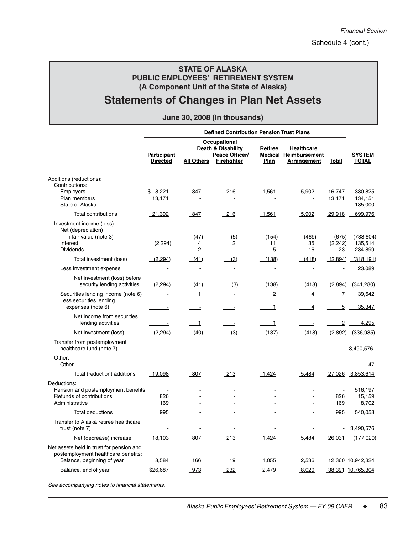## **Statements of Changes in Plan Net Assets**

**June 30, 2008 (In thousands)**

|                                                                                                               | <b>Defined Contribution Pension Trust Plans</b> |                                                              |                                                                |                                            |                                                                  |                                    |                                  |
|---------------------------------------------------------------------------------------------------------------|-------------------------------------------------|--------------------------------------------------------------|----------------------------------------------------------------|--------------------------------------------|------------------------------------------------------------------|------------------------------------|----------------------------------|
|                                                                                                               | Occupational                                    |                                                              |                                                                |                                            |                                                                  |                                    |                                  |
|                                                                                                               | Participant<br><b>Directed</b>                  |                                                              | Death & Disability<br>Peace Officer/<br>All Others Firefighter | Retiree<br>Plan                            | <b>Healthcare</b><br><b>Medical Reimbursement</b><br>Arrangement | <b>Total</b>                       | <b>SYSTEM</b><br><b>TOTAL</b>    |
|                                                                                                               |                                                 |                                                              |                                                                |                                            |                                                                  |                                    |                                  |
| Additions (reductions):<br>Contributions:                                                                     |                                                 |                                                              |                                                                |                                            |                                                                  |                                    |                                  |
| Employers<br>Plan members<br>State of Alaska                                                                  | \$8,221<br>13,171<br>$\overline{a}$             | 847                                                          | 216<br>$\overline{\phantom{a}}$                                | 1,561                                      | 5,902<br>$\overline{a}$                                          | 16,747<br>13,171<br>$\overline{a}$ | 380,825<br>134,151<br>185,000    |
| Total contributions                                                                                           | 21,392                                          | 847                                                          | 216                                                            | 1,561                                      | 5,902                                                            | 29,918                             | 699,976                          |
| Investment income (loss):<br>Net (depreciation)<br>in fair value (note 3)<br>Interest<br><b>Dividends</b>     | (2, 294)<br>$\blacksquare$                      | (47)<br>4<br>2                                               | (5)<br>$\overline{2}$<br>$\overline{\phantom{a}}$              | (154)<br>11<br>$\overline{5}$              | (469)<br>35<br>16                                                | (675)<br>(2, 242)<br>23            | (738, 604)<br>135,514<br>284,899 |
| Total investment (loss)                                                                                       | (2,294)                                         | (41)                                                         | (3)                                                            | (138)                                      | (418)                                                            | (2,894)                            | (318, 191)                       |
| Less investment expense                                                                                       | <b>Contract Contract</b>                        | $\sim$ 10 $\pm$                                              | $\overline{\phantom{a}}$                                       | $\sim 100$                                 | $\overline{\phantom{a}}$                                         |                                    | 23,089                           |
| Net investment (loss) before<br>security lending activities                                                   | (2,294)                                         | (41)                                                         | (3)                                                            | (138)                                      | (418)                                                            | (2,894)                            | (341, 280)                       |
| Securities lending income (note 6)<br>Less securities lending<br>expenses (note 6)                            | $\blacksquare$<br>Ŀ.                            | 1<br>$\overline{\phantom{a}}$                                | $\blacksquare$<br>Ŀ                                            | $\overline{2}$<br>$\mathbf{1}$             | 4<br>4                                                           | $\overline{7}$<br>$\overline{5}$   | 39,642<br>35,347                 |
| Net income from securities<br>lending activities                                                              | $\overline{\phantom{a}}$                        | $\mathbf{1}$                                                 |                                                                | $\mathbf{1}$                               | $\overline{z}$                                                   | $\overline{2}$                     | 4,295                            |
| Net investment (loss)                                                                                         | (2,294)                                         | (40)                                                         | (3)                                                            | (137)                                      | (418)                                                            |                                    | $(2,892)$ $(336,985)$            |
| Transfer from postemployment<br>healthcare fund (note 7)                                                      | Ŀ                                               |                                                              |                                                                |                                            | Ŀ                                                                |                                    | $-3,490,576$                     |
| Other:<br>Other                                                                                               | $\sim$ $-$                                      | $\sim$                                                       |                                                                | $\sim 100$ km s $^{-1}$                    | $\sim$                                                           | $\blacksquare$                     | 47                               |
| Total (reduction) additions                                                                                   | 19,098                                          | 807                                                          | 213                                                            | 1,424                                      | 5,484                                                            |                                    | 27,026 3,853,614                 |
| Deductions:<br>Pension and postemployment benefits<br>Refunds of contributions<br>Administrative              | $\overline{\phantom{a}}$<br>826<br>169          | $\overline{a}$<br>$\overline{\phantom{a}}$<br>$\overline{a}$ | $\blacksquare$<br>$\overline{\phantom{a}}$<br>$\blacksquare$   | $\overline{a}$<br>$\sim$<br>$\blacksquare$ | $\mathbf{r}$<br>$\blacksquare$<br>Ŀ                              | L,<br>826<br>169                   | 516,197<br>15,159<br>8,702       |
| <b>Total deductions</b>                                                                                       | 995                                             | $\overline{\phantom{a}}$                                     | $\overline{\phantom{a}}$                                       | $\overline{\phantom{a}}$                   | $\overline{a}$                                                   | 995                                | 540,058                          |
| Transfer to Alaska retiree healthcare<br>trust (note 7)                                                       | $\overline{\phantom{a}}$                        | E                                                            | $\overline{\phantom{a}}$                                       | $\blacksquare$                             | $\overline{\phantom{a}}$                                         | $\blacksquare$                     | 3,490,576                        |
| Net (decrease) increase                                                                                       | 18,103                                          | 807                                                          | 213                                                            | 1,424                                      | 5,484                                                            | 26,031                             | (177,020)                        |
| Net assets held in trust for pension and<br>postemployment healthcare benefits:<br>Balance, beginning of year | 8,584                                           | 166                                                          | 19                                                             | 1,055                                      | 2,536                                                            |                                    | 12,360 10,942,324                |
| Balance, end of year                                                                                          | \$26,687                                        | 973                                                          | 232                                                            | 2,479                                      | 8,020                                                            |                                    | 38,391 10,765,304                |

See accompanying notes to financial statements.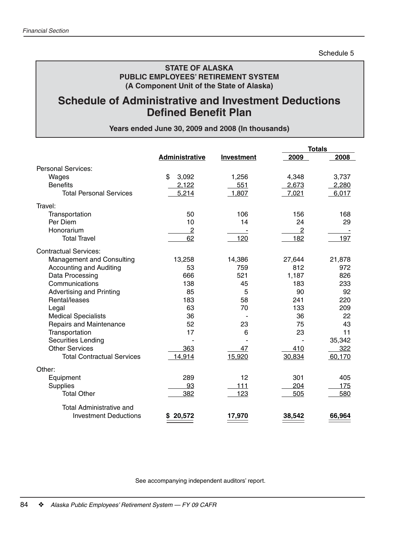### **Schedule of Administrative and Investment Deductions Defined Benefit Plan**

**Years ended June 30, 2009 and 2008 (In thousands)**

|                                   |                       |            |        | <b>Totals</b> |
|-----------------------------------|-----------------------|------------|--------|---------------|
|                                   | <b>Administrative</b> | Investment | 2009   | 2008          |
| <b>Personal Services:</b>         |                       |            |        |               |
| Wages                             | \$<br>3,092           | 1,256      | 4,348  | 3,737         |
| <b>Benefits</b>                   | 2,122                 | 551        | 2,673  | 2,280         |
| <b>Total Personal Services</b>    | 5,214                 | 1,807      | 7,021  | 6,017         |
| Travel:                           |                       |            |        |               |
| Transportation                    | 50                    | 106        | 156    | 168           |
| Per Diem                          | 10                    | 14         | 24     | 29            |
| Honorarium                        | $\overline{2}$        |            | 2      |               |
| <b>Total Travel</b>               | 62                    | 120        | 182    | 197           |
| <b>Contractual Services:</b>      |                       |            |        |               |
| <b>Management and Consulting</b>  | 13,258                | 14,386     | 27,644 | 21,878        |
| <b>Accounting and Auditing</b>    | 53                    | 759        | 812    | 972           |
| Data Processing                   | 666                   | 521        | 1,187  | 826           |
| Communications                    | 138                   | 45         | 183    | 233           |
| <b>Advertising and Printing</b>   | 85                    | 5          | 90     | 92            |
| Rental/leases                     | 183                   | 58         | 241    | 220           |
| Legal                             | 63                    | 70         | 133    | 209           |
| <b>Medical Specialists</b>        | 36                    |            | 36     | 22            |
| <b>Repairs and Maintenance</b>    | 52                    | 23         | 75     | 43            |
| Transportation                    | 17                    | 6          | 23     | 11            |
| <b>Securities Lending</b>         |                       |            |        | 35,342        |
| <b>Other Services</b>             | 363                   | 47         | 410    | 322           |
| <b>Total Contractual Services</b> | 14,914                | 15,920     | 30,834 | 60,170        |
| Other:                            |                       |            |        |               |
| Equipment                         | 289                   | 12         | 301    | 405           |
| Supplies                          | 93                    | 111        | 204    | 175           |
| <b>Total Other</b>                | 382                   | 123        | 505    | 580           |
| <b>Total Administrative and</b>   |                       |            |        |               |
| <b>Investment Deductions</b>      | \$20,572              | 17,970     | 38,542 | 66,964        |

See accompanying independent auditors' report.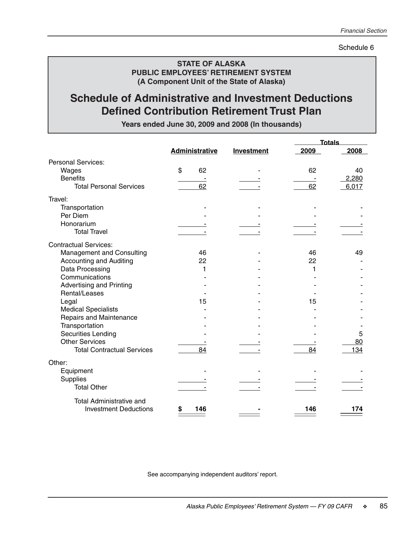Schedule 6

### **STATE OF ALASKA PUBLIC EMPLOYEES' RETIREMENT SYSTEM (A Component Unit of the State of Alaska)**

## **Schedule of Administrative and Investment Deductions Defined Contribution Retirement Trust Plan**

**Years ended June 30, 2009 and 2008 (In thousands)**

|                                   |                       |                   | <b>Totals</b> |       |
|-----------------------------------|-----------------------|-------------------|---------------|-------|
|                                   | <b>Administrative</b> | <b>Investment</b> | 2009          | 2008  |
| <b>Personal Services:</b>         |                       |                   |               |       |
| Wages                             | \$<br>62              |                   | 62            | 40    |
| <b>Benefits</b>                   |                       |                   |               | 2,280 |
| <b>Total Personal Services</b>    | 62                    |                   | 62            | 6,017 |
| Travel:                           |                       |                   |               |       |
| Transportation                    |                       |                   |               |       |
| Per Diem                          |                       |                   |               |       |
| Honorarium                        |                       |                   |               |       |
| <b>Total Travel</b>               |                       |                   |               |       |
| <b>Contractual Services:</b>      |                       |                   |               |       |
| Management and Consulting         | 46                    |                   | 46            | 49    |
| <b>Accounting and Auditing</b>    | 22                    |                   | 22            |       |
| Data Processing                   | 1                     |                   | 1             |       |
| Communications                    |                       |                   |               |       |
| <b>Advertising and Printing</b>   |                       |                   |               |       |
| Rental/Leases                     |                       |                   |               |       |
| Legal                             | 15                    |                   | 15            |       |
| <b>Medical Specialists</b>        |                       |                   |               |       |
| Repairs and Maintenance           |                       |                   |               |       |
| Transportation                    |                       |                   |               |       |
| <b>Securities Lending</b>         |                       |                   |               | 5     |
| <b>Other Services</b>             |                       |                   |               | 80    |
| <b>Total Contractual Services</b> | 84                    |                   | 84            | 134   |
| Other:                            |                       |                   |               |       |
| Equipment                         |                       |                   |               |       |
| Supplies                          |                       |                   |               |       |
| <b>Total Other</b>                |                       |                   |               |       |
| <b>Total Administrative and</b>   |                       |                   |               |       |
| <b>Investment Deductions</b>      | 146<br>S              |                   | 146           | 174   |

See accompanying independent auditors' report.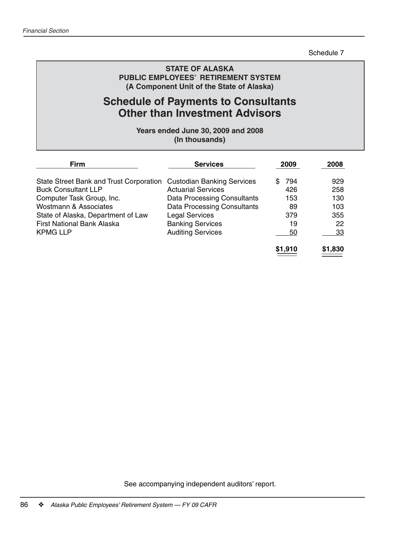Schedule 7

### **STATE OF ALASKA PUBLIC EMPLOYEES' RETIREMENT SYSTEM (A Component Unit of the State of Alaska)**

### **Schedule of Payments to Consultants Other than Investment Advisors**

**Years ended June 30, 2009 and 2008 (In thousands)**

| <b>Firm</b>                             | <b>Services</b>                    | 2009       | 2008    |
|-----------------------------------------|------------------------------------|------------|---------|
| State Street Bank and Trust Corporation | <b>Custodian Banking Services</b>  | 794<br>SS. | 929     |
| <b>Buck Consultant LLP</b>              | <b>Actuarial Services</b>          | 426        | 258     |
| Computer Task Group, Inc.               | Data Processing Consultants        | 153        | 130     |
| <b>Wostmann &amp; Associates</b>        | <b>Data Processing Consultants</b> | 89         | 103     |
| State of Alaska, Department of Law      | <b>Legal Services</b>              | 379        | 355     |
| <b>First National Bank Alaska</b>       | <b>Banking Services</b>            | 19         | 22      |
| <b>KPMG LLP</b>                         | <b>Auditing Services</b>           | 50         | 33      |
|                                         |                                    | \$1,910    | \$1,830 |

See accompanying independent auditors' report.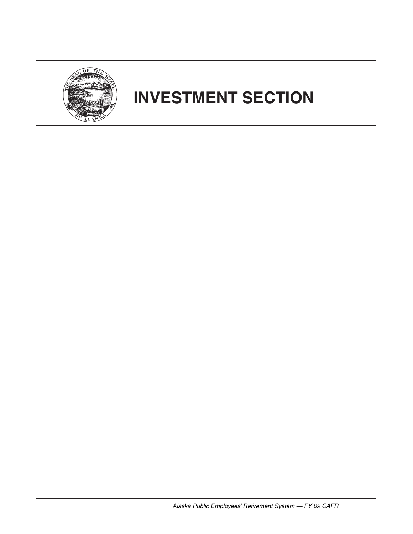

## **INVESTMENT SECTION**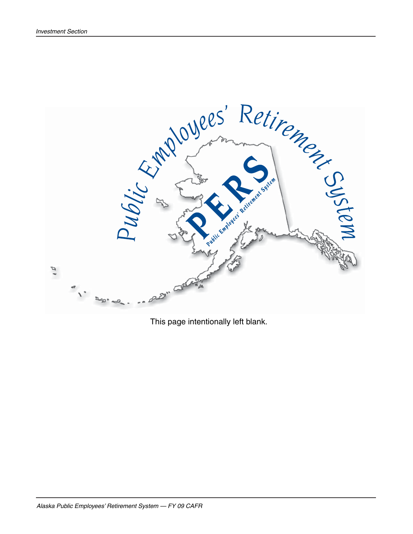

This page intentionally left blank.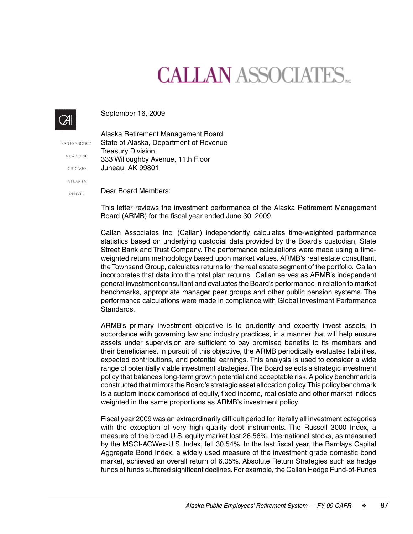# **CALLAN ASSOCIATES...**



September 16, 2009

**SAN FRANCISCO** NEW YORK **CHICAGO ATLANTA DENVER** 

Alaska Retirement Management Board State of Alaska, Department of Revenue Treasury Division 333 Willoughby Avenue, 11th Floor Juneau, AK 99801

Dear Board Members:

This letter reviews the investment performance of the Alaska Retirement Management Board (ARMB) for the fiscal year ended June 30, 2009.

Callan Associates Inc. (Callan) independently calculates time-weighted performance statistics based on underlying custodial data provided by the Board's custodian, State Street Bank and Trust Company. The performance calculations were made using a timeweighted return methodology based upon market values. ARMB's real estate consultant, the Townsend Group, calculates returns for the real estate segment of the portfolio. Callan incorporates that data into the total plan returns. Callan serves as ARMB's independent general investment consultant and evaluates the Board's performance in relation to market benchmarks, appropriate manager peer groups and other public pension systems. The performance calculations were made in compliance with Global Investment Performance Standards.

ARMB's primary investment objective is to prudently and expertly invest assets, in accordance with governing law and industry practices, in a manner that will help ensure assets under supervision are sufficient to pay promised benefits to its members and their beneficiaries. In pursuit of this objective, the ARMB periodically evaluates liabilities, expected contributions, and potential earnings. This analysis is used to consider a wide range of potentially viable investment strategies. The Board selects a strategic investment policy that balances long-term growth potential and acceptable risk. A policy benchmark is constructed that mirrors the Board's strategic asset allocation policy. This policy benchmark is a custom index comprised of equity, fixed income, real estate and other market indices weighted in the same proportions as ARMB's investment policy.

Fiscal year 2009 was an extraordinarily difficult period for literally all investment categories with the exception of very high quality debt instruments. The Russell 3000 Index, a measure of the broad U.S. equity market lost 26.56%. International stocks, as measured by the MSCI-ACWex-U.S. Index, fell 30.54%. In the last fiscal year, the Barclays Capital Aggregate Bond Index, a widely used measure of the investment grade domestic bond market, achieved an overall return of 6.05%. Absolute Return Strategies such as hedge funds of funds suffered significant declines. For example, the Callan Hedge Fund-of-Funds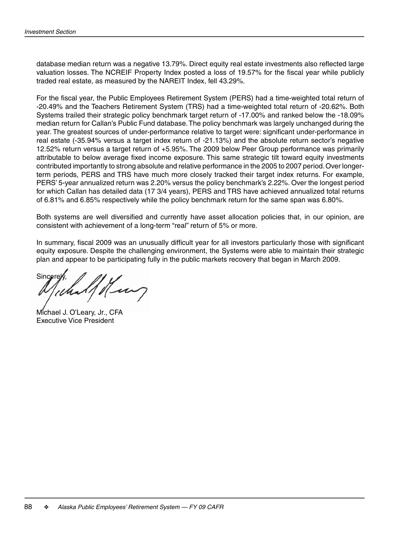database median return was a negative 13.79%. Direct equity real estate investments also reflected large valuation losses. The NCREIF Property Index posted a loss of 19.57% for the fiscal year while publicly traded real estate, as measured by the NAREIT Index, fell 43.29%.

For the fiscal year, the Public Employees Retirement System (PERS) had a time-weighted total return of -20.49% and the Teachers Retirement System (TRS) had a time-weighted total return of -20.62%. Both Systems trailed their strategic policy benchmark target return of -17.00% and ranked below the -18.09% median return for Callan's Public Fund database. The policy benchmark was largely unchanged during the year. The greatest sources of under-performance relative to target were: significant under-performance in real estate (-35.94% versus a target index return of -21.13%) and the absolute return sector's negative 12.52% return versus a target return of +5.95%. The 2009 below Peer Group performance was primarily attributable to below average fixed income exposure. This same strategic tilt toward equity investments contributed importantly to strong absolute and relative performance in the 2005 to 2007 period. Over longerterm periods, PERS and TRS have much more closely tracked their target index returns. For example, PERS' 5-year annualized return was 2.20% versus the policy benchmark's 2.22%. Over the longest period for which Callan has detailed data (17 3/4 years), PERS and TRS have achieved annualized total returns of 6.81% and 6.85% respectively while the policy benchmark return for the same span was 6.80%.

Both systems are well diversified and currently have asset allocation policies that, in our opinion, are consistent with achievement of a long-term "real" return of 5% or more.

In summary, fiscal 2009 was an unusually difficult year for all investors particularly those with significant equity exposure. Despite the challenging environment, the Systems were able to maintain their strategic plan and appear to be participating fully in the public markets recovery that began in March 2009.

Sincerely, Molay

Michael J. O'Leary, Jr., CFA Executive Vice President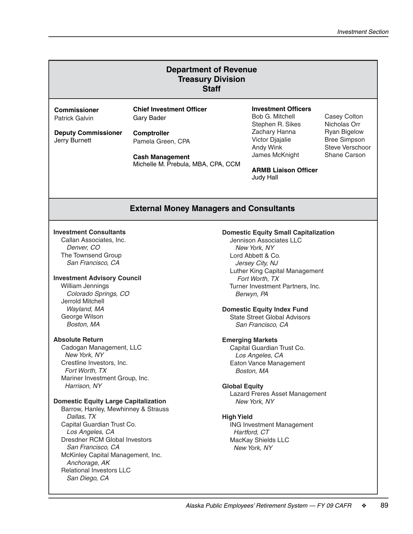### **Department of Revenue Treasury Division Staff**

**Commissioner** Patrick Galvin

**Chief Investment Officer** Gary Bader

**Deputy Commissioner** Jerry Burnett

**Comptroller** Pamela Green, CPA

**Cash Management** Michelle M. Prebula, MBA, CPA, CCM **Investment Officers** 

Stephen R. Sikes Nicholas Orr Zachary Hanna Ryan Bigelow Victor Djajalie Bree Simpson Andy Wink Steve Verschoor James McKnight Shane Carson

Bob G. Mitchell Casey Colton

**ARMB Liaison Officer** Judy Hall

### **External Money Managers and Consultants**

#### **Investment Consultants**

 Callan Associates, Inc. *Denver, CO* The Townsend Group *San Francisco, CA*

#### **Investment Advisory Council**

 William Jennings *Colorado Springs, CO* Jerrold Mitchell *Wayland, MA* George Wilson *Boston, MA*

#### **Absolute Return**

 Cadogan Management, LLC *New York, NY* Crestline Investors, Inc.  *Fort Worth, TX* Mariner Investment Group, Inc. *Harrison, NY*

#### **Domestic Equity Large Capitalization**

 Barrow, Hanley, Mewhinney & Strauss *Dallas, TX* Capital Guardian Trust Co. *Los Angeles, CA* Dresdner RCM Global Investors *San Francisco, CA* McKinley Capital Management, Inc. *Anchorage, AK* Relational Investors LLC *San Diego, CA*

#### **Domestic Equity Small Capitalization**

 Jennison Associates LLC *New York, NY* Lord Abbett & Co. *Jersey City, NJ* Luther King Capital Management  *Fort Worth, TX* Turner Investment Partners, Inc. *Berwyn, PA*

#### **Domestic Equity Index Fund**

 State Street Global Advisors *San Francisco, CA*

#### **Emerging Markets**

 Capital Guardian Trust Co. *Los Angeles, CA* Eaton Vance Management *Boston, MA*

#### **Global Equity**

 Lazard Freres Asset Management *New York, NY*

#### **High Yield**

 ING Investment Management *Hartford, CT* MacKay Shields LLC *New York, NY*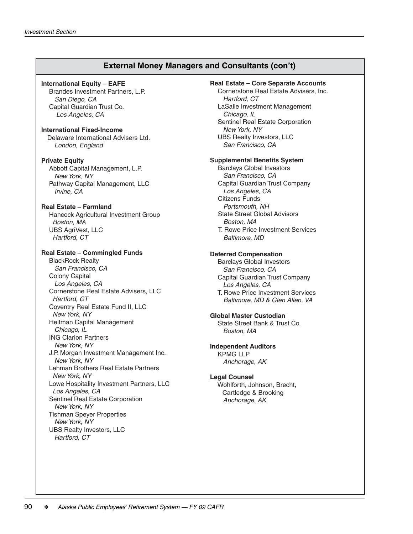### **External Money Managers and Consultants (con't)**

#### **International Equity – EAFE**

 Brandes Investment Partners, L.P. *San Diego, CA* Capital Guardian Trust Co. *Los Angeles, CA*

#### **International Fixed-Income**

 Delaware International Advisers Ltd. *London, England*

#### **Private Equity**

 Abbott Capital Management, L.P. *New York, NY* Pathway Capital Management, LLC *Irvine, CA*

### **Real Estate – Farmland**

 Hancock Agricultural Investment Group *Boston, MA* UBS AgriVest, LLC *Hartford, CT*

#### **Real Estate – Commingled Funds**

 BlackRock Realty *San Francisco, CA* Colony Capital *Los Angeles, CA* Cornerstone Real Estate Advisers, LLC *Hartford, CT* Coventry Real Estate Fund II, LLC *New York, NY* Heitman Capital Management *Chicago, IL* ING Clarion Partners *New York, NY* J.P. Morgan Investment Management Inc. *New York, NY* Lehman Brothers Real Estate Partners *New York, NY* Lowe Hospitality Investment Partners, LLC *Los Angeles, CA* Sentinel Real Estate Corporation *New York, NY* Tishman Speyer Properties *New York, NY* UBS Realty Investors, LLC *Hartford, CT*

#### **Real Estate – Core Separate Accounts**

 Cornerstone Real Estate Advisers, Inc. *Hartford, CT* LaSalle Investment Management *Chicago, IL* Sentinel Real Estate Corporation *New York, NY* UBS Realty Investors, LLC *San Francisco, CA*

### **Supplemental Benefits System**

 Barclays Global Investors *San Francisco, CA* Capital Guardian Trust Company *Los Angeles, CA* Citizens Funds *Portsmouth, NH* State Street Global Advisors *Boston, MA* T. Rowe Price Investment Services *Baltimore, MD*

#### **Deferred Compensation**

 Barclays Global Investors *San Francisco, CA* Capital Guardian Trust Company *Los Angeles, CA*

 T. Rowe Price Investment Services *Baltimore, MD & Glen Allen, VA*

#### **Global Master Custodian**

 State Street Bank & Trust Co. *Boston, MA*

#### **Independent Auditors**

 KPMG LLP *Anchorage, AK*

#### **Legal Counsel**

 Wohlforth, Johnson, Brecht, Cartledge & Brooking *Anchorage, AK*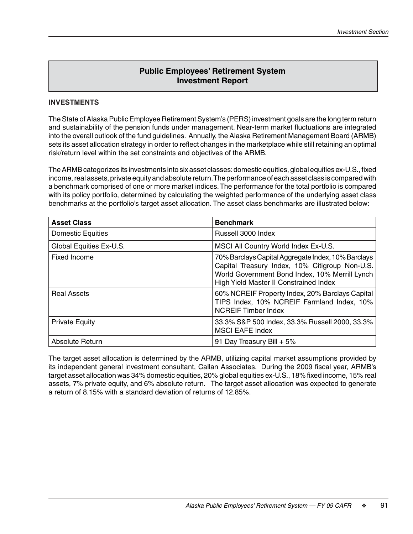### **Public Employees' Retirement System Investment Report**

### **INVESTMENTS**

The State of Alaska Public Employee Retirement System's (PERS) investment goals are the long term return and sustainability of the pension funds under management. Near-term market fluctuations are integrated into the overall outlook of the fund guidelines. Annually, the Alaska Retirement Management Board (ARMB) sets its asset allocation strategy in order to reflect changes in the marketplace while still retaining an optimal risk/return level within the set constraints and objectives of the ARMB.

The ARMB categorizes its investments into six asset classes: domestic equities, global equities ex-U.S., fixed income, real assets, private equity and absolute return. The performance of each asset class is compared with a benchmark comprised of one or more market indices. The performance for the total portfolio is compared with its policy portfolio, determined by calculating the weighted performance of the underlying asset class benchmarks at the portfolio's target asset allocation. The asset class benchmarks are illustrated below:

| <b>Asset Class</b>       | <b>Benchmark</b>                                                                                                                                                                                 |
|--------------------------|--------------------------------------------------------------------------------------------------------------------------------------------------------------------------------------------------|
| <b>Domestic Equities</b> | Russell 3000 Index                                                                                                                                                                               |
| Global Equities Ex-U.S.  | MSCI All Country World Index Ex-U.S.                                                                                                                                                             |
| <b>Fixed Income</b>      | 70% Barclays Capital Aggregate Index, 10% Barclays<br>Capital Treasury Index, 10% Citigroup Non-U.S.<br>World Government Bond Index, 10% Merrill Lynch<br>High Yield Master II Constrained Index |
| <b>Real Assets</b>       | 60% NCREIF Property Index, 20% Barclays Capital<br>TIPS Index, 10% NCREIF Farmland Index, 10%<br><b>NCREIF Timber Index</b>                                                                      |
| <b>Private Equity</b>    | 33.3% S&P 500 Index, 33.3% Russell 2000, 33.3%<br><b>MSCI EAFE Index</b>                                                                                                                         |
| Absolute Return          | 91 Day Treasury Bill + 5%                                                                                                                                                                        |

The target asset allocation is determined by the ARMB, utilizing capital market assumptions provided by its independent general investment consultant, Callan Associates. During the 2009 fiscal year, ARMB's target asset allocation was 34% domestic equities, 20% global equities ex-U.S., 18% fixed income, 15% real assets, 7% private equity, and 6% absolute return. The target asset allocation was expected to generate a return of 8.15% with a standard deviation of returns of 12.85%.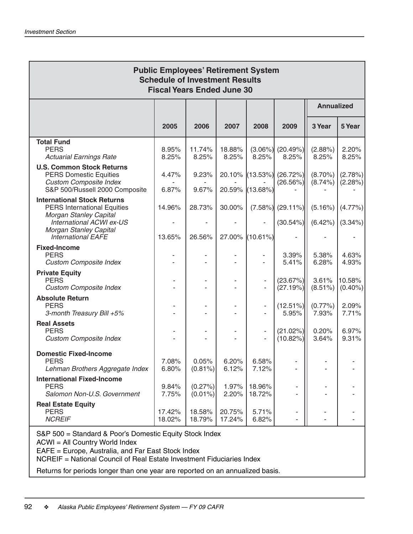| <b>Public Employees' Retirement System</b><br><b>Schedule of Investment Results</b><br><b>Fiscal Years Ended June 30</b>                                                                                                 |                  |                       |                  |                                                |                                     |                          |                      |
|--------------------------------------------------------------------------------------------------------------------------------------------------------------------------------------------------------------------------|------------------|-----------------------|------------------|------------------------------------------------|-------------------------------------|--------------------------|----------------------|
|                                                                                                                                                                                                                          |                  |                       |                  |                                                |                                     | <b>Annualized</b>        |                      |
|                                                                                                                                                                                                                          | 2005             | 2006                  | 2007             | 2008                                           | 2009                                | 3 Year                   | 5 Year               |
| <b>Total Fund</b><br><b>PERS</b><br><b>Actuarial Earnings Rate</b>                                                                                                                                                       | 8.95%<br>8.25%   | 11.74%<br>8.25%       | 18.88%<br>8.25%  | $(3.06\%)$<br>8.25%                            | (20.49%)<br>8.25%                   | (2.88%)<br>8.25%         | 2.20%<br>8.25%       |
| <b>U.S. Common Stock Returns</b><br><b>PERS Domestic Equities</b><br><b>Custom Composite Index</b><br>S&P 500/Russell 2000 Composite                                                                                     | 4.47%<br>6.87%   | 9.23%<br>9.67%        | 20.10%<br>20.59% | (13.68%)                                       | $(13.53\%)$ (26.72%)<br>$(26.56\%)$ | $(8.70\%)$<br>$(8.74\%)$ | (2.78%)<br>(2.28%)   |
| <b>International Stock Returns</b><br><b>PERS International Equities</b><br>Morgan Stanley Capital                                                                                                                       | 14.96%           | 28.73%                | 30.00%           |                                                | $(7.58\%)$ (29.11%)                 | (5.16%)                  | $(4.77\%)$           |
| International ACWI ex-US<br>Morgan Stanley Capital<br><b>International EAFE</b>                                                                                                                                          | 13.65%           | 26.56%                | 27.00%           | $(10.61\%)$                                    | $(30.54\%)$                         | $(6.42\%)$               | $(3.34\%)$           |
| <b>Fixed-Income</b><br><b>PERS</b><br><b>Custom Composite Index</b>                                                                                                                                                      |                  |                       |                  |                                                | 3.39%<br>5.41%                      | 5.38%<br>6.28%           | 4.63%<br>4.93%       |
| <b>Private Equity</b><br><b>PERS</b><br><b>Custom Composite Index</b>                                                                                                                                                    |                  |                       |                  | $\qquad \qquad \blacksquare$<br>$\overline{a}$ | (23.67%)<br>(27.19%)                | 3.61%<br>$(8.51\%)$      | 10.58%<br>$(0.40\%)$ |
| <b>Absolute Return</b><br><b>PERS</b><br>3-month Treasury Bill +5%                                                                                                                                                       |                  |                       |                  | -                                              | $(12.51\%)$<br>5.95%                | $(0.77\%)$<br>7.93%      | 2.09%<br>7.71%       |
| <b>Real Assets</b><br><b>PERS</b><br><b>Custom Composite Index</b>                                                                                                                                                       |                  |                       |                  | ٠                                              | $(21.02\%)$<br>$(10.82\%)$          | 0.20%<br>3.64%           | 6.97%<br>9.31%       |
| <b>Domestic Fixed-Income</b><br><b>PERS</b><br>Lehman Brothers Aggregate Index                                                                                                                                           | 7.08%<br>6.80%   | 0.05%<br>$(0.81\%)$   | 6.20%<br>6.12%   | 6.58%<br>7.12%                                 | $\overline{\phantom{0}}$            |                          |                      |
| <b>International Fixed-Income</b><br><b>PERS</b><br>Salomon Non-U.S. Government                                                                                                                                          | 9.84%<br>7.75%   | (0.27%)<br>$(0.01\%)$ | 1.97%<br>2.20%   | 18.96%<br>18.72%                               |                                     |                          |                      |
| <b>Real Estate Equity</b><br><b>PERS</b><br><b>NCREIF</b>                                                                                                                                                                | 17.42%<br>18.02% | 18.58%<br>18.79%      | 20.75%<br>17.24% | 5.71%<br>6.82%                                 |                                     |                          |                      |
| S&P 500 = Standard & Poor's Domestic Equity Stock Index<br>ACWI = All Country World Index<br>EAFE = Europe, Australia, and Far East Stock Index<br>NCREIF = National Council of Real Estate Investment Fiduciaries Index |                  |                       |                  |                                                |                                     |                          |                      |

Returns for periods longer than one year are reported on an annualized basis.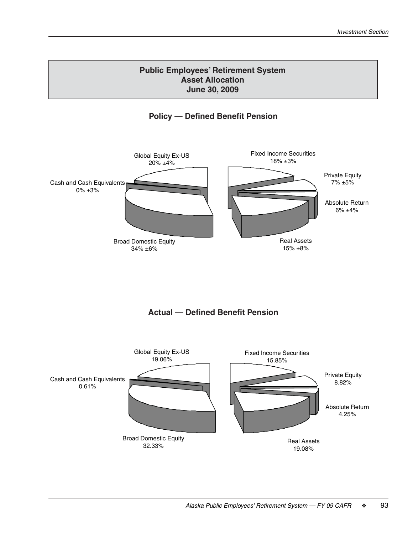

**Actual — Defined Benefit Pension**

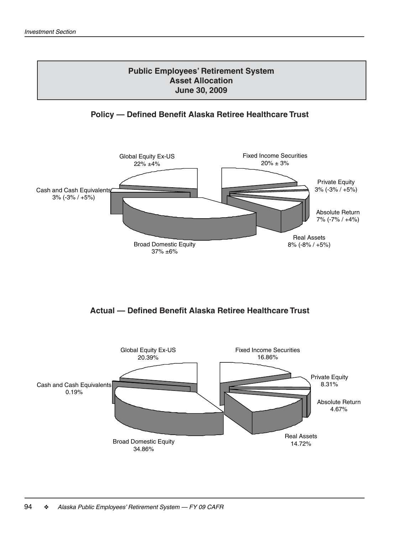

Actual — Defined Benefit Alaska Retiree Healthcare Trust

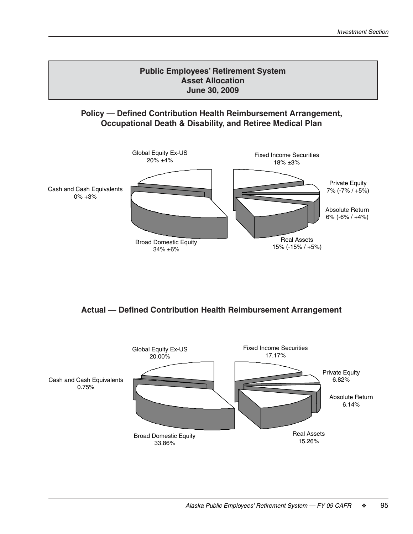### **Public Employees' Retirement System Asset Allocation June 30, 2009**

### **Policy — Defined Contribution Health Reimbursement Arrangement, Occupational Death & Disability, and Retiree Medical Plan**



**Actual — Defined Contribution Health Reimbursement Arrangement** 

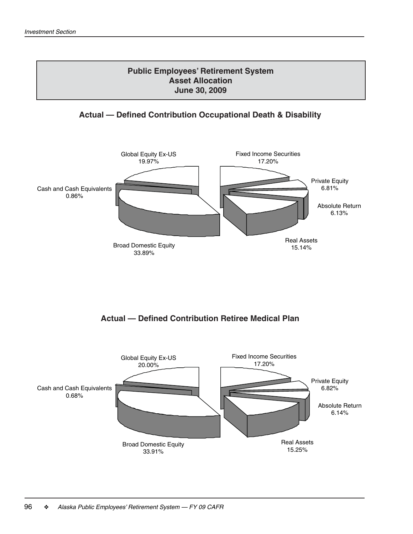

**Actual — Defined Contribution Retiree Medical Plan** 

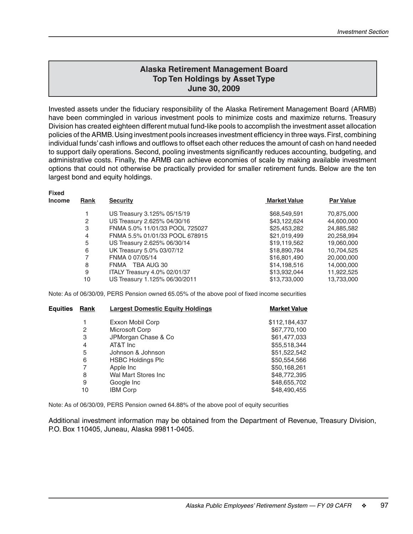### **Alaska Retirement Management Board Top Ten Holdings by Asset Type June 30, 2009**

Invested assets under the fiduciary responsibility of the Alaska Retirement Management Board (ARMB) have been commingled in various investment pools to minimize costs and maximize returns. Treasury Division has created eighteen different mutual fund-like pools to accomplish the investment asset allocation policies of the ARMB. Using investment pools increases investment efficiency in three ways. First, combining individual funds' cash inflows and outflows to offset each other reduces the amount of cash on hand needed to support daily operations. Second, pooling investments significantly reduces accounting, budgeting, and administrative costs. Finally, the ARMB can achieve economies of scale by making available investment options that could not otherwise be practically provided for smaller retirement funds. Below are the ten largest bond and equity holdings.

#### **Fixed**

| <b>Income</b> | <b>Rank</b> | <b>Security</b>                | <b>Market Value</b> | <b>Par Value</b> |
|---------------|-------------|--------------------------------|---------------------|------------------|
|               |             | US Treasury 3.125% 05/15/19    | \$68,549,591        | 70,875,000       |
|               | 2           | US Treasury 2.625% 04/30/16    | \$43,122,624        | 44,600,000       |
|               | 3           | FNMA 5.0% 11/01/33 POOL 725027 | \$25,453,282        | 24,885,582       |
|               | 4           | FNMA 5.5% 01/01/33 POOL 678915 | \$21,019,499        | 20,258,994       |
|               | 5           | US Treasury 2.625% 06/30/14    | \$19,119,562        | 19,060,000       |
|               | 6           | UK Treasury 5.0% 03/07/12      | \$18,890,784        | 10,704,525       |
|               |             | FNMA 0 07/05/14                | \$16,801,490        | 20,000,000       |
|               | 8           | TBA AUG 30<br><b>FNMA</b>      | \$14,198,516        | 14,000,000       |
|               | 9           | ITALY Treasury 4.0% 02/01/37   | \$13,932,044        | 11,922,525       |
|               | 10          | US Treasury 1.125% 06/30/2011  | \$13,733,000        | 13,733,000       |

Note: As of 06/30/09, PERS Pension owned 65.05% of the above pool of fixed income securities

| <b>Equities</b> | Rank | <b>Largest Domestic Equity Holdings</b> | <b>Market Value</b> |
|-----------------|------|-----------------------------------------|---------------------|
|                 |      | Exxon Mobil Corp                        | \$112,184,437       |
|                 | 2    | Microsoft Corp                          | \$67,770,100        |
|                 | 3    | JPMorgan Chase & Co                     | \$61,477,033        |
|                 | 4    | AT&T Inc                                | \$55,518,344        |
|                 | 5    | Johnson & Johnson                       | \$51,522,542        |
|                 | 6    | <b>HSBC Holdings Plc</b>                | \$50,554,566        |
|                 | 7    | Apple Inc                               | \$50,168,261        |
|                 | 8    | Wal Mart Stores Inc                     | \$48,772,395        |
|                 | 9    | Google Inc                              | \$48,655,702        |
|                 | 10   | <b>IBM Corp</b>                         | \$48,490,455        |
|                 |      |                                         |                     |

Note: As of 06/30/09, PERS Pension owned 64.88% of the above pool of equity securities

Additional investment information may be obtained from the Department of Revenue, Treasury Division, P.O. Box 110405, Juneau, Alaska 99811-0405.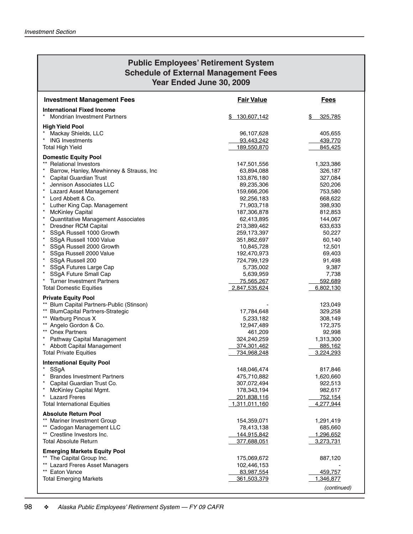| <b>Public Employees' Retirement System</b><br><b>Schedule of External Management Fees</b><br>Year Ended June 30, 2009                                                                                                                                                                                                                                                                                                                                                                                                                                                                                                       |                                                                                                                                                                                                                                                   |                                                                                                                                                                                  |  |  |
|-----------------------------------------------------------------------------------------------------------------------------------------------------------------------------------------------------------------------------------------------------------------------------------------------------------------------------------------------------------------------------------------------------------------------------------------------------------------------------------------------------------------------------------------------------------------------------------------------------------------------------|---------------------------------------------------------------------------------------------------------------------------------------------------------------------------------------------------------------------------------------------------|----------------------------------------------------------------------------------------------------------------------------------------------------------------------------------|--|--|
| <b>Investment Management Fees</b>                                                                                                                                                                                                                                                                                                                                                                                                                                                                                                                                                                                           | <b>Fair Value</b>                                                                                                                                                                                                                                 | <b>Fees</b>                                                                                                                                                                      |  |  |
| <b>International Fixed Income</b><br><b>Mondrian Investment Partners</b>                                                                                                                                                                                                                                                                                                                                                                                                                                                                                                                                                    | \$130,607,142                                                                                                                                                                                                                                     | \$<br>325,785                                                                                                                                                                    |  |  |
| <b>High Yield Pool</b><br>Mackay Shields, LLC<br>$\star$<br><b>ING Investments</b><br><b>Total High Yield</b><br><b>Domestic Equity Pool</b>                                                                                                                                                                                                                                                                                                                                                                                                                                                                                | 96,107,628<br>93,443,242<br>189,550,870                                                                                                                                                                                                           | 405,655<br>439,770<br>845,425                                                                                                                                                    |  |  |
| $***$<br><b>Relational Investors</b><br>$\star$<br>Barrow, Hanley, Mewhinney & Strauss, Inc<br>$\star$<br>Capital Guardian Trust<br>$\star$<br>Jennison Associates LLC<br>$\star$<br><b>Lazard Asset Management</b><br>$\star$<br>Lord Abbett & Co.<br>$\star$<br>Luther King Cap. Management<br>$\star$<br><b>McKinley Capital</b><br>Quantitative Management Associates<br>$\star$<br>Dresdner RCM Capital<br>$\star$<br>SSgA Russell 1000 Growth<br>SSgA Russell 1000 Value<br>$\star$<br>SSgA Russell 2000 Growth<br>SSga Russell 2000 Value<br>* SSgA Russell 200<br>* SSgA Futures Large Cap<br>SSgA Future Small Cap | 147,501,556<br>63,894,088<br>133,876,180<br>89,235,306<br>159,666,206<br>92,256,183<br>71,903,718<br>187,306,878<br>62,413,895<br>213,389,462<br>259,173,397<br>351,862,697<br>10,845,728<br>192,470,973<br>724,799,129<br>5,735,002<br>5,639,959 | 1,323,386<br>326,187<br>327,084<br>520,206<br>753,580<br>668,622<br>398,930<br>812,853<br>144,067<br>633,633<br>50,227<br>60,140<br>12,501<br>69,403<br>91,498<br>9,387<br>7,738 |  |  |
| <b>Turner Investment Partners</b><br><b>Total Domestic Equities</b><br><b>Private Equity Pool</b><br>Blum Capital Partners-Public (Stinson)<br>$^{\star\star}$<br>** BlumCapital Partners-Strategic<br>** Warburg Pincus X<br>** Angelo Gordon & Co.                                                                                                                                                                                                                                                                                                                                                                        | 75,565,267<br>2,847,535,624<br>17,784,648<br>5,233,182                                                                                                                                                                                            | 592,689<br>6,802,130<br>123,049<br>329,258<br>308,149                                                                                                                            |  |  |
| ** Onex Partners<br>Pathway Capital Management<br>Abbott Capital Management<br><b>Total Private Equities</b>                                                                                                                                                                                                                                                                                                                                                                                                                                                                                                                | 12,947,489<br>461,209<br>324,240,259<br>374,301,462<br>734,968,248                                                                                                                                                                                | 172,375<br>92,998<br>1,313,300<br>885,162<br>3,224,293                                                                                                                           |  |  |
| <b>International Equity Pool</b><br>SSgA<br>$\star$<br><b>Brandes Investment Partners</b><br>Capital Guardian Trust Co.<br>McKinley Capital Mgmt.<br>$\star$<br><b>Lazard Freres</b><br><b>Total International Equities</b>                                                                                                                                                                                                                                                                                                                                                                                                 | 148,046,474<br>475,710,882<br>307,072,494<br>178,343,194<br>201,838,116<br>1,311,011,160                                                                                                                                                          | 817,846<br>1,620,660<br>922,513<br>982,617<br>752,154<br>4,277,944                                                                                                               |  |  |
| <b>Absolute Return Pool</b><br>** Mariner Investment Group<br>$***$<br>Cadogan Management LLC<br>** Crestline Investors Inc.<br><b>Total Absolute Return</b>                                                                                                                                                                                                                                                                                                                                                                                                                                                                | 154,359,071<br>78,413,138<br>144,915,842<br>377,688,051                                                                                                                                                                                           | 1,291,419<br>685,660<br>1,296,652<br>3,273,731                                                                                                                                   |  |  |
| <b>Emerging Markets Equity Pool</b><br>** The Capital Group Inc.<br>** Lazard Freres Asset Managers<br>** Eaton Vance<br><b>Total Emerging Markets</b>                                                                                                                                                                                                                                                                                                                                                                                                                                                                      | 175,069,672<br>102,446,153<br>83,987,554<br>361,503,379                                                                                                                                                                                           | 887,120<br>459,757<br>1,346,877<br>(continued)                                                                                                                                   |  |  |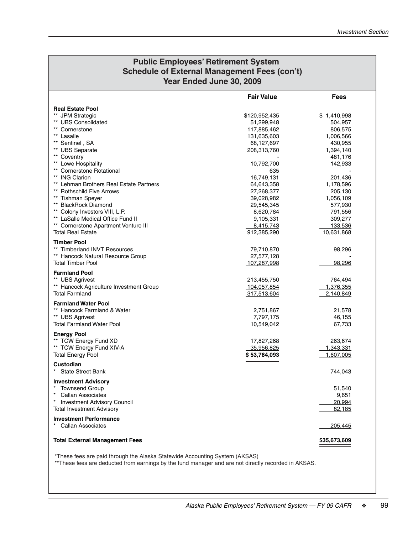## **Public Employees' Retirement System Schedule of External Management Fees (con't) Year Ended June 30, 2009**

|                                         | <b>Fair Value</b> | <b>Fees</b>    |
|-----------------------------------------|-------------------|----------------|
| <b>Real Estate Pool</b>                 |                   |                |
| ** JPM Strategic                        | \$120,952,435     | \$1,410,998    |
| ** UBS Consolidated                     | 51,299,948        | 504,957        |
| ** Cornerstone                          | 117,885,462       | 806,575        |
| ** Lasalle                              | 131,635,603       | 1,006,566      |
| ** Sentinel, SA                         | 68,127,697        | 430,955        |
| <b>UBS Separate</b>                     | 208,313,760       | 1,394,140      |
| ** Coventry                             |                   | 481,176        |
| ** Lowe Hospitality                     | 10,792,700        | 142,933        |
| ** Cornerstone Rotational               | 635               |                |
| ** ING Clarion                          | 16,749,131        | 201,436        |
| ** Lehman Brothers Real Estate Partners | 64,643,358        | 1,178,596      |
| ** Rothschild Five Arrows               | 27,268,377        | 205,130        |
| ** Tishman Speyer                       | 39,028,982        | 1,056,109      |
| ** BlackRock Diamond                    | 29,545,345        | 577,930        |
| ** Colony Investors VIII, L.P.          | 8,620,784         | 791,556        |
| ** LaSalle Medical Office Fund II       |                   |                |
|                                         | 9,105,331         | 309,277        |
| ** Cornerstone Apartment Venture III    | 8,415,743         | 133,536        |
| <b>Total Real Estate</b>                | 912,385,290       | 10,631,868     |
| <b>Timber Pool</b>                      |                   |                |
| ** Timberland INVT Resources            | 79,710,870        | 98,296         |
| ** Hancock Natural Resource Group       | 27,577,128        |                |
| <b>Total Timber Pool</b>                | 107,287,998       | 98,296         |
|                                         |                   |                |
| <b>Farmland Pool</b>                    |                   |                |
| ** UBS Agrivest                         | 213,455,750       | 764,494        |
| ** Hancock Agriculture Investment Group | 104,057,854       | 1,376,355      |
| <b>Total Farmland</b>                   | 317,513,604       | 2,140,849      |
| <b>Farmland Water Pool</b>              |                   |                |
| ** Hancock Farmland & Water             | 2,751,867         | 21,578         |
| ** UBS Agrivest                         | 7,797,175         | 46,155         |
| <b>Total Farmland Water Pool</b>        | 10,549,042        | 67,733         |
| <b>Energy Pool</b>                      |                   |                |
|                                         |                   |                |
| ** TCW Energy Fund XD                   | 17,827,268        | 263,674        |
| ** TCW Energy Fund XIV-A                | 35,956,825        | 1,343,331      |
| <b>Total Energy Pool</b>                | \$53,784,093      | 1,607,005      |
| Custodian                               |                   |                |
| <b>State Street Bank</b>                |                   | 744,043        |
| <b>Investment Advisory</b>              |                   |                |
| <b>Townsend Group</b>                   |                   | 51,540         |
| Callan Associates                       |                   | 9,651          |
| <b>Investment Advisory Council</b>      |                   |                |
| <b>Total Investment Advisory</b>        |                   | 20,994         |
|                                         |                   | 82,185         |
| <b>Investment Performance</b>           |                   |                |
| Callan Associates                       |                   | <u>205,445</u> |
|                                         |                   |                |
| <b>Total External Management Fees</b>   |                   | \$35,673,609   |
|                                         |                   |                |
|                                         |                   |                |

\*These fees are paid through the Alaska Statewide Accounting System (AKSAS)

\*\*These fees are deducted from earnings by the fund manager and are not directly recorded in AKSAS.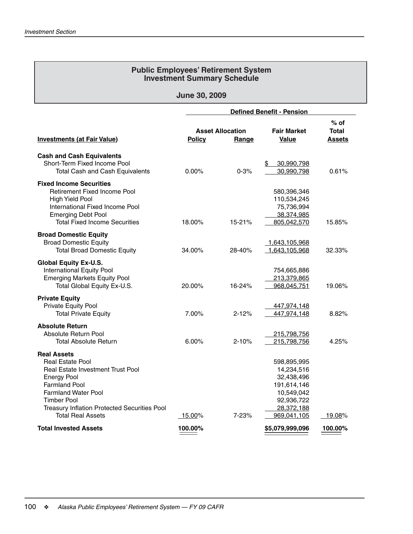|                                                                                                                                                                                                                                                                         | <b>Defined Benefit - Pension</b> |                                  |                                                                                                                 |                        |
|-------------------------------------------------------------------------------------------------------------------------------------------------------------------------------------------------------------------------------------------------------------------------|----------------------------------|----------------------------------|-----------------------------------------------------------------------------------------------------------------|------------------------|
|                                                                                                                                                                                                                                                                         |                                  |                                  |                                                                                                                 | $%$ of                 |
| <b>Investments (at Fair Value)</b>                                                                                                                                                                                                                                      | Policy                           | <b>Asset Allocation</b><br>Range | <b>Fair Market</b><br>Value                                                                                     | Total<br><b>Assets</b> |
|                                                                                                                                                                                                                                                                         |                                  |                                  |                                                                                                                 |                        |
| <b>Cash and Cash Equivalents</b><br>Short-Term Fixed Income Pool<br><b>Total Cash and Cash Equivalents</b>                                                                                                                                                              | 0.00%                            | $0 - 3%$                         | \$<br>30,990,798<br>30,990,798                                                                                  | 0.61%                  |
| <b>Fixed Income Securities</b><br><b>Retirement Fixed Income Pool</b><br><b>High Yield Pool</b><br>International Fixed Income Pool<br><b>Emerging Debt Pool</b><br><b>Total Fixed Income Securities</b>                                                                 | 18.00%                           | 15-21%                           | 580,396,346<br>110,534,245<br>75,736,994<br>38,374,985<br>805,042,570                                           | 15.85%                 |
| <b>Broad Domestic Equity</b><br><b>Broad Domestic Equity</b><br><b>Total Broad Domestic Equity</b>                                                                                                                                                                      | 34.00%                           | 28-40%                           | <u>1,643,105,968</u><br>1,643,105,968                                                                           | 32.33%                 |
| <b>Global Equity Ex-U.S.</b><br>International Equity Pool<br><b>Emerging Markets Equity Pool</b><br>Total Global Equity Ex-U.S.                                                                                                                                         | 20.00%                           | 16-24%                           | 754,665,886<br>213,379,865<br>968,045,751                                                                       | 19.06%                 |
| <b>Private Equity</b><br><b>Private Equity Pool</b><br><b>Total Private Equity</b>                                                                                                                                                                                      | 7.00%                            | $2 - 12%$                        | 447,974,148<br>447,974,148                                                                                      | 8.82%                  |
| <b>Absolute Return</b><br>Absolute Return Pool<br><b>Total Absolute Return</b>                                                                                                                                                                                          | 6.00%                            | $2 - 10%$                        | 215,798,756<br>215,798,756                                                                                      | 4.25%                  |
| <b>Real Assets</b><br><b>Real Estate Pool</b><br><b>Real Estate Investment Trust Pool</b><br><b>Energy Pool</b><br><b>Farmland Pool</b><br><b>Farmland Water Pool</b><br>Timber Pool<br><b>Treasury Inflation Protected Securities Pool</b><br><b>Total Real Assets</b> | 15.00%                           | 7-23%                            | 598,895,995<br>14,234,516<br>32,438,496<br>191,614,146<br>10,549,042<br>92,936,722<br>28,372,188<br>969,041,105 | 19.08%                 |
| <b>Total Invested Assets</b>                                                                                                                                                                                                                                            | 100.00%                          |                                  | \$5,079,999,096                                                                                                 | 100.00%                |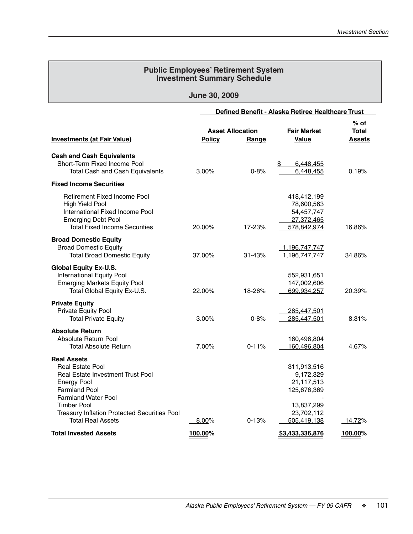|                                                                                                                                                                                                                                                                  |               | Defined Benefit - Alaska Retiree Healthcare Trust |                                                                                                  |                        |  |
|------------------------------------------------------------------------------------------------------------------------------------------------------------------------------------------------------------------------------------------------------------------|---------------|---------------------------------------------------|--------------------------------------------------------------------------------------------------|------------------------|--|
|                                                                                                                                                                                                                                                                  |               | <b>Asset Allocation</b>                           | <b>Fair Market</b>                                                                               | $%$ of<br><b>Total</b> |  |
| <b>Investments (at Fair Value)</b>                                                                                                                                                                                                                               | <b>Policy</b> | Range                                             | Value                                                                                            | <b>Assets</b>          |  |
| <b>Cash and Cash Equivalents</b><br>Short-Term Fixed Income Pool<br><b>Total Cash and Cash Equivalents</b>                                                                                                                                                       | 3.00%         | $0 - 8%$                                          | \$<br>6,448,455<br>6,448,455                                                                     | 0.19%                  |  |
| <b>Fixed Income Securities</b>                                                                                                                                                                                                                                   |               |                                                   |                                                                                                  |                        |  |
| <b>Retirement Fixed Income Pool</b><br><b>High Yield Pool</b><br>International Fixed Income Pool<br><b>Emerging Debt Pool</b><br><b>Total Fixed Income Securities</b>                                                                                            | 20.00%        | 17-23%                                            | 418,412,199<br>78,600,563<br>54,457,747<br>27,372,465<br>578,842,974                             | 16.86%                 |  |
| <b>Broad Domestic Equity</b><br><b>Broad Domestic Equity</b><br><b>Total Broad Domestic Equity</b>                                                                                                                                                               | 37.00%        | $31 - 43%$                                        | 1,196,747,747<br>1,196,747,747                                                                   | 34.86%                 |  |
| <b>Global Equity Ex-U.S.</b><br><b>International Equity Pool</b><br><b>Emerging Markets Equity Pool</b><br>Total Global Equity Ex-U.S.                                                                                                                           | 22.00%        | 18-26%                                            | 552,931,651<br>147,002,606<br>699,934,257                                                        | 20.39%                 |  |
| <b>Private Equity</b><br>Private Equity Pool<br><b>Total Private Equity</b>                                                                                                                                                                                      | $3.00\%$      | $0 - 8%$                                          | 285,447,501<br>285,447,501                                                                       | 8.31%                  |  |
| <b>Absolute Return</b><br>Absolute Return Pool<br>Total Absolute Return                                                                                                                                                                                          | 7.00%         | $0 - 11%$                                         | 160,496,804<br>160,496,804                                                                       | 4.67%                  |  |
| <b>Real Assets</b><br><b>Real Estate Pool</b><br>Real Estate Investment Trust Pool<br><b>Energy Pool</b><br><b>Farmland Pool</b><br><b>Farmland Water Pool</b><br><b>Timber Pool</b><br>Treasury Inflation Protected Securities Pool<br><b>Total Real Assets</b> | $8.00\%$      | $0 - 13%$                                         | 311,913,516<br>9,172,329<br>21,117,513<br>125,676,369<br>13,837,299<br>23,702,112<br>505,419,138 | $14.72\%$              |  |
| <b>Total Invested Assets</b>                                                                                                                                                                                                                                     | 100.00%       |                                                   | \$3,433,336,876                                                                                  | 100.00%                |  |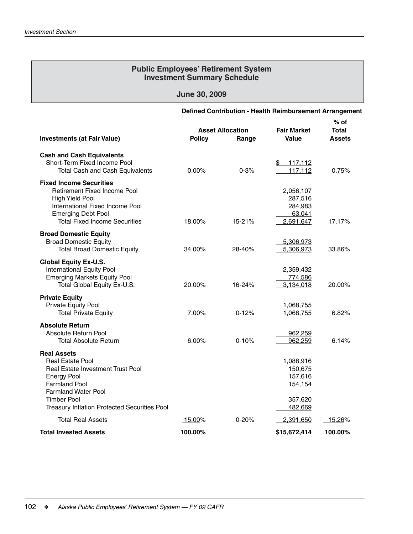|                                                                        | Defined Contribution - Health Reimbursement Arrangement |                         |                          |                        |
|------------------------------------------------------------------------|---------------------------------------------------------|-------------------------|--------------------------|------------------------|
|                                                                        |                                                         | <b>Asset Allocation</b> | <b>Fair Market</b>       | $%$ of<br><b>Total</b> |
| <b>Investments (at Fair Value)</b>                                     | Policy                                                  | Range                   | Value                    | <b>Assets</b>          |
| <b>Cash and Cash Equivalents</b>                                       |                                                         |                         |                          |                        |
| Short-Term Fixed Income Pool<br><b>Total Cash and Cash Equivalents</b> | $0.00\%$                                                | $0 - 3%$                | \$<br>117,112<br>117,112 | 0.75%                  |
| <b>Fixed Income Securities</b>                                         |                                                         |                         |                          |                        |
| Retirement Fixed Income Pool                                           |                                                         |                         | 2,056,107                |                        |
| High Yield Pool<br>International Fixed Income Pool                     |                                                         |                         | 287,516                  |                        |
| <b>Emerging Debt Pool</b>                                              |                                                         |                         | 284,983<br>63,041        |                        |
| <b>Total Fixed Income Securities</b>                                   | 18.00%                                                  | 15-21%                  | 2,691,647                | 17.17%                 |
| <b>Broad Domestic Equity</b>                                           |                                                         |                         |                          |                        |
| <b>Broad Domestic Equity</b>                                           |                                                         |                         | 5,306,973                |                        |
| <b>Total Broad Domestic Equity</b>                                     | 34.00%                                                  | 28-40%                  | 5,306,973                | 33.86%                 |
| <b>Global Equity Ex-U.S.</b>                                           |                                                         |                         |                          |                        |
| International Equity Pool                                              |                                                         |                         | 2,359,432                |                        |
| <b>Emerging Markets Equity Pool</b>                                    |                                                         |                         | 774,586                  |                        |
| Total Global Equity Ex-U.S.                                            | 20.00%                                                  | 16-24%                  | 3,134,018                | 20.00%                 |
| <b>Private Equity</b>                                                  |                                                         |                         |                          |                        |
| <b>Private Equity Pool</b>                                             |                                                         |                         | 1,068,755                |                        |
| <b>Total Private Equity</b>                                            | 7.00%                                                   | $0 - 12%$               | 1,068,755                | 6.82%                  |
| <b>Absolute Return</b>                                                 |                                                         |                         |                          |                        |
| Absolute Return Pool                                                   |                                                         |                         | 962,259                  |                        |
| Total Absolute Return                                                  | 6.00%                                                   | $0 - 10%$               | 962,259                  | 6.14%                  |
| <b>Real Assets</b>                                                     |                                                         |                         |                          |                        |
| Real Estate Pool                                                       |                                                         |                         | 1,088,916                |                        |
| Real Estate Investment Trust Pool                                      |                                                         |                         | 150,675                  |                        |
| <b>Energy Pool</b>                                                     |                                                         |                         | 157,616                  |                        |
| <b>Farmland Pool</b>                                                   |                                                         |                         | 154,154                  |                        |
| <b>Farmland Water Pool</b><br><b>Timber Pool</b>                       |                                                         |                         | 357,620                  |                        |
| Treasury Inflation Protected Securities Pool                           |                                                         |                         | 482,669                  |                        |
|                                                                        |                                                         |                         |                          |                        |
| <b>Total Real Assets</b>                                               | 15.00%                                                  | $0 - 20%$               | 2,391,650                | 15.26%                 |
| <b>Total Invested Assets</b>                                           | 100.00%                                                 |                         | \$15,672,414             | 100.00%                |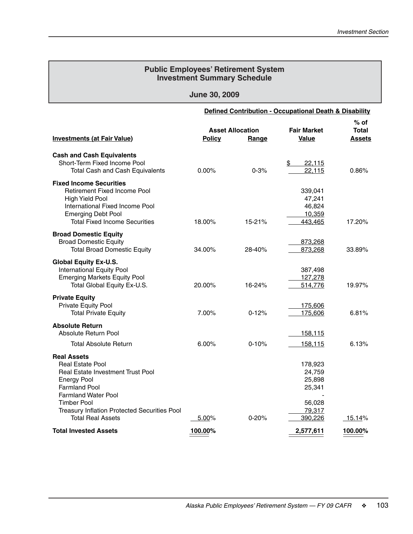|                                                                                                                                                                                                                                                                  | Defined Contribution - Occupational Death & Disability |                                  |                                                                      |                                |
|------------------------------------------------------------------------------------------------------------------------------------------------------------------------------------------------------------------------------------------------------------------|--------------------------------------------------------|----------------------------------|----------------------------------------------------------------------|--------------------------------|
| <b>Investments (at Fair Value)</b>                                                                                                                                                                                                                               | <b>Policy</b>                                          | <b>Asset Allocation</b><br>Range | <b>Fair Market</b><br><b>Value</b>                                   | % of<br>Total<br><b>Assets</b> |
| <b>Cash and Cash Equivalents</b><br>Short-Term Fixed Income Pool<br><b>Total Cash and Cash Equivalents</b>                                                                                                                                                       | 0.00%                                                  | $0 - 3%$                         | \$<br>22,115<br>22,115                                               | 0.86%                          |
| <b>Fixed Income Securities</b><br><b>Retirement Fixed Income Pool</b><br>High Yield Pool<br>International Fixed Income Pool<br><b>Emerging Debt Pool</b><br><b>Total Fixed Income Securities</b>                                                                 | 18.00%                                                 | 15-21%                           | 339,041<br>47,241<br>46,824<br>10,359<br>443,465                     | 17.20%                         |
| <b>Broad Domestic Equity</b><br><b>Broad Domestic Equity</b><br><b>Total Broad Domestic Equity</b>                                                                                                                                                               | 34.00%                                                 | 28-40%                           | 873,268<br>873,268                                                   | 33.89%                         |
| <b>Global Equity Ex-U.S.</b><br><b>International Equity Pool</b><br><b>Emerging Markets Equity Pool</b><br>Total Global Equity Ex-U.S.                                                                                                                           | 20.00%                                                 | 16-24%                           | 387,498<br>127,278<br>514,776                                        | 19.97%                         |
| <b>Private Equity</b><br>Private Equity Pool<br><b>Total Private Equity</b>                                                                                                                                                                                      | 7.00%                                                  | $0 - 12%$                        | 175,606<br>175,606                                                   | 6.81%                          |
| <b>Absolute Return</b><br>Absolute Return Pool                                                                                                                                                                                                                   |                                                        |                                  | 158,115                                                              |                                |
| <b>Total Absolute Return</b>                                                                                                                                                                                                                                     | 6.00%                                                  | $0 - 10%$                        | 158,115                                                              | 6.13%                          |
| <b>Real Assets</b><br><b>Real Estate Pool</b><br>Real Estate Investment Trust Pool<br><b>Energy Pool</b><br><b>Farmland Pool</b><br><b>Farmland Water Pool</b><br><b>Timber Pool</b><br>Treasury Inflation Protected Securities Pool<br><b>Total Real Assets</b> | $5.00\%$                                               | $0 - 20%$                        | 178,923<br>24,759<br>25,898<br>25,341<br>56,028<br>79,317<br>390,226 | 15.14%                         |
| <b>Total Invested Assets</b>                                                                                                                                                                                                                                     | 100.00%                                                |                                  | 2,577,611                                                            | 100.00%                        |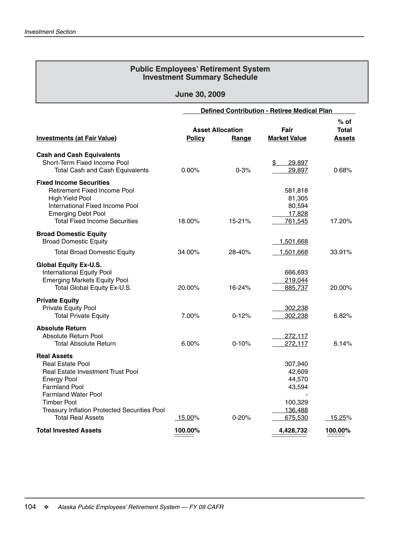**June 30, 2009**

|                                                    | <b>Defined Contribution - Retiree Medical Plan</b> |                         |                     |               |
|----------------------------------------------------|----------------------------------------------------|-------------------------|---------------------|---------------|
|                                                    |                                                    |                         |                     | $%$ of        |
|                                                    |                                                    | <b>Asset Allocation</b> | Fair                | <b>Total</b>  |
| <u>Investments (at Fair Value)</u>                 | <b>Policy</b>                                      | Range                   | <b>Market Value</b> | <b>Assets</b> |
| <b>Cash and Cash Equivalents</b>                   |                                                    |                         |                     |               |
| Short-Term Fixed Income Pool                       |                                                    |                         | S<br>29.897         |               |
| <b>Total Cash and Cash Equivalents</b>             | $0.00\%$                                           | $0 - 3%$                | 29,897              | 0.68%         |
| <b>Fixed Income Securities</b>                     |                                                    |                         |                     |               |
| <b>Retirement Fixed Income Pool</b>                |                                                    |                         | 581,818             |               |
| <b>High Yield Pool</b>                             |                                                    |                         | 81,305              |               |
| International Fixed Income Pool                    |                                                    |                         | 80,594              |               |
| <b>Emerging Debt Pool</b>                          |                                                    |                         | 17,828              |               |
| <b>Total Fixed Income Securities</b>               | 18.00%                                             | 15-21%                  | 761,545             | 17.20%        |
| <b>Broad Domestic Equity</b>                       |                                                    |                         |                     |               |
| <b>Broad Domestic Equity</b>                       |                                                    |                         | 1,501,668           |               |
| <b>Total Broad Domestic Equity</b>                 | 34.00%                                             | 28-40%                  | 1,501,668           | 33.91%        |
| <b>Global Equity Ex-U.S.</b>                       |                                                    |                         |                     |               |
| International Equity Pool                          |                                                    |                         | 666,693             |               |
| <b>Emerging Markets Equity Pool</b>                |                                                    |                         | 219,044             |               |
| Total Global Equity Ex-U.S.                        | 20.00%                                             | 16-24%                  | 885,737             | 20.00%        |
| <b>Private Equity</b>                              |                                                    |                         |                     |               |
| Private Equity Pool                                |                                                    |                         | 302,238             |               |
| <b>Total Private Equity</b>                        | 7.00%                                              | $0 - 12%$               | 302,238             | 6.82%         |
| <b>Absolute Return</b>                             |                                                    |                         |                     |               |
| Absolute Return Pool                               |                                                    |                         | 272,117             |               |
| <b>Total Absolute Return</b>                       | 6.00%                                              | $0 - 10%$               | 272,117             | 6.14%         |
| <b>Real Assets</b>                                 |                                                    |                         |                     |               |
| Real Estate Pool                                   |                                                    |                         | 307,940             |               |
| Real Estate Investment Trust Pool                  |                                                    |                         | 42,609              |               |
| <b>Energy Pool</b>                                 |                                                    |                         | 44,570              |               |
| <b>Farmland Pool</b><br><b>Farmland Water Pool</b> |                                                    |                         | 43,594              |               |
| <b>Timber Pool</b>                                 |                                                    |                         | 100,329             |               |
| Treasury Inflation Protected Securities Pool       |                                                    |                         | <u>136,488</u>      |               |
| <b>Total Real Assets</b>                           | 15.00%                                             | $0 - 20%$               | 675,530             | 15.25%        |
| <b>Total Invested Assets</b>                       | 100.00%                                            |                         | 4,428,732           | 100.00%       |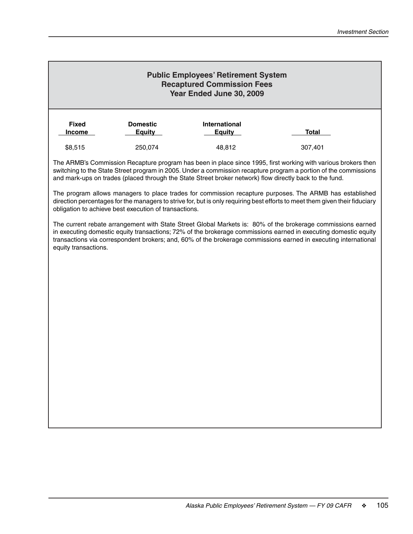| <b>Public Employees' Retirement System</b><br><b>Recaptured Commission Fees</b><br>Year Ended June 30, 2009 |                                                       |                                                                                                         |                                                                                                                                                                                                                                                                                                                                                                                                                                                                                                                                                                                                                                                                                                                                                                                                                                  |  |  |
|-------------------------------------------------------------------------------------------------------------|-------------------------------------------------------|---------------------------------------------------------------------------------------------------------|----------------------------------------------------------------------------------------------------------------------------------------------------------------------------------------------------------------------------------------------------------------------------------------------------------------------------------------------------------------------------------------------------------------------------------------------------------------------------------------------------------------------------------------------------------------------------------------------------------------------------------------------------------------------------------------------------------------------------------------------------------------------------------------------------------------------------------|--|--|
| <b>Fixed</b><br><b>Income</b>                                                                               | <b>Domestic</b><br><b>Equity</b>                      | International<br><b>Equity</b>                                                                          | <b>Total</b>                                                                                                                                                                                                                                                                                                                                                                                                                                                                                                                                                                                                                                                                                                                                                                                                                     |  |  |
| \$8,515                                                                                                     | 250,074                                               | 48,812                                                                                                  | 307,401                                                                                                                                                                                                                                                                                                                                                                                                                                                                                                                                                                                                                                                                                                                                                                                                                          |  |  |
| equity transactions.                                                                                        | obligation to achieve best execution of transactions. | and mark-ups on trades (placed through the State Street broker network) flow directly back to the fund. | The ARMB's Commission Recapture program has been in place since 1995, first working with various brokers then<br>switching to the State Street program in 2005. Under a commission recapture program a portion of the commissions<br>The program allows managers to place trades for commission recapture purposes. The ARMB has established<br>direction percentages for the managers to strive for, but is only requiring best efforts to meet them given their fiduciary<br>The current rebate arrangement with State Street Global Markets is: 80% of the brokerage commissions earned<br>in executing domestic equity transactions; 72% of the brokerage commissions earned in executing domestic equity<br>transactions via correspondent brokers; and, 60% of the brokerage commissions earned in executing international |  |  |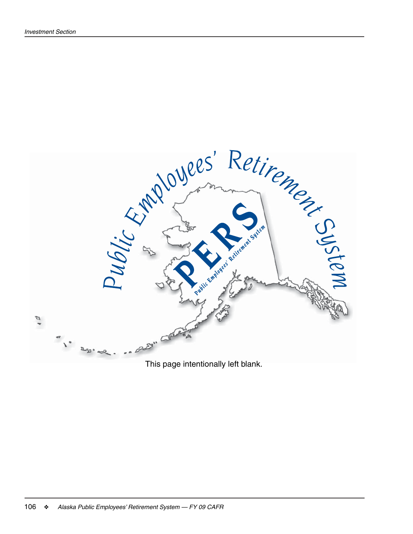

This page intentionally left blank.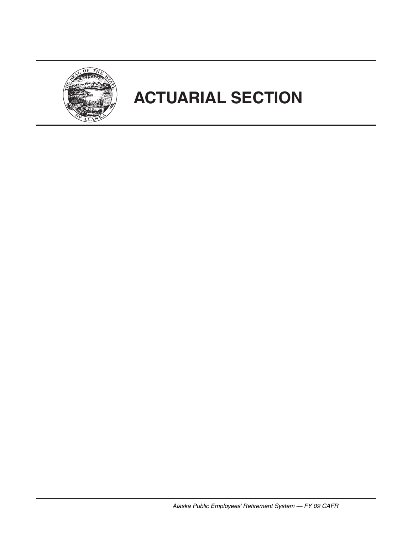

# **ACTUARIAL SECTION**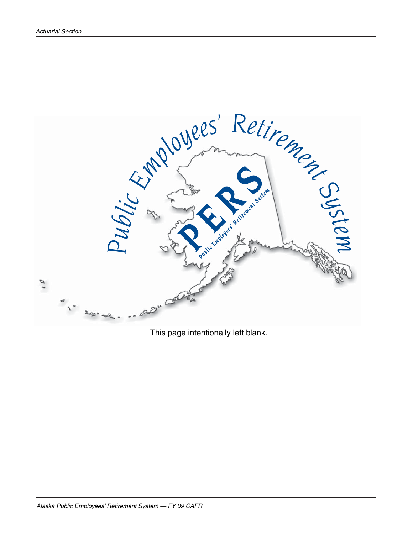

This page intentionally left blank.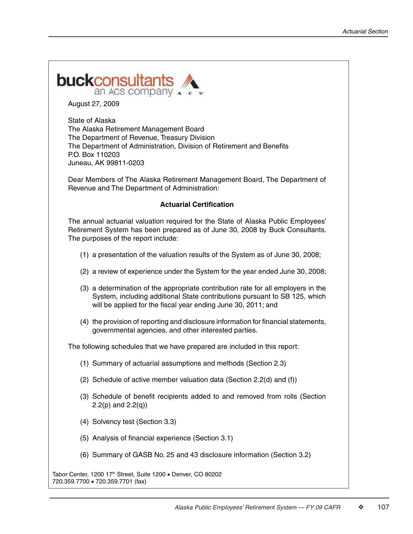

August 27, 2009

State of Alaska The Alaska Retirement Management Board The Department of Revenue, Treasury Division The Department of Administration, Division of Retirement and Benefits P.O. Box 110203 Juneau, AK 99811-0203

Dear Members of The Alaska Retirement Management Board, The Department of Revenue and The Department of Administration:

#### **Actuarial Certification**

The annual actuarial valuation required for the State of Alaska Public Employees' Retirement System has been prepared as of June 30, 2008 by Buck Consultants. The purposes of the report include:

- (1) a presentation of the valuation results of the System as of June 30, 2008;
- (2) a review of experience under the System for the year ended June 30, 2008;
- (3) a determination of the appropriate contribution rate for all employers in the System, including additional State contributions pursuant to SB 125, which will be applied for the fiscal year ending June 30, 2011; and
- (4) the provision of reporting and disclosure information for financial statements, governmental agencies, and other interested parties.

The following schedules that we have prepared are included in this report:

- (1) Summary of actuarial assumptions and methods (Section 2.3)
- (2) Schedule of active member valuation data (Section 2.2(d) and (f))
- (3) Schedule of benefit recipients added to and removed from rolls (Section 2.2(p) and 2.2(q))
- (4) Solvency test (Section 3.3)
- (5) Analysis of financial experience (Section 3.1)
- (6) Summary of GASB No. 25 and 43 disclosure information (Section 3.2)

Tabor Center, 1200 17<sup>th</sup> Street, Suite 1200 · Denver, CO 80202 720.359.7700 720.359.7701 (fax)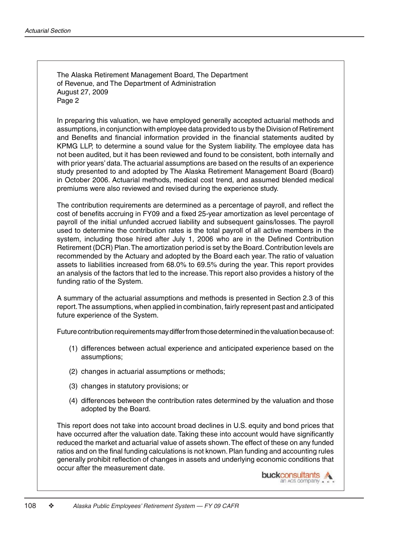The Alaska Retirement Management Board, The Department of Revenue, and The Department of Administration August 27, 2009 Page 2

In preparing this valuation, we have employed generally accepted actuarial methods and assumptions, in conjunction with employee data provided to us by the Division of Retirement and Benefits and financial information provided in the financial statements audited by KPMG LLP, to determine a sound value for the System liability. The employee data has not been audited, but it has been reviewed and found to be consistent, both internally and with prior years' data. The actuarial assumptions are based on the results of an experience study presented to and adopted by The Alaska Retirement Management Board (Board) in October 2006. Actuarial methods, medical cost trend, and assumed blended medical premiums were also reviewed and revised during the experience study.

The contribution requirements are determined as a percentage of payroll, and reflect the cost of benefits accruing in FY09 and a fixed 25-year amortization as level percentage of payroll of the initial unfunded accrued liability and subsequent gains/losses. The payroll used to determine the contribution rates is the total payroll of all active members in the system, including those hired after July 1, 2006 who are in the Defined Contribution Retirement (DCR) Plan. The amortization period is set by the Board. Contribution levels are recommended by the Actuary and adopted by the Board each year. The ratio of valuation assets to liabilities increased from 68.0% to 69.5% during the year. This report provides an analysis of the factors that led to the increase. This report also provides a history of the funding ratio of the System.

A summary of the actuarial assumptions and methods is presented in Section 2.3 of this report. The assumptions, when applied in combination, fairly represent past and anticipated future experience of the System.

Future contribution requirements may differ from those determined in the valuation because of:

- (1) differences between actual experience and anticipated experience based on the assumptions;
- (2) changes in actuarial assumptions or methods;
- (3) changes in statutory provisions; or
- (4) differences between the contribution rates determined by the valuation and those adopted by the Board.

This report does not take into account broad declines in U.S. equity and bond prices that have occurred after the valuation date. Taking these into account would have significantly reduced the market and actuarial value of assets shown. The effect of these on any funded ratios and on the final funding calculations is not known. Plan funding and accounting rules generally prohibit reflection of changes in assets and underlying economic conditions that occur after the measurement date.

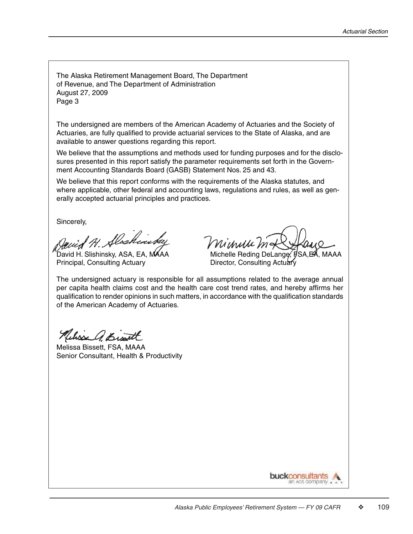The Alaska Retirement Management Board, The Department of Revenue, and The Department of Administration August 27, 2009 Page 3

The undersigned are members of the American Academy of Actuaries and the Society of Actuaries, are fully qualified to provide actuarial services to the State of Alaska, and are available to answer questions regarding this report.

We believe that the assumptions and methods used for funding purposes and for the disclosures presented in this report satisfy the parameter requirements set forth in the Government Accounting Standards Board (GASB) Statement Nos. 25 and 43.

We believe that this report conforms with the requirements of the Alaska statutes, and where applicable, other federal and accounting laws, regulations and rules, as well as generally accepted actuarial principles and practices.

Sincerely,

H Slockins

Principal, Consulting Actuary Director, Consulting Actuary

Mihidde

David H. Slishinsky, ASA, EA, MAAA Michelle Reding DeLange, FSA, EA, MAAA

The undersigned actuary is responsible for all assumptions related to the average annual per capita health claims cost and the health care cost trend rates, and hereby affirms her qualification to render opinions in such matters, in accordance with the qualification standards of the American Academy of Actuaries.

Melisse a Brooth

Melissa Bissett, FSA, MAAA Senior Consultant, Health & Productivity

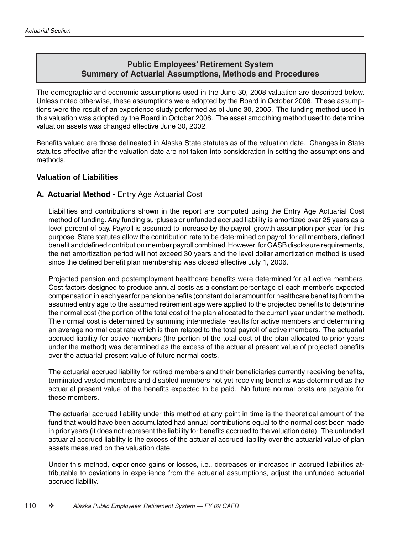The demographic and economic assumptions used in the June 30, 2008 valuation are described below. Unless noted otherwise, these assumptions were adopted by the Board in October 2006. These assumptions were the result of an experience study performed as of June 30, 2005. The funding method used in this valuation was adopted by the Board in October 2006. The asset smoothing method used to determine valuation assets was changed effective June 30, 2002.

Benefits valued are those delineated in Alaska State statutes as of the valuation date. Changes in State statutes effective after the valuation date are not taken into consideration in setting the assumptions and methods.

## **Valuation of Liabilities**

## **A. Actuarial Method -** Entry Age Actuarial Cost

Liabilities and contributions shown in the report are computed using the Entry Age Actuarial Cost method of funding. Any funding surpluses or unfunded accrued liability is amortized over 25 years as a level percent of pay. Payroll is assumed to increase by the payroll growth assumption per year for this purpose. State statutes allow the contribution rate to be determined on payroll for all members, defined benefit and defined contribution member payroll combined. However, for GASB disclosure requirements, the net amortization period will not exceed 30 years and the level dollar amortization method is used since the defined benefit plan membership was closed effective July 1, 2006.

Projected pension and postemployment healthcare benefits were determined for all active members. Cost factors designed to produce annual costs as a constant percentage of each member's expected compensation in each year for pension benefits (constant dollar amount for healthcare benefits) from the assumed entry age to the assumed retirement age were applied to the projected benefits to determine the normal cost (the portion of the total cost of the plan allocated to the current year under the method). The normal cost is determined by summing intermediate results for active members and determining an average normal cost rate which is then related to the total payroll of active members. The actuarial accrued liability for active members (the portion of the total cost of the plan allocated to prior years under the method) was determined as the excess of the actuarial present value of projected benefits over the actuarial present value of future normal costs.

The actuarial accrued liability for retired members and their beneficiaries currently receiving benefits, terminated vested members and disabled members not yet receiving benefits was determined as the actuarial present value of the benefits expected to be paid. No future normal costs are payable for these members.

The actuarial accrued liability under this method at any point in time is the theoretical amount of the fund that would have been accumulated had annual contributions equal to the normal cost been made in prior years (it does not represent the liability for benefits accrued to the valuation date). The unfunded actuarial accrued liability is the excess of the actuarial accrued liability over the actuarial value of plan assets measured on the valuation date.

Under this method, experience gains or losses, i.e., decreases or increases in accrued liabilities attributable to deviations in experience from the actuarial assumptions, adjust the unfunded actuarial accrued liability.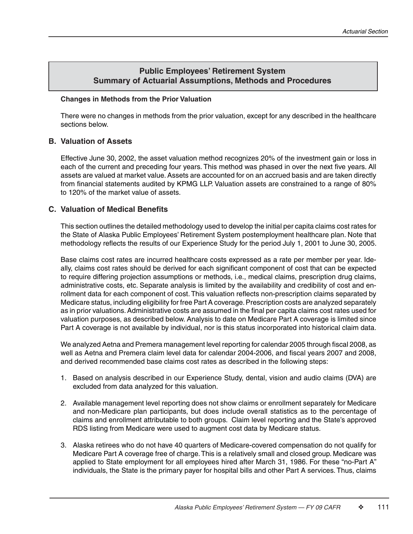## **Changes in Methods from the Prior Valuation**

There were no changes in methods from the prior valuation, except for any described in the healthcare sections below.

## **B. Valuation of Assets**

Effective June 30, 2002, the asset valuation method recognizes 20% of the investment gain or loss in each of the current and preceding four years. This method was phased in over the next five years. All assets are valued at market value. Assets are accounted for on an accrued basis and are taken directly from financial statements audited by KPMG LLP. Valuation assets are constrained to a range of 80% to 120% of the market value of assets.

## **C. Valuation of Medical Benefits**

This section outlines the detailed methodology used to develop the initial per capita claims cost rates for the State of Alaska Public Employees' Retirement System postemployment healthcare plan. Note that methodology reflects the results of our Experience Study for the period July 1, 2001 to June 30, 2005.

Base claims cost rates are incurred healthcare costs expressed as a rate per member per year. Ideally, claims cost rates should be derived for each significant component of cost that can be expected to require differing projection assumptions or methods, i.e., medical claims, prescription drug claims, administrative costs, etc. Separate analysis is limited by the availability and credibility of cost and enrollment data for each component of cost. This valuation reflects non-prescription claims separated by Medicare status, including eligibility for free Part A coverage. Prescription costs are analyzed separately as in prior valuations. Administrative costs are assumed in the final per capita claims cost rates used for valuation purposes, as described below. Analysis to date on Medicare Part A coverage is limited since Part A coverage is not available by individual, nor is this status incorporated into historical claim data.

We analyzed Aetna and Premera management level reporting for calendar 2005 through fiscal 2008, as well as Aetna and Premera claim level data for calendar 2004-2006, and fiscal years 2007 and 2008, and derived recommended base claims cost rates as described in the following steps:

- 1. Based on analysis described in our Experience Study, dental, vision and audio claims (DVA) are excluded from data analyzed for this valuation.
- 2. Available management level reporting does not show claims or enrollment separately for Medicare and non-Medicare plan participants, but does include overall statistics as to the percentage of claims and enrollment attributable to both groups. Claim level reporting and the State's approved RDS listing from Medicare were used to augment cost data by Medicare status.
- 3. Alaska retirees who do not have 40 quarters of Medicare-covered compensation do not qualify for Medicare Part A coverage free of charge. This is a relatively small and closed group. Medicare was applied to State employment for all employees hired after March 31, 1986. For these "no-Part A" individuals, the State is the primary payer for hospital bills and other Part A services. Thus, claims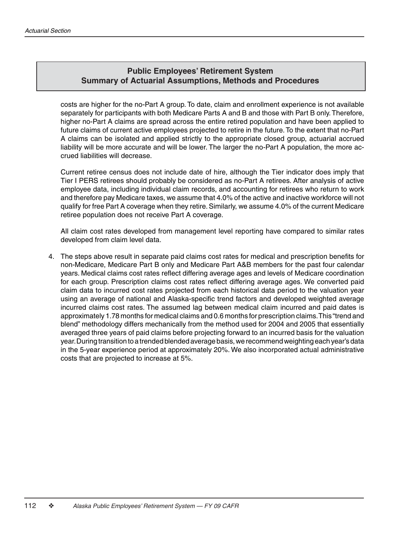costs are higher for the no-Part A group. To date, claim and enrollment experience is not available separately for participants with both Medicare Parts A and B and those with Part B only. Therefore, higher no-Part A claims are spread across the entire retired population and have been applied to future claims of current active employees projected to retire in the future. To the extent that no-Part A claims can be isolated and applied strictly to the appropriate closed group, actuarial accrued liability will be more accurate and will be lower. The larger the no-Part A population, the more accrued liabilities will decrease.

 Current retiree census does not include date of hire, although the Tier indicator does imply that Tier I PERS retirees should probably be considered as no-Part A retirees. After analysis of active employee data, including individual claim records, and accounting for retirees who return to work and therefore pay Medicare taxes, we assume that 4.0% of the active and inactive workforce will not qualify for free Part A coverage when they retire. Similarly, we assume 4.0% of the current Medicare retiree population does not receive Part A coverage.

 All claim cost rates developed from management level reporting have compared to similar rates developed from claim level data.

4. The steps above result in separate paid claims cost rates for medical and prescription benefits for non-Medicare, Medicare Part B only and Medicare Part A&B members for the past four calendar years. Medical claims cost rates reflect differing average ages and levels of Medicare coordination for each group. Prescription claims cost rates reflect differing average ages. We converted paid claim data to incurred cost rates projected from each historical data period to the valuation year using an average of national and Alaska-specific trend factors and developed weighted average incurred claims cost rates. The assumed lag between medical claim incurred and paid dates is approximately 1.78 months for medical claims and 0.6 months for prescription claims. This "trend and blend" methodology differs mechanically from the method used for 2004 and 2005 that essentially averaged three years of paid claims before projecting forward to an incurred basis for the valuation year. During transition to a trended blended average basis, we recommend weighting each year's data in the 5-year experience period at approximately 20%. We also incorporated actual administrative costs that are projected to increase at 5%.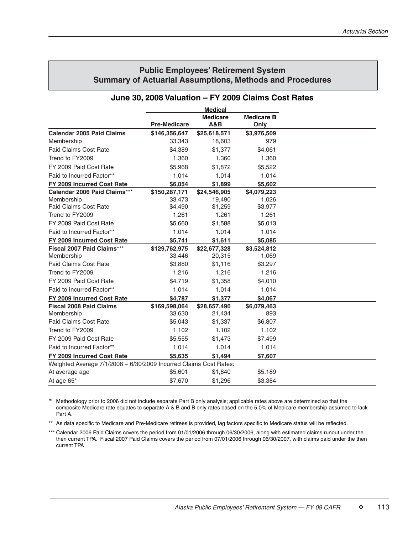## **June 30, 2008 Valuation – FY 2009 Claims Cost Rates**

|                                                                   |                     | <b>Medical</b>         |                           |
|-------------------------------------------------------------------|---------------------|------------------------|---------------------------|
|                                                                   | <b>Pre-Medicare</b> | <b>Medicare</b><br>A&B | <b>Medicare B</b><br>Only |
| <b>Calendar 2005 Paid Claims</b>                                  | \$146,356,647       | \$25,618,571           | \$3,976,509               |
| Membership                                                        | 33,343              | 18,603                 | 979                       |
| Paid Claims Cost Rate                                             | \$4,389             | \$1,377                | \$4,061                   |
| Trend to FY2009                                                   | 1.360               | 1.360                  | 1.360                     |
| FY 2009 Paid Cost Rate                                            | \$5,968             | \$1,872                | \$5,522                   |
| Paid to Incurred Factor**                                         | 1.014               | 1.014                  | 1.014                     |
| FY 2009 Incurred Cost Rate                                        | \$6,054             | \$1,899                | \$5,602                   |
| Calendar 2006 Paid Claims***                                      | \$150,287,171       | \$24,546,905           | \$4,079,223               |
| Membership                                                        | 33,473              | 19,490                 | 1,026                     |
| <b>Paid Claims Cost Rate</b>                                      | \$4,490             | \$1,259                | \$3,977                   |
| Trend to FY2009                                                   | 1.261               | 1.261                  | 1.261                     |
| FY 2009 Paid Cost Rate                                            | \$5,660             | \$1,588                | \$5,013                   |
| Paid to Incurred Factor**                                         | 1.014               | 1.014                  | 1.014                     |
| FY 2009 Incurred Cost Rate                                        | \$5,741             | \$1,611                | \$5,085                   |
| Fiscal 2007 Paid Claims***                                        | \$129,762,975       | \$22,677,328           | \$3,524,812               |
| Membership                                                        | 33,446              | 20,315                 | 1,069                     |
| Paid Claims Cost Rate                                             | \$3,880             | \$1,116                | \$3,297                   |
| Trend to FY2009                                                   | 1.216               | 1.216                  | 1.216                     |
| FY 2009 Paid Cost Rate                                            | \$4,719             | \$1,358                | \$4,010                   |
| Paid to Incurred Factor**                                         | 1.014               | 1.014                  | 1.014                     |
| FY 2009 Incurred Cost Rate                                        | \$4,787             | \$1,377                | \$4,067                   |
| <b>Fiscal 2008 Paid Claims</b>                                    | \$169,598,064       | \$28,657,490           | \$6,079,463               |
| Membership                                                        | 33,630              | 21,434                 | 893                       |
| Paid Claims Cost Rate                                             | \$5,043             | \$1,337                | \$6,807                   |
| Trend to FY2009                                                   | 1.102               | 1.102                  | 1.102                     |
| FY 2009 Paid Cost Rate                                            | \$5,555             | \$1,473                | \$7,499                   |
| Paid to Incurred Factor**                                         | 1.014               | 1.014                  | 1.014                     |
| FY 2009 Incurred Cost Rate                                        | \$5,635             | \$1,494                | \$7,607                   |
| Weighted Average 7/1/2008 - 6/30/2009 Incurred Claims Cost Rates: |                     |                        |                           |
| At average age                                                    | \$5,601             | \$1,640                | \$5,189                   |
| At age 65*                                                        | \$7,670             | \$1,296                | \$3,384                   |

\* Methodology prior to 2006 did not include separate Part B only analysis; applicable rates above are determined so that the composite Medicare rate equates to separate A & B and B only rates based on the 5.0% of Medicare membership assumed to lack Part A.

\*\* As data specific to Medicare and Pre-Medicare retirees is provided, lag factors specific to Medicare status will be reflected.

\*\*\* Calendar 2006 Paid Claims covers the period from 01/01/2006 through 06/30/2006, along with estimated claims runout under the then current TPA. Fiscal 2007 Paid Claims covers the period from 07/01/2006 through 06/30/2007, with claims paid under the then current TPA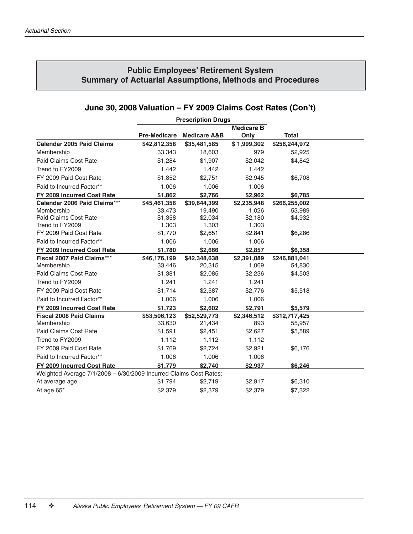# **June 30, 2008 Valuation – FY 2009 Claims Cost Rates (Con't)**

|                                                                   | <b>Prescription Drugs</b> |                         |                   |               |  |
|-------------------------------------------------------------------|---------------------------|-------------------------|-------------------|---------------|--|
|                                                                   |                           |                         | <b>Medicare B</b> |               |  |
|                                                                   | <b>Pre-Medicare</b>       | <b>Medicare A&amp;B</b> | Only              | <b>Total</b>  |  |
| <b>Calendar 2005 Paid Claims</b>                                  | \$42,812,358              | \$35,481,585            | \$1,999,302       | \$256,244,972 |  |
| Membership                                                        | 33,343                    | 18,603                  | 979               | 52,925        |  |
| Paid Claims Cost Rate                                             | \$1,284                   | \$1,907                 | \$2,042           | \$4.842       |  |
| Trend to FY2009                                                   | 1.442                     | 1.442                   | 1.442             |               |  |
| FY 2009 Paid Cost Rate                                            | \$1,852                   | \$2,751                 | \$2,945           | \$6,708       |  |
| Paid to Incurred Factor**                                         | 1.006                     | 1.006                   | 1.006             |               |  |
| FY 2009 Incurred Cost Rate                                        | \$1,862                   | \$2,766                 | \$2,962           | \$6,785       |  |
| Calendar 2006 Paid Claims***                                      | \$45,461,356              | \$39,644,399            | \$2,235,948       | \$266,255,002 |  |
| Membership                                                        | 33,473                    | 19,490                  | 1,026             | 53,989        |  |
| <b>Paid Claims Cost Rate</b>                                      | \$1,358                   | \$2,034                 | \$2,180           | \$4,932       |  |
| Trend to FY2009                                                   | 1.303                     | 1.303                   | 1.303             |               |  |
| FY 2009 Paid Cost Rate                                            | \$1,770                   | \$2,651                 | \$2,841           | \$6,286       |  |
| Paid to Incurred Factor**                                         | 1.006                     | 1.006                   | 1.006             |               |  |
| FY 2009 Incurred Cost Rate                                        | \$1,780                   | \$2,666                 | \$2,857           | \$6,358       |  |
| Fiscal 2007 Paid Claims***                                        | \$46,176,199              | \$42,348,638            | \$2,391,089       | \$246,881,041 |  |
| Membership                                                        | 33,446                    | 20,315                  | 1,069             | 54,830        |  |
| <b>Paid Claims Cost Rate</b>                                      | \$1,381                   | \$2,085                 | \$2,236           | \$4,503       |  |
| Trend to FY2009                                                   | 1.241                     | 1.241                   | 1.241             |               |  |
| FY 2009 Paid Cost Rate                                            | \$1,714                   | \$2,587                 | \$2,776           | \$5,518       |  |
| Paid to Incurred Factor**                                         | 1.006                     | 1.006                   | 1.006             |               |  |
| FY 2009 Incurred Cost Rate                                        | \$1,723                   | \$2,602                 | \$2,791           | \$5,579       |  |
| <b>Fiscal 2008 Paid Claims</b>                                    | \$53,506,123              | \$52,529,773            | \$2,346,512       | \$312,717,425 |  |
| Membership                                                        | 33,630                    | 21,434                  | 893               | 55,957        |  |
| <b>Paid Claims Cost Rate</b>                                      | \$1,591                   | \$2,451                 | \$2,627           | \$5,589       |  |
| Trend to FY2009                                                   | 1.112                     | 1.112                   | 1.112             |               |  |
| FY 2009 Paid Cost Rate                                            | \$1,769                   | \$2,724                 | \$2,921           | \$6,176       |  |
| Paid to Incurred Factor**                                         | 1.006                     | 1.006                   | 1.006             |               |  |
| FY 2009 Incurred Cost Rate                                        | \$1,779                   | \$2,740                 | \$2,937           | \$6,246       |  |
| Weighted Average 7/1/2008 - 6/30/2009 Incurred Claims Cost Rates: |                           |                         |                   |               |  |
| At average age                                                    | \$1,794                   | \$2,719                 | \$2,917           | \$6,310       |  |
| At age 65*                                                        | \$2,379                   | \$2,379                 | \$2,379           | \$7,322       |  |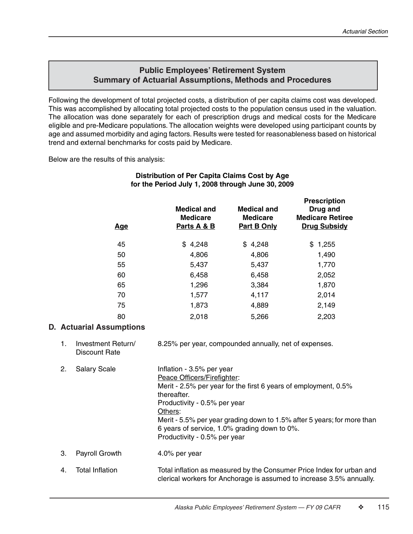Following the development of total projected costs, a distribution of per capita claims cost was developed. This was accomplished by allocating total projected costs to the population census used in the valuation. The allocation was done separately for each of prescription drugs and medical costs for the Medicare eligible and pre-Medicare populations. The allocation weights were developed using participant counts by age and assumed morbidity and aging factors. Results were tested for reasonableness based on historical trend and external benchmarks for costs paid by Medicare.

> **Distribution of Per Capita Claims Cost by Age for the Period July 1, 2008 through June 30, 2009**

Below are the results of this analysis:

| <u>Age</u> | <b>Medical and</b><br><b>Medicare</b><br>Parts A & B | <b>Medical and</b><br><b>Medicare</b><br><b>Part B Only</b> | <b>Prescription</b><br>Drug and<br><b>Medicare Retiree</b><br><b>Drug Subsidy</b> |
|------------|------------------------------------------------------|-------------------------------------------------------------|-----------------------------------------------------------------------------------|
| 45         | \$4,248                                              | \$4,248                                                     | 1,255<br>\$                                                                       |
| 50         | 4,806                                                | 4,806                                                       | 1,490                                                                             |
| 55         | 5,437                                                | 5,437                                                       | 1,770                                                                             |
| 60         | 6,458                                                | 6,458                                                       | 2,052                                                                             |
| 65         | 1,296                                                | 3,384                                                       | 1,870                                                                             |
| 70         | 1,577                                                | 4,117                                                       | 2,014                                                                             |
| 75         | 1,873                                                | 4,889                                                       | 2,149                                                                             |
| 80         | 2,018                                                | 5,266                                                       | 2,203                                                                             |
|            |                                                      |                                                             |                                                                                   |

## **D. Actuarial Assumptions**

- 1. Investment Return/ 8.25% per year, compounded annually, net of expenses. Discount Rate
- 2. Salary Scale Inflation 3.5% per year Peace Officers/Firefighter: Merit - 2.5% per year for the first 6 years of employment, 0.5% thereafter. Productivity - 0.5% per year Others: Merit - 5.5% per year grading down to 1.5% after 5 years; for more than 6 years of service, 1.0% grading down to 0%. Productivity - 0.5% per year 3. Payroll Growth 4.0% per year 4. Total Inflation Total inflation as measured by the Consumer Price Index for urban and

clerical workers for Anchorage is assumed to increase 3.5% annually.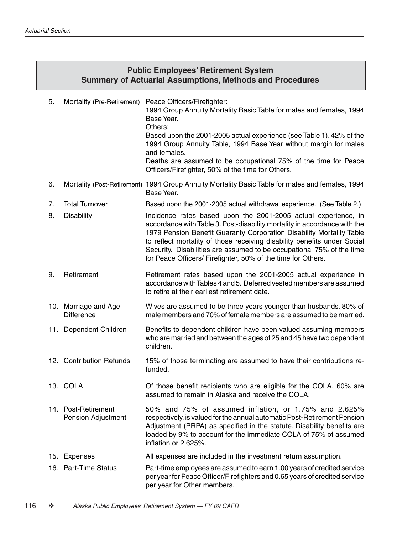| 5.  | Mortality (Pre-Retirement)                | Peace Officers/Firefighter:<br>1994 Group Annuity Mortality Basic Table for males and females, 1994<br>Base Year.<br>Others:<br>Based upon the 2001-2005 actual experience (see Table 1). 42% of the<br>1994 Group Annuity Table, 1994 Base Year without margin for males<br>and females.<br>Deaths are assumed to be occupational 75% of the time for Peace<br>Officers/Firefighter, 50% of the time for Others.                        |
|-----|-------------------------------------------|------------------------------------------------------------------------------------------------------------------------------------------------------------------------------------------------------------------------------------------------------------------------------------------------------------------------------------------------------------------------------------------------------------------------------------------|
| 6.  |                                           | Mortality (Post-Retirement) 1994 Group Annuity Mortality Basic Table for males and females, 1994<br>Base Year.                                                                                                                                                                                                                                                                                                                           |
| 7.  | <b>Total Turnover</b>                     | Based upon the 2001-2005 actual withdrawal experience. (See Table 2.)                                                                                                                                                                                                                                                                                                                                                                    |
| 8.  | <b>Disability</b>                         | Incidence rates based upon the 2001-2005 actual experience, in<br>accordance with Table 3. Post-disability mortality in accordance with the<br>1979 Pension Benefit Guaranty Corporation Disability Mortality Table<br>to reflect mortality of those receiving disability benefits under Social<br>Security. Disabilities are assumed to be occupational 75% of the time<br>for Peace Officers/ Firefighter, 50% of the time for Others. |
| 9.  | Retirement                                | Retirement rates based upon the 2001-2005 actual experience in<br>accordance with Tables 4 and 5. Deferred vested members are assumed<br>to retire at their earliest retirement date.                                                                                                                                                                                                                                                    |
|     | 10. Marriage and Age<br><b>Difference</b> | Wives are assumed to be three years younger than husbands. 80% of<br>male members and 70% of female members are assumed to be married.                                                                                                                                                                                                                                                                                                   |
|     | 11. Dependent Children                    | Benefits to dependent children have been valued assuming members<br>who are married and between the ages of 25 and 45 have two dependent<br>children.                                                                                                                                                                                                                                                                                    |
|     | 12. Contribution Refunds                  | 15% of those terminating are assumed to have their contributions re-<br>funded.                                                                                                                                                                                                                                                                                                                                                          |
|     | 13. COLA                                  | Of those benefit recipients who are eligible for the COLA, 60% are<br>assumed to remain in Alaska and receive the COLA.                                                                                                                                                                                                                                                                                                                  |
|     | 14. Post-Retirement<br>Pension Adjustment | 50% and 75% of assumed inflation, or 1.75% and 2.625%<br>respectively, is valued for the annual automatic Post-Retirement Pension<br>Adjustment (PRPA) as specified in the statute. Disability benefits are<br>loaded by 9% to account for the immediate COLA of 75% of assumed<br>inflation or 2.625%.                                                                                                                                  |
|     | 15. Expenses                              | All expenses are included in the investment return assumption.                                                                                                                                                                                                                                                                                                                                                                           |
| 16. | <b>Part-Time Status</b>                   | Part-time employees are assumed to earn 1.00 years of credited service<br>per year for Peace Officer/Firefighters and 0.65 years of credited service<br>per year for Other members.                                                                                                                                                                                                                                                      |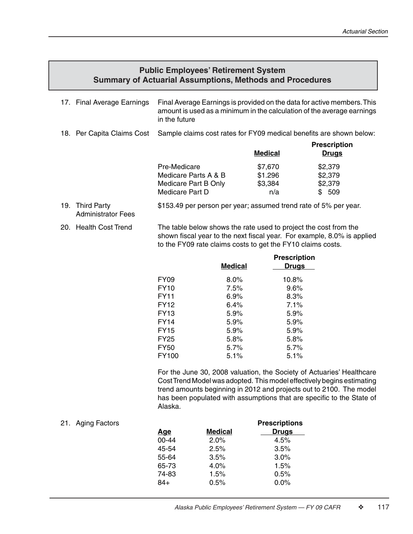| 17. Final Average Earnings                   | Final Average Earnings is provided on the data for active members. This<br>amount is used as a minimum in the calculation of the average earnings<br>in the future                                         |                |                     |  |
|----------------------------------------------|------------------------------------------------------------------------------------------------------------------------------------------------------------------------------------------------------------|----------------|---------------------|--|
| 18. Per Capita Claims Cost                   | Sample claims cost rates for FY09 medical benefits are shown below:                                                                                                                                        |                |                     |  |
|                                              |                                                                                                                                                                                                            |                | <b>Prescription</b> |  |
|                                              |                                                                                                                                                                                                            | <b>Medical</b> | <b>Drugs</b>        |  |
|                                              | Pre-Medicare                                                                                                                                                                                               | \$7,670        | \$2,379             |  |
|                                              | Medicare Parts A & B                                                                                                                                                                                       | \$1.296        | \$2,379             |  |
|                                              | Medicare Part B Only                                                                                                                                                                                       | \$3,384        | \$2,379             |  |
|                                              | Medicare Part D                                                                                                                                                                                            | n/a            | \$ 509              |  |
| 19. Third Party<br><b>Administrator Fees</b> | \$153.49 per person per year; assumed trend rate of 5% per year.                                                                                                                                           |                |                     |  |
| 20. Health Cost Trend                        | The table below shows the rate used to project the cost from the<br>shown fiscal year to the next fiscal year. For example, 8.0% is applied<br>to the FY09 rate claims costs to get the FY10 claims costs. |                |                     |  |

|             | <b>Medical</b> | <b>Prescription</b><br><b>Drugs</b> |
|-------------|----------------|-------------------------------------|
| <b>FY09</b> | 8.0%           | 10.8%                               |
| <b>FY10</b> | 7.5%           | 9.6%                                |
| <b>FY11</b> | 6.9%           | 8.3%                                |
| <b>FY12</b> | 6.4%           | 7.1%                                |
| <b>FY13</b> | 5.9%           | 5.9%                                |
| FY14        | 5.9%           | 5.9%                                |
| <b>FY15</b> | 5.9%           | 5.9%                                |
| <b>FY25</b> | 5.8%           | 5.8%                                |
| <b>FY50</b> | 5.7%           | 5.7%                                |
| FY100       | 5.1%           | 5.1%                                |

For the June 30, 2008 valuation, the Society of Actuaries' Healthcare Cost Trend Model was adopted. This model effectively begins estimating trend amounts beginning in 2012 and projects out to 2100. The model has been populated with assumptions that are specific to the State of Alaska.

| 21. Aging Factors |            |                | <b>Prescriptions</b> |
|-------------------|------------|----------------|----------------------|
|                   | <u>Age</u> | <b>Medical</b> | <b>Drugs</b>         |
|                   | 00-44      | 2.0%           | 4.5%                 |
|                   | 45-54      | 2.5%           | 3.5%                 |
|                   | 55-64      | 3.5%           | $3.0\%$              |
|                   | 65-73      | 4.0%           | 1.5%                 |
|                   | 74-83      | 1.5%           | 0.5%                 |
|                   | $84+$      | 0.5%           | 0.0%                 |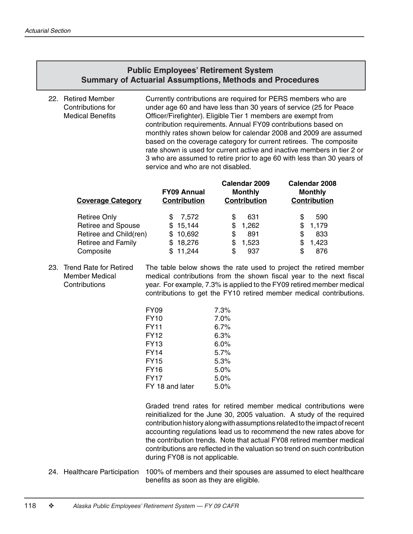22. Retired Member Currently contributions are required for PERS members who are Contributions for under age 60 and have less than 30 years of service (25 for Peace Medical Benefits **Container** Officer/Firefighter). Eligible Tier 1 members are exempt from contribution requirements. Annual FY09 contributions based on monthly rates shown below for calendar 2008 and 2009 are assumed based on the coverage category for current retirees. The composite rate shown is used for current active and inactive members in tier 2 or 3 who are assumed to retire prior to age 60 with less than 30 years of service and who are not disabled.

| <b>Coverage Category</b>  | <b>FY09 Annual</b><br><b>Contribution</b> | Calendar 2009<br><b>Monthly</b><br><b>Contribution</b> | Calendar 2008<br><b>Monthly</b><br><b>Contribution</b> |
|---------------------------|-------------------------------------------|--------------------------------------------------------|--------------------------------------------------------|
| <b>Retiree Only</b>       | 7,572<br>S                                | 631<br>S                                               | 590<br>\$                                              |
| Retiree and Spouse        | 15,144<br>SS.                             | 1,262<br>\$.                                           | 1,179<br>S                                             |
| Retiree and Child(ren)    | \$10,692                                  | 891<br>S                                               | 833<br>\$                                              |
| <b>Retiree and Family</b> | \$18,276                                  | 1,523<br>S.                                            | 1,423<br>\$                                            |
| Composite                 | 11,244                                    | 937<br>S                                               | \$<br>876                                              |
|                           |                                           |                                                        |                                                        |

23. Trend Rate for Retired The table below shows the rate used to project the retired member Member Medical medical contributions from the shown fiscal year to the next fiscal Contributions year. For example, 7.3% is applied to the FY09 retired member medical contributions to get the FY10 retired member medical contributions.

| <b>FY09</b> |                 | 7.3% |
|-------------|-----------------|------|
| <b>FY10</b> |                 | 7.0% |
| <b>FY11</b> |                 | 6.7% |
| <b>FY12</b> |                 | 6.3% |
| <b>FY13</b> |                 | 6.0% |
| <b>FY14</b> |                 | 5.7% |
| <b>FY15</b> |                 | 5.3% |
| <b>FY16</b> |                 | 5.0% |
| <b>FY17</b> |                 | 5.0% |
|             | FY 18 and later | 5.0% |

Graded trend rates for retired member medical contributions were reinitialized for the June 30, 2005 valuation. A study of the required contribution history along with assumptions related to the impact of recent accounting regulations lead us to recommend the new rates above for the contribution trends. Note that actual FY08 retired member medical contributions are reflected in the valuation so trend on such contribution during FY08 is not applicable.

24. Healthcare Participation 100% of members and their spouses are assumed to elect healthcare benefits as soon as they are eligible.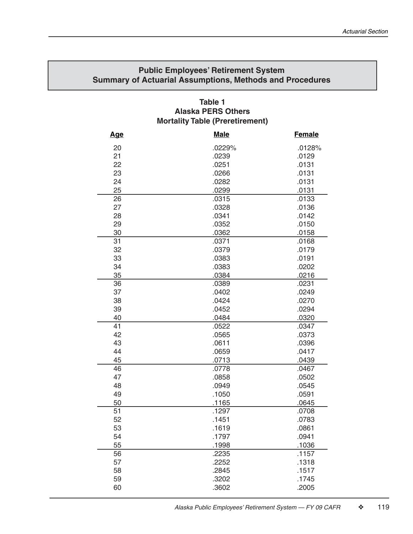## **Table 1 Alaska PERS Others Mortality Table (Preretirement)**

| <u>Age</u> | <b>Male</b> | <b>Female</b> |
|------------|-------------|---------------|
| 20         | .0229%      | .0128%        |
| 21         | .0239       | .0129         |
| 22         | .0251       | .0131         |
| 23         | .0266       | .0131         |
| 24         | .0282       | .0131         |
| 25         | .0299       | .0131         |
| 26         | .0315       | .0133         |
| 27         | .0328       | .0136         |
| 28         | .0341       | .0142         |
| 29         | .0352       | .0150         |
| 30         | .0362       | .0158         |
| 31         | .0371       | .0168         |
| 32         | .0379       | .0179         |
| 33         | .0383       | .0191         |
| 34         | .0383       | .0202         |
| 35         | .0384       | .0216         |
| 36         | .0389       | .0231         |
| 37         | .0402       | .0249         |
| 38         | .0424       | .0270         |
| 39         | .0452       | .0294         |
| 40         | .0484       | .0320         |
| 41         | .0522       | .0347         |
| 42         | .0565       | .0373         |
| 43         | .0611       | .0396         |
| 44         | .0659       | .0417         |
| 45         | .0713       | .0439         |
| 46         | .0778       | .0467         |
| 47         | .0858       | .0502         |
| 48         | .0949       | .0545         |
| 49         | .1050       | .0591         |
| 50         | .1165       | .0645         |
| 51         | .1297       | .0708         |
| 52         | .1451       | .0783         |
| 53         | .1619       | .0861         |
| 54         | .1797       | .0941         |
| 55         | .1998       | .1036         |
| 56         | .2235       | .1157         |
| 57         | .2252       | .1318         |
| 58         | .2845       | .1517         |
| 59         | .3202       | .1745         |
| 60         | .3602       | .2005         |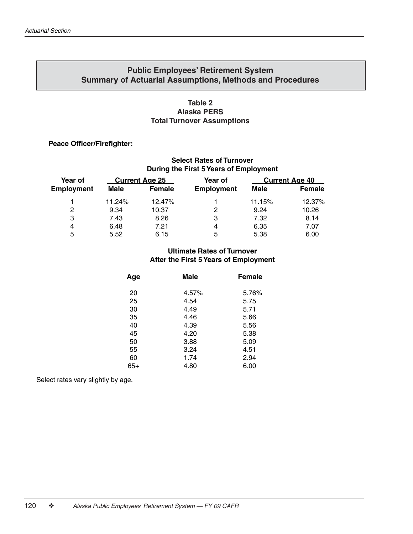## **Table 2 Alaska PERS Total Turnover Assumptions**

**Peace Officer/Firefighter:** 

## **Select Rates of Turnover During the First 5 Years of Employment**

| Year of        | <b>Current Age 25</b> |        | Year of           | <b>Current Age 40</b> |               |
|----------------|-----------------------|--------|-------------------|-----------------------|---------------|
| Employment     | <b>Male</b>           | Female | <b>Employment</b> | Male                  | <b>Female</b> |
|                | 11.24%                | 12.47% |                   | 11.15%                | 12.37%        |
| 2              | 9.34                  | 10.37  | 2                 | 9.24                  | 10.26         |
| 3              | 7.43                  | 8.26   | 3                 | 7.32                  | 8.14          |
| $\overline{4}$ | 6.48                  | 7.21   | 4                 | 6.35                  | 7.07          |
| 5              | 5.52                  | 6.15   | 5                 | 5.38                  | 6.00          |

## **Ultimate Rates of Turnover After the First 5 Years of Employment**

| <b>Age</b> | <b>Male</b> | <b>Female</b> |
|------------|-------------|---------------|
| 20         | 4.57%       | 5.76%         |
| 25         | 4.54        | 5.75          |
| 30         | 4.49        | 5.71          |
| 35         | 4.46        | 5.66          |
| 40         | 4.39        | 5.56          |
| 45         | 4.20        | 5.38          |
| 50         | 3.88        | 5.09          |
| 55         | 3.24        | 4.51          |
| 60         | 1.74        | 2.94          |
| $65+$      | 4.80        | 6.00          |

Select rates vary slightly by age.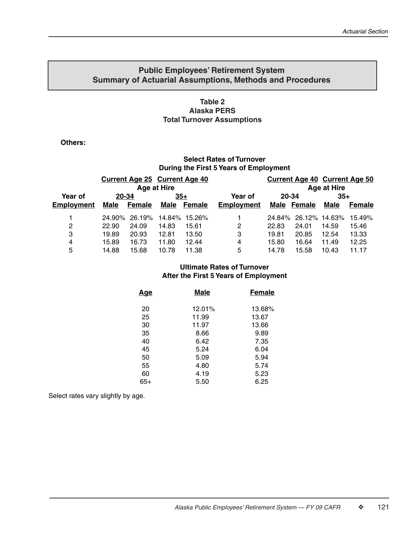## **Table 2 Alaska PERS Total Turnover Assumptions**

**Others:**

## **Select Rates of Turnover During the First 5 Years of Employment**

|                |             | <b>Current Age 25 Current Age 40</b> |                    |               |                   |       |                      |                    | <b>Current Age 40 Current Age 50</b> |
|----------------|-------------|--------------------------------------|--------------------|---------------|-------------------|-------|----------------------|--------------------|--------------------------------------|
|                |             |                                      | <b>Age at Hire</b> |               |                   |       |                      | <b>Age at Hire</b> |                                      |
| Year of        | 20-34       |                                      | $35+$              |               | Year of           | 20-34 |                      | $35+$              |                                      |
| Employment     | <b>Male</b> | <b>Female</b>                        | Male               | <b>Female</b> | <b>Employment</b> |       | Male Female          | Male               | <b>Female</b>                        |
|                |             | 24.90% 26.19%                        |                    | 14.84% 15.26% |                   |       | 24.84% 26.12% 14.63% |                    | 15.49%                               |
| $\overline{2}$ | 22.90       | 24.09                                | 14.83              | 15.61         | 2                 | 22.83 | 24.01                | 14.59              | 15.46                                |
| 3              | 19.89       | 20.93                                | 12.81              | 13.50         | 3                 | 19.81 | 20.85                | 12.54              | 13.33                                |
| $\overline{4}$ | 15.89       | 16.73                                | 11.80              | 12.44         | 4                 | 15.80 | 16.64                | 11.49              | 12.25                                |
| 5              | 14.88       | 15.68                                | 10.78              | 11.38         | 5                 | 14.78 | 15.58                | 10.43              | 11.17                                |

## **Ultimate Rates of Turnover After the First 5 Years of Employment**

| <b>Male</b><br><b>Age</b> | <b>Female</b> |
|---------------------------|---------------|
| 12.01%<br>20              | 13.68%        |
| 25<br>11.99               | 13.67         |
| 30<br>11.97               | 13.66         |
| 35<br>8.66                | 9.89          |
| 40<br>6.42                | 7.35          |
| 45<br>5.24                | 6.04          |
| 50<br>5.09                | 5.94          |
| 55<br>4.80                | 5.74          |
| 60<br>4.19                | 5.23          |
| $65+$<br>5.50             | 6.25          |

Select rates vary slightly by age.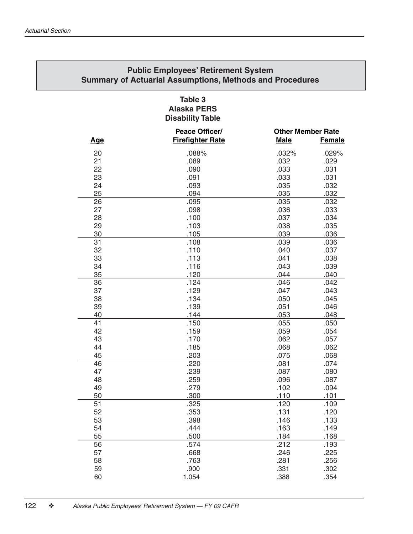| Public Employees' Retirement System                             |
|-----------------------------------------------------------------|
| <b>Summary of Actuarial Assumptions, Methods and Procedures</b> |

# **Table 3 Alaska PERS Disability Table**

| <b>Age</b> | <b>Peace Officer/</b><br><b>Firefighter Rate</b> | <b>Other Member Rate</b><br><b>Male</b> | <b>Female</b> |
|------------|--------------------------------------------------|-----------------------------------------|---------------|
| 20         | .088%                                            | .032%                                   | .029%         |
| 21         | .089                                             | .032                                    | .029          |
| 22         | .090                                             | .033                                    | .031          |
| 23         | .091                                             | .033                                    | .031          |
| 24         | .093                                             | .035                                    | .032          |
| 25         | .094                                             | .035                                    | .032          |
| 26         | .095                                             | .035                                    | .032          |
| 27         | .098                                             | .036                                    | .033          |
| 28         | .100                                             | .037                                    | .034          |
| 29         | .103                                             | .038                                    | .035          |
| 30         | .105                                             | .039                                    | .036          |
| 31         | .108                                             | .039                                    | .036          |
| 32         | .110                                             | .040                                    | .037          |
| 33         | .113                                             | .041                                    | .038          |
| 34         | .116                                             | .043                                    | .039          |
| 35         | .120                                             | .044                                    | .040          |
| 36         | .124                                             | .046                                    | .042          |
| 37         | .129                                             | .047                                    | .043          |
| 38         | .134                                             | .050                                    | .045          |
| 39         | .139                                             | .051                                    | .046          |
| 40         | .144                                             | .053                                    | .048          |
| 41         | .150                                             | .055                                    | .050          |
| 42         | .159                                             | .059                                    | .054          |
| 43         | .170                                             | .062                                    | .057          |
| 44         | .185                                             | .068                                    | .062          |
| 45         | .203                                             | .075                                    | .068          |
| 46         | .220                                             | .081                                    | .074          |
| 47         | .239                                             | .087                                    | .080          |
| 48         | .259                                             | .096                                    | .087          |
| 49         | .279                                             | .102                                    | .094          |
| 50         | .300                                             | .110                                    | .101          |
| 51         | .325                                             | .120                                    | .109          |
| 52         | .353                                             | .131                                    | .120          |
| 53         | .398                                             | .146                                    | .133          |
| 54         | .444                                             | .163                                    | .149          |
| 55         | .500                                             | .184                                    | .168          |
| 56         | .574                                             | .212                                    | .193          |
| 57         | .668                                             | .246                                    | .225          |
| 58         | .763                                             | .281                                    | .256          |
| 59         | .900                                             | .331                                    | .302          |
| 60         | 1.054                                            | .388                                    | .354          |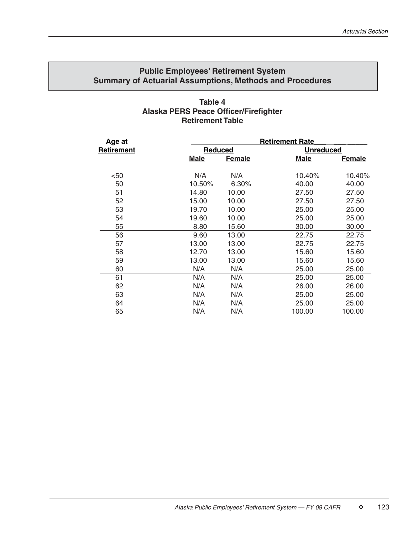| Table 4                                      |
|----------------------------------------------|
| <b>Alaska PERS Peace Officer/Firefighter</b> |
| <b>Retirement Table</b>                      |

| Age at     | <b>Retirement Rate</b> |               |             |                  |  |  |
|------------|------------------------|---------------|-------------|------------------|--|--|
| Retirement | <b>Reduced</b>         |               |             | <b>Unreduced</b> |  |  |
|            | <b>Male</b>            | <b>Female</b> | <b>Male</b> | <b>Female</b>    |  |  |
| $50$       | N/A                    | N/A           | 10.40%      | 10.40%           |  |  |
| 50         | 10.50%                 | 6.30%         | 40.00       | 40.00            |  |  |
| 51         | 14.80                  | 10.00         | 27.50       | 27.50            |  |  |
| 52         | 15.00                  | 10.00         | 27.50       | 27.50            |  |  |
| 53         | 19.70                  | 10.00         | 25.00       | 25.00            |  |  |
| 54         | 19.60                  | 10.00         | 25.00       | 25.00            |  |  |
| 55         | 8.80                   | 15.60         | 30.00       | 30.00            |  |  |
| 56         | 9.60                   | 13.00         | 22.75       | 22.75            |  |  |
| 57         | 13.00                  | 13.00         | 22.75       | 22.75            |  |  |
| 58         | 12.70                  | 13.00         | 15.60       | 15.60            |  |  |
| 59         | 13.00                  | 13.00         | 15.60       | 15.60            |  |  |
| 60         | N/A                    | N/A           | 25.00       | 25.00            |  |  |
| 61         | N/A                    | N/A           | 25.00       | 25.00            |  |  |
| 62         | N/A                    | N/A           | 26.00       | 26.00            |  |  |
| 63         | N/A                    | N/A           | 25.00       | 25.00            |  |  |
| 64         | N/A                    | N/A           | 25.00       | 25.00            |  |  |
| 65         | N/A                    | N/A           | 100.00      | 100.00           |  |  |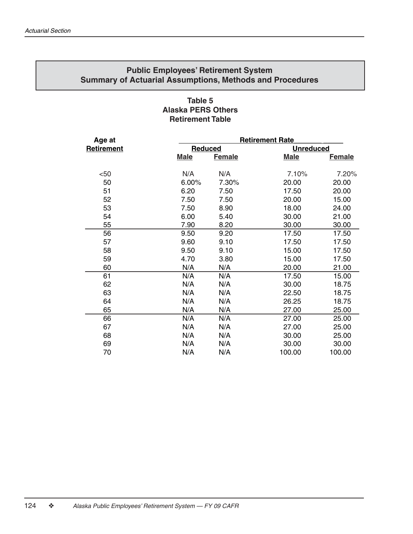# **Table 5 Alaska PERS Others Retirement Table**

| Age at            |             | <b>Retirement Rate</b> |                  |               |  |  |  |  |
|-------------------|-------------|------------------------|------------------|---------------|--|--|--|--|
| <b>Retirement</b> |             | <b>Reduced</b>         | <b>Unreduced</b> |               |  |  |  |  |
|                   | <b>Male</b> | <b>Female</b>          | <b>Male</b>      | <b>Female</b> |  |  |  |  |
|                   |             |                        |                  |               |  |  |  |  |
| $50$              | N/A         | N/A                    | 7.10%            | 7.20%         |  |  |  |  |
| 50                | 6.00%       | 7.30%                  | 20.00            | 20.00         |  |  |  |  |
| 51                | 6.20        | 7.50                   | 17.50            | 20.00         |  |  |  |  |
| 52                | 7.50        | 7.50                   | 20.00            | 15.00         |  |  |  |  |
| 53                | 7.50        | 8.90                   | 18.00            | 24.00         |  |  |  |  |
| 54                | 6.00        | 5.40                   | 30.00            | 21.00         |  |  |  |  |
| 55                | 7.90        | 8.20                   | 30.00            | 30.00         |  |  |  |  |
| 56                | 9.50        | 9.20                   | 17.50            | 17.50         |  |  |  |  |
| 57                | 9.60        | 9.10                   | 17.50            | 17.50         |  |  |  |  |
| 58                | 9.50        | 9.10                   | 15.00            | 17.50         |  |  |  |  |
| 59                | 4.70        | 3.80                   | 15.00            | 17.50         |  |  |  |  |
| 60                | N/A         | N/A                    | 20.00            | 21.00         |  |  |  |  |
| 61                | N/A         | N/A                    | 17.50            | 15.00         |  |  |  |  |
| 62                | N/A         | N/A                    | 30.00            | 18.75         |  |  |  |  |
| 63                | N/A         | N/A                    | 22.50            | 18.75         |  |  |  |  |
| 64                | N/A         | N/A                    | 26.25            | 18.75         |  |  |  |  |
| 65                | N/A         | N/A                    | 27.00            | 25.00         |  |  |  |  |
| 66                | N/A         | N/A                    | 27.00            | 25.00         |  |  |  |  |
| 67                | N/A         | N/A                    | 27.00            | 25.00         |  |  |  |  |
| 68                | N/A         | N/A                    | 30.00            | 25.00         |  |  |  |  |
| 69                | N/A         | N/A                    | 30.00            | 30.00         |  |  |  |  |
| 70                | N/A         | N/A                    | 100.00           | 100.00        |  |  |  |  |
|                   |             |                        |                  |               |  |  |  |  |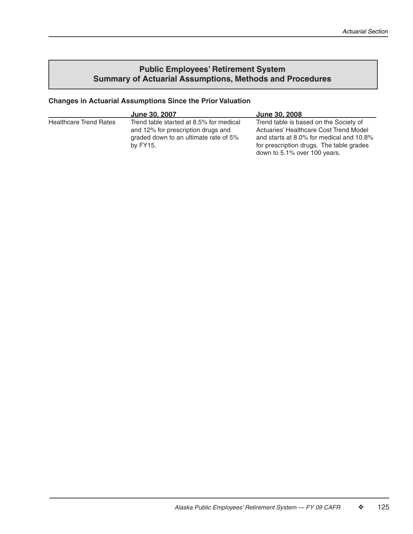## **Changes in Actuarial Assumptions Since the Prior Valuation**

|                               | <b>June 30, 2007</b>                    | <b>June 30, 2008</b>                     |
|-------------------------------|-----------------------------------------|------------------------------------------|
| <b>Healthcare Trend Rates</b> | Trend table started at 8.5% for medical | Trend table is based on the Society of   |
|                               | and 12% for prescription drugs and      | Actuaries' Healthcare Cost Trend Model   |
|                               | graded down to an ultimate rate of 5%   | and starts at 8.0% for medical and 10.8% |
|                               | by FY15.                                | for prescription drugs. The table grades |
|                               |                                         | down to 5.1% over 100 years.             |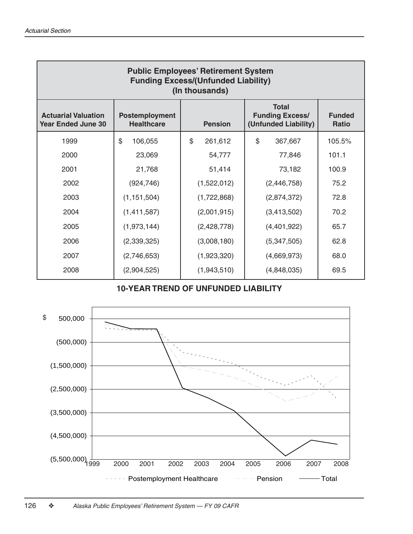| <b>Public Employees' Retirement System</b><br><b>Funding Excess/(Unfunded Liability)</b><br>(In thousands) |                                     |                |                                                                |                               |  |  |  |
|------------------------------------------------------------------------------------------------------------|-------------------------------------|----------------|----------------------------------------------------------------|-------------------------------|--|--|--|
| <b>Actuarial Valuation</b><br><b>Year Ended June 30</b>                                                    | Postemployment<br><b>Healthcare</b> | <b>Pension</b> | <b>Total</b><br><b>Funding Excess/</b><br>(Unfunded Liability) | <b>Funded</b><br><b>Ratio</b> |  |  |  |
| 1999                                                                                                       | \$<br>106,055                       | \$<br>261,612  | \$<br>367,667                                                  | 105.5%                        |  |  |  |
| 2000                                                                                                       | 23,069                              | 54,777         | 77,846                                                         | 101.1                         |  |  |  |
| 2001                                                                                                       | 21,768                              | 51,414         | 73,182                                                         | 100.9                         |  |  |  |
| 2002                                                                                                       | (924, 746)                          | (1,522,012)    | (2,446,758)                                                    | 75.2                          |  |  |  |
| 2003                                                                                                       | (1, 151, 504)                       | (1,722,868)    | (2,874,372)                                                    | 72.8                          |  |  |  |
| 2004                                                                                                       | (1,411,587)                         | (2,001,915)    | (3,413,502)                                                    | 70.2                          |  |  |  |
| 2005                                                                                                       | (1,973,144)                         | (2,428,778)    | (4,401,922)                                                    | 65.7                          |  |  |  |
| 2006                                                                                                       | (2,339,325)                         | (3,008,180)    | (5,347,505)                                                    | 62.8                          |  |  |  |
| 2007                                                                                                       | (2,746,653)                         | (1,923,320)    | (4,669,973)                                                    | 68.0                          |  |  |  |
| 2008                                                                                                       | (2,904,525)                         | (1,943,510)    | (4,848,035)                                                    | 69.5                          |  |  |  |

**10-YEAR TREND OF UNFUNDED LIABILITY**

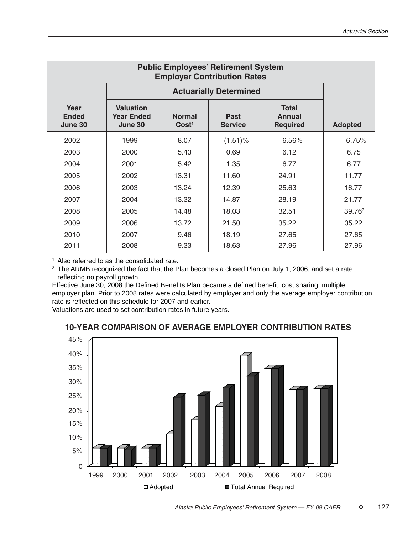| <b>Public Employees' Retirement System</b><br><b>Employer Contribution Rates</b> |                                                  |                                    |                               |                                                  |                    |  |  |
|----------------------------------------------------------------------------------|--------------------------------------------------|------------------------------------|-------------------------------|--------------------------------------------------|--------------------|--|--|
|                                                                                  |                                                  |                                    |                               |                                                  |                    |  |  |
| Year<br><b>Ended</b><br>June 30                                                  | <b>Valuation</b><br><b>Year Ended</b><br>June 30 | <b>Normal</b><br>Cost <sup>1</sup> | <b>Past</b><br><b>Service</b> | <b>Total</b><br><b>Annual</b><br><b>Required</b> | <b>Adopted</b>     |  |  |
| 2002                                                                             | 1999                                             | 8.07                               | $(1.51)\%$                    | 6.56%                                            | 6.75%              |  |  |
| 2003                                                                             | 2000                                             | 5.43                               | 0.69                          | 6.12                                             | 6.75               |  |  |
| 2004                                                                             | 2001                                             | 5.42                               | 1.35                          | 6.77                                             | 6.77               |  |  |
| 2005                                                                             | 2002                                             | 13.31                              | 11.60                         | 24.91                                            | 11.77              |  |  |
| 2006                                                                             | 2003                                             | 13.24                              | 12.39                         | 25.63                                            | 16.77              |  |  |
| 2007                                                                             | 2004                                             | 13.32                              | 14.87                         | 28.19                                            | 21.77              |  |  |
| 2008                                                                             | 2005                                             | 14.48                              | 18.03                         | 32.51                                            | 39.76 <sup>2</sup> |  |  |
| 2009                                                                             | 2006                                             | 13.72                              | 21.50                         | 35.22                                            | 35.22              |  |  |
| 2010                                                                             | 2007                                             | 9.46                               | 18.19                         | 27.65                                            | 27.65              |  |  |
| 2011                                                                             | 2008                                             | 9.33                               | 18.63                         | 27.96                                            | 27.96              |  |  |

<sup>1</sup> Also referred to as the consolidated rate.

<sup>2</sup> The ARMB recognized the fact that the Plan becomes a closed Plan on July 1, 2006, and set a rate reflecting no payroll growth.

Effective June 30, 2008 the Defined Benefits Plan became a defined benefit, cost sharing, multiple employer plan. Prior to 2008 rates were calculated by employer and only the average employer contribution rate is reflected on this schedule for 2007 and earlier.

Valuations are used to set contribution rates in future years.



# **10-YEAR COMPARISON OF AVERAGE EMPLOYER CONTRIBUTION RATES**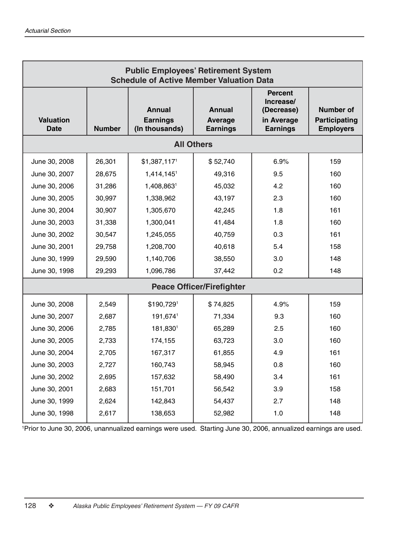| <b>Public Employees' Retirement System</b><br><b>Schedule of Active Member Valuation Data</b> |               |                                                    |                                             |                                                                            |                                                       |  |
|-----------------------------------------------------------------------------------------------|---------------|----------------------------------------------------|---------------------------------------------|----------------------------------------------------------------------------|-------------------------------------------------------|--|
| <b>Valuation</b><br><b>Date</b>                                                               | <b>Number</b> | <b>Annual</b><br><b>Earnings</b><br>(In thousands) | Annual<br><b>Average</b><br><b>Earnings</b> | <b>Percent</b><br>Increase/<br>(Decrease)<br>in Average<br><b>Earnings</b> | <b>Number of</b><br>Participating<br><b>Employers</b> |  |
|                                                                                               |               |                                                    | <b>All Others</b>                           |                                                                            |                                                       |  |
| June 30, 2008                                                                                 | 26,301        | \$1,387,1171                                       | \$52,740                                    | 6.9%                                                                       | 159                                                   |  |
| June 30, 2007                                                                                 | 28,675        | 1,414,1451                                         | 49,316                                      | 9.5                                                                        | 160                                                   |  |
| June 30, 2006                                                                                 | 31,286        | 1,408,8631                                         | 45,032                                      | 4.2                                                                        | 160                                                   |  |
| June 30, 2005                                                                                 | 30,997        | 1,338,962                                          | 43,197                                      | 2.3                                                                        | 160                                                   |  |
| June 30, 2004                                                                                 | 30,907        | 1,305,670                                          | 42,245                                      | 1.8                                                                        | 161                                                   |  |
| June 30, 2003                                                                                 | 31,338        | 1,300,041                                          | 41,484                                      | 1.8                                                                        | 160                                                   |  |
| June 30, 2002                                                                                 | 30,547        | 1,245,055                                          | 40,759                                      | 0.3                                                                        | 161                                                   |  |
| June 30, 2001                                                                                 | 29,758        | 1,208,700                                          | 40,618                                      | 5.4                                                                        | 158                                                   |  |
| June 30, 1999                                                                                 | 29,590        | 1,140,706                                          | 38,550                                      | 3.0                                                                        | 148                                                   |  |
| June 30, 1998                                                                                 | 29,293        | 1,096,786                                          | 37,442                                      | 0.2                                                                        | 148                                                   |  |
|                                                                                               |               |                                                    | <b>Peace Officer/Firefighter</b>            |                                                                            |                                                       |  |
| June 30, 2008                                                                                 | 2,549         | \$190,7291                                         | \$74,825                                    | 4.9%                                                                       | 159                                                   |  |
| June 30, 2007                                                                                 | 2,687         | 191,6741                                           | 71,334                                      | 9.3                                                                        | 160                                                   |  |
| June 30, 2006                                                                                 | 2,785         | 181,8301                                           | 65,289                                      | 2.5                                                                        | 160                                                   |  |
| June 30, 2005                                                                                 | 2,733         | 174,155                                            | 63,723                                      | 3.0                                                                        | 160                                                   |  |
| June 30, 2004                                                                                 | 2,705         | 167,317                                            | 61,855                                      | 4.9                                                                        | 161                                                   |  |
| June 30, 2003                                                                                 | 2,727         | 160,743                                            | 58,945                                      | 0.8                                                                        | 160                                                   |  |
| June 30, 2002                                                                                 | 2,695         | 157,632                                            | 58,490                                      | 3.4                                                                        | 161                                                   |  |
| June 30, 2001                                                                                 | 2,683         | 151,701                                            | 56,542                                      | 3.9                                                                        | 158                                                   |  |
| June 30, 1999                                                                                 | 2,624         | 142,843                                            | 54,437                                      | 2.7                                                                        | 148                                                   |  |
| June 30, 1998                                                                                 | 2,617         | 138,653                                            | 52,982                                      | 1.0                                                                        | 148                                                   |  |

1 Prior to June 30, 2006, unannualized earnings were used. Starting June 30, 2006, annualized earnings are used.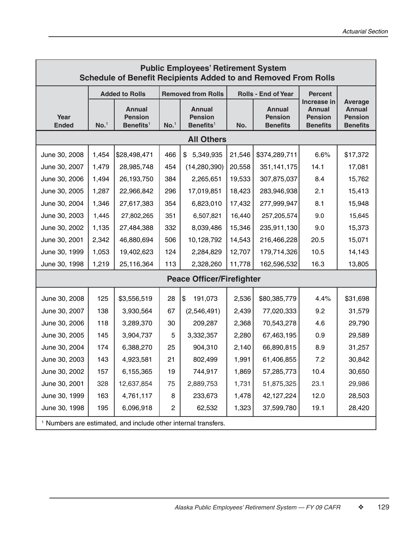| <b>Public Employees' Retirement System</b><br><b>Schedule of Benefit Recipients Added to and Removed From Rolls</b> |                  |                                                          |                  |                                                          |                            |                                                    |                                                                   |                                                                      |
|---------------------------------------------------------------------------------------------------------------------|------------------|----------------------------------------------------------|------------------|----------------------------------------------------------|----------------------------|----------------------------------------------------|-------------------------------------------------------------------|----------------------------------------------------------------------|
|                                                                                                                     |                  | <b>Added to Rolls</b>                                    |                  | <b>Removed from Rolls</b>                                | <b>Rolls - End of Year</b> |                                                    | <b>Percent</b>                                                    |                                                                      |
| Year<br><b>Ended</b>                                                                                                | No. <sup>1</sup> | <b>Annual</b><br><b>Pension</b><br>Benefits <sup>1</sup> | No. <sup>1</sup> | <b>Annual</b><br><b>Pension</b><br>Benefits <sup>1</sup> | No.                        | <b>Annual</b><br><b>Pension</b><br><b>Benefits</b> | Increase in<br><b>Annual</b><br><b>Pension</b><br><b>Benefits</b> | <b>Average</b><br><b>Annual</b><br><b>Pension</b><br><b>Benefits</b> |
|                                                                                                                     |                  |                                                          |                  | <b>All Others</b>                                        |                            |                                                    |                                                                   |                                                                      |
| June 30, 2008                                                                                                       | 1,454            | \$28,498,471                                             | 466              | 5,349,935<br>\$                                          | 21,546                     | \$374,289,711                                      | 6.6%                                                              | \$17,372                                                             |
| June 30, 2007                                                                                                       | 1,479            | 28,985,748                                               | 454              | (14, 280, 390)                                           | 20,558                     | 351,141,175                                        | 14.1                                                              | 17,081                                                               |
| June 30, 2006                                                                                                       | 1,494            | 26,193,750                                               | 384              | 2,265,651                                                | 19,533                     | 307,875,037                                        | 8.4                                                               | 15,762                                                               |
| June 30, 2005                                                                                                       | 1,287            | 22,966,842                                               | 296              | 17,019,851                                               | 18,423                     | 283,946,938                                        | 2.1                                                               | 15,413                                                               |
| June 30, 2004                                                                                                       | 1,346            | 27,617,383                                               | 354              | 6,823,010                                                | 17,432                     | 277,999,947                                        | 8.1                                                               | 15,948                                                               |
| June 30, 2003                                                                                                       | 1,445            | 27,802,265                                               | 351              | 6,507,821                                                | 16,440                     | 257,205,574                                        | 9.0                                                               | 15,645                                                               |
| June 30, 2002                                                                                                       | 1,135            | 27,484,388                                               | 332              | 8,039,486                                                | 15,346                     | 235,911,130                                        | 9.0                                                               | 15,373                                                               |
| June 30, 2001                                                                                                       | 2,342            | 46,880,694                                               | 506              | 10,128,792                                               | 14,543                     | 216,466,228                                        | 20.5                                                              | 15,071                                                               |
| June 30, 1999                                                                                                       | 1,053            | 19,402,623                                               | 124              | 2,284,829                                                | 12,707                     | 179,714,326                                        | 10.5                                                              | 14,143                                                               |
| June 30, 1998                                                                                                       | 1,219            | 25,116,364                                               | 113              | 2,328,260                                                | 11,778                     | 162,596,532                                        | 16.3                                                              | 13,805                                                               |
|                                                                                                                     |                  |                                                          |                  | <b>Peace Officer/Firefighter</b>                         |                            |                                                    |                                                                   |                                                                      |
| June 30, 2008                                                                                                       | 125              | \$3,556,519                                              | 28               | \$<br>191,073                                            | 2,536                      | \$80,385,779                                       | 4.4%                                                              | \$31,698                                                             |
| June 30, 2007                                                                                                       | 138              | 3,930,564                                                | 67               | (2,546,491)                                              | 2,439                      | 77,020,333                                         | 9.2                                                               | 31,579                                                               |
| June 30, 2006                                                                                                       | 118              | 3,289,370                                                | 30               | 209,287                                                  | 2,368                      | 70,543,278                                         | 4.6                                                               | 29,790                                                               |
| June 30, 2005                                                                                                       | 145              | 3,904,737                                                | 5                | 3,332,357                                                | 2,280                      | 67,463,195                                         | 0.9                                                               | 29,589                                                               |
| June 30, 2004                                                                                                       | 174              | 6,388,270                                                | 25               | 904,310                                                  | 2,140                      | 66,890,815                                         | 8.9                                                               | 31,257                                                               |
| June 30, 2003                                                                                                       | 143              | 4,923,581                                                | 21               | 802,499                                                  | 1,991                      | 61,406,855                                         | 7.2                                                               | 30,842                                                               |
| June 30, 2002                                                                                                       | 157              | 6,155,365                                                | 19               | 744,917                                                  | 1,869                      | 57,285,773                                         | 10.4                                                              | 30,650                                                               |
| June 30, 2001                                                                                                       | 328              | 12,637,854                                               | 75               | 2,889,753                                                | 1,731                      | 51,875,325                                         | 23.1                                                              | 29,986                                                               |
| June 30, 1999                                                                                                       | 163              | 4,761,117                                                | 8                | 233,673                                                  | 1,478                      | 42,127,224                                         | 12.0                                                              | 28,503                                                               |
| June 30, 1998                                                                                                       | 195              | 6,096,918                                                | 2                | 62,532                                                   | 1,323                      | 37,599,780                                         | 19.1                                                              | 28,420                                                               |
| <sup>1</sup> Numbers are estimated, and include other internal transfers.                                           |                  |                                                          |                  |                                                          |                            |                                                    |                                                                   |                                                                      |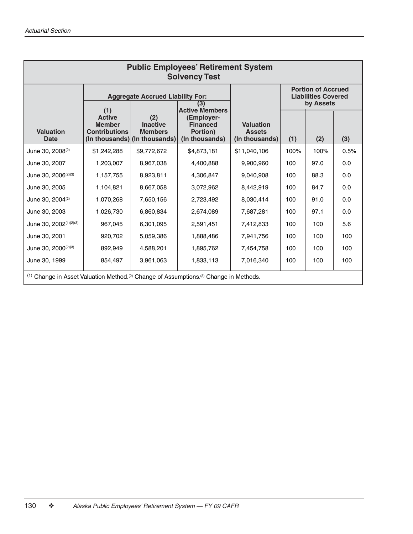| <b>Public Employees' Retirement System</b><br><b>Solvency Test</b>                                                       |                                                               |                                                                           |                                                                                      |                                                     |                                                                      |      |      |  |
|--------------------------------------------------------------------------------------------------------------------------|---------------------------------------------------------------|---------------------------------------------------------------------------|--------------------------------------------------------------------------------------|-----------------------------------------------------|----------------------------------------------------------------------|------|------|--|
|                                                                                                                          |                                                               | <b>Aggregate Accrued Liability For:</b>                                   |                                                                                      |                                                     | <b>Portion of Accrued</b><br><b>Liabilities Covered</b><br>by Assets |      |      |  |
| <b>Valuation</b><br><b>Date</b>                                                                                          | (1)<br><b>Active</b><br><b>Member</b><br><b>Contributions</b> | (2)<br><b>Inactive</b><br><b>Members</b><br>(In thousands) (In thousands) | <b>Active Members</b><br>(Employer-<br><b>Financed</b><br>Portion)<br>(In thousands) | <b>Valuation</b><br><b>Assets</b><br>(In thousands) | (1)                                                                  | (2)  | (3)  |  |
| June 30, 2008 <sup>(2)</sup>                                                                                             | \$1,242,288                                                   | \$9,772,672                                                               | \$4,873,181                                                                          | \$11,040,106                                        | 100%                                                                 | 100% | 0.5% |  |
| June 30, 2007                                                                                                            | 1,203,007                                                     | 8,967,038                                                                 | 4,400,888                                                                            | 9,900,960                                           | 100                                                                  | 97.0 | 0.0  |  |
| June 30, 2006 <sup>(2)(3)</sup>                                                                                          | 1,157,755                                                     | 8,923,811                                                                 | 4,306,847                                                                            | 9,040,908                                           | 100                                                                  | 88.3 | 0.0  |  |
| June 30, 2005                                                                                                            | 1,104,821                                                     | 8,667,058                                                                 | 3,072,962                                                                            | 8,442,919                                           | 100                                                                  | 84.7 | 0.0  |  |
| June 30, 2004 <sup>(2)</sup>                                                                                             | 1,070,268                                                     | 7,650,156                                                                 | 2,723,492                                                                            | 8,030,414                                           | 100                                                                  | 91.0 | 0.0  |  |
| June 30, 2003                                                                                                            | 1,026,730                                                     | 6,860,834                                                                 | 2,674,089                                                                            | 7,687,281                                           | 100                                                                  | 97.1 | 0.0  |  |
| June 30, 2002(1)(2)(3)                                                                                                   | 967,045                                                       | 6,301,095                                                                 | 2,591,451                                                                            | 7,412,833                                           | 100                                                                  | 100  | 5.6  |  |
| June 30, 2001                                                                                                            | 920,702                                                       | 5,059,386                                                                 | 1,888,486                                                                            | 7,941,756                                           | 100                                                                  | 100  | 100  |  |
| June 30, 2000(2)(3)                                                                                                      | 892,949                                                       | 4,588,201                                                                 | 1,895,762                                                                            | 7,454,758                                           | 100                                                                  | 100  | 100  |  |
| June 30, 1999                                                                                                            | 854,497                                                       | 3,961,063                                                                 | 1,833,113                                                                            | 7,016,340                                           | 100                                                                  | 100  | 100  |  |
| <sup>(1)</sup> Change in Asset Valuation Method. <sup>(2)</sup> Change of Assumptions. <sup>(3)</sup> Change in Methods. |                                                               |                                                                           |                                                                                      |                                                     |                                                                      |      |      |  |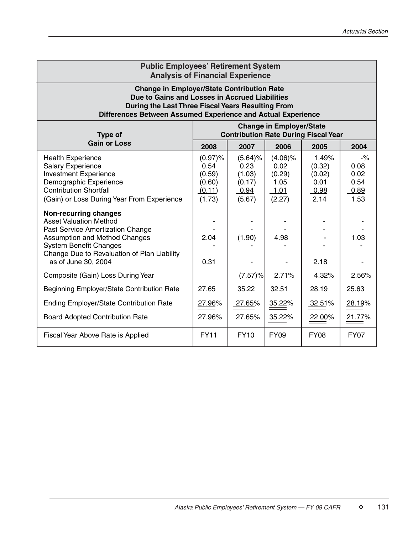| <b>Public Employees' Retirement System</b><br><b>Analysis of Financial Experience</b>                                                                                                                                                                          |                                                            |                                                       |                                                        |                                                   |                                               |  |  |  |
|----------------------------------------------------------------------------------------------------------------------------------------------------------------------------------------------------------------------------------------------------------------|------------------------------------------------------------|-------------------------------------------------------|--------------------------------------------------------|---------------------------------------------------|-----------------------------------------------|--|--|--|
| <b>Change in Employer/State Contribution Rate</b><br>Due to Gains and Losses in Accrued Liabilities<br>During the Last Three Fiscal Years Resulting From<br>Differences Between Assumed Experience and Actual Experience                                       |                                                            |                                                       |                                                        |                                                   |                                               |  |  |  |
| <b>Change in Employer/State</b><br><b>Contribution Rate During Fiscal Year</b><br><b>Type of</b>                                                                                                                                                               |                                                            |                                                       |                                                        |                                                   |                                               |  |  |  |
| <b>Gain or Loss</b>                                                                                                                                                                                                                                            | 2008                                                       | 2007                                                  | 2006                                                   | 2005                                              | 2004                                          |  |  |  |
| <b>Health Experience</b><br><b>Salary Experience</b><br><b>Investment Experience</b><br>Demographic Experience<br><b>Contribution Shortfall</b><br>(Gain) or Loss During Year From Experience<br><b>Non-recurring changes</b><br><b>Asset Valuation Method</b> | $(0.97)$ %<br>0.54<br>(0.59)<br>(0.60)<br>(0.11)<br>(1.73) | (5.64)%<br>0.23<br>(1.03)<br>(0.17)<br>0.94<br>(5.67) | $(4.06)\%$<br>0.02<br>(0.29)<br>1.05<br>1.01<br>(2.27) | 1.49%<br>(0.32)<br>(0.02)<br>0.01<br>0.98<br>2.14 | $-$ %<br>0.08<br>0.02<br>0.54<br>0.89<br>1.53 |  |  |  |
| Past Service Amortization Change<br>Assumption and Method Changes<br><b>System Benefit Changes</b><br>Change Due to Revaluation of Plan Liability<br>as of June 30, 2004                                                                                       | 2.04<br>0.31                                               | (1.90)                                                | 4.98                                                   | 2.18                                              | 1.03                                          |  |  |  |
| Composite (Gain) Loss During Year                                                                                                                                                                                                                              |                                                            | (7.57)%                                               | 2.71%                                                  | 4.32%                                             | 2.56%                                         |  |  |  |
| Beginning Employer/State Contribution Rate                                                                                                                                                                                                                     | 27.65                                                      | 35.22                                                 | 32.51                                                  | 28.19                                             | 25.63                                         |  |  |  |
| <b>Ending Employer/State Contribution Rate</b><br><b>Board Adopted Contribution Rate</b>                                                                                                                                                                       | 27.96%<br>27.96%                                           | 27.65%<br>27.65%                                      | 35.22%<br>35.22%                                       | 32.51%<br>22.00%                                  | 28.19%<br>21.77%                              |  |  |  |
| Fiscal Year Above Rate is Applied                                                                                                                                                                                                                              | <b>FY11</b>                                                | <b>FY10</b>                                           | <b>FY09</b>                                            | <b>FY08</b>                                       | <b>FY07</b>                                   |  |  |  |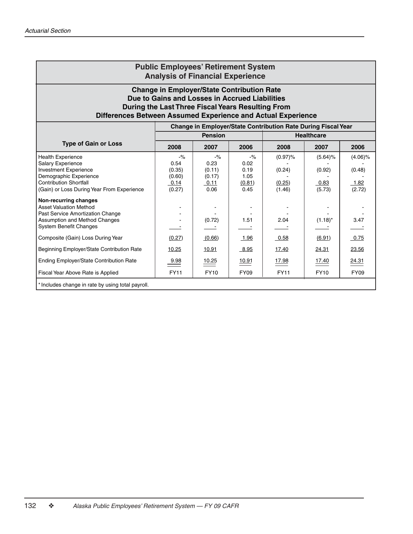## **Public Employees' Retirement System Analysis of Financial Experience**

## **Change in Employer/State Contribution Rate Due to Gains and Losses in Accrued Liabilities During the Last Three Fiscal Years Resulting From Differences Between Assumed Experience and Actual Experience**

|                                                                                                                                                              | <b>Change in Employer/State Contribution Rate During Fiscal Year</b> |                              |                              |                   |              |                   |  |  |
|--------------------------------------------------------------------------------------------------------------------------------------------------------------|----------------------------------------------------------------------|------------------------------|------------------------------|-------------------|--------------|-------------------|--|--|
|                                                                                                                                                              |                                                                      | <b>Pension</b>               |                              | <b>Healthcare</b> |              |                   |  |  |
| <b>Type of Gain or Loss</b>                                                                                                                                  | 2008                                                                 | 2007                         | 2006                         | 2008              | 2007         | 2006              |  |  |
| <b>Health Experience</b>                                                                                                                                     | $-$ %                                                                | $-$ %                        | $-$ %                        | $(0.97)$ %        | $(5.64)\%$   | $(4.06)\%$        |  |  |
| <b>Salary Experience</b>                                                                                                                                     | 0.54                                                                 | 0.23                         | 0.02                         |                   |              |                   |  |  |
| Investment Experience                                                                                                                                        | (0.35)                                                               | (0.11)                       | 0.19                         | (0.24)            | (0.92)       | (0.48)            |  |  |
| Demographic Experience                                                                                                                                       | (0.60)                                                               | (0.17)                       | 1.05                         |                   |              |                   |  |  |
| <b>Contribution Shortfall</b>                                                                                                                                | 0.14                                                                 | 0.11                         | (0.81)                       | (0.25)            | 0.83         | 1.82              |  |  |
| (Gain) or Loss During Year From Experience                                                                                                                   | (0.27)                                                               | 0.06                         | 0.45                         | (1.46)            | (5.73)       | (2.72)            |  |  |
| Non-recurring changes<br><b>Asset Valuation Method</b><br>Past Service Amortization Change<br>Assumption and Method Changes<br><b>System Benefit Changes</b> |                                                                      | (0.72)                       | 1.51                         | 2.04              | $(1.18)^*$   | 3.47              |  |  |
| Composite (Gain) Loss During Year                                                                                                                            | (0.27)                                                               | (0.66)                       | 1.96                         | 0.58              | (6.91)       | 0.75              |  |  |
| Beginning Employer/State Contribution Rate                                                                                                                   | 10.25                                                                | 10.91                        | 8.95                         | 17.40             | 24.31        | 23.56             |  |  |
| Ending Employer/State Contribution Rate                                                                                                                      | 9.98                                                                 | $\underline{\frac{10.25}{}}$ | $\underline{\frac{10.91}{}}$ | <u>17.98</u>      | <u>17.40</u> | $\frac{24.31}{2}$ |  |  |
| Fiscal Year Above Rate is Applied                                                                                                                            | <b>FY11</b>                                                          | <b>FY10</b>                  | <b>FY09</b>                  | <b>FY11</b>       | <b>FY10</b>  | <b>FY09</b>       |  |  |
| * Includes change in rate by using total payroll.                                                                                                            |                                                                      |                              |                              |                   |              |                   |  |  |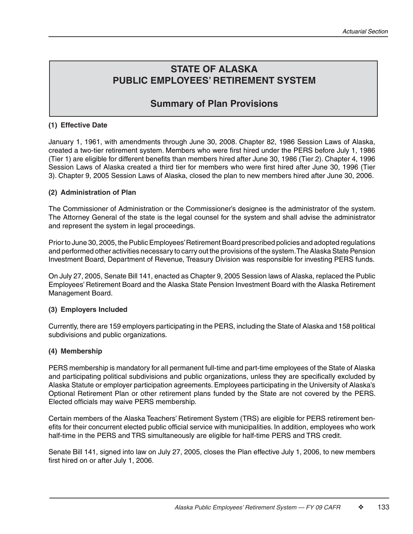## **Summary of Plan Provisions**

#### **(1) Effective Date**

January 1, 1961, with amendments through June 30, 2008. Chapter 82, 1986 Session Laws of Alaska, created a two-tier retirement system. Members who were first hired under the PERS before July 1, 1986 (Tier 1) are eligible for different benefits than members hired after June 30, 1986 (Tier 2). Chapter 4, 1996 Session Laws of Alaska created a third tier for members who were first hired after June 30, 1996 (Tier 3). Chapter 9, 2005 Session Laws of Alaska, closed the plan to new members hired after June 30, 2006.

#### **(2) Administration of Plan**

The Commissioner of Administration or the Commissioner's designee is the administrator of the system. The Attorney General of the state is the legal counsel for the system and shall advise the administrator and represent the system in legal proceedings.

Prior to June 30, 2005, the Public Employees' Retirement Board prescribed policies and adopted regulations and performed other activities necessary to carry out the provisions of the system. The Alaska State Pension Investment Board, Department of Revenue, Treasury Division was responsible for investing PERS funds.

On July 27, 2005, Senate Bill 141, enacted as Chapter 9, 2005 Session laws of Alaska, replaced the Public Employees' Retirement Board and the Alaska State Pension Investment Board with the Alaska Retirement Management Board.

#### **(3) Employers Included**

Currently, there are 159 employers participating in the PERS, including the State of Alaska and 158 political subdivisions and public organizations.

#### **(4) Membership**

PERS membership is mandatory for all permanent full-time and part-time employees of the State of Alaska and participating political subdivisions and public organizations, unless they are specifically excluded by Alaska Statute or employer participation agreements. Employees participating in the University of Alaska's Optional Retirement Plan or other retirement plans funded by the State are not covered by the PERS. Elected officials may waive PERS membership.

Certain members of the Alaska Teachers' Retirement System (TRS) are eligible for PERS retirement benefits for their concurrent elected public official service with municipalities. In addition, employees who work half-time in the PERS and TRS simultaneously are eligible for half-time PERS and TRS credit.

Senate Bill 141, signed into law on July 27, 2005, closes the Plan effective July 1, 2006, to new members first hired on or after July 1, 2006.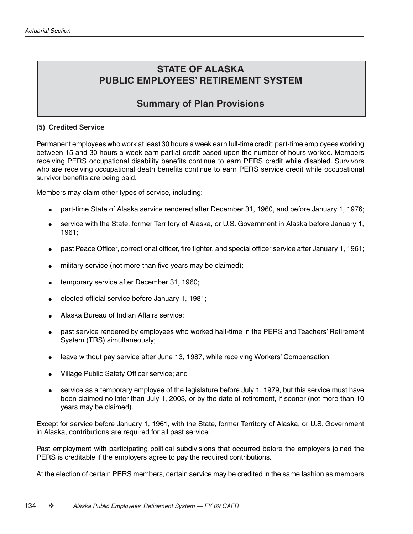## **Summary of Plan Provisions**

#### **(5) Credited Service**

Permanent employees who work at least 30 hours a week earn full-time credit; part-time employees working between 15 and 30 hours a week earn partial credit based upon the number of hours worked. Members receiving PERS occupational disability benefits continue to earn PERS credit while disabled. Survivors who are receiving occupational death benefits continue to earn PERS service credit while occupational survivor benefits are being paid.

Members may claim other types of service, including:

- part-time State of Alaska service rendered after December 31, 1960, and before January 1, 1976;
- service with the State, former Territory of Alaska, or U.S. Government in Alaska before January 1, 1961;
- past Peace Officer, correctional officer, fire fighter, and special officer service after January 1, 1961;
- military service (not more than five years may be claimed);
- temporary service after December 31, 1960;
- elected official service before January 1, 1981;
- Alaska Bureau of Indian Affairs service:
- past service rendered by employees who worked half-time in the PERS and Teachers' Retirement System (TRS) simultaneously;
- leave without pay service after June 13, 1987, while receiving Workers' Compensation;
- Village Public Safety Officer service; and
- service as a temporary employee of the legislature before July 1, 1979, but this service must have been claimed no later than July 1, 2003, or by the date of retirement, if sooner (not more than 10 years may be claimed).

Except for service before January 1, 1961, with the State, former Territory of Alaska, or U.S. Government in Alaska, contributions are required for all past service.

Past employment with participating political subdivisions that occurred before the employers joined the PERS is creditable if the employers agree to pay the required contributions.

At the election of certain PERS members, certain service may be credited in the same fashion as members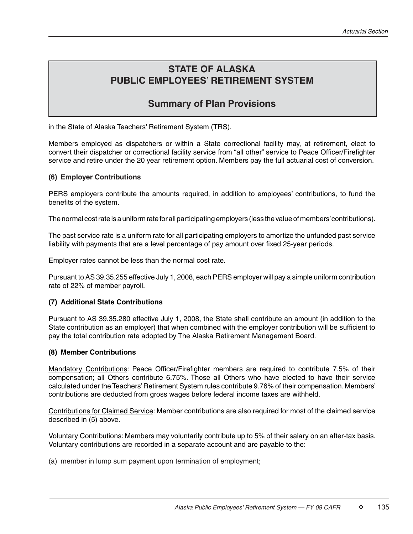## **Summary of Plan Provisions**

in the State of Alaska Teachers' Retirement System (TRS).

Members employed as dispatchers or within a State correctional facility may, at retirement, elect to convert their dispatcher or correctional facility service from "all other" service to Peace Officer/Firefighter service and retire under the 20 year retirement option. Members pay the full actuarial cost of conversion.

#### **(6) Employer Contributions**

PERS employers contribute the amounts required, in addition to employees' contributions, to fund the benefits of the system.

The normal cost rate is a uniform rate for all participating employers (less the value of members' contributions).

The past service rate is a uniform rate for all participating employers to amortize the unfunded past service liability with payments that are a level percentage of pay amount over fixed 25-year periods.

Employer rates cannot be less than the normal cost rate.

Pursuant to AS 39.35.255 effective July 1, 2008, each PERS employer will pay a simple uniform contribution rate of 22% of member payroll.

#### **(7) Additional State Contributions**

Pursuant to AS 39.35.280 effective July 1, 2008, the State shall contribute an amount (in addition to the State contribution as an employer) that when combined with the employer contribution will be sufficient to pay the total contribution rate adopted by The Alaska Retirement Management Board.

#### **(8) Member Contributions**

Mandatory Contributions: Peace Officer/Firefighter members are required to contribute 7.5% of their compensation; all Others contribute 6.75%. Those all Others who have elected to have their service calculated under the Teachers' Retirement System rules contribute 9.76% of their compensation. Members' contributions are deducted from gross wages before federal income taxes are withheld.

Contributions for Claimed Service: Member contributions are also required for most of the claimed service described in (5) above.

Voluntary Contributions: Members may voluntarily contribute up to 5% of their salary on an after-tax basis. Voluntary contributions are recorded in a separate account and are payable to the:

(a) member in lump sum payment upon termination of employment;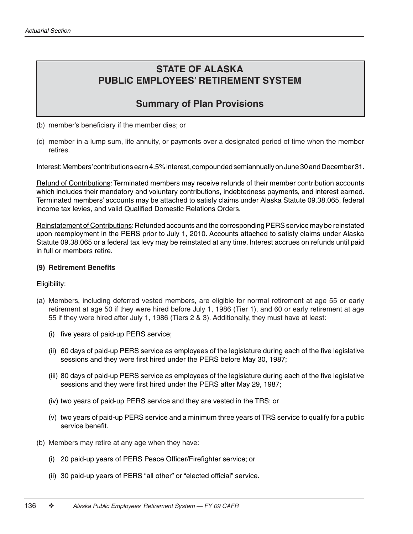## **Summary of Plan Provisions**

- (b) member's beneficiary if the member dies; or
- (c) member in a lump sum, life annuity, or payments over a designated period of time when the member retires.

Interest: Members' contributions earn 4.5% interest, compounded semiannually on June 30 and December 31.

Refund of Contributions: Terminated members may receive refunds of their member contribution accounts which includes their mandatory and voluntary contributions, indebtedness payments, and interest earned. Terminated members' accounts may be attached to satisfy claims under Alaska Statute 09.38.065, federal income tax levies, and valid Qualified Domestic Relations Orders.

Reinstatement of Contributions: Refunded accounts and the corresponding PERS service may be reinstated upon reemployment in the PERS prior to July 1, 2010. Accounts attached to satisfy claims under Alaska Statute 09.38.065 or a federal tax levy may be reinstated at any time. Interest accrues on refunds until paid in full or members retire.

#### **(9) Retirement Benefits**

#### Eligibility:

- (a) Members, including deferred vested members, are eligible for normal retirement at age 55 or early retirement at age 50 if they were hired before July 1, 1986 (Tier 1), and 60 or early retirement at age 55 if they were hired after July 1, 1986 (Tiers 2 & 3). Additionally, they must have at least:
	- $(i)$  five years of paid-up PERS service;
	- (ii) 60 days of paid-up PERS service as employees of the legislature during each of the five legislative sessions and they were first hired under the PERS before May 30, 1987;
	- (iii) 80 days of paid-up PERS service as employees of the legislature during each of the five legislative sessions and they were first hired under the PERS after May 29, 1987;
	- (iv) two years of paid-up PERS service and they are vested in the TRS; or
	- (v) two years of paid-up PERS service and a minimum three years of TRS service to qualify for a public service benefit.
- (b) Members may retire at any age when they have:
	- (i) 20 paid-up years of PERS Peace Officer/Firefighter service; or
	- (ii) 30 paid-up years of PERS "all other" or "elected official" service.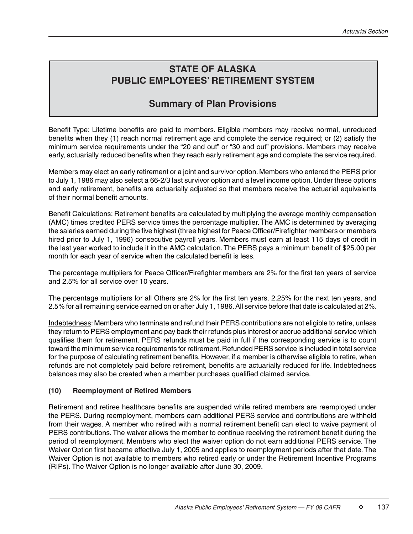## **Summary of Plan Provisions**

Benefit Type: Lifetime benefits are paid to members. Eligible members may receive normal, unreduced benefits when they (1) reach normal retirement age and complete the service required; or (2) satisfy the minimum service requirements under the "20 and out" or "30 and out" provisions. Members may receive early, actuarially reduced benefits when they reach early retirement age and complete the service required.

Members may elect an early retirement or a joint and survivor option. Members who entered the PERS prior to July 1, 1986 may also select a 66-2/3 last survivor option and a level income option. Under these options and early retirement, benefits are actuarially adjusted so that members receive the actuarial equivalents of their normal benefit amounts.

Benefit Calculations: Retirement benefits are calculated by multiplying the average monthly compensation (AMC) times credited PERS service times the percentage multiplier. The AMC is determined by averaging the salaries earned during the five highest (three highest for Peace Officer/Firefighter members or members hired prior to July 1, 1996) consecutive payroll years. Members must earn at least 115 days of credit in the last year worked to include it in the AMC calculation. The PERS pays a minimum benefit of \$25.00 per month for each year of service when the calculated benefit is less.

The percentage multipliers for Peace Officer/Firefighter members are 2% for the first ten years of service and 2.5% for all service over 10 years.

The percentage multipliers for all Others are 2% for the first ten years, 2.25% for the next ten years, and 2.5% for all remaining service earned on or after July 1, 1986. All service before that date is calculated at 2%.

Indebtedness: Members who terminate and refund their PERS contributions are not eligible to retire, unless they return to PERS employment and pay back their refunds plus interest or accrue additional service which qualifies them for retirement. PERS refunds must be paid in full if the corresponding service is to count toward the minimum service requirements for retirement. Refunded PERS service is included in total service for the purpose of calculating retirement benefits. However, if a member is otherwise eligible to retire, when refunds are not completely paid before retirement, benefits are actuarially reduced for life. Indebtedness balances may also be created when a member purchases qualified claimed service.

#### **(10) Reemployment of Retired Members**

Retirement and retiree healthcare benefits are suspended while retired members are reemployed under the PERS. During reemployment, members earn additional PERS service and contributions are withheld from their wages. A member who retired with a normal retirement benefit can elect to waive payment of PERS contributions. The waiver allows the member to continue receiving the retirement benefit during the period of reemployment. Members who elect the waiver option do not earn additional PERS service. The Waiver Option first became effective July 1, 2005 and applies to reemployment periods after that date. The Waiver Option is not available to members who retired early or under the Retirement Incentive Programs (RIPs). The Waiver Option is no longer available after June 30, 2009.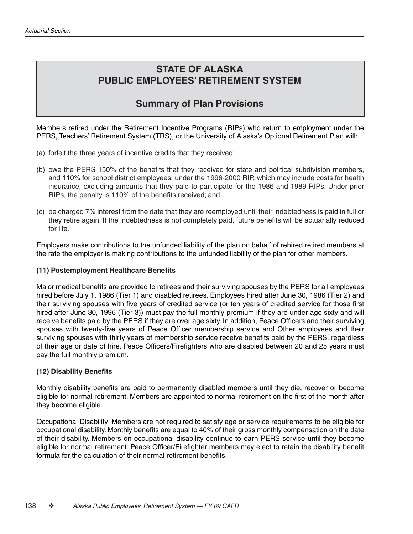## **Summary of Plan Provisions**

Members retired under the Retirement Incentive Programs (RIPs) who return to employment under the PERS, Teachers' Retirement System (TRS), or the University of Alaska's Optional Retirement Plan will:

- (a) forfeit the three years of incentive credits that they received;
- (b) owe the PERS 150% of the benefits that they received for state and political subdivision members, and 110% for school district employees, under the 1996-2000 RIP, which may include costs for health insurance, excluding amounts that they paid to participate for the 1986 and 1989 RIPs. Under prior RIPs, the penalty is 110% of the benefits received; and
- (c) be charged 7% interest from the date that they are reemployed until their indebtedness is paid in full or they retire again. If the indebtedness is not completely paid, future benefits will be actuarially reduced for life.

Employers make contributions to the unfunded liability of the plan on behalf of rehired retired members at the rate the employer is making contributions to the unfunded liability of the plan for other members.

#### **(11) Postemployment Healthcare Benefi ts**

Major medical benefits are provided to retirees and their surviving spouses by the PERS for all employees hired before July 1, 1986 (Tier 1) and disabled retirees. Employees hired after June 30, 1986 (Tier 2) and their surviving spouses with five years of credited service (or ten years of credited service for those first hired after June 30, 1996 (Tier 3)) must pay the full monthly premium if they are under age sixty and will receive benefits paid by the PERS if they are over age sixty. In addition, Peace Officers and their surviving spouses with twenty-five years of Peace Officer membership service and Other employees and their surviving spouses with thirty years of membership service receive benefits paid by the PERS, regardless of their age or date of hire. Peace Officers/Firefighters who are disabled between 20 and 25 years must pay the full monthly premium.

#### **(12) Disability Benefits**

Monthly disability benefits are paid to permanently disabled members until they die, recover or become eligible for normal retirement. Members are appointed to normal retirement on the first of the month after they become eligible.

Occupational Disability: Members are not required to satisfy age or service requirements to be eligible for occupational disability. Monthly benefits are equal to 40% of their gross monthly compensation on the date of their disability. Members on occupational disability continue to earn PERS service until they become eligible for normal retirement. Peace Officer/Firefighter members may elect to retain the disability benefit formula for the calculation of their normal retirement benefits.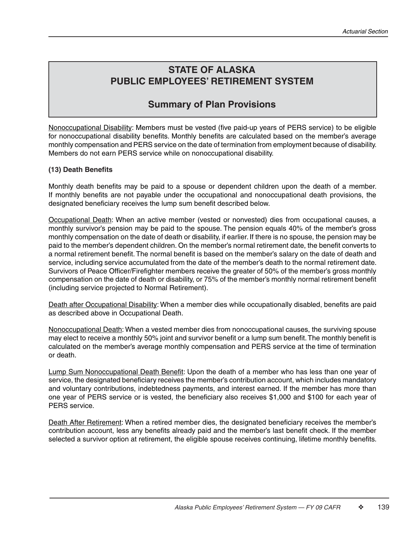## **Summary of Plan Provisions**

Nonoccupational Disability: Members must be vested (five paid-up years of PERS service) to be eligible for nonoccupational disability benefits. Monthly benefits are calculated based on the member's average monthly compensation and PERS service on the date of termination from employment because of disability. Members do not earn PERS service while on nonoccupational disability.

#### **(13) Death Benefi ts**

Monthly death benefits may be paid to a spouse or dependent children upon the death of a member. If monthly benefits are not payable under the occupational and nonoccupational death provisions, the designated beneficiary receives the lump sum benefit described below.

Occupational Death: When an active member (vested or nonvested) dies from occupational causes, a monthly survivor's pension may be paid to the spouse. The pension equals 40% of the member's gross monthly compensation on the date of death or disability, if earlier. If there is no spouse, the pension may be paid to the member's dependent children. On the member's normal retirement date, the benefit converts to a normal retirement benefit. The normal benefit is based on the member's salary on the date of death and service, including service accumulated from the date of the member's death to the normal retirement date. Survivors of Peace Officer/Firefighter members receive the greater of 50% of the member's gross monthly compensation on the date of death or disability, or 75% of the member's monthly normal retirement benefit (including service projected to Normal Retirement).

Death after Occupational Disability: When a member dies while occupationally disabled, benefits are paid as described above in Occupational Death.

Nonoccupational Death: When a vested member dies from nonoccupational causes, the surviving spouse may elect to receive a monthly 50% joint and survivor benefit or a lump sum benefit. The monthly benefit is calculated on the member's average monthly compensation and PERS service at the time of termination or death.

Lump Sum Nonoccupational Death Benefit: Upon the death of a member who has less than one year of service, the designated beneficiary receives the member's contribution account, which includes mandatory and voluntary contributions, indebtedness payments, and interest earned. If the member has more than one year of PERS service or is vested, the beneficiary also receives \$1,000 and \$100 for each year of PERS service.

Death After Retirement: When a retired member dies, the designated beneficiary receives the member's contribution account, less any benefits already paid and the member's last benefit check. If the member selected a survivor option at retirement, the eligible spouse receives continuing, lifetime monthly benefits.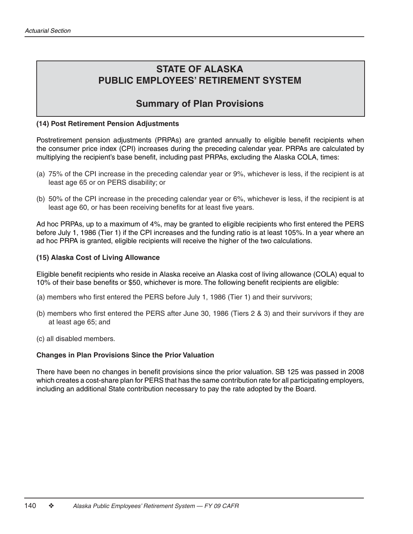## **Summary of Plan Provisions**

#### **(14) Post Retirement Pension Adjustments**

Postretirement pension adjustments (PRPAs) are granted annually to eligible benefit recipients when the consumer price index (CPI) increases during the preceding calendar year. PRPAs are calculated by multiplying the recipient's base benefit, including past PRPAs, excluding the Alaska COLA, times:

- (a) 75% of the CPI increase in the preceding calendar year or 9%, whichever is less, if the recipient is at least age 65 or on PERS disability; or
- (b) 50% of the CPI increase in the preceding calendar year or 6%, whichever is less, if the recipient is at least age 60, or has been receiving benefits for at least five years.

Ad hoc PRPAs, up to a maximum of 4%, may be granted to eligible recipients who first entered the PERS before July 1, 1986 (Tier 1) if the CPI increases and the funding ratio is at least 105%. In a year where an ad hoc PRPA is granted, eligible recipients will receive the higher of the two calculations.

#### **(15) Alaska Cost of Living Allowance**

Eligible benefit recipients who reside in Alaska receive an Alaska cost of living allowance (COLA) equal to 10% of their base benefits or \$50, whichever is more. The following benefit recipients are eligible:

- (a) members who first entered the PERS before July 1, 1986 (Tier 1) and their survivors;
- (b) members who first entered the PERS after June 30, 1986 (Tiers 2  $\&$  3) and their survivors if they are at least age 65; and
- (c) all disabled members.

#### **Changes in Plan Provisions Since the Prior Valuation**

There have been no changes in benefit provisions since the prior valuation. SB 125 was passed in 2008 which creates a cost-share plan for PERS that has the same contribution rate for all participating employers, including an additional State contribution necessary to pay the rate adopted by the Board.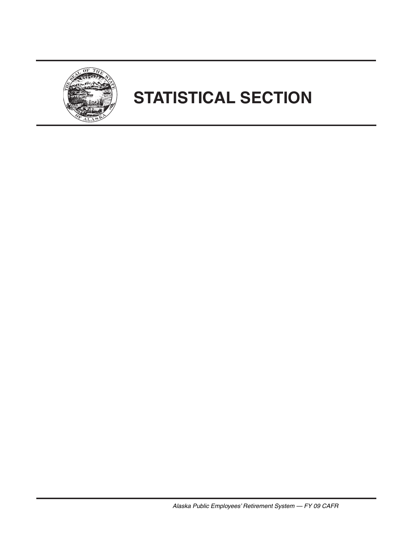

# **STATISTICAL SECTION**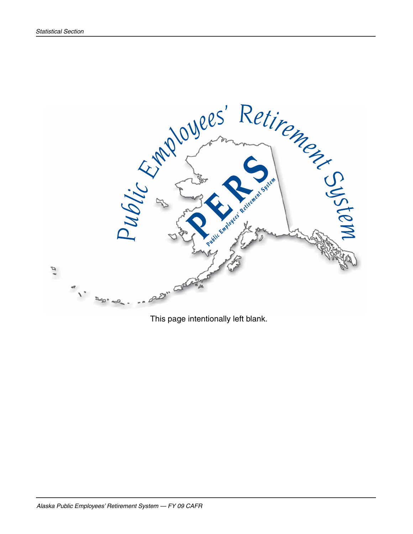

This page intentionally left blank.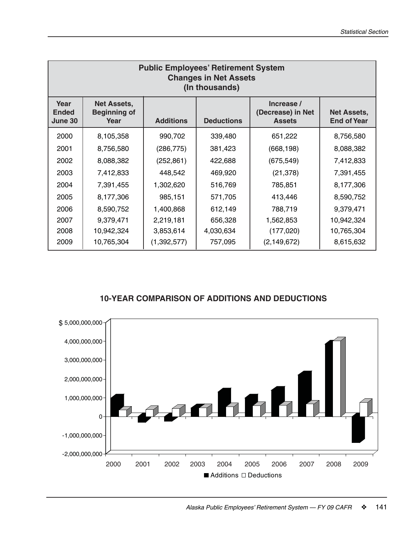| <b>Public Employees' Retirement System</b><br><b>Changes in Net Assets</b><br>(In thousands) |                                                   |                  |                   |                                                  |                                          |  |  |  |
|----------------------------------------------------------------------------------------------|---------------------------------------------------|------------------|-------------------|--------------------------------------------------|------------------------------------------|--|--|--|
| Year<br><b>Ended</b><br>June 30                                                              | <b>Net Assets,</b><br><b>Beginning of</b><br>Year | <b>Additions</b> | <b>Deductions</b> | Increase /<br>(Decrease) in Net<br><b>Assets</b> | <b>Net Assets,</b><br><b>End of Year</b> |  |  |  |
| 2000                                                                                         | 8,105,358                                         | 990,702          | 339,480           | 651,222                                          | 8,756,580                                |  |  |  |
| 2001                                                                                         | 8,756,580                                         | (286, 775)       | 381,423           | (668, 198)                                       | 8,088,382                                |  |  |  |
| 2002                                                                                         | 8,088,382                                         | (252, 861)       | 422,688           | (675, 549)                                       | 7,412,833                                |  |  |  |
| 2003                                                                                         | 7,412,833                                         | 448,542          | 469,920           | (21, 378)                                        | 7,391,455                                |  |  |  |
| 2004                                                                                         | 7,391,455                                         | 1,302,620        | 516,769           | 785,851                                          | 8,177,306                                |  |  |  |
| 2005                                                                                         | 8,177,306                                         | 985,151          | 571,705           | 413,446                                          | 8,590,752                                |  |  |  |
| 2006                                                                                         | 8,590,752                                         | 1,400,868        | 612,149           | 788,719                                          | 9,379,471                                |  |  |  |
| 2007                                                                                         | 9,379,471                                         | 2,219,181        | 656,328           | 1,562,853                                        | 10,942,324                               |  |  |  |
| 2008                                                                                         | 10,942,324                                        | 3,853,614        | 4,030,634         | (177,020)                                        | 10,765,304                               |  |  |  |
| 2009                                                                                         | 10,765,304                                        | (1,392,577)      | 757,095           | (2, 149, 672)                                    | 8,615,632                                |  |  |  |

## **10-YEAR COMPARISON OF ADDITIONS AND DEDUCTIONS**

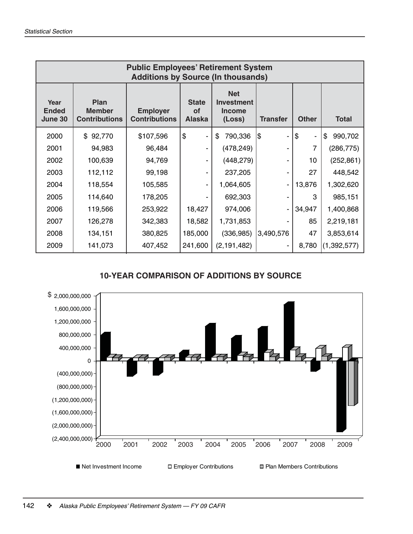| <b>Public Employees' Retirement System</b><br><b>Additions by Source (In thousands)</b> |                                               |                                         |                                            |                                                            |                              |              |               |
|-----------------------------------------------------------------------------------------|-----------------------------------------------|-----------------------------------------|--------------------------------------------|------------------------------------------------------------|------------------------------|--------------|---------------|
| Year<br><b>Ended</b><br>June 30                                                         | Plan<br><b>Member</b><br><b>Contributions</b> | <b>Employer</b><br><b>Contributions</b> | <b>State</b><br><b>of</b><br><b>Alaska</b> | <b>Net</b><br><b>Investment</b><br><b>Income</b><br>(Loss) | <b>Transfer</b>              | <b>Other</b> | <b>Total</b>  |
| 2000                                                                                    | \$92,770                                      | \$107,596                               | \$                                         | 790,336<br>\$                                              | 1\$                          | \$           | \$<br>990,702 |
| 2001                                                                                    | 94,983                                        | 96,484                                  |                                            | (478, 249)                                                 |                              | 7            | (286, 775)    |
| 2002                                                                                    | 100,639                                       | 94,769                                  |                                            | (448, 279)                                                 |                              | 10           | (252, 861)    |
| 2003                                                                                    | 112,112                                       | 99,198                                  |                                            | 237,205                                                    |                              | 27           | 448,542       |
| 2004                                                                                    | 118,554                                       | 105,585                                 |                                            | 1,064,605                                                  | $\qquad \qquad \blacksquare$ | 13,876       | 1,302,620     |
| 2005                                                                                    | 114,640                                       | 178,205                                 |                                            | 692,303                                                    |                              | 3            | 985,151       |
| 2006                                                                                    | 119,566                                       | 253,922                                 | 18,427                                     | 974,006                                                    |                              | 34,947       | 1,400,868     |
| 2007                                                                                    | 126,278                                       | 342,383                                 | 18,582                                     | 1,731,853                                                  |                              | 85           | 2,219,181     |
| 2008                                                                                    | 134,151                                       | 380,825                                 | 185,000                                    | (336, 985)                                                 | 3,490,576                    | 47           | 3,853,614     |
| 2009                                                                                    | 141,073                                       | 407,452                                 | 241,600                                    | (2, 191, 482)                                              |                              | 8,780        | (1,392,577)   |

**10-YEAR COMPARISON OF ADDITIONS BY SOURCE**

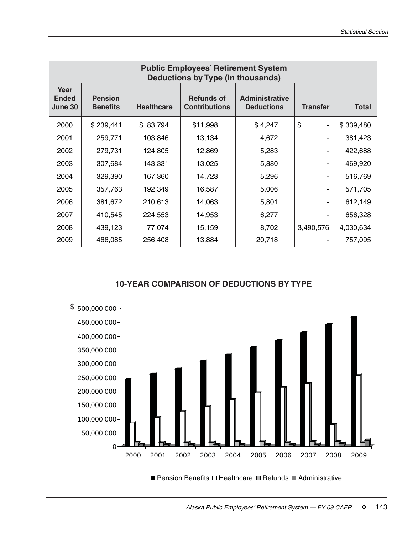| <b>Public Employees' Retirement System</b><br>Deductions by Type (In thousands) |                                   |                   |                                           |                                            |                 |              |  |  |
|---------------------------------------------------------------------------------|-----------------------------------|-------------------|-------------------------------------------|--------------------------------------------|-----------------|--------------|--|--|
| Year<br><b>Ended</b><br>June 30                                                 | <b>Pension</b><br><b>Benefits</b> | <b>Healthcare</b> | <b>Refunds of</b><br><b>Contributions</b> | <b>Administrative</b><br><b>Deductions</b> | <b>Transfer</b> | <b>Total</b> |  |  |
| 2000                                                                            | \$239,441                         | \$83,794          | \$11,998                                  | \$4,247                                    | \$              | \$339,480    |  |  |
| 2001                                                                            | 259,771                           | 103,846           | 13,134                                    | 4,672                                      |                 | 381,423      |  |  |
| 2002                                                                            | 279,731                           | 124,805           | 12,869                                    | 5,283                                      |                 | 422,688      |  |  |
| 2003                                                                            | 307,684                           | 143,331           | 13,025                                    | 5,880                                      |                 | 469,920      |  |  |
| 2004                                                                            | 329,390                           | 167,360           | 14,723                                    | 5,296                                      |                 | 516,769      |  |  |
| 2005                                                                            | 357,763                           | 192,349           | 16,587                                    | 5,006                                      |                 | 571,705      |  |  |
| 2006                                                                            | 381,672                           | 210,613           | 14,063                                    | 5,801                                      |                 | 612,149      |  |  |
| 2007                                                                            | 410,545                           | 224,553           | 14,953                                    | 6,277                                      |                 | 656,328      |  |  |
| 2008                                                                            | 439,123                           | 77,074            | 15,159                                    | 8,702                                      | 3,490,576       | 4,030,634    |  |  |
| 2009                                                                            | 466,085                           | 256,408           | 13,884                                    | 20,718                                     |                 | 757,095      |  |  |

**10-YEAR COMPARISON OF DEDUCTIONS BY TYPE**



Pension Benefits  $\Box$  Healthcare  $\Box$  Refunds  $\Box$  Administrative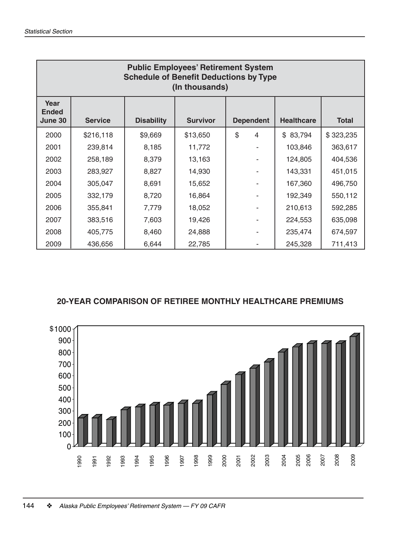| <b>Public Employees' Retirement System</b><br><b>Schedule of Benefit Deductions by Type</b><br>(In thousands) |                |                   |                 |                      |                   |              |  |  |
|---------------------------------------------------------------------------------------------------------------|----------------|-------------------|-----------------|----------------------|-------------------|--------------|--|--|
| Year<br><b>Ended</b><br>June 30                                                                               | <b>Service</b> | <b>Disability</b> | <b>Survivor</b> | <b>Dependent</b>     | <b>Healthcare</b> | <b>Total</b> |  |  |
| 2000                                                                                                          | \$216,118      | \$9,669           | \$13,650        | \$<br>$\overline{4}$ | \$83,794          | \$323,235    |  |  |
| 2001                                                                                                          | 239,814        | 8,185             | 11,772          |                      | 103,846           | 363,617      |  |  |
| 2002                                                                                                          | 258,189        | 8,379             | 13,163          |                      | 124,805           | 404,536      |  |  |
| 2003                                                                                                          | 283,927        | 8,827             | 14,930          |                      | 143,331           | 451,015      |  |  |
| 2004                                                                                                          | 305,047        | 8,691             | 15,652          |                      | 167,360           | 496,750      |  |  |
| 2005                                                                                                          | 332,179        | 8,720             | 16,864          |                      | 192,349           | 550,112      |  |  |
| 2006                                                                                                          | 355,841        | 7,779             | 18,052          |                      | 210,613           | 592,285      |  |  |
| 2007                                                                                                          | 383,516        | 7,603             | 19,426          |                      | 224,553           | 635,098      |  |  |
| 2008                                                                                                          | 405,775        | 8,460             | 24,888          |                      | 235,474           | 674,597      |  |  |
| 2009                                                                                                          | 436,656        | 6,644             | 22,785          |                      | 245,328           | 711,413      |  |  |

## **20-YEAR COMPARISON OF RETIREE MONTHLY HEALTHCARE PREMIUMS**

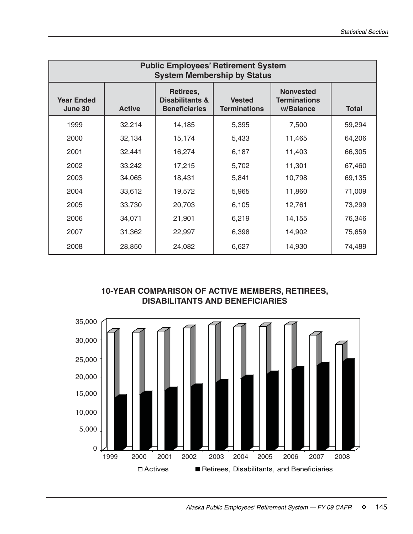| <b>Public Employees' Retirement System</b><br><b>System Membership by Status</b> |               |                                                                 |                                      |                                                      |              |  |  |  |
|----------------------------------------------------------------------------------|---------------|-----------------------------------------------------------------|--------------------------------------|------------------------------------------------------|--------------|--|--|--|
| <b>Year Ended</b><br>June 30                                                     | <b>Active</b> | Retirees,<br><b>Disabilitants &amp;</b><br><b>Beneficiaries</b> | <b>Vested</b><br><b>Terminations</b> | <b>Nonvested</b><br><b>Terminations</b><br>w/Balance | <b>Total</b> |  |  |  |
| 1999                                                                             | 32,214        | 14,185                                                          | 5,395                                | 7,500                                                | 59,294       |  |  |  |
| 2000                                                                             | 32,134        | 15,174                                                          | 5,433                                | 11,465                                               | 64,206       |  |  |  |
| 2001                                                                             | 32,441        | 16,274                                                          | 6,187                                | 11,403                                               | 66,305       |  |  |  |
| 2002                                                                             | 33,242        | 17,215                                                          | 5,702                                | 11,301                                               | 67,460       |  |  |  |
| 2003                                                                             | 34,065        | 18,431                                                          | 5,841                                | 10,798                                               | 69,135       |  |  |  |
| 2004                                                                             | 33,612        | 19,572                                                          | 5,965                                | 11,860                                               | 71,009       |  |  |  |
| 2005                                                                             | 33,730        | 20,703                                                          | 6,105                                | 12,761                                               | 73,299       |  |  |  |
| 2006                                                                             | 34,071        | 21,901                                                          | 6,219                                | 14,155                                               | 76,346       |  |  |  |
| 2007                                                                             | 31,362        | 22,997                                                          | 6,398                                | 14,902                                               | 75,659       |  |  |  |
| 2008                                                                             | 28,850        | 24,082                                                          | 6,627                                | 14,930                                               | 74,489       |  |  |  |

### **10-YEAR COMPARISON OF ACTIVE MEMBERS, RETIREES, DISABILITANTS AND BENEFICIARIES**

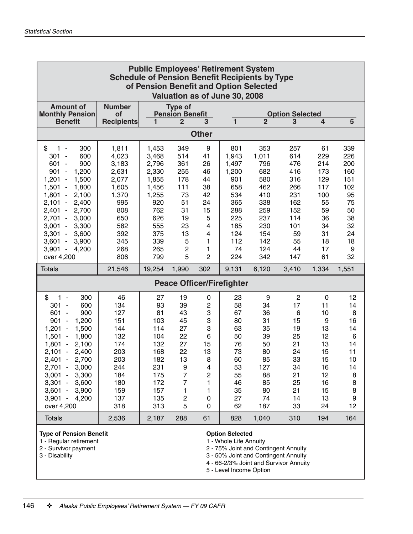| <b>Public Employees' Retirement System</b><br><b>Schedule of Pension Benefit Recipients by Type</b><br>of Pension Benefit and Option Selected<br>Valuation as of June 30, 2008                                                                                                                                                                                                                                                                            |                                                                                                                     |                                                                                                                     |                                                                                                                                  |                                                                                                                                          |                                                                                                            |                                                                                                         |                                                                                                    |                                                                                              |                                                                                                            |
|-----------------------------------------------------------------------------------------------------------------------------------------------------------------------------------------------------------------------------------------------------------------------------------------------------------------------------------------------------------------------------------------------------------------------------------------------------------|---------------------------------------------------------------------------------------------------------------------|---------------------------------------------------------------------------------------------------------------------|----------------------------------------------------------------------------------------------------------------------------------|------------------------------------------------------------------------------------------------------------------------------------------|------------------------------------------------------------------------------------------------------------|---------------------------------------------------------------------------------------------------------|----------------------------------------------------------------------------------------------------|----------------------------------------------------------------------------------------------|------------------------------------------------------------------------------------------------------------|
| <b>Amount of</b>                                                                                                                                                                                                                                                                                                                                                                                                                                          | <b>Number</b>                                                                                                       |                                                                                                                     | <b>Type of</b>                                                                                                                   |                                                                                                                                          |                                                                                                            |                                                                                                         |                                                                                                    |                                                                                              |                                                                                                            |
| <b>Monthly Pension</b><br><b>Benefit</b>                                                                                                                                                                                                                                                                                                                                                                                                                  | of<br><b>Recipients</b>                                                                                             | 1                                                                                                                   | <b>Pension Benefit</b><br>$\overline{2}$                                                                                         | 3                                                                                                                                        | $\mathbf{1}$                                                                                               | $\overline{2}$                                                                                          | <b>Option Selected</b><br>3                                                                        | 4                                                                                            | 5 <sup>5</sup>                                                                                             |
| <b>Other</b>                                                                                                                                                                                                                                                                                                                                                                                                                                              |                                                                                                                     |                                                                                                                     |                                                                                                                                  |                                                                                                                                          |                                                                                                            |                                                                                                         |                                                                                                    |                                                                                              |                                                                                                            |
| \$<br>300<br>1<br>$\overline{\phantom{a}}$<br>600<br>$301 -$<br>$601 -$<br>900<br>$901 -$<br>1,200<br>$1,201 -$<br>1,500<br>1,501<br>1,800<br>$\sim$<br>$1,801 -$<br>2,100<br>$2,101 -$<br>2,400<br>$2,401 -$<br>2,700<br>$2,701 -$<br>3,000<br>3,001<br>3,300<br>$\blacksquare$<br>3,301<br>3,600<br>$\overline{\phantom{a}}$<br>3,601<br>3,900<br>$\blacksquare$<br>3,901<br>4,200<br>$\blacksquare$<br>over 4,200                                      | 1,811<br>4,023<br>3,183<br>2,631<br>2,077<br>1,605<br>1,370<br>995<br>808<br>650<br>582<br>392<br>345<br>268<br>806 | 1,453<br>3,468<br>2,796<br>2,330<br>1,855<br>1,456<br>1,255<br>920<br>762<br>626<br>555<br>375<br>339<br>265<br>799 | 349<br>514<br>361<br>255<br>178<br>111<br>73<br>51<br>31<br>19<br>23<br>13<br>5<br>$\overline{\mathbf{c}}$<br>5                  | 9<br>41<br>26<br>46<br>44<br>38<br>42<br>24<br>15<br>5<br>$\overline{\mathbf{4}}$<br>$\overline{\mathbf{4}}$<br>1<br>1<br>$\overline{2}$ | 801<br>1,943<br>1,497<br>1,200<br>901<br>658<br>534<br>365<br>288<br>225<br>185<br>124<br>112<br>74<br>224 | 353<br>1,011<br>796<br>682<br>580<br>462<br>410<br>338<br>259<br>237<br>230<br>154<br>142<br>124<br>342 | 257<br>614<br>476<br>416<br>316<br>266<br>231<br>162<br>152<br>114<br>101<br>59<br>55<br>44<br>147 | 61<br>229<br>214<br>173<br>129<br>117<br>100<br>55<br>59<br>36<br>34<br>31<br>18<br>17<br>61 | 339<br>226<br>200<br>160<br>151<br>102<br>95<br>75<br>50<br>38<br>32<br>24<br>18<br>$\boldsymbol{9}$<br>32 |
| <b>Totals</b>                                                                                                                                                                                                                                                                                                                                                                                                                                             | 21,546                                                                                                              | 19,254                                                                                                              | 1,990                                                                                                                            | 302                                                                                                                                      | 9,131                                                                                                      | 6,120                                                                                                   | 3,410                                                                                              | 1,334                                                                                        | 1,551                                                                                                      |
|                                                                                                                                                                                                                                                                                                                                                                                                                                                           |                                                                                                                     |                                                                                                                     |                                                                                                                                  |                                                                                                                                          | <b>Peace Officer/Firefighter</b>                                                                           |                                                                                                         |                                                                                                    |                                                                                              |                                                                                                            |
| \$<br>300<br>1.<br>$\blacksquare$<br>600<br>$301 -$<br>601<br>900<br>$\sim$<br>901<br>1,200<br>$\blacksquare$<br>1,201<br>1,500<br>$\overline{\phantom{a}}$<br>1,501<br>1,800<br>$\overline{a}$<br>1,801<br>2,100<br>$\overline{a}$<br>2,101<br>2,400<br>$\qquad \qquad \blacksquare$<br>$2,401 -$<br>2,700<br>3,000<br>$2,701 -$<br>3,300<br>3,001<br>$\sim$<br>3,301<br>3,600<br>$\sim$<br>3,601<br>$\sim$<br>3,900<br>$3,901 -$<br>4,200<br>over 4,200 | 46<br>134<br>127<br>151<br>144<br>132<br>174<br>203<br>203<br>244<br>184<br>180<br>159<br>137<br>318                | 27<br>93<br>81<br>103<br>114<br>104<br>132<br>168<br>182<br>231<br>175<br>172<br>157<br>135<br>313                  | 19<br>39<br>43<br>45<br>27<br>22<br>27<br>22<br>13<br>9<br>$\overline{7}$<br>$\overline{7}$<br>1<br>$\overline{\mathbf{c}}$<br>5 | 0<br>$\overline{\mathbf{c}}$<br>3<br>3<br>3<br>6<br>15<br>13<br>8<br>4<br>2<br>1<br>1<br>0<br>0                                          | 23<br>58<br>67<br>80<br>63<br>50<br>76<br>73<br>60<br>53<br>55<br>46<br>35<br>27<br>62                     | 9<br>34<br>36<br>31<br>35<br>39<br>50<br>80<br>85<br>127<br>88<br>85<br>80<br>74<br>187                 | $\overline{c}$<br>17<br>6<br>15<br>19<br>25<br>21<br>24<br>33<br>34<br>21<br>25<br>21<br>14<br>33  | $\pmb{0}$<br>11<br>10<br>9<br>13<br>12<br>13<br>15<br>15<br>16<br>12<br>16<br>15<br>13<br>24 | 12<br>14<br>8<br>16<br>14<br>6<br>14<br>11<br>10<br>14<br>8<br>8<br>8<br>9<br>12                           |
| <b>Totals</b>                                                                                                                                                                                                                                                                                                                                                                                                                                             | 2,536                                                                                                               | 2,187                                                                                                               | 288                                                                                                                              | 61                                                                                                                                       | 828                                                                                                        | 1,040                                                                                                   | 310                                                                                                | 194                                                                                          | 164                                                                                                        |
| <b>Type of Pension Benefit</b><br><b>Option Selected</b><br>1 - Regular retirement<br>1 - Whole Life Annuity<br>2 - 75% Joint and Contingent Annuity<br>2 - Survivor payment<br>3 - Disability<br>3 - 50% Joint and Contingent Annuity<br>4 - 66-2/3% Joint and Survivor Annuity<br>5 - Level Income Option                                                                                                                                               |                                                                                                                     |                                                                                                                     |                                                                                                                                  |                                                                                                                                          |                                                                                                            |                                                                                                         |                                                                                                    |                                                                                              |                                                                                                            |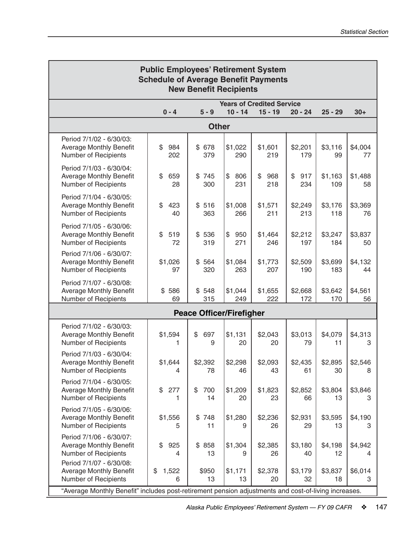| <b>Public Employees' Retirement System</b><br><b>Schedule of Average Benefit Payments</b><br><b>New Benefit Recipients</b>                                                                 |                  |                                 |                             |                                               |                            |                |               |  |
|--------------------------------------------------------------------------------------------------------------------------------------------------------------------------------------------|------------------|---------------------------------|-----------------------------|-----------------------------------------------|----------------------------|----------------|---------------|--|
|                                                                                                                                                                                            | $0 - 4$          | $5 - 9$                         | $10 - 14$                   | <b>Years of Credited Service</b><br>$15 - 19$ | $20 - 24$                  | $25 - 29$      | $30+$         |  |
|                                                                                                                                                                                            |                  | <b>Other</b>                    |                             |                                               |                            |                |               |  |
| Period 7/1/02 - 6/30/03:<br><b>Average Monthly Benefit</b><br><b>Number of Recipients</b>                                                                                                  | \$<br>984<br>202 | \$678<br>379                    | \$1,022<br>290              | \$1,601<br>219                                | \$2,201<br>179             | \$3,116<br>99  | \$4,004<br>77 |  |
| Period 7/1/03 - 6/30/04:<br><b>Average Monthly Benefit</b><br>Number of Recipients                                                                                                         | \$<br>659<br>28  | \$745<br>300                    | $\mathbb{S}$<br>806<br>231  | \$<br>968<br>218                              | $\mathbb{S}$<br>917<br>234 | \$1,163<br>109 | \$1,488<br>58 |  |
| Period 7/1/04 - 6/30/05:<br><b>Average Monthly Benefit</b><br>Number of Recipients                                                                                                         | \$<br>423<br>40  | \$516<br>363                    | \$1,008<br>266              | \$1,571<br>211                                | \$2,249<br>213             | \$3,176<br>118 | \$3,369<br>76 |  |
| Period 7/1/05 - 6/30/06:<br><b>Average Monthly Benefit</b><br>Number of Recipients                                                                                                         | \$<br>519<br>72  | \$536<br>319                    | $\mathcal{L}$<br>950<br>271 | \$1,464<br>246                                | \$2,212<br>197             | \$3,247<br>184 | \$3,837<br>50 |  |
| Period 7/1/06 - 6/30/07:<br><b>Average Monthly Benefit</b><br>Number of Recipients                                                                                                         | \$1,026<br>97    | \$564<br>320                    | \$1,084<br>263              | \$1,773<br>207                                | \$2,509<br>190             | \$3,699<br>183 | \$4,132<br>44 |  |
| Period 7/1/07 - 6/30/08:<br><b>Average Monthly Benefit</b><br>Number of Recipients                                                                                                         | \$586<br>69      | \$548<br>315                    | \$1,044<br>249              | \$1,655<br>222                                | \$2,668<br>172             | \$3,642<br>170 | \$4,561<br>56 |  |
|                                                                                                                                                                                            |                  | <b>Peace Officer/Firefigher</b> |                             |                                               |                            |                |               |  |
| Period 7/1/02 - 6/30/03:<br><b>Average Monthly Benefit</b><br>Number of Recipients                                                                                                         | \$1,594<br>1     | \$<br>697<br>9                  | \$1,131<br>20               | \$2,043<br>20                                 | \$3,013<br>79              | \$4,079<br>11  | \$4,313<br>3  |  |
| Period 7/1/03 - 6/30/04:<br><b>Average Monthly Benefit</b><br>Number of Recipients                                                                                                         | \$1,644<br>4     | \$2,392<br>78                   | \$2,298<br>46               | \$2,093<br>43                                 | \$2,435<br>61              | \$2,895<br>30  | \$2,546<br>8  |  |
| Period 7/1/04 - 6/30/05:<br><b>Average Monthly Benefit</b><br>Number of Recipients                                                                                                         | \$<br>277<br>1   | \$<br>700<br>14                 | \$1,209<br>20               | \$1,823<br>23                                 | \$2,852<br>66              | \$3,804<br>13  | \$3,846<br>3  |  |
| Period 7/1/05 - 6/30/06:<br><b>Average Monthly Benefit</b><br>Number of Recipients                                                                                                         | \$1,556<br>5     | \$748<br>11                     | \$1,280<br>9                | \$2,236<br>26                                 | \$2,931<br>29              | \$3,595<br>13  | \$4,190<br>З  |  |
| Period 7/1/06 - 6/30/07:<br><b>Average Monthly Benefit</b><br>Number of Recipients                                                                                                         | \$<br>925<br>4   | \$858<br>13                     | \$1,304<br>9                | \$2,385<br>26                                 | \$3,180<br>40              | \$4,198<br>12  | \$4,942<br>4  |  |
| Period 7/1/07 - 6/30/08:<br><b>Average Monthly Benefit</b><br>Number of Recipients<br>"Average Monthly Benefit" includes post-retirement pension adjustments and cost-of-living increases. | 1,522<br>\$<br>6 | \$950<br>13                     | \$1,171<br>13               | \$2,378<br>20                                 | \$3,179<br>32              | \$3,837<br>18  | \$6,014<br>3  |  |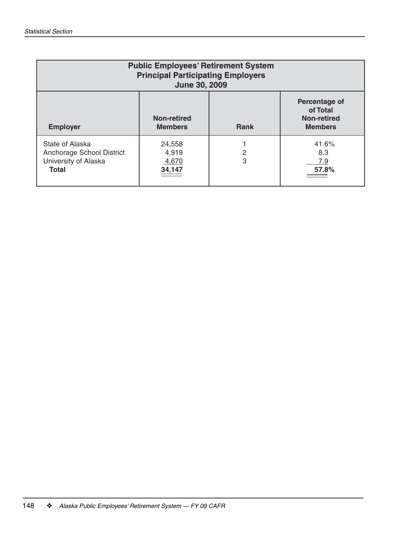| <b>Public Employees' Retirement System</b><br><b>Principal Participating Employers</b><br><b>June 30, 2009</b>                       |                                    |        |                              |  |  |  |
|--------------------------------------------------------------------------------------------------------------------------------------|------------------------------------|--------|------------------------------|--|--|--|
| <b>Percentage of</b><br>of Total<br>Non-retired<br>Non-retired<br><b>Rank</b><br><b>Members</b><br><b>Members</b><br><b>Employer</b> |                                    |        |                              |  |  |  |
| State of Alaska<br>Anchorage School District<br>University of Alaska<br><b>Total</b>                                                 | 24,558<br>4,919<br>4,670<br>34,147 | 2<br>3 | 41.6%<br>8.3<br>7.9<br>57.8% |  |  |  |